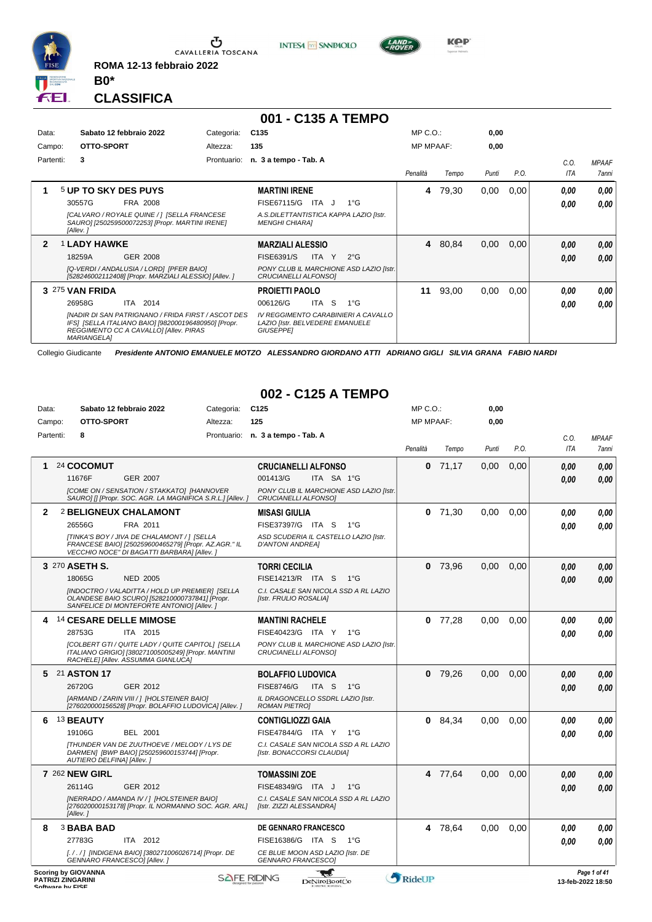

**ROMA 12-13 febbraio 2022**



Data: Sabato 12 febbraio 2022 Categoria: C125

# **001 - C135 A TEMPO**

**INTESA** M SANPAOLO

| Data:     | Sabato 12 febbraio 2022                                                                                                                                                    | Categoria:  | C <sub>135</sub>                                                                                  |             |              | $MP C. O.$ :     |       | 0,00  |      |             |                       |
|-----------|----------------------------------------------------------------------------------------------------------------------------------------------------------------------------|-------------|---------------------------------------------------------------------------------------------------|-------------|--------------|------------------|-------|-------|------|-------------|-----------------------|
| Campo:    | OTTO-SPORT                                                                                                                                                                 | Altezza:    | 135                                                                                               |             |              | <b>MP MPAAF:</b> |       | 0,00  |      |             |                       |
| Partenti: | 3                                                                                                                                                                          | Prontuario: | n. 3 a tempo - Tab. A                                                                             |             |              | Penalità         | Tempo | Punti | P.O. | C.O.<br>ITA | <b>MPAAF</b><br>7anni |
|           | <b>5 UP TO SKY DES PUYS</b>                                                                                                                                                |             | <b>MARTINI IRENE</b>                                                                              |             |              | 4                | 79,30 | 0,00  | 0,00 | 0.00        | 0.00                  |
|           | 30557G<br>FRA 2008                                                                                                                                                         |             | FISE67115/G                                                                                       | ITA J       | $1^{\circ}G$ |                  |       |       |      | 0,00        | 0.00                  |
|           | [CALVARO / ROYALE QUINE / ] [SELLA FRANCESE<br>SAURO] [250259500072253] [Propr. MARTINI IRENE]<br>[Allev.]                                                                 |             | A.S.DILETTANTISTICA KAPPA LAZIO [Istr.<br><b>MENGHI CHIARAI</b>                                   |             |              |                  |       |       |      |             |                       |
| 2         | <b>1 LADY HAWKE</b>                                                                                                                                                        |             | <b>MARZIALI ALESSIO</b>                                                                           |             |              | 4                | 80,84 | 0,00  | 0.00 | 0,00        | 0.00                  |
|           | 18259A<br>GER 2008                                                                                                                                                         |             | <b>FISE6391/S</b>                                                                                 | ITA I<br>Y. | $2^{\circ}G$ |                  |       |       |      | 0,00        | 0,00                  |
|           | [Q-VERDI / ANDALUSIA / LORD] [PFER BAIO]<br>[528246002112408] [Propr. MARZIALI ALESSIO] [Allev.]                                                                           |             | PONY CLUB IL MARCHIONE ASD LAZIO [Istr.<br>CRUCIANELLI ALFONSO]                                   |             |              |                  |       |       |      |             |                       |
|           | 3 275 VAN FRIDA                                                                                                                                                            |             | <b>PROJETTI PAOLO</b>                                                                             |             |              | 11               | 93,00 | 0,00  | 0.00 | 0.00        | 0.00                  |
|           | 2014<br>26958G<br>ITA                                                                                                                                                      |             | 006126/G                                                                                          | ITA S       | 1°G          |                  |       |       |      | 0,00        | 0.00                  |
|           | [NADIR DI SAN PATRIGNANO / FRIDA FIRST / ASCOT DES<br>IFS] [SELLA ITALIANO BAIO] [982000196480950] [Propr.<br>REGGIMENTO CC A CAVALLO] [Allev. PIRAS<br><b>MARIANGELAI</b> |             | IV REGGIMENTO CARABINIERI A CAVALLO<br><b>LAZIO [Istr. BELVEDERE EMANUELE</b><br><b>GIUSEPPEI</b> |             |              |                  |       |       |      |             |                       |

Collegio Giudicante *Presidente ANTONIO EMANUELE MOTZO ALESSANDRO GIORDANO ATTI ADRIANO GIGLI SILVIA GRANA FABIO NARDI*

#### **002 - C125 A TEMPO**

MP C.O.:

**KPP** 

**0,00**

| Campo:    |                                                                            | OTTO-SPORT | Altezza:                                                                                                                                             | 125                                                                    | <b>MP MPAAF:</b> |           | 0,00  |      |            |                                   |
|-----------|----------------------------------------------------------------------------|------------|------------------------------------------------------------------------------------------------------------------------------------------------------|------------------------------------------------------------------------|------------------|-----------|-------|------|------------|-----------------------------------|
| Partenti: | 8                                                                          |            |                                                                                                                                                      | Prontuario: n. 3 a tempo - Tab. A                                      |                  |           |       |      | C.O.       | <b>MPAAF</b>                      |
|           |                                                                            |            |                                                                                                                                                      |                                                                        | Penalità         | Tempo     | Punti | P.O. | <b>ITA</b> | 7anni                             |
| 1         | 24 COCOMUT                                                                 |            |                                                                                                                                                      | <b>CRUCIANELLI ALFONSO</b>                                             | 0                | 71,17     | 0.00  | 0.00 | 0.00       | 0.00                              |
|           | 11676F                                                                     |            | <b>GER 2007</b>                                                                                                                                      | 001413/G<br>ITA SA 1°G                                                 |                  |           |       |      | 0.00       | 0.00                              |
|           |                                                                            |            | [COME ON / SENSATION / STAKKATO] [HANNOVER<br>SAURO] [] [Propr. SOC. AGR. LA MAGNIFICA S.R.L.] [Allev. ]                                             | PONY CLUB IL MARCHIONE ASD LAZIO [Istr.<br>CRUCIANELLI ALFONSO]        |                  |           |       |      |            |                                   |
| 2         |                                                                            |            | <b>2 BELIGNEUX CHALAMONT</b>                                                                                                                         | <b>MISASI GIULIA</b>                                                   |                  | $0$ 71,30 | 0.00  | 0.00 | 0.00       | 0.00                              |
|           | 26556G                                                                     |            | FRA 2011                                                                                                                                             | FISE37397/G ITA S<br>$1^{\circ}G$                                      |                  |           |       |      | 0.00       | 0.00                              |
|           |                                                                            |            | [TINKA'S BOY / JIVA DE CHALAMONT / ] [SELLA<br>FRANCESE BAIO] [250259600465279] [Propr. AZ.AGR." IL<br>VECCHIO NOCE" DI BAGATTI BARBARA] [Allev. ]   | ASD SCUDERIA IL CASTELLO LAZIO [Istr.<br><b>D'ANTONI ANDREA]</b>       |                  |           |       |      |            |                                   |
|           | 3 270 ASETH S.                                                             |            |                                                                                                                                                      | <b>TORRI CECILIA</b>                                                   | 0                | 73.96     | 0.00  | 0,00 | 0.00       | 0.00                              |
|           | 18065G                                                                     |            | <b>NED 2005</b>                                                                                                                                      | FISE14213/R ITA S<br>$1^{\circ}G$                                      |                  |           |       |      | 0.00       | 0.00                              |
|           |                                                                            |            | [INDOCTRO / VALADITTA / HOLD UP PREMIER] [SELLA<br>OLANDESE BAIO SCURO] [528210000737841] [Propr.<br>SANFELICE DI MONTEFORTE ANTONIO] [Allev. ]      | C.I. CASALE SAN NICOLA SSD A RL LAZIO<br>[Istr. FRULIO ROSALIA]        |                  |           |       |      |            |                                   |
| 4         |                                                                            |            | 14 CESARE DELLE MIMOSE                                                                                                                               | <b>MANTINI RACHELE</b>                                                 |                  | $0$ 77,28 | 0.00  | 0.00 | 0.00       | 0,00                              |
|           | 28753G                                                                     |            | ITA 2015                                                                                                                                             | FISE40423/G ITA Y 1°G                                                  |                  |           |       |      | 0.00       | 0.00                              |
|           |                                                                            |            | <b>[COLBERT GTI / QUITE LADY / QUITE CAPITOL] [SELLA</b><br>ITALIANO GRIGIOI I3802710050052491 IPropr. MANTINI<br>RACHELE] [Allev. ASSUMMA GIANLUCA] | PONY CLUB IL MARCHIONE ASD LAZIO [Istr.<br><b>CRUCIANELLI ALFONSO1</b> |                  |           |       |      |            |                                   |
|           | 5 21 ASTON 17                                                              |            |                                                                                                                                                      | <b>BOLAFFIO LUDOVICA</b>                                               | 0                | 79,26     | 0,00  | 0.00 | 0.00       | 0.00                              |
|           | 26720G                                                                     |            | GER 2012                                                                                                                                             | <b>FISE8746/G</b><br>ITA S<br>$1^{\circ}G$                             |                  |           |       |      | 0.00       | 0.00                              |
|           |                                                                            |            | [ARMAND / ZARIN VIII / ] [HOLSTEINER BAIO]<br>[276020000156528] [Propr. BOLAFFIO LUDOVICA] [Allev.]                                                  | IL DRAGONCELLO SSDRL LAZIO [Istr.<br><b>ROMAN PIETRO]</b>              |                  |           |       |      |            |                                   |
| 6         | 13 BEAUTY                                                                  |            |                                                                                                                                                      | <b>CONTIGLIOZZI GAIA</b>                                               |                  | 0 84,34   | 0.00  | 0,00 | 0.00       | 0.00                              |
|           | 19106G                                                                     |            | <b>BEL 2001</b>                                                                                                                                      | FISE47844/G ITA Y<br>1°G                                               |                  |           |       |      | 0.00       | 0,00                              |
|           |                                                                            |            | <b>[THUNDER VAN DE ZUUTHOEVE / MELODY / LYS DE</b><br>DARMEN] [BWP BAIO] [250259600153744] [Propr.<br>AUTIERO DELFINA] [Allev.]                      | C.I. CASALE SAN NICOLA SSD A RL LAZIO<br>[Istr. BONACCORSI CLAUDIA]    |                  |           |       |      |            |                                   |
|           | <b>7 262 NEW GIRL</b>                                                      |            |                                                                                                                                                      | <b>TOMASSINI ZOE</b>                                                   |                  | 4 77,64   | 0.00  | 0.00 | 0.00       | 0.00                              |
|           | 26114G                                                                     |            | GER 2012                                                                                                                                             | FISE48349/G ITA J<br>$1^{\circ}G$                                      |                  |           |       |      | 0.00       | 0.00                              |
|           | [Allev.]                                                                   |            | [NERRADO / AMANDA IV / ] [HOLSTEINER BAIO]<br>[276020000153178] [Propr. IL NORMANNO SOC. AGR. ARL]                                                   | C.I. CASALE SAN NICOLA SSD A RL LAZIO<br>[Istr. ZIZZI ALESSANDRA]      |                  |           |       |      |            |                                   |
| 8         | <b>3 BABA BAD</b>                                                          |            |                                                                                                                                                      | <b>DE GENNARO FRANCESCO</b>                                            |                  | 4 78,64   | 0.00  | 0.00 | 0.00       | 0.00                              |
|           | 27783G                                                                     |            | ITA 2012                                                                                                                                             | FISE16386/G ITA S 1°G                                                  |                  |           |       |      | 0.00       | 0.00                              |
|           |                                                                            |            | [././] [INDIGENA BAIO] [380271006026714] [Propr. DE<br>GENNARO FRANCESCO] [Allev.]                                                                   | CE BLUE MOON ASD LAZIO [Istr. DE<br><b>GENNARO FRANCESCO]</b>          |                  |           |       |      |            |                                   |
|           | <b>Scoring by GIOVANNA</b><br><b>PATRIZI ZINGARINI</b><br>Coffware by EICE |            |                                                                                                                                                      | <b>SAFE RIDING</b><br>DeNiroBootCo                                     | RideUP           |           |       |      |            | Page 1 of 41<br>13-feb-2022 18:50 |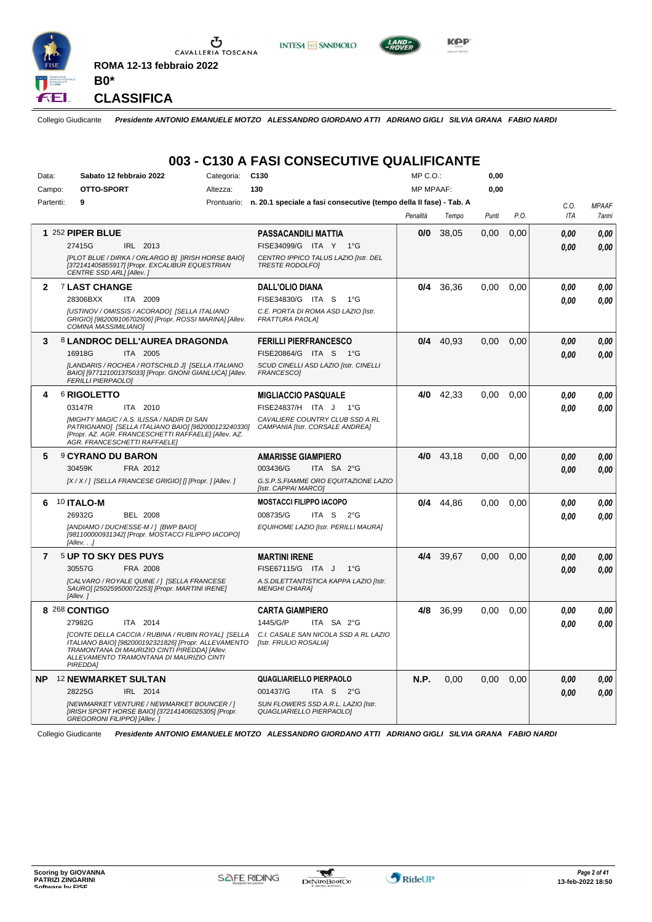

Ⴠ CAVALLERIA TOSCANA **ROMA 12-13 febbraio 2022**





**CLASSIFICA**

**B0\***

Collegio Giudicante *Presidente ANTONIO EMANUELE MOTZO ALESSANDRO GIORDANO ATTI ADRIANO GIGLI SILVIA GRANA FABIO NARDI*

### **003 - C130 A FASI CONSECUTIVE QUALIFICANTE**

| Data:          | Categoria:<br>Sabato 12 febbraio 2022                                                                                                                                                                               | C <sub>130</sub>                                                               | MP C. O.         |             | 0,00  |      |      |              |
|----------------|---------------------------------------------------------------------------------------------------------------------------------------------------------------------------------------------------------------------|--------------------------------------------------------------------------------|------------------|-------------|-------|------|------|--------------|
| Campo:         | OTTO-SPORT<br>Altezza:                                                                                                                                                                                              | 130                                                                            | <b>MP MPAAF:</b> |             | 0,00  |      |      |              |
| Partenti:      | 9                                                                                                                                                                                                                   | Prontuario: n. 20.1 speciale a fasi consecutive (tempo della II fase) - Tab. A |                  |             |       |      | C.O. | <b>MPAAF</b> |
|                |                                                                                                                                                                                                                     |                                                                                | Penalità         | Tempo       | Punti | P.O. | ITA  | 7anni        |
|                | 1 252 PIPER BLUE                                                                                                                                                                                                    | <b>PASSACANDILI MATTIA</b>                                                     | 0/0              | 38,05       | 0,00  | 0,00 | 0.00 | 0.00         |
|                | 27415G<br>IRL 2013                                                                                                                                                                                                  | FISE34099/G ITA Y 1°G                                                          |                  |             |       |      | 0.00 | 0.00         |
|                | [PLOT BLUE / DIRKA / ORLARGO B] [IRISH HORSE BAIO]<br>[372141405855917] [Propr. EXCALIBUR EQUESTRIAN<br>CENTRE SSD ARL] [Allev.]                                                                                    | CENTRO IPPICO TALUS LAZIO [Istr. DEL<br><b>TRESTE RODOLFOI</b>                 |                  |             |       |      |      |              |
| $\mathbf{2}$   | <b>7 LAST CHANGE</b>                                                                                                                                                                                                | <b>DALL'OLIO DIANA</b>                                                         | 0/4              | 36,36       | 0,00  | 0,00 | 0.00 | 0.00         |
|                | 28306BXX<br>ITA 2009                                                                                                                                                                                                | FISE34830/G ITA S<br>$1^{\circ}G$                                              |                  |             |       |      | 0.00 | 0.00         |
|                | [USTINOV / OMISSIS / ACORADO] [SELLA ITALIANO<br>GRIGIO] [982009106702606] [Propr. ROSSI MARINA] [Allev.<br>COMINA MASSIMILIANO]                                                                                    | C.E. PORTA DI ROMA ASD LAZIO [Istr.<br><b>FRATTURA PAOLA]</b>                  |                  |             |       |      |      |              |
| 3              | 8 LANDROC DELL'AUREA DRAGONDA                                                                                                                                                                                       | <b>FERILLI PIERFRANCESCO</b>                                                   |                  | $0/4$ 40,93 | 0,00  | 0,00 | 0,00 | 0,00         |
|                | 16918G<br>ITA 2005                                                                                                                                                                                                  | FISE20864/G ITA S<br>$1^{\circ}G$                                              |                  |             |       |      | 0.00 | 0,00         |
|                | [LANDARIS / ROCHEA / ROTSCHILD J] [SELLA ITALIANO<br>BAIO] [977121001375033] [Propr. GNONI GIANLUCA] [Allev.<br><b>FERILLI PIERPAOLOI</b>                                                                           | SCUD CINELLI ASD LAZIO [Istr. CINELLI<br>FRANCESCO1                            |                  |             |       |      |      |              |
| 4              | <b>6 RIGOLETTO</b>                                                                                                                                                                                                  | <b>MIGLIACCIO PASQUALE</b>                                                     | 4/0              | 42,33       | 0.00  | 0.00 | 0.00 | 0.00         |
|                | 03147R<br>ITA 2010                                                                                                                                                                                                  | FISE24837/H ITA J<br>$1^{\circ}G$                                              |                  |             |       |      | 0.00 | 0.00         |
|                | [MIGHTY MAGIC / A.S. ILISSA / NADIR DI SAN<br>PATRIGNANO] [SELLA ITALIANO BAIO] [982000123240330]<br>[Propr. AZ. AGR. FRANCESCHETTI RAFFAELE] [Allev. AZ.<br><b>AGR. FRANCESCHETTI RAFFAELE)</b>                    | CAVALIERE COUNTRY CLUB SSD A RL<br>CAMPANIA [Istr. CORSALE ANDREA]             |                  |             |       |      |      |              |
| 5              | <b>9 CYRANO DU BARON</b>                                                                                                                                                                                            | <b>AMARISSE GIAMPIERO</b>                                                      | 4/0              | 43.18       | 0.00  | 0.00 | 0.00 | 0.00         |
|                | 30459K<br>FRA 2012                                                                                                                                                                                                  | 003436/G<br>ITA SA 2°G                                                         |                  |             |       |      | 0.00 | 0.00         |
|                | [X / X / ] [SELLA FRANCESE GRIGIO] [] [Propr. ] [Allev. ]                                                                                                                                                           | G.S.P.S.FIAMME ORO EQUITAZIONE LAZIO<br>[Istr. CAPPAI MARCO]                   |                  |             |       |      |      |              |
| 6              | <b>10 ITALO-M</b>                                                                                                                                                                                                   | <b>MOSTACCI FILIPPO IACOPO</b>                                                 | 0/4              | 44,86       | 0,00  | 0,00 | 0.00 | 0.00         |
|                | 26932G<br><b>BEL 2008</b>                                                                                                                                                                                           | 008735/G<br>ITA S<br>$2^{\circ}$ G                                             |                  |             |       |      | 0.00 | 0.00         |
|                | [ANDIAMO / DUCHESSE-M / ] [BWP BAIO]<br>[981100000931342] [Propr. MOSTACCI FILIPPO IACOPO]<br>[Allev. ]                                                                                                             | EQUIHOME LAZIO [Istr. PERILLI MAURA]                                           |                  |             |       |      |      |              |
| $\overline{7}$ | 5 UP TO SKY DES PUYS                                                                                                                                                                                                | <b>MARTINI IRENE</b>                                                           | 4/4              | 39,67       | 0,00  | 0.00 | 0,00 | 0,00         |
|                | 30557G<br>FRA 2008                                                                                                                                                                                                  | FISE67115/G ITA J<br>$1^{\circ}G$                                              |                  |             |       |      | 0,00 | 0,00         |
|                | [CALVARO / ROYALE QUINE / ] [SELLA FRANCESE<br>SAURO] [250259500072253] [Propr. MARTINI IRENE]<br>[Allev.]                                                                                                          | A.S.DILETTANTISTICA KAPPA LAZIO [Istr.<br><b>MENGHI CHIARA1</b>                |                  |             |       |      |      |              |
|                | 8 268 CONTIGO                                                                                                                                                                                                       | <b>CARTA GIAMPIERO</b>                                                         | 4/8              | 36,99       | 0.00  | 0.00 | 0,00 | 0,00         |
|                | 27982G<br>ITA 2014                                                                                                                                                                                                  | 1445/G/P<br>ITA SA 2°G                                                         |                  |             |       |      | 0.00 | 0.00         |
|                | [CONTE DELLA CACCIA / RUBINA / RUBIN ROYAL] [SELLA<br>ITALIANO BAIOI [982000192321826] [Propr. ALLEVAMENTO<br>TRAMONTANA DI MAURIZIO CINTI PIREDDAI [Allev.<br>ALLEVAMENTO TRAMONTANA DI MAURIZIO CINTI<br>PIREDDA1 | C.I. CASALE SAN NICOLA SSD A RL LAZIO<br>[Istr. FRULIO ROSALIA]                |                  |             |       |      |      |              |
| <b>NP</b>      | 12 NEWMARKET SULTAN                                                                                                                                                                                                 | <b>QUAGLIARIELLO PIERPAOLO</b>                                                 | N.P.             | 0.00        | 0,00  | 0.00 | 0,00 | 0.00         |
|                | 28225G<br>IRL 2014                                                                                                                                                                                                  | 001437/G<br>ITA S 2°G                                                          |                  |             |       |      | 0,00 | 0.00         |
|                | [NEWMARKET VENTURE / NEWMARKET BOUNCER / ]<br>[IRISH SPORT HORSE BAIO] [372141406025305] [Propr.<br><b>GREGORONI FILIPPO] [Allev.]</b>                                                                              | SUN FLOWERS SSD A.R.L. LAZIO [Istr.<br>QUAGLIARIELLO PIERPAOLO]                |                  |             |       |      |      |              |

Collegio Giudicante *Presidente ANTONIO EMANUELE MOTZO ALESSANDRO GIORDANO ATTI ADRIANO GIGLI SILVIA GRANA FABIO NARDI*

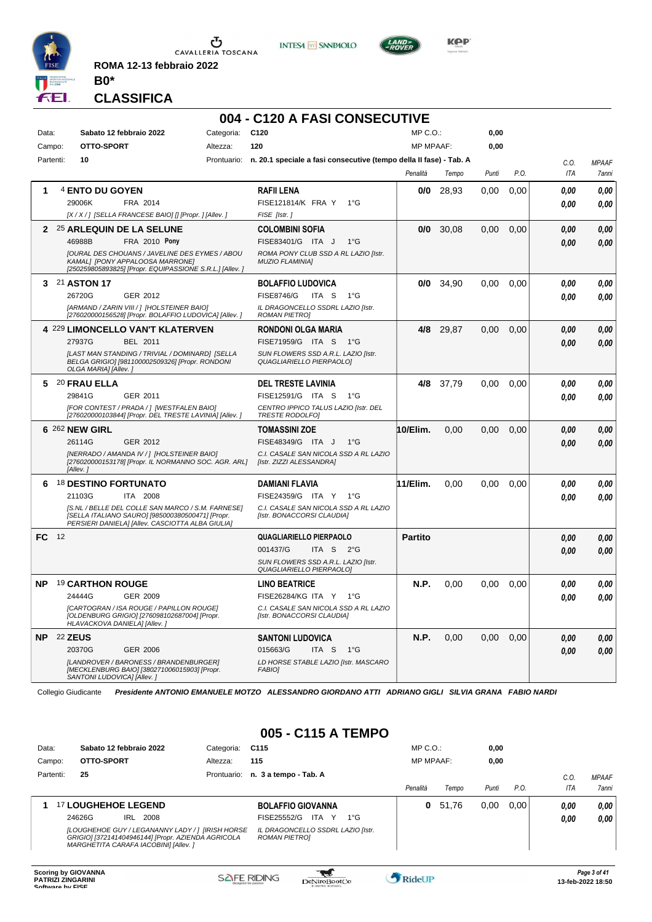

**ROMA 12-13 febbraio 2022 B0\***





**Kep** 

**CLASSIFICA**

# **004 - C120 A FASI CONSECUTIVE**

| Data:     |    | Sabato 12 febbraio 2022                                                                                                                                   | Categoria: | C <sub>120</sub>                                                               | $MP C. O.$ :     |           | 0,00  |      |            |              |
|-----------|----|-----------------------------------------------------------------------------------------------------------------------------------------------------------|------------|--------------------------------------------------------------------------------|------------------|-----------|-------|------|------------|--------------|
| Campo:    |    | <b>OTTO-SPORT</b>                                                                                                                                         | Altezza:   | 120                                                                            | <b>MP MPAAF:</b> |           | 0,00  |      |            |              |
| Partenti: |    | 10                                                                                                                                                        |            | Prontuario: n. 20.1 speciale a fasi consecutive (tempo della II fase) - Tab. A |                  |           |       |      | C.O.       | <b>MPAAF</b> |
|           |    |                                                                                                                                                           |            |                                                                                | Penalità         | Tempo     | Punti | P.O. | <b>ITA</b> | 7anni        |
| 1         |    | 4 ENTO DU GOYEN                                                                                                                                           |            | <b>RAFILLENA</b>                                                               | 0/0              | 28,93     | 0,00  | 0,00 | 0.00       | 0,00         |
|           |    | 29006K<br>FRA 2014                                                                                                                                        |            | FISE121814/K FRA Y<br>$1^{\circ}G$                                             |                  |           |       |      | 0,00       | 0,00         |
|           |    | [X / X / ] [SELLA FRANCESE BAIO] [] [Propr. ] [Allev. ]                                                                                                   |            | FISE [Istr.]                                                                   |                  |           |       |      |            |              |
| 2         |    | 25 ARLEQUIN DE LA SELUNE                                                                                                                                  |            | <b>COLOMBINI SOFIA</b>                                                         | 0/0              | 30,08     | 0,00  | 0,00 | 0,00       | 0,00         |
|           |    | 46988B<br>FRA 2010 Pony                                                                                                                                   |            | FISE83401/G ITA J<br>$1^{\circ}G$                                              |                  |           |       |      | 0.00       | 0.00         |
|           |    | <b>JOURAL DES CHOUANS / JAVELINE DES EYMES / ABOU</b><br>KAMALI [PONY APPALOOSA MARRONE]<br>[250259805893825] [Propr. EQUIPASSIONE S.R.L.] [Allev. ]      |            | ROMA PONY CLUB SSD A RL LAZIO [Istr.<br><b>MUZIO FLAMINIAI</b>                 |                  |           |       |      |            |              |
| 3.        |    | 21 ASTON 17                                                                                                                                               |            | <b>BOLAFFIO LUDOVICA</b>                                                       | 0/0              | 34,90     | 0,00  | 0,00 | 0.00       | 0,00         |
|           |    | 26720G<br>GER 2012                                                                                                                                        |            | <b>FISE8746/G</b><br>ITA S<br>$1^{\circ}$ G                                    |                  |           |       |      | 0,00       | 0,00         |
|           |    | [ARMAND / ZARIN VIII / 1 [HOLSTEINER BAIO]<br>[276020000156528] [Propr. BOLAFFIO LUDOVICA] [Allev.]                                                       |            | IL DRAGONCELLO SSDRL LAZIO [Istr.<br><b>ROMAN PIETROJ</b>                      |                  |           |       |      |            |              |
|           |    | 4 229 LIMONCELLO VAN'T KLATERVEN                                                                                                                          |            | <b>RONDONI OLGA MARIA</b>                                                      |                  | 4/8 29,87 | 0,00  | 0,00 | 0.00       | 0,00         |
|           |    | 27937G<br><b>BEL 2011</b>                                                                                                                                 |            | FISE71959/G ITA S<br>1°G                                                       |                  |           |       |      | 0,00       | 0,00         |
|           |    | [LAST MAN STANDING / TRIVIAL / DOMINARD] [SELLA<br>BELGA GRIGIO] [981100002509326] [Propr. RONDONI<br>OLGA MARIA] [Allev.]                                |            | SUN FLOWERS SSD A.R.L. LAZIO [Istr.<br>QUAGLIARIELLO PIERPAOLO]                |                  |           |       |      |            |              |
|           |    | 5 20 FRAU ELLA                                                                                                                                            |            | <b>DEL TRESTE LAVINIA</b>                                                      | 4/8              | 37,79     | 0.00  | 0,00 | 0.00       | 0.00         |
|           |    | 29841G<br>GER 2011                                                                                                                                        |            | FISE12591/G ITA S<br>$1^{\circ}$ G                                             |                  |           |       |      | 0,00       | 0,00         |
|           |    | [FOR CONTEST / PRADA / ] [WESTFALEN BAIO]<br>[276020000103844] [Propr. DEL TRESTE LAVINIA] [Allev.]                                                       |            | CENTRO IPPICO TALUS LAZIO [Istr. DEL<br><b>TRESTE RODOLFOJ</b>                 |                  |           |       |      |            |              |
|           |    | 6 262 NEW GIRL                                                                                                                                            |            | <b>TOMASSINI ZOE</b>                                                           | 10/Elim.         | 0,00      | 0,00  | 0,00 | 0.00       | 0,00         |
|           |    | 26114G<br>GER 2012                                                                                                                                        |            | FISE48349/G ITA J<br>$1^{\circ}G$                                              |                  |           |       |      | 0.00       | 0,00         |
|           |    | [NERRADO / AMANDA IV / ] [HOLSTEINER BAIO]<br>[276020000153178] [Propr. IL NORMANNO SOC. AGR. ARL]<br>[Allev. 1                                           |            | C.I. CASALE SAN NICOLA SSD A RL LAZIO<br>[Istr. ZIZZI ALESSANDRA]              |                  |           |       |      |            |              |
|           |    | 6 18 DESTINO FORTUNATO                                                                                                                                    |            | <b>DAMIANI FLAVIA</b>                                                          | 11/Elim.         | 0.00      | 0.00  | 0,00 | 0.00       | 0.00         |
|           |    | 21103G<br>ITA 2008                                                                                                                                        |            | FISE24359/G ITA Y<br>$1^{\circ}$ G                                             |                  |           |       |      | 0,00       | 0,00         |
|           |    | IS.NL / BELLE DEL COLLE SAN MARCO / S.M. FARNESEI<br>[SELLA ITALIANO SAURO] [985000380500471] [Propr.<br>PERSIERI DANIELA] [Allev. CASCIOTTA ALBA GIULIA] |            | C.I. CASALE SAN NICOLA SSD A RL LAZIO<br><b>Ilstr. BONACCORSI CLAUDIAI</b>     |                  |           |       |      |            |              |
| FC.       | 12 |                                                                                                                                                           |            | <b>QUAGLIARIELLO PIERPAOLO</b>                                                 | <b>Partito</b>   |           |       |      | 0.00       | 0,00         |
|           |    |                                                                                                                                                           |            | 001437/G<br>ITA S 2°G                                                          |                  |           |       |      | 0.00       | 0.00         |
|           |    |                                                                                                                                                           |            | SUN FLOWERS SSD A.R.L. LAZIO IIstr.<br>QUAGLIARIELLO PIERPAOLO]                |                  |           |       |      |            |              |
| NΡ        |    | 19 CARTHON ROUGE                                                                                                                                          |            | <b>LINO BEATRICE</b>                                                           | N.P.             | 0.00      | 0.00  | 0,00 | 0.00       | 0.00         |
|           |    | 24444G<br>GER 2009                                                                                                                                        |            | FISE26284/KG ITA Y 1°G                                                         |                  |           |       |      | 0.00       | 0.00         |
|           |    | <b>ICARTOGRAN / ISA ROUGE / PAPILLON ROUGEI</b><br>[OLDENBURG GRIGIO] [276098102687004] [Propr.<br>HLAVACKOVA DANIELA] [Allev.]                           |            | C.I. CASALE SAN NICOLA SSD A RL LAZIO<br>[Istr. BONACCORSI CLAUDIA]            |                  |           |       |      |            |              |
| NP.       |    | <b>22 ZEUS</b>                                                                                                                                            |            | <b>SANTONI LUDOVICA</b>                                                        | N.P.             | 0,00      | 0,00  | 0,00 | 0.00       | 0,00         |
|           |    | 20370G<br><b>GER 2006</b>                                                                                                                                 |            | 015663/G<br>ITA <sub>S</sub><br>$1^{\circ}G$                                   |                  |           |       |      | 0.00       | 0,00         |
|           |    | [LANDROVER / BARONESS / BRANDENBURGER]<br>[MECKLENBURG BAIO] [380271006015903] [Propr.<br>SANTONI LUDOVICA] [Allev.]                                      |            | LD HORSE STABLE LAZIO [Istr. MASCARO<br><b>FABIO1</b>                          |                  |           |       |      |            |              |

Collegio Giudicante *Presidente ANTONIO EMANUELE MOTZO ALESSANDRO GIORDANO ATTI ADRIANO GIGLI SILVIA GRANA FABIO NARDI*

#### **005 - C115 A TEMPO**

| Data:     | Sabato 12 febbraio 2022                                                                                                                         | Categoria:  | C <sub>115</sub>                                   | $MP C. O.$ :     |       | 0,00  |      |      |              |
|-----------|-------------------------------------------------------------------------------------------------------------------------------------------------|-------------|----------------------------------------------------|------------------|-------|-------|------|------|--------------|
| Campo:    | OTTO-SPORT                                                                                                                                      | Altezza:    | 115                                                | <b>MP MPAAF:</b> |       | 0,00  |      |      |              |
| Partenti: | 25                                                                                                                                              | Prontuario: | n. 3 a tempo - Tab. A                              |                  |       |       |      | C.O  | <b>MPAAF</b> |
|           |                                                                                                                                                 |             |                                                    | Penalità         | Tempo | Punti | P.O. | ITA  | 7anni        |
|           | <sup>17</sup> LOUGHEHOE LEGEND                                                                                                                  |             | <b>BOLAFFIO GIOVANNA</b>                           | 0                | 51.76 | 0.00  | 0.00 | 0.00 | 0.00         |
|           | 24626G<br>2008<br>IRL                                                                                                                           |             | <b>ITA</b><br>FISE25552/G<br>. Y<br>$1^{\circ}G$   |                  |       |       |      | 0.00 | 0.00         |
|           | [LOUGHEHOE GUY / LEGANANNY LADY / ] [IRISH HORSE<br>GRIGIO] [372141404946144] [Propr. AZIENDA AGRICOLA<br>MARGHETITA CARAFA IACOBINI] [Allev. ] |             | IL DRAGONCELLO SSDRL LAZIO [Istr.<br>ROMAN PIETROJ |                  |       |       |      |      |              |

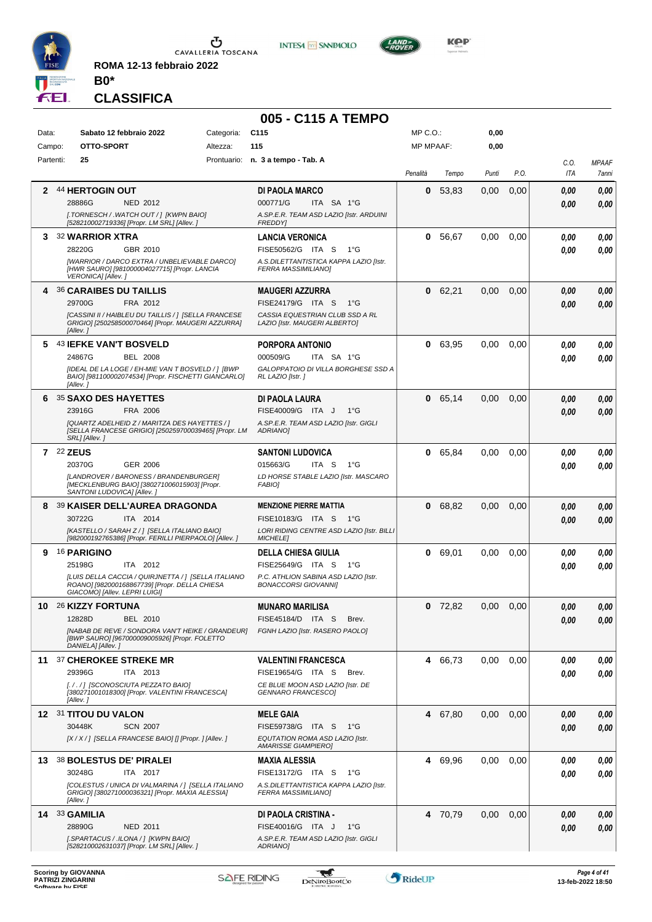

**ROMA 12-13 febbraio 2022 B0\***





**KOP** 

# **CLASSIFICA**

|           |                                                                                                                                       |            | 005 - C115 A TEMPO                                                   |                  |         |       |      |            |              |
|-----------|---------------------------------------------------------------------------------------------------------------------------------------|------------|----------------------------------------------------------------------|------------------|---------|-------|------|------------|--------------|
| Data:     | Sabato 12 febbraio 2022                                                                                                               | Categoria: | C <sub>115</sub>                                                     | MP C.O.:         |         | 0,00  |      |            |              |
| Campo:    | OTTO-SPORT                                                                                                                            | Altezza:   | 115                                                                  | <b>MP MPAAF:</b> |         | 0,00  |      |            |              |
| Partenti: | 25                                                                                                                                    |            | Prontuario: n. 3 a tempo - Tab. A                                    |                  |         |       |      | C.O.       | <b>MPAAF</b> |
|           |                                                                                                                                       |            |                                                                      | Penalità         | Tempo   | Punti | P.O. | <b>ITA</b> | 7anni        |
| 2         | 44 HERTOGIN OUT                                                                                                                       |            | <b>DI PAOLA MARCO</b>                                                | 0                | 53,83   | 0,00  | 0,00 | 0.00       | 0,00         |
|           | <b>NED 2012</b><br>28886G                                                                                                             |            | 000771/G<br>ITA SA 1°G                                               |                  |         |       |      | 0.00       | 0,00         |
|           | [.TORNESCH / .WATCH OUT / ] [KWPN BAIO]<br>[528210002719336] [Propr. LM SRL] [Allev. ]                                                |            | A.SP.E.R. TEAM ASD LAZIO [Istr. ARDUINI<br><b>FREDDYI</b>            |                  |         |       |      |            |              |
| 3         | <b>32 WARRIOR XTRA</b>                                                                                                                |            | <b>LANCIA VERONICA</b>                                               | 0                | 56,67   | 0.00  | 0,00 | 0.00       | 0,00         |
|           | 28220G<br>GBR 2010                                                                                                                    |            | FISE50562/G ITA S<br>1°G                                             |                  |         |       |      | 0.00       | 0.00         |
|           | [WARRIOR / DARCO EXTRA / UNBELIEVABLE DARCO]<br>[HWR SAURO] [981000004027715] [Propr. LANCIA<br>VERONICA] [Allev.]                    |            | A.S.DILETTANTISTICA KAPPA LAZIO [Istr.<br>FERRA MASSIMILIANO]        |                  |         |       |      |            |              |
|           | 4 36 CARAIBES DU TAILLIS                                                                                                              |            | <b>MAUGERI AZZURRA</b>                                               | 0                | 62,21   | 0,00  | 0,00 | 0.00       | 0,00         |
|           | FRA 2012<br>29700G                                                                                                                    |            | FISE24179/G ITA S<br>$1^{\circ}G$                                    |                  |         |       |      | 0.00       | 0.00         |
|           | [CASSINI II / HAIBLEU DU TAILLIS / ] [SELLA FRANCESE<br>GRIGIO] [250258500070464] [Propr. MAUGERI AZZURRA]<br>[Allev.]                |            | CASSIA EQUESTRIAN CLUB SSD A RL<br>LAZIO [Istr. MAUGERI ALBERTO]     |                  |         |       |      |            |              |
|           | 5 43 IEFKE VAN'T BOSVELD                                                                                                              |            | <b>PORPORA ANTONIO</b>                                               | 0                | 63.95   | 0,00  | 0,00 | 0.00       | 0,00         |
|           | <b>BEL 2008</b><br>24867G                                                                                                             |            | 000509/G<br>ITA SA 1°G                                               |                  |         |       |      | 0.00       | 0.00         |
|           | [IDEAL DE LA LOGE / EH-MIE VAN T BOSVELD / ] [BWP<br>BAIO] [981100002074534] [Propr. FISCHETTI GIANCARLO]<br>[Allev.]                 |            | GALOPPATOIO DI VILLA BORGHESE SSD A<br>RL LAZIO [Istr. ]             |                  |         |       |      |            |              |
| 6.        | 35 SAXO DES HAYETTES                                                                                                                  |            | DI PAOLA LAURA                                                       |                  | 0 65,14 | 0,00  | 0,00 | 0.00       | 0,00         |
|           | 23916G<br>FRA 2006                                                                                                                    |            | FISE40009/G ITA J<br>$1^{\circ}$ G                                   |                  |         |       |      | 0.00       | 0.00         |
|           | [QUARTZ ADELHEID Z / MARITZA DES HAYETTES / ]<br>[SELLA FRANCESE GRIGIO] [250259700039465] [Propr. LM<br>SRL] [Allev.]                |            | A.SP.E.R. TEAM ASD LAZIO [Istr. GIGLI<br>ADRIANO1                    |                  |         |       |      |            |              |
|           | 7 22 ZEUS                                                                                                                             |            | <b>SANTONI LUDOVICA</b>                                              |                  | 0 65,84 | 0,00  | 0,00 | 0.00       | 0.00         |
|           | 20370G<br>GER 2006                                                                                                                    |            | 015663/G<br>ITA S<br>$1^{\circ}G$                                    |                  |         |       |      | 0.00       | 0.00         |
|           | [LANDROVER / BARONESS / BRANDENBURGER]<br>[MECKLENBURG BAIO] [380271006015903] [Propr.<br>SANTONI LUDOVICA] [Allev.]                  |            | LD HORSE STABLE LAZIO [Istr. MASCARO<br><b>FABIO]</b>                |                  |         |       |      |            |              |
|           | 8 39 KAISER DELL'AUREA DRAGONDA                                                                                                       |            | <b>MENZIONE PIERRE MATTIA</b>                                        | 0                | 68,82   | 0.00  | 0,00 | 0.00       | 0,00         |
|           | 30722G<br>ITA 2014                                                                                                                    |            | FISE10183/G ITA S<br>1°G                                             |                  |         |       |      | 0.00       | 0,00         |
|           | [KASTELLO / SARAH Z / ] [SELLA ITALIANO BAIO]<br>[982000192765386] [Propr. FERILLI PIERPAOLO] [Allev. ]                               |            | LORI RIDING CENTRE ASD LAZIO [Istr. BILLI<br><b>MICHELEI</b>         |                  |         |       |      |            |              |
| 9         | <b>16 PARIGINO</b>                                                                                                                    |            | <b>DELLA CHIESA GIULIA</b>                                           | 0                | 69,01   | 0,00  | 0,00 | 0.00       | 0,00         |
|           | 25198G<br>ITA 2012                                                                                                                    |            | FISE25649/G ITA S<br>1°G                                             |                  |         |       |      | 0.00       | 0.00         |
|           | [LUIS DELLA CACCIA / QUIRJNETTA / ] [SELLA ITALIANO<br>ROANO] [982000168867739] [Propr. DELLA CHIESA<br>GIACOMO] [Allev. LEPRI LUIGI] |            | P.C. ATHLION SABINA ASD LAZIO [Istr.<br><b>BONACCORSI GIOVANNII</b>  |                  |         |       |      |            |              |
| 10        | 26 KIZZY FORTUNA                                                                                                                      |            | MUNARO MARILISA                                                      | 0                | 72,82   | 0,00  | 0,00 | 0,00       | 0,00         |
|           | 12828D<br>BEL 2010                                                                                                                    |            | FISE45184/D ITA S<br>Brev.                                           |                  |         |       |      | 0.00       | 0.00         |
|           | [NABAB DE REVE / SONDORA VAN'T HEIKE / GRANDEUR]                                                                                      |            | FGNH LAZIO [Istr. RASERO PAOLO]                                      |                  |         |       |      |            |              |
|           | [BWP SAURO] [967000009005926] [Propr. FOLETTO<br>DANIELA] [Allev.]                                                                    |            |                                                                      |                  |         |       |      |            |              |
|           | 11 37 CHEROKEE STREKE MR                                                                                                              |            | <b>VALENTINI FRANCESCA</b>                                           |                  | 4 66,73 | 0,00  | 0,00 | 0.00       | 0,00         |
|           | 29396G<br>ITA 2013                                                                                                                    |            | FISE19654/G ITA S<br>Brev.                                           |                  |         |       |      | 0.00       | 0.00         |
|           | [././] [SCONOSCIUTA PEZZATO BAIO]<br>[380271001018300] [Propr. VALENTINI FRANCESCA]<br>[Allev.]                                       |            | CE BLUE MOON ASD LAZIO [Istr. DE<br>GENNARO FRANCESCO]               |                  |         |       |      |            |              |
|           | 12 31 TITOU DU VALON                                                                                                                  |            | <b>MELE GAIA</b>                                                     |                  | 4 67.80 | 0,00  | 0,00 | 0,00       | 0,00         |
|           | 30448K<br><b>SCN 2007</b>                                                                                                             |            | FISE59738/G ITA S<br>1°G                                             |                  |         |       |      | 0,00       | 0,00         |
|           | [X / X / ] [SELLA FRANCESE BAIO] [] [Propr. ] [Allev. ]                                                                               |            | EQUTATION ROMA ASD LAZIO [Istr.<br><b>AMARISSE GIAMPIERO]</b>        |                  |         |       |      |            |              |
|           | 13 38 BOLESTUS DE' PIRALEI                                                                                                            |            | <b>MAXIA ALESSIA</b>                                                 |                  | 4 69,96 | 0,00  | 0,00 | 0,00       | 0,00         |
|           | 30248G<br>ITA 2017                                                                                                                    |            | FISE13172/G ITA S<br>$1^{\circ}G$                                    |                  |         |       |      | 0.00       | 0,00         |
|           | [COLESTUS / UNICA DI VALMARINA / ] [SELLA ITALIANO<br>GRIGIO] [380271000036321] [Propr. MAXIA ALESSIA]<br>[Allev.]                    |            | A.S.DILETTANTISTICA KAPPA LAZIO [Istr.<br><b>FERRA MASSIMILIANO]</b> |                  |         |       |      |            |              |
|           | 14 33 GAMILIA                                                                                                                         |            | DI PAOLA CRISTINA -                                                  |                  | 4 70,79 | 0,00  | 0,00 | 0,00       | 0,00         |
|           | 28890G<br>NED 2011                                                                                                                    |            | FISE40016/G ITA J<br>$1^{\circ}G$                                    |                  |         |       |      | 0,00       | 0,00         |
|           | [.SPARTACUS / .ILONA / ] [KWPN BAIO]<br>[528210002631037] [Propr. LM SRL] [Allev. ]                                                   |            | A.SP.E.R. TEAM ASD LAZIO [Istr. GIGLI<br>ADRIANO]                    |                  |         |       |      |            |              |

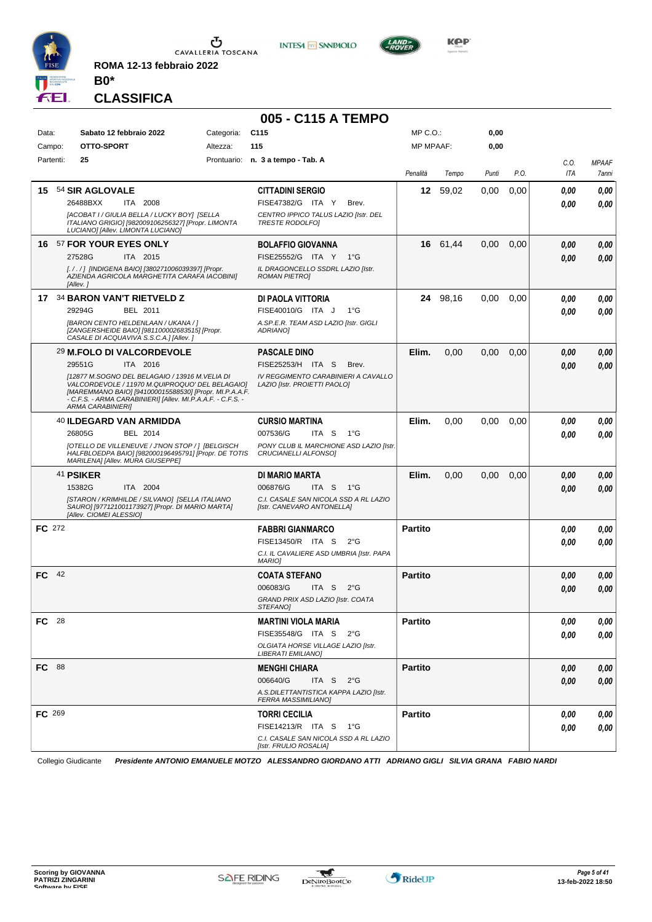

**ROMA 12-13 febbraio 2022**





**CLASSIFICA**

**B0\***

|               |                                                                                                                                                                                                                                                        |            | 005 - C115 A TEMPO                                                                  |                |          |       |      |      |              |
|---------------|--------------------------------------------------------------------------------------------------------------------------------------------------------------------------------------------------------------------------------------------------------|------------|-------------------------------------------------------------------------------------|----------------|----------|-------|------|------|--------------|
| Data:         | Sabato 12 febbraio 2022                                                                                                                                                                                                                                | Categoria: | C <sub>115</sub>                                                                    | MP C.O.:       |          | 0,00  |      |      |              |
| Campo:        | OTTO-SPORT                                                                                                                                                                                                                                             | Altezza:   | 115                                                                                 | MP MPAAF:      |          | 0,00  |      |      |              |
| Partenti:     | 25                                                                                                                                                                                                                                                     |            | Prontuario: n. 3 a tempo - Tab. A                                                   |                |          |       |      | C.O. | <b>MPAAF</b> |
|               |                                                                                                                                                                                                                                                        |            |                                                                                     | Penalità       | Tempo    | Punti | P.O. | ITA  | 7anni        |
|               | 15 54 SIR AGLOVALE                                                                                                                                                                                                                                     |            | <b>CITTADINI SERGIO</b>                                                             | 12             | 59,02    | 0,00  | 0,00 | 0.00 | 0,00         |
|               | 26488BXX<br>ITA 2008                                                                                                                                                                                                                                   |            | FISE47382/G ITA Y<br>Brev.                                                          |                |          |       |      | 0.00 | 0,00         |
|               | [ACOBAT I / GIULIA BELLA / LUCKY BOY] [SELLA<br>ITALIANO GRIGIO] [982009106256327] [Propr. LIMONTA<br>LUCIANO] [Allev. LIMONTA LUCIANO]                                                                                                                |            | CENTRO IPPICO TALUS LAZIO [Istr. DEL<br><b>TRESTE RODOLFOI</b>                      |                |          |       |      |      |              |
|               | 16 57 FOR YOUR EYES ONLY                                                                                                                                                                                                                               |            | <b>BOLAFFIO GIOVANNA</b>                                                            |                | 16 61,44 | 0,00  | 0,00 | 0,00 | 0,00         |
|               | 27528G<br>ITA 2015                                                                                                                                                                                                                                     |            | FISE25552/G ITA Y<br>1°G                                                            |                |          |       |      | 0,00 | 0,00         |
|               | [. / . / ] [INDIGENA BAIO] [380271006039397] [Propr.<br>AZIENDA AGRICOLA MARGHETITA CARAFA IACOBINI]<br>[Allev.]                                                                                                                                       |            | IL DRAGONCELLO SSDRL LAZIO [Istr.<br><b>ROMAN PIETROI</b>                           |                |          |       |      |      |              |
|               | 17 34 BARON VAN'T RIETVELD Z                                                                                                                                                                                                                           |            | DI PAOLA VITTORIA                                                                   |                | 24 98,16 | 0,00  | 0,00 | 0.00 | 0,00         |
|               | 29294G<br>BEL 2011                                                                                                                                                                                                                                     |            | FISE40010/G ITA J<br>$1^{\circ}G$                                                   |                |          |       |      | 0.00 | 0,00         |
|               | [BARON CENTO HELDENLAAN / UKANA / ]<br>[ZANGERSHEIDE BAIO] [981100002683515] [Propr.<br>CASALE DI ACQUAVIVA S.S.C.A.] [Allev.]                                                                                                                         |            | A.SP.E.R. TEAM ASD LAZIO [Istr. GIGLI<br>ADRIANO]                                   |                |          |       |      |      |              |
|               | 29 M.FOLO DI VALCORDEVOLE                                                                                                                                                                                                                              |            | <b>PASCALE DINO</b>                                                                 | Elim.          | 0,00     | 0,00  | 0,00 | 0,00 | 0,00         |
|               | 29551G<br>ITA 2016                                                                                                                                                                                                                                     |            | FISE25253/H ITA S<br>Brev.                                                          |                |          |       |      | 0.00 | 0.00         |
|               | [12877 M.SOGNO DEL BELAGAIO / 13916 M.VELIA DI<br>VALCORDEVOLE / 11970 M.QUIPROQUO' DEL BELAGAIO]<br>[MAREMMANO BAIO] [941000015588530] [Propr. MI.P.A.A.F.<br>- C.F.S. - ARMA CARABINIERI] [Allev. MI.P.A.A.F. - C.F.S. -<br><b>ARMA CARABINIERI]</b> |            | IV REGGIMENTO CARABINIERI A CAVALLO<br>LAZIO [Istr. PROIETTI PAOLO]                 |                |          |       |      |      |              |
|               | 40 ILDEGARD VAN ARMIDDA                                                                                                                                                                                                                                |            | <b>CURSIO MARTINA</b>                                                               | Elim.          | 0,00     | 0,00  | 0,00 | 0.00 | 0,00         |
|               | 26805G<br>BEL 2014                                                                                                                                                                                                                                     |            | 007536/G<br>ITA S<br>1°G                                                            |                |          |       |      | 0.00 | 0.00         |
|               | IOTELLO DE VILLENEUVE / J'NON STOP / ] [BELGISCH<br>HALFBLOEDPA BAIO] [982000196495791] [Propr. DE TOTIS<br>MARILENA] [Allev. MURA GIUSEPPE]                                                                                                           |            | PONY CLUB IL MARCHIONE ASD LAZIO [Istr.<br>CRUCIANELLI ALFONSO]                     |                |          |       |      |      |              |
|               | 41 PSIKER                                                                                                                                                                                                                                              |            | DI MARIO MARTA                                                                      | Elim.          | 0,00     | 0,00  | 0,00 | 0,00 | 0,00         |
|               | 15382G<br>ITA 2004                                                                                                                                                                                                                                     |            | 006876/G<br>ITA S<br>$1^{\circ}G$                                                   |                |          |       |      | 0.00 | 0,00         |
|               | [STARON / KRIMHILDE / SILVANO] [SELLA ITALIANO<br>SAURO] [977121001173927] [Propr. DI MARIO MARTA]<br>[Allev. CIOMEI ALESSIO]                                                                                                                          |            | C.I. CASALE SAN NICOLA SSD A RL LAZIO<br>[Istr. CANEVARO ANTONELLA]                 |                |          |       |      |      |              |
| <b>FC</b> 272 |                                                                                                                                                                                                                                                        |            | <b>FABBRI GIANMARCO</b>                                                             | <b>Partito</b> |          |       |      | 0.00 | 0,00         |
|               |                                                                                                                                                                                                                                                        |            | FISE13450/R ITA S<br>$2^{\circ}G$                                                   |                |          |       |      | 0.00 | 0.00         |
|               |                                                                                                                                                                                                                                                        |            | C.I. IL CAVALIERE ASD UMBRIA [Istr. PAPA<br><b>MARIO]</b>                           |                |          |       |      |      |              |
| $FC$ 42       |                                                                                                                                                                                                                                                        |            | <b>COATA STEFANO</b>                                                                | <b>Partito</b> |          |       |      | 0,00 | 0,00         |
|               |                                                                                                                                                                                                                                                        |            | ITA S<br>006083/G<br>$2^{\circ}$ G<br>GRAND PRIX ASD LAZIO [Istr. COATA<br>STEFANO] |                |          |       |      | 0.00 | 0,00         |
| FC 28         |                                                                                                                                                                                                                                                        |            | <b>MARTINI VIOLA MARIA</b>                                                          | <b>Partito</b> |          |       |      | 0,00 | 0,00         |
|               |                                                                                                                                                                                                                                                        |            | FISE35548/G ITA S 2°G                                                               |                |          |       |      | 0.00 | 0,00         |
|               |                                                                                                                                                                                                                                                        |            | OLGIATA HORSE VILLAGE LAZIO [Istr.<br>LIBERATI EMILIANO]                            |                |          |       |      |      |              |
| <b>FC</b> 88  |                                                                                                                                                                                                                                                        |            | <b>MENGHI CHIARA</b>                                                                | <b>Partito</b> |          |       |      | 0.00 | 0,00         |
|               |                                                                                                                                                                                                                                                        |            | 006640/G<br>ITA S $2^{\circ}G$                                                      |                |          |       |      | 0,00 | 0,00         |
|               |                                                                                                                                                                                                                                                        |            | A.S.DILETTANTISTICA KAPPA LAZIO [Istr.<br><b>FERRA MASSIMILIANO]</b>                |                |          |       |      |      |              |
| FC 269        |                                                                                                                                                                                                                                                        |            | <b>TORRI CECILIA</b>                                                                | <b>Partito</b> |          |       |      | 0,00 | 0,00         |
|               |                                                                                                                                                                                                                                                        |            | FISE14213/R ITA S 1°G                                                               |                |          |       |      | 0,00 | 0,00         |
|               |                                                                                                                                                                                                                                                        |            | C.I. CASALE SAN NICOLA SSD A RL LAZIO<br>[Istr. FRULIO ROSALIA]                     |                |          |       |      |      |              |

Collegio Giudicante *Presidente ANTONIO EMANUELE MOTZO ALESSANDRO GIORDANO ATTI ADRIANO GIGLI SILVIA GRANA FABIO NARDI*

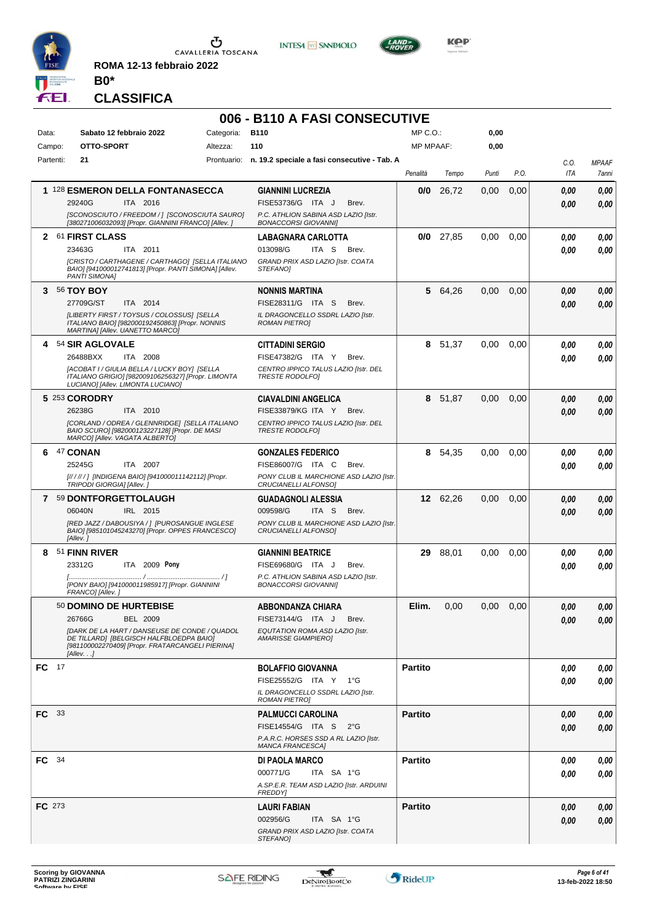

**ROMA 12-13 febbraio 2022 B0\***





**KOP** 

**CLASSIFICA**

## **006 - B110 A FASI CONSECUTIVE**

| Data:         |      | Sabato 12 febbraio 2022                                                                                                                                                                                          | Categoria: | <b>B110</b>                                                                                                                   | MP C.O.:         |             | 0,00  |      |              |                       |
|---------------|------|------------------------------------------------------------------------------------------------------------------------------------------------------------------------------------------------------------------|------------|-------------------------------------------------------------------------------------------------------------------------------|------------------|-------------|-------|------|--------------|-----------------------|
| Campo:        |      | OTTO-SPORT                                                                                                                                                                                                       | Altezza:   | 110                                                                                                                           | <b>MP MPAAF:</b> |             | 0,00  |      |              |                       |
| Partenti:     |      | 21                                                                                                                                                                                                               |            | Prontuario: n. 19.2 speciale a fasi consecutive - Tab. A                                                                      | Penalità         | Tempo       | Punti | P.O. | C.O.<br>ITA  | <b>MPAAF</b><br>7anni |
|               |      | 1 128 ESMERON DELLA FONTANASECCA<br>29240G<br>ITA 2016<br>[SCONOSCIUTO / FREEDOM / ] [SCONOSCIUTA SAURO]<br>[380271006032093] [Propr. GIANNINI FRANCO] [Allev. ]                                                 |            | <b>GIANNINI LUCREZIA</b><br>FISE53736/G ITA J<br>Brev.<br>P.C. ATHLION SABINA ASD LAZIO [Istr.<br><b>BONACCORSI GIOVANNII</b> | 0/0              | 26,72       | 0,00  | 0,00 | 0,00<br>0,00 | 0,00<br>0,00          |
|               |      | 2 61 FIRST CLASS<br>23463G<br>ITA 2011<br>[CRISTO / CARTHAGENE / CARTHAGO] [SELLA ITALIANO<br>BAIO] [941000012741813] [Propr. PANTI SIMONA] [Allev.<br>PANTI SIMONA]                                             |            | <b>LABAGNARA CARLOTTA</b><br>013098/G<br>ITA S<br>Brev.<br>GRAND PRIX ASD LAZIO [Istr. COATA<br><i><b>STEFANOI</b></i>        |                  | $0/0$ 27,85 | 0,00  | 0.00 | 0.00<br>0.00 | 0,00<br>0,00          |
| 3.            |      | <b>56 TOY BOY</b><br>ITA 2014<br>27709G/ST<br>[LIBERTY FIRST / TOYSUS / COLOSSUS] [SELLA<br>ITALIANO BAIO] [982000192450863] [Propr. NONNIS<br>MARTINA] [Allev. UANETTO MARCO]                                   |            | <b>NONNIS MARTINA</b><br>FISE28311/G ITA S<br>Brev.<br>IL DRAGONCELLO SSDRL LAZIO [Istr.<br><b>ROMAN PIETROI</b>              | 5                | 64,26       | 0,00  | 0,00 | 0,00<br>0.00 | 0,00<br>0,00          |
|               |      | 4 54 SIR AGLOVALE<br>26488BXX<br>ITA 2008<br>[ACOBAT I / GIULIA BELLA / LUCKY BOY] [SELLA<br>ITALIANO GRIGIO] [982009106256327] [Propr. LIMONTA<br>LUCIANO] [Allev. LIMONTA LUCIANO]                             |            | <b>CITTADINI SERGIO</b><br>FISE47382/G ITA Y<br>Brev.<br>CENTRO IPPICO TALUS LAZIO [Istr. DEL<br><b>TRESTE RODOLFOI</b>       | 8                | 51,37       | 0,00  | 0,00 | 0.00<br>0.00 | 0,00<br>0,00          |
|               |      | 5 253 CORODRY<br>26238G<br>ITA 2010<br>[CORLAND / ODREA / GLENNRIDGE] [SELLA ITALIANO<br>BAIO SCURO] [982000123227128] [Propr. DE MASI<br>MARCO] [Allev. VAGATA ALBERTO]                                         |            | <b>CIAVALDINI ANGELICA</b><br>FISE33879/KG ITA Y<br>Brev.<br>CENTRO IPPICO TALUS LAZIO [Istr. DEL<br><b>TRESTE RODOLFOI</b>   | 8                | 51,87       | 0,00  | 0,00 | 0,00<br>0.00 | 0,00<br>0,00          |
| 6             |      | 47 CONAN<br>25245G<br>ITA 2007<br>[////// ] [INDIGENA BAIO] [941000011142112] [Propr.<br>TRIPODI GIORGIA] [Allev.]                                                                                               |            | <b>GONZALES FEDERICO</b><br>FISE86007/G ITA C<br>Brev.<br>PONY CLUB IL MARCHIONE ASD LAZIO [Istr.<br>CRUCIANELLI ALFONSO]     | 8.               | 54,35       | 0,00  | 0.00 | 0.00<br>0.00 | 0,00<br>0,00          |
|               |      | 7 59 DONTFORGETTOLAUGH<br>IRL 2015<br>06040N<br>[RED JAZZ / DABOUSIYA / ] [PUROSANGUE INGLESE<br>BAIO] [985101045243270] [Propr. OPPES FRANCESCO]<br>[Allev.]                                                    |            | <b>GUADAGNOLI ALESSIA</b><br>009598/G<br>ITA S<br>Brev.<br>PONY CLUB IL MARCHIONE ASD LAZIO [Istr.<br>CRUCIANELLI ALFONSO]    |                  | 12 62,26    | 0,00  | 0,00 | 0,00<br>0.00 | 0,00<br>0,00          |
| 8             |      | 51 FINN RIVER<br>ITA 2009 Pony<br>23312G<br>[PONY BAIO] [941000011985917] [Propr. GIANNINI<br>FRANCO] [Allev.]                                                                                                   |            | <b>GIANNINI BEATRICE</b><br>FISE69680/G ITA J<br>Brev.<br>P.C. ATHLION SABINA ASD LAZIO [Istr.<br><b>BONACCORSI GIOVANNI]</b> | 29               | 88,01       | 0,00  | 0.00 | 0.00<br>0.00 | 0,00<br>0.00          |
|               |      | 50 DOMINO DE HURTEBISE<br>26766G<br><b>BEL 2009</b><br>[DARK DE LA HART / DANSEUSE DE CONDE / QUADOL<br>DE TILLARD] [BELGISCH HALFBLOEDPA BAIO]<br>[981100002270409] [Propr. FRATARCANGELI PIERINA]<br>[Allev. ] |            | <b>ABBONDANZA CHIARA</b><br>FISE73144/G ITA J<br>Brev.<br>EQUTATION ROMA ASD LAZIO [Istr.<br><b>AMARISSE GIAMPIEROI</b>       | Elim.            | 0,00        | 0.00  | 0,00 | 0.00<br>0,00 | 0,00<br>0,00          |
| $FC$ 17       |      |                                                                                                                                                                                                                  |            | BOLAFFIO GIOVANNA<br>FISE25552/G ITA Y 1°G<br>IL DRAGONCELLO SSDRL LAZIO [Istr.<br><b>ROMAN PIETRO]</b>                       | <b>Partito</b>   |             |       |      | 0.00<br>0.00 | 0,00<br>0,00          |
| FC.           | - 33 |                                                                                                                                                                                                                  |            | <b>PALMUCCI CAROLINA</b><br>FISE14554/G ITA S 2°G<br>P.A.R.C. HORSES SSD A RL LAZIO [Istr.<br><b>MANCA FRANCESCA]</b>         | <b>Partito</b>   |             |       |      | 0,00<br>0,00 | 0,00<br>0,00          |
| FC 34         |      |                                                                                                                                                                                                                  |            | <b>DI PAOLA MARCO</b><br>000771/G<br>ITA SA 1°G<br>A.SP.E.R. TEAM ASD LAZIO [Istr. ARDUINI<br><b>FREDDY</b>                   | <b>Partito</b>   |             |       |      | 0.00<br>0,00 | 0,00<br>0,00          |
| <b>FC</b> 273 |      |                                                                                                                                                                                                                  |            | <b>LAURI FABIAN</b><br>ITA SA 1°G<br>002956/G<br>GRAND PRIX ASD LAZIO [Istr. COATA<br>STEFANO]                                | <b>Partito</b>   |             |       |      | 0,00<br>0,00 | 0,00<br>0,00          |

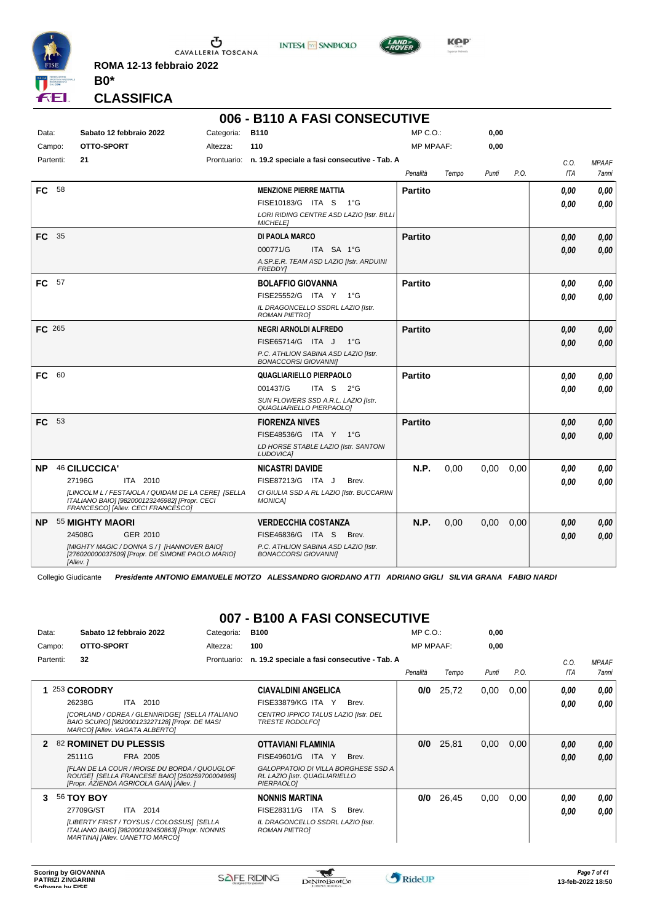

Ⴠ CAVALLERIA TOSCANA **ROMA 12-13 febbraio 2022**

**INTESA** M SANPAOLO



**Kep** 

**CLASSIFICA**

**B0\***

#### **006 - B110 A FASI CONSECUTIVE**

| Data:     |               | Sabato 12 febbraio 2022                                                                                                                   | Categoria: | <b>B110</b>                                                         | $MP C. O.$ :     |       | 0,00  |      |      |       |
|-----------|---------------|-------------------------------------------------------------------------------------------------------------------------------------------|------------|---------------------------------------------------------------------|------------------|-------|-------|------|------|-------|
| Campo:    |               | OTTO-SPORT                                                                                                                                | Altezza:   | 110                                                                 | <b>MP MPAAF:</b> |       | 0,00  |      |      |       |
| Partenti: | 21            |                                                                                                                                           |            | Prontuario: n. 19.2 speciale a fasi consecutive - Tab. A            |                  |       |       |      | C.O. | MPAAF |
|           |               |                                                                                                                                           |            |                                                                     | Penalità         | Tempo | Punti | P.O. | ITA  | 7anni |
| <b>FC</b> | 58            |                                                                                                                                           |            | <b>MENZIONE PIERRE MATTIA</b>                                       | <b>Partito</b>   |       |       |      | 0,00 | 0,00  |
|           |               |                                                                                                                                           |            | FISE10183/G ITA S 1°G                                               |                  |       |       |      | 0.00 | 0.00  |
|           |               |                                                                                                                                           |            | LORI RIDING CENTRE ASD LAZIO [Istr. BILLI<br><b>MICHELEI</b>        |                  |       |       |      |      |       |
| <b>FC</b> | 35            |                                                                                                                                           |            | DI PAOLA MARCO                                                      | <b>Partito</b>   |       |       |      | 0.00 | 0.00  |
|           |               |                                                                                                                                           |            | ITA SA 1°G<br>000771/G                                              |                  |       |       |      | 0,00 | 0,00  |
|           |               |                                                                                                                                           |            | A.SP.E.R. TEAM ASD LAZIO [Istr. ARDUINI<br><b>FREDDY</b>            |                  |       |       |      |      |       |
| <b>FC</b> | 57            |                                                                                                                                           |            | <b>BOLAFFIO GIOVANNA</b>                                            | <b>Partito</b>   |       |       |      | 0.00 | 0.00  |
|           |               |                                                                                                                                           |            | FISE25552/G ITA Y<br>1°G                                            |                  |       |       |      | 0,00 | 0.00  |
|           |               |                                                                                                                                           |            | IL DRAGONCELLO SSDRL LAZIO [Istr.<br><b>ROMAN PIETRO]</b>           |                  |       |       |      |      |       |
| FC 265    |               |                                                                                                                                           |            | <b>NEGRI ARNOLDI ALFREDO</b>                                        | <b>Partito</b>   |       |       |      | 0.00 | 0,00  |
|           |               |                                                                                                                                           |            | FISE65714/G ITA J<br>$1^{\circ}G$                                   |                  |       |       |      | 0.00 | 0.00  |
|           |               |                                                                                                                                           |            | P.C. ATHLION SABINA ASD LAZIO [Istr.<br><b>BONACCORSI GIOVANNII</b> |                  |       |       |      |      |       |
| <b>FC</b> | 60            |                                                                                                                                           |            | QUAGLIARIELLO PIERPAOLO                                             | <b>Partito</b>   |       |       |      | 0.00 | 0.00  |
|           |               |                                                                                                                                           |            | 001437/G<br>ITA S<br>$2^{\circ}G$                                   |                  |       |       |      | 0.00 | 0.00  |
|           |               |                                                                                                                                           |            | SUN FLOWERS SSD A.R.L. LAZIO [Istr.<br>QUAGLIARIELLO PIERPAOLO]     |                  |       |       |      |      |       |
| FC.       | 53            |                                                                                                                                           |            | <b>FIORENZA NIVES</b>                                               | <b>Partito</b>   |       |       |      | 0,00 | 0,00  |
|           |               |                                                                                                                                           |            | FISE48536/G ITA Y 1°G                                               |                  |       |       |      | 0.00 | 0.00  |
|           |               |                                                                                                                                           |            | LD HORSE STABLE LAZIO [Istr. SANTONI<br>LUDOVICA]                   |                  |       |       |      |      |       |
| NΡ        | 46 CILUCCICA' |                                                                                                                                           |            | <b>NICASTRI DAVIDE</b>                                              | N.P.             | 0,00  | 0,00  | 0,00 | 0,00 | 0,00  |
|           | 27196G        | ITA 2010                                                                                                                                  |            | FISE87213/G ITA J<br>Brev.                                          |                  |       |       |      | 0.00 | 0.00  |
|           |               | [LINCOLM L / FESTAIOLA / QUIDAM DE LA CERE] [SELLA<br>ITALIANO BAIO] [982000123246982] [Propr. CECI<br>FRANCESCO] [Allev. CECI FRANCESCO] |            | CI GIULIA SSD A RL LAZIO [Istr. BUCCARINI<br><b>MONICAI</b>         |                  |       |       |      |      |       |
| NP.       |               | 55 MIGHTY MAORI                                                                                                                           |            | <b>VERDECCHIA COSTANZA</b>                                          | N.P.             | 0,00  | 0,00  | 0,00 | 0,00 | 0,00  |
|           | 24508G        | GER 2010                                                                                                                                  |            | FISE46836/G ITA S<br>Brev.                                          |                  |       |       |      | 0.00 | 0.00  |
|           | [Allev.]      | [MIGHTY MAGIC / DONNA S / ] [HANNOVER BAIO]<br>[276020000037509] [Propr. DE SIMONE PAOLO MARIO]                                           |            | P.C. ATHLION SABINA ASD LAZIO [Istr.<br><b>BONACCORSI GIOVANNII</b> |                  |       |       |      |      |       |

Collegio Giudicante *Presidente ANTONIO EMANUELE MOTZO ALESSANDRO GIORDANO ATTI ADRIANO GIGLI SILVIA GRANA FABIO NARDI*

# **007 - B100 A FASI CONSECUTIVE**

| Data:     | Sabato 12 febbraio 2022                                                                                                                    | Categoria:  | <b>B100</b>                                                                        | $MP C. O.$ :     |       | 0,00  |      |      |              |
|-----------|--------------------------------------------------------------------------------------------------------------------------------------------|-------------|------------------------------------------------------------------------------------|------------------|-------|-------|------|------|--------------|
| Campo:    | OTTO-SPORT                                                                                                                                 | Altezza:    | 100                                                                                | <b>MP MPAAF:</b> |       | 0,00  |      |      |              |
| Partenti: | 32                                                                                                                                         | Prontuario: | n. 19.2 speciale a fasi consecutive - Tab. A                                       |                  |       |       |      | C.O. | <b>MPAAF</b> |
|           |                                                                                                                                            |             |                                                                                    | Penalità         | Tempo | Punti | P.O. | ITA  | 7anni        |
|           | 253 CORODRY                                                                                                                                |             | <b>CIAVALDINI ANGELICA</b>                                                         | 0/0              | 25,72 | 0,00  | 0,00 | 0.00 | 0.00         |
|           | ITA 2010<br>26238G                                                                                                                         |             | FISE33879/KG ITA Y<br>Brev.                                                        |                  |       |       |      | 0.00 | 0.00         |
|           | [CORLAND / ODREA / GLENNRIDGE] [SELLA ITALIANO<br>BAIO SCURO] [982000123227128] [Propr. DE MASI<br>MARCOI [Allev. VAGATA ALBERTO]          |             | CENTRO IPPICO TALUS LAZIO [Istr. DEL<br><b>TRESTE RODOLFOI</b>                     |                  |       |       |      |      |              |
| 2         | 82 ROMINET DU PLESSIS                                                                                                                      |             | OTTAVIANI FLAMINIA                                                                 | 0/0              | 25,81 | 0,00  | 0,00 | 0,00 | 0.00         |
|           | 25111G<br>FRA 2005                                                                                                                         |             | FISE49601/G<br>ITA Y<br>Brev.                                                      |                  |       |       |      | 0.00 | 0.00         |
|           | [FLAN DE LA COUR / IROISE DU BORDA / QUOUGLOF<br>ROUGE] [SELLA FRANCESE BAIO] [250259700004969]<br>[Propr. AZIENDA AGRICOLA GAIA] [Allev.] |             | GALOPPATOIO DI VILLA BORGHESE SSD A<br>RL LAZIO [Istr. QUAGLIARIELLO<br>PIERPAOLO] |                  |       |       |      |      |              |
| 3         | <b>56 TOY BOY</b>                                                                                                                          |             | <b>NONNIS MARTINA</b>                                                              | 0/0              | 26,45 | 0,00  | 0,00 | 0.00 | 0,00         |
|           | 27709G/ST<br>ITA 2014                                                                                                                      |             | FISE28311/G<br>ITA S<br>Brev.                                                      |                  |       |       |      | 0.00 | 0.00         |
|           | [LIBERTY FIRST / TOYSUS / COLOSSUS] [SELLA<br>ITALIANO BAIO] [982000192450863] [Propr. NONNIS<br>MARTINA] [Allev. UANETTO MARCO]           |             | IL DRAGONCELLO SSDRL LAZIO [Istr.<br>ROMAN PIETROJ                                 |                  |       |       |      |      |              |

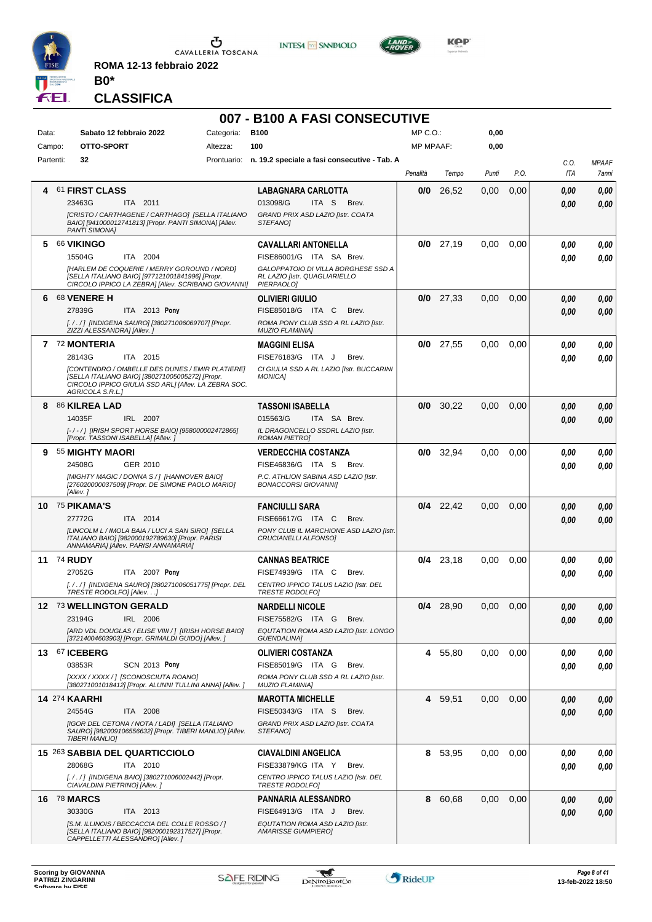

**ROMA 12-13 febbraio 2022 B0\***





**KOP** 

#### **CLASSIFICA**

### **007 - B100 A FASI CONSECUTIVE**

| Data:     | Sabato 12 febbraio 2022                                                                                                                                                                                               | Categoria: | <b>B100</b>                                                                                                                                  | MP C.O.:         |             | 0,00  |      |              |                       |
|-----------|-----------------------------------------------------------------------------------------------------------------------------------------------------------------------------------------------------------------------|------------|----------------------------------------------------------------------------------------------------------------------------------------------|------------------|-------------|-------|------|--------------|-----------------------|
| Campo:    | OTTO-SPORT                                                                                                                                                                                                            | Altezza:   | 100                                                                                                                                          | <b>MP MPAAF:</b> |             | 0,00  |      |              |                       |
| Partenti: | 32                                                                                                                                                                                                                    |            | Prontuario: n. 19.2 speciale a fasi consecutive - Tab. A                                                                                     | Penalità         | Tempo       | Punti | P.O. | C.O.<br>ITA  | <b>MPAAF</b><br>7anni |
|           | 61 FIRST CLASS<br>23463G<br>ITA 2011<br>[CRISTO / CARTHAGENE / CARTHAGO] [SELLA ITALIANO<br>BAIO] [941000012741813] [Propr. PANTI SIMONA] [Allev.                                                                     |            | <b>LABAGNARA CARLOTTA</b><br>013098/G<br>ITA S<br>Brev.<br>GRAND PRIX ASD LAZIO [Istr. COATA<br>STEFANOI                                     | 0/0              | 26,52       | 0.00  | 0,00 | 0,00<br>0.00 | 0,00<br>0,00          |
| 5.        | PANTI SIMONA]<br><b>66 VIKINGO</b><br>15504G<br>ITA 2004<br>[HARLEM DE COQUERIE / MERRY GOROUND / NORD]<br>[SELLA ITALIANO BAIO] [977121001841996] [Propr.<br>CIRCOLO IPPICO LA ZEBRA] [Allev. SCRIBANO GIOVANNI]     |            | <b>CAVALLARI ANTONELLA</b><br>FISE86001/G ITA SA Brev.<br>GALOPPATOIO DI VILLA BORGHESE SSD A<br>RL LAZIO [Istr. QUAGLIARIELLO<br>PIERPAOLO] |                  | $0/0$ 27,19 | 0.00  | 0.00 | 0.00<br>0.00 | 0,00<br>0,00          |
| 6         | <b>68 VENERE H</b><br>27839G<br>ITA 2013 Pony<br>[././] [INDIGENA SAURO] [380271006069707] [Propr.<br>ZIZZI ALESSANDRA] [Allev.]                                                                                      |            | <b>OLIVIERI GIULIO</b><br>FISE85018/G ITA C<br>Brev.<br>ROMA PONY CLUB SSD A RL LAZIO [Istr.<br><b>MUZIO FLAMINIA]</b>                       | 0/0              | 27,33       | 0,00  | 0,00 | 0,00<br>0,00 | 0,00<br>0,00          |
|           | 7 72 MONTERIA<br>ITA 2015<br>28143G<br>[CONTENDRO / OMBELLE DES DUNES / EMIR PLATIERE]<br>[SELLA ITALIANO BAIO] [380271005005272] [Propr.<br>CIRCOLO IPPICO GIULIA SSD ARL] [Allev. LA ZEBRA SOC.<br>AGRICOLA S.R.L.1 |            | <b>MAGGINI ELISA</b><br>FISE76183/G ITA J<br>Brev.<br>CI GIULIA SSD A RL LAZIO [Istr. BUCCARINI<br><b>MONICAI</b>                            | 0/0              | 27,55       | 0,00  | 0,00 | 0,00<br>0.00 | 0,00<br>0,00          |
|           | 8 86 KILREA LAD<br>IRL 2007<br>14035F<br>[-/-/] [IRISH SPORT HORSE BAIO] [958000002472865]<br>[Propr. TASSONI ISABELLA] [Allev.]                                                                                      |            | <b>TASSONI ISABELLA</b><br>015563/G<br>ITA SA Brev.<br>IL DRAGONCELLO SSDRL LAZIO [Istr.<br><b>ROMAN PIETROJ</b>                             | 0/0              | 30,22       | 0,00  | 0,00 | 0,00<br>0.00 | 0,00<br>0,00          |
| 9         | 55 MIGHTY MAORI<br>24508G<br>GER 2010<br>[MIGHTY MAGIC / DONNA S / ] [HANNOVER BAIO]<br>[276020000037509] [Propr. DE SIMONE PAOLO MARIO]<br>[Allev.]                                                                  |            | <b>VERDECCHIA COSTANZA</b><br>FISE46836/G ITA S<br>Brev.<br>P.C. ATHLION SABINA ASD LAZIO [Istr.<br><b>BONACCORSI GIOVANNII</b>              | 0/0              | 32,94       | 0,00  | 0.00 | 0.00<br>0,00 | 0,00<br>0,00          |
|           | <b>10 75 PIKAMA'S</b><br>27772G<br>ITA 2014<br>[LINCOLM L / IMOLA BAIA / LUCI A SAN SIRO] [SELLA<br>ITALIANO BAIO] [982000192789630] [Propr. PARISI<br>ANNAMARIA] [Allev. PARISI ANNAMARIA]                           |            | <b>FANCIULLI SARA</b><br>FISE66617/G ITA C<br>Brev.<br>PONY CLUB IL MARCHIONE ASD LAZIO [Istr.<br>CRUCIANELLI ALFONSO]                       |                  | $0/4$ 22,42 | 0,00  | 0,00 | 0,00<br>0.00 | 0,00<br>0,00          |
|           | <b>11 74 RUDY</b><br>27052G<br>ITA 2007 Pony<br>[. / . / ] [INDIGENA SAURO] [380271006051775] [Propr. DEL<br>TRESTE RODOLFO] [Allev]                                                                                  |            | <b>CANNAS BEATRICE</b><br>FISE74939/G ITA C<br>Brev.<br>CENTRO IPPICO TALUS LAZIO [Istr. DEL<br><b>TRESTE RODOLFOI</b>                       | 0/4              | 23.18       | 0.00  | 0.00 | 0.00<br>0.00 | 0,00<br>0,00          |
|           | 12 73 WELLINGTON GERALD<br>23194G<br>IRL 2006<br>[ARD VDL DOUGLAS / ELISE VIIII / ] [IRISH HORSE BAIO]<br>[37214004603903] [Propr. GRIMALDI GUIDO] [Allev.]                                                           |            | <b>NARDELLI NICOLE</b><br>FISE75582/G ITA G<br>Brev.<br>EQUTATION ROMA ASD LAZIO [Istr. LONGO<br><b>GUENDALINA1</b>                          |                  | $0/4$ 28,90 | 0,00  | 0,00 | 0.00<br>0,00 | 0,00<br>0,00          |
|           | 13 67 ICEBERG<br>03853R<br><b>SCN 2013 Pony</b><br>[XXXX / XXXX / ] [SCONOSCIUTA ROANO]<br>[380271001018412] [Propr. ALUNNI TULLINI ANNA] [Allev.]                                                                    |            | <b>OLIVIERI COSTANZA</b><br>FISE85019/G ITA G<br>Brev.<br>ROMA PONY CLUB SSD A RL LAZIO [Istr.<br><b>MUZIO FLAMINIA1</b>                     | 4                | 55,80       | 0,00  | 0,00 | 0.00<br>0.00 | 0,00<br>0,00          |
|           | <b>14 274 KAARHI</b><br>24554G<br>ITA 2008<br>[IGOR DEL CETONA / NOTA / LADI] [SELLA ITALIANO<br>SAURO] [982009106556632] [Propr. TIBERI MANLIO] [Allev.<br><b>TIBERI MANLIO]</b>                                     |            | <b>MAROTTA MICHELLE</b><br>FISE50343/G ITA S<br>Brev.<br>GRAND PRIX ASD LAZIO [Istr. COATA<br>STEFANO]                                       | 4                | 59,51       | 0,00  | 0,00 | 0,00<br>0,00 | 0,00<br>0,00          |
|           | 15 263 SABBIA DEL QUARTICCIOLO<br>28068G<br>ITA 2010<br>[././] [INDIGENA BAIO] [380271006002442] [Propr.<br>CIAVALDINI PIETRINO] [Allev.]                                                                             |            | <b>CIAVALDINI ANGELICA</b><br>FISE33879/KG ITA Y<br>Brev.<br>CENTRO IPPICO TALUS LAZIO [Istr. DEL<br><b>TRESTE RODOLFOJ</b>                  | 8                | 53,95       | 0,00  | 0.00 | 0.00<br>0.00 | 0,00<br>0,00          |
|           | <b>16 78 MARCS</b><br>30330G<br>ITA 2013<br>[S.M. ILLINOIS / BECCACCIA DEL COLLE ROSSO / ]<br>[SELLA ITALIANO BAIO] [982000192317527] [Propr.<br>CAPPELLETTI ALESSANDRO] [Allev.]                                     |            | <b>PANNARIA ALESSANDRO</b><br>FISE64913/G ITA J<br>Brev.<br>EQUTATION ROMA ASD LAZIO [Istr.<br><b>AMARISSE GIAMPIERO]</b>                    | 8                | 60,68       | 0,00  | 0,00 | 0,00<br>0,00 | 0,00<br>0,00          |

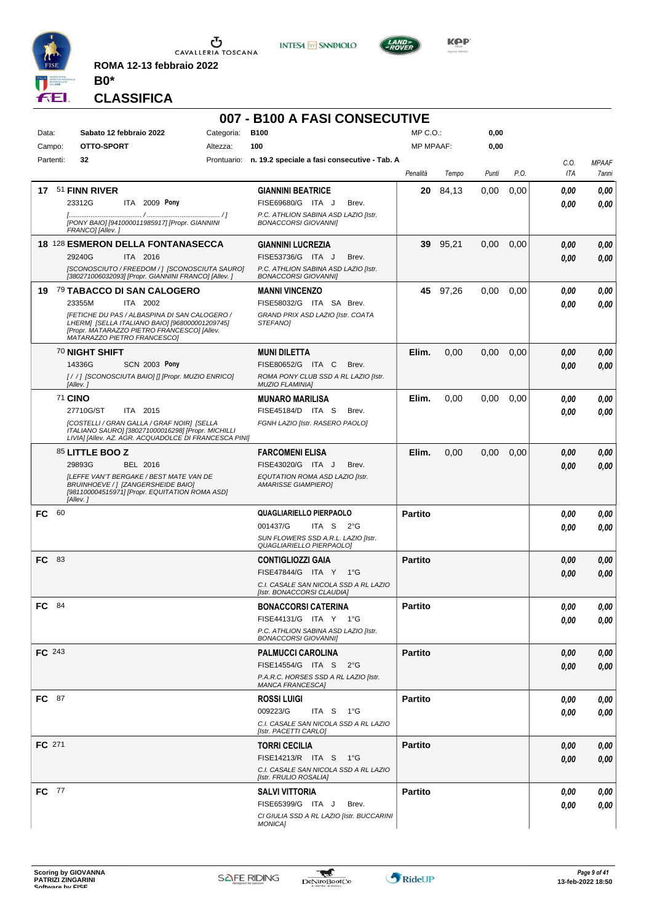

**ROMA 12-13 febbraio 2022 B0\***



**007 - B100 A FASI CONSECUTIVE**



**KOP** 

#### **CLASSIFICA**

| Data:<br>Campo: | Sabato 12 febbraio 2022<br>OTTO-SPORT                                                                                                                                                                                                | Categoria:<br>Altezza: | <b>B100</b><br>100                                                                                                            | MP C.O.:<br><b>MP MPAAF:</b> |          | 0,00<br>0,00 |      |              |              |
|-----------------|--------------------------------------------------------------------------------------------------------------------------------------------------------------------------------------------------------------------------------------|------------------------|-------------------------------------------------------------------------------------------------------------------------------|------------------------------|----------|--------------|------|--------------|--------------|
| Partenti:       | 32                                                                                                                                                                                                                                   |                        | Prontuario: n. 19.2 speciale a fasi consecutive - Tab. A                                                                      |                              |          |              |      | C.O.         | <b>MPAAF</b> |
|                 |                                                                                                                                                                                                                                      |                        |                                                                                                                               | Penalità                     | Tempo    | Punti        | P.O. | ITA          | 7anni        |
|                 | 17 51 FINN RIVER<br>23312G<br>ITA 2009 Pony<br>[PONY BAIO] [941000011985917] [Propr. GIANNINI                                                                                                                                        |                        | <b>GIANNINI BEATRICE</b><br>FISE69680/G ITA J<br>Brev.<br>P.C. ATHLION SABINA ASD LAZIO [Istr.<br><b>BONACCORSI GIOVANNII</b> | 20                           | 84,13    | 0,00         | 0,00 | 0.00<br>0.00 | 0,00<br>0.00 |
|                 | FRANCO] [Allev.]<br><b>18 128 ESMERON DELLA FONTANASECCA</b><br>29240G<br>ITA 2016<br>[SCONOSCIUTO / FREEDOM / ] [SCONOSCIUTA SAURO]<br>[380271006032093] [Propr. GIANNINI FRANCO] [Allev. ]                                         |                        | <b>GIANNINI LUCREZIA</b><br>FISE53736/G ITA J<br>Brev.<br>P.C. ATHLION SABINA ASD LAZIO [Istr.<br><b>BONACCORSI GIOVANNII</b> | 39                           | 95,21    | 0,00         | 0,00 | 0,00<br>0,00 | 0,00<br>0,00 |
|                 | 19 79 TABACCO DI SAN CALOGERO<br>23355M<br>ITA 2002<br>[FETICHE DU PAS / ALBASPINA DI SAN CALOGERO /<br>LHERMI [SELLA ITALIANO BAIO] [968000001209745]<br>[Propr. MATARAZZO PIETRO FRANCESCO] [Allev.<br>MATARAZZO PIETRO FRANCESCOJ |                        | <b>MANNI VINCENZO</b><br>FISE58032/G ITA SA Brev.<br>GRAND PRIX ASD LAZIO [Istr. COATA<br>STEFANOI                            |                              | 45 97,26 | 0,00         | 0.00 | 0.00<br>0.00 | 0,00<br>0.00 |
|                 | 70 NIGHT SHIFT<br>14336G<br><b>SCN 2003 Pony</b><br>[/ /] [SCONOSCIUTA BAIO] [] [Propr. MUZIO ENRICO]<br>[Allev.]                                                                                                                    |                        | <b>MUNI DILETTA</b><br>FISE80652/G ITA C<br>Brev.<br>ROMA PONY CLUB SSD A RL LAZIO [Istr.<br>MUZIO FLAMINIA]                  | Elim.                        | 0,00     | 0,00         | 0,00 | 0.00<br>0,00 | 0,00<br>0.00 |
|                 | <b>71 CINO</b><br>27710G/ST<br>ITA 2015<br>[COSTELLI / GRAN GALLA / GRAF NOIR] [SELLA<br>ITALIANO SAURO] [380271000016298] [Propr. MICHILLI<br>LIVIA] [Allev. AZ. AGR. ACQUADOLCE DI FRANCESCA PINI]                                 |                        | <b>MUNARO MARILISA</b><br>FISE45184/D ITA S<br>Brev.<br>FGNH LAZIO [Istr. RASERO PAOLO]                                       | Elim.                        | 0,00     | 0,00         | 0,00 | 0.00<br>0.00 | 0,00<br>0.00 |
|                 | 85 LITTLE BOO Z<br>29893G<br>BEL 2016<br><b>ILEFFE VAN'T BERGAKE / BEST MATE VAN DE</b><br>BRUINHOEVE / ] [ZANGERSHEIDE BAIO]<br>[981100004515971] [Propr. EQUITATION ROMA ASD]<br>[Allev.]                                          |                        | <b>FARCOMENI ELISA</b><br>FISE43020/G ITA J<br>Brev.<br>EQUTATION ROMA ASD LAZIO [Istr.<br><b>AMARISSE GIAMPIERO]</b>         | Elim.                        | 0,00     | 0,00         | 0,00 | 0,00<br>0,00 | 0,00<br>0,00 |
| - 60<br>FC.     |                                                                                                                                                                                                                                      |                        | QUAGLIARIELLO PIERPAOLO<br>001437/G<br>ITA S $2^{\circ}G$<br>SUN FLOWERS SSD A.R.L. LAZIO [Istr.<br>QUAGLIARIELLO PIERPAOLO]  | <b>Partito</b>               |          |              |      | 0.00<br>0.00 | 0,00<br>0.00 |
| FC.<br>- 83     |                                                                                                                                                                                                                                      |                        | <b>CONTIGLIOZZI GAIA</b><br>FISE47844/G ITA Y<br>1°G<br>C.I. CASALE SAN NICOLA SSD A RL LAZIO<br>[Istr. BONACCORSI CLAUDIA]   | <b>Partito</b>               |          |              |      | 0,00<br>0,00 | 0,00<br>0,00 |
| FC 84           |                                                                                                                                                                                                                                      |                        | <b>BONACCORSI CATERINA</b><br>FISE44131/G ITA Y 1°G<br>P.C. ATHLION SABINA ASD LAZIO [Istr.<br><b>BONACCORSI GIOVANNII</b>    | <b>Partito</b>               |          |              |      | 0.00<br>0,00 | 0,00<br>0,00 |
| FC 243          |                                                                                                                                                                                                                                      |                        | PALMUCCI CAROLINA<br>FISE14554/G ITA S 2°G<br>P.A.R.C. HORSES SSD A RL LAZIO [Istr.<br><b>MANCA FRANCESCAI</b>                | <b>Partito</b>               |          |              |      | 0,00<br>0.00 | 0,00<br>0,00 |
| FC 87           |                                                                                                                                                                                                                                      |                        | <b>ROSSI LUIGI</b><br>009223/G<br>ITA S 1°G<br>C.I. CASALE SAN NICOLA SSD A RL LAZIO<br>[Istr. PACETTI CARLO]                 | <b>Partito</b>               |          |              |      | 0,00<br>0.00 | 0,00<br>0,00 |
| FC 271          |                                                                                                                                                                                                                                      |                        | <b>TORRI CECILIA</b><br>FISE14213/R ITA S 1°G<br>C.I. CASALE SAN NICOLA SSD A RL LAZIO<br>[Istr. FRULIO ROSALIA]              | Partito                      |          |              |      | 0,00<br>0.00 | 0,00<br>0,00 |
| <b>FC</b> 77    |                                                                                                                                                                                                                                      |                        | SALVI VITTORIA<br>FISE65399/G ITA J<br>Brev.<br>CI GIULIA SSD A RL LAZIO [Istr. BUCCARINI<br><b>MONICA]</b>                   | <b>Partito</b>               |          |              |      | 0,00<br>0.00 | 0,00<br>0,00 |

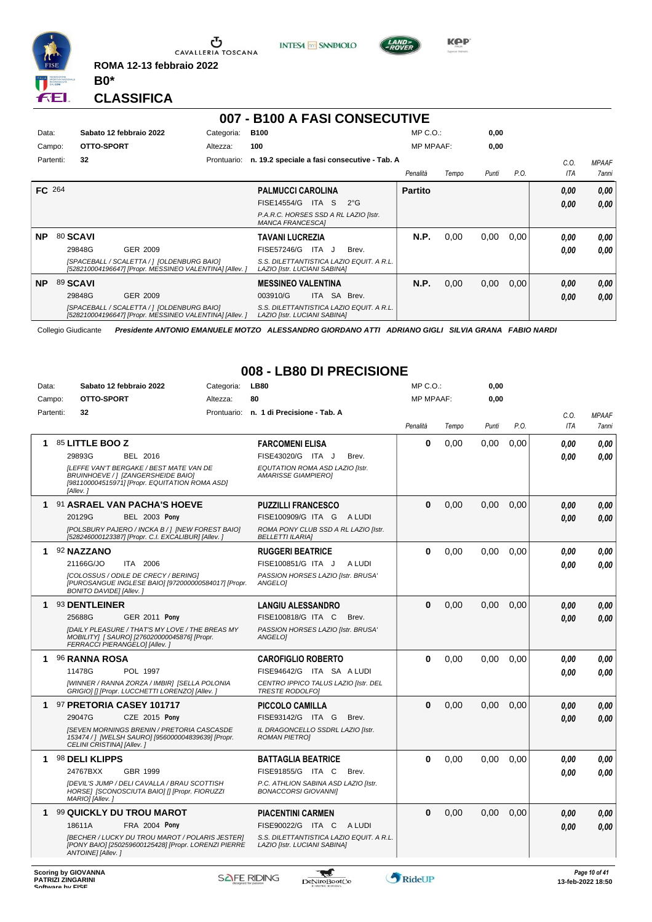

 $\sigma$  cavalleria toscana **ROMA 12-13 febbraio 2022**

**INTESA** M SANPAOLO



**Kep** 

**CLASSIFICA**

**B0\***

# **007 - B100 A FASI CONSECUTIVE**

| Data:         | Sabato 12 febbraio 2022                    | Categoria:                                             | <b>B100</b>                                                      |             |                                          | $MP C. O.$ :     |       | 0,00  |      |      |              |
|---------------|--------------------------------------------|--------------------------------------------------------|------------------------------------------------------------------|-------------|------------------------------------------|------------------|-------|-------|------|------|--------------|
| Campo:        | OTTO-SPORT                                 | Altezza:                                               | 100                                                              |             |                                          | <b>MP MPAAF:</b> |       | 0,00  |      |      |              |
| Partenti:     | 32                                         | Prontuario:                                            | n. 19.2 speciale a fasi consecutive - Tab. A                     |             |                                          |                  |       |       |      | C.0  | <b>MPAAF</b> |
|               |                                            |                                                        |                                                                  |             |                                          | Penalità         | Tempo | Punti | P.O. | ITA  | 7anni        |
| <b>FC</b> 264 |                                            |                                                        | <b>PALMUCCI CAROLINA</b>                                         |             |                                          | <b>Partito</b>   |       |       |      | 0,00 | 0,00         |
|               |                                            |                                                        | FISE14554/G                                                      | ITA S       | $2^{\circ}G$                             |                  |       |       |      | 0,00 | 0.00         |
|               |                                            |                                                        | P.A.R.C. HORSES SSD A RL LAZIO [Istr.<br><b>MANCA FRANCESCAI</b> |             |                                          |                  |       |       |      |      |              |
| <b>NP</b>     | 80 SCAVI                                   |                                                        | <b>TAVANI LUCREZIA</b>                                           |             |                                          | N.P.             | 0,00  | 0,00  | 0,00 | 0,00 | 0,00         |
|               | 29848G<br>GER 2009                         |                                                        | FISE57246/G                                                      | ITA J       | Brev.                                    |                  |       |       |      | 0,00 | 0.00         |
|               | [SPACEBALL / SCALETTA / 1 [OLDENBURG BAIO] | [528210004196647] [Propr. MESSINEO VALENTINA] [Allev.] | LAZIO [Istr. LUCIANI SABINA]                                     |             | S.S. DILETTANTISTICA LAZIO EQUIT. A R.L. |                  |       |       |      |      |              |
| <b>NP</b>     | 89 SCAVI                                   |                                                        | <b>MESSINEO VALENTINA</b>                                        |             |                                          | N.P.             | 0,00  | 0,00  | 0,00 | 0,00 | 0,00         |
|               | 29848G<br>GER 2009                         |                                                        | 003910/G                                                         | SA<br>ITA I | Brev.                                    |                  |       |       |      | 0,00 | 0,00         |
|               | [SPACEBALL / SCALETTA / ] [OLDENBURG BAIO] | [528210004196647] [Propr. MESSINEO VALENTINA] [Allev.] | LAZIO [Istr. LUCIANI SABINA]                                     |             | S.S. DILETTANTISTICA LAZIO EQUIT. A R.L. |                  |       |       |      |      |              |

Collegio Giudicante *Presidente ANTONIO EMANUELE MOTZO ALESSANDRO GIORDANO ATTI ADRIANO GIGLI SILVIA GRANA FABIO NARDI*

### **008 - LB80 DI PRECISIONE**

| 80<br>OTTO-SPORT<br><b>MP MPAAF:</b><br>0,00<br>Campo:<br>Altezza:<br>Partenti:<br>32<br>Prontuario:<br>n. 1 di Precisione - Tab. A<br>C.O.<br>P.O.<br><b>ITA</b><br>Penalità<br>Punti<br>Tempo<br>0<br>85 LITTLE BOO Z<br>0,00<br>0,00<br>0,00<br><b>FARCOMENI ELISA</b><br>0.00<br>1.<br>29893G<br>FISE43020/G ITA J<br>BEL 2016<br>Brev.<br>0.00<br><b>ILEFFE VAN'T BERGAKE / BEST MATE VAN DE</b><br>EQUTATION ROMA ASD LAZIO [Istr.<br>BRUINHOEVE /   [ZANGERSHEIDE BAIO]<br><b>AMARISSE GIAMPIEROI</b><br>[981100004515971] [Propr. EQUITATION ROMA ASD]<br>[Allev.]<br>91 ASRAEL VAN PACHA'S HOEVE<br>$\bf{0}$<br><b>PUZZILLI FRANCESCO</b><br>0,00<br>0,00<br>0.00<br>0.00<br>1<br>20129G<br><b>BEL 2003 Pony</b><br>FISE100909/G ITA G ALUDI<br>0.00<br>[POLSBURY PAJERO / INCKA B / ] [NEW FOREST BAIO]<br>ROMA PONY CLUB SSD A RL LAZIO [Istr.<br>[528246000123387] [Propr. C.I. EXCALIBUR] [Allev. ]<br><b>BELLETTI ILARIAI</b><br>92 NAZZANO<br><b>RUGGERI BEATRICE</b><br>0<br>0,00<br>0,00<br>0,00<br>0.00<br>1<br>21166G/JO<br>ITA 2006<br>FISE100851/G ITA J<br>A LUDI<br>0.00<br>[COLOSSUS / ODILE DE CRECY / BERING]<br>PASSION HORSES LAZIO [Istr. BRUSA'<br>[PUROSANGUE INGLESE BAIO] [972000000584017] [Propr.<br>ANGELOI<br><b>BONITO DAVIDE] [Allev.]</b><br>93 DENTLEINER<br>$\Omega$<br><b>LANGIU ALESSANDRO</b><br>0.00<br>0.00<br>0.00<br>0.00<br>1<br>25688G<br><b>GER 2011 Pony</b><br>FISE100818/G ITA C<br>Brev.<br>0.00<br><b>IDAILY PLEASURE / THAT'S MY LOVE / THE BREAS MY</b><br>PASSION HORSES LAZIO [Istr. BRUSA'<br>MOBILITY] [ SAURO] [276020000045876] [Propr.<br>ANGELO1<br>FERRACCI PIERANGELO] [Allev.]<br>$\bf{0}$<br><b>96 RANNA ROSA</b><br>0,00<br>0,00<br>0.00<br>1<br><b>CAROFIGLIO ROBERTO</b><br>0.00<br>0.00<br>11478G<br>POL 1997<br>FISE94642/G ITA SA A LUDI<br>0.00<br>0.00<br>[WINNER / RANNA ZORZA / IMBIR] [SELLA POLONIA<br>CENTRO IPPICO TALUS LAZIO [Istr. DEL<br>GRIGIO] [] [Propr. LUCCHETTI LORENZO] [Allev.]<br><b>TRESTE RODOLFOI</b><br>$\bf{0}$<br>0,00<br>0,00<br>0,00<br>97 PRETORIA CASEY 101717<br>1<br><b>PICCOLO CAMILLA</b><br>0.00<br>29047G<br><b>CZE 2015 Pony</b><br>FISE93142/G ITA G<br>Brev.<br>0.00<br><b>[SEVEN MORNINGS BRENIN / PRETORIA CASCASDE</b><br>IL DRAGONCELLO SSDRL LAZIO [Istr.<br>153474 /   [WELSH SAURO] [956000004839639] [Propr.<br><b>ROMAN PIETROI</b><br>CELINI CRISTINA] [Allev.]<br>$\Omega$<br>98 DELI KLIPPS<br>0.00<br>0.00<br>0.00<br>0.00<br>1<br><b>BATTAGLIA BEATRICE</b><br>GBR 1999<br>FISE91855/G ITA C<br>24767BXX<br>Brev.<br>0.00<br><b>IDEVIL'S JUMP / DELI CAVALLA / BRAU SCOTTISH</b><br>P.C. ATHLION SABINA ASD LAZIO [Istr.<br>HORSE] [SCONOSCIUTA BAIO] [] [Propr. FIORUZZI<br><b>BONACCORSI GIOVANNII</b><br>MARIO] [Allev.]<br>$\bf{0}$<br>99 QUICKLY DU TROU MAROT<br><b>PIACENTINI CARMEN</b><br>0,00<br>0,00<br>0,00<br>1<br>0,00<br>FRA 2004 Pony<br>FISE90022/G ITA C<br>A LUDI<br>18611A<br>0.00<br>[BECHER / LUCKY DU TROU MAROT / POLARIS JESTER]<br>S.S. DILETTANTISTICA LAZIO EQUIT. A R.L.<br>[PONY BAIO] [250259600125428] [Propr. LORENZI PIERRE<br>LAZIO [Istr. LUCIANI SABINA]<br>ANTOINE] [Allev.] | Data: | Sabato 12 febbraio 2022 | Categoria: | <b>LB80</b> | MP C.O.: | 0,00 |  |              |
|-------------------------------------------------------------------------------------------------------------------------------------------------------------------------------------------------------------------------------------------------------------------------------------------------------------------------------------------------------------------------------------------------------------------------------------------------------------------------------------------------------------------------------------------------------------------------------------------------------------------------------------------------------------------------------------------------------------------------------------------------------------------------------------------------------------------------------------------------------------------------------------------------------------------------------------------------------------------------------------------------------------------------------------------------------------------------------------------------------------------------------------------------------------------------------------------------------------------------------------------------------------------------------------------------------------------------------------------------------------------------------------------------------------------------------------------------------------------------------------------------------------------------------------------------------------------------------------------------------------------------------------------------------------------------------------------------------------------------------------------------------------------------------------------------------------------------------------------------------------------------------------------------------------------------------------------------------------------------------------------------------------------------------------------------------------------------------------------------------------------------------------------------------------------------------------------------------------------------------------------------------------------------------------------------------------------------------------------------------------------------------------------------------------------------------------------------------------------------------------------------------------------------------------------------------------------------------------------------------------------------------------------------------------------------------------------------------------------------------------------------------------------------------------------------------------------------------------------------------------------------------------------------------------------------------------------------------------------------------------------------------------------------------------------------------------------------------------------------------------------------------------------------------|-------|-------------------------|------------|-------------|----------|------|--|--------------|
|                                                                                                                                                                                                                                                                                                                                                                                                                                                                                                                                                                                                                                                                                                                                                                                                                                                                                                                                                                                                                                                                                                                                                                                                                                                                                                                                                                                                                                                                                                                                                                                                                                                                                                                                                                                                                                                                                                                                                                                                                                                                                                                                                                                                                                                                                                                                                                                                                                                                                                                                                                                                                                                                                                                                                                                                                                                                                                                                                                                                                                                                                                                                                       |       |                         |            |             |          |      |  |              |
|                                                                                                                                                                                                                                                                                                                                                                                                                                                                                                                                                                                                                                                                                                                                                                                                                                                                                                                                                                                                                                                                                                                                                                                                                                                                                                                                                                                                                                                                                                                                                                                                                                                                                                                                                                                                                                                                                                                                                                                                                                                                                                                                                                                                                                                                                                                                                                                                                                                                                                                                                                                                                                                                                                                                                                                                                                                                                                                                                                                                                                                                                                                                                       |       |                         |            |             |          |      |  | <b>MPAAF</b> |
|                                                                                                                                                                                                                                                                                                                                                                                                                                                                                                                                                                                                                                                                                                                                                                                                                                                                                                                                                                                                                                                                                                                                                                                                                                                                                                                                                                                                                                                                                                                                                                                                                                                                                                                                                                                                                                                                                                                                                                                                                                                                                                                                                                                                                                                                                                                                                                                                                                                                                                                                                                                                                                                                                                                                                                                                                                                                                                                                                                                                                                                                                                                                                       |       |                         |            |             |          |      |  | 7anni        |
|                                                                                                                                                                                                                                                                                                                                                                                                                                                                                                                                                                                                                                                                                                                                                                                                                                                                                                                                                                                                                                                                                                                                                                                                                                                                                                                                                                                                                                                                                                                                                                                                                                                                                                                                                                                                                                                                                                                                                                                                                                                                                                                                                                                                                                                                                                                                                                                                                                                                                                                                                                                                                                                                                                                                                                                                                                                                                                                                                                                                                                                                                                                                                       |       |                         |            |             |          |      |  | 0.00         |
|                                                                                                                                                                                                                                                                                                                                                                                                                                                                                                                                                                                                                                                                                                                                                                                                                                                                                                                                                                                                                                                                                                                                                                                                                                                                                                                                                                                                                                                                                                                                                                                                                                                                                                                                                                                                                                                                                                                                                                                                                                                                                                                                                                                                                                                                                                                                                                                                                                                                                                                                                                                                                                                                                                                                                                                                                                                                                                                                                                                                                                                                                                                                                       |       |                         |            |             |          |      |  | 0.00         |
|                                                                                                                                                                                                                                                                                                                                                                                                                                                                                                                                                                                                                                                                                                                                                                                                                                                                                                                                                                                                                                                                                                                                                                                                                                                                                                                                                                                                                                                                                                                                                                                                                                                                                                                                                                                                                                                                                                                                                                                                                                                                                                                                                                                                                                                                                                                                                                                                                                                                                                                                                                                                                                                                                                                                                                                                                                                                                                                                                                                                                                                                                                                                                       |       |                         |            |             |          |      |  |              |
|                                                                                                                                                                                                                                                                                                                                                                                                                                                                                                                                                                                                                                                                                                                                                                                                                                                                                                                                                                                                                                                                                                                                                                                                                                                                                                                                                                                                                                                                                                                                                                                                                                                                                                                                                                                                                                                                                                                                                                                                                                                                                                                                                                                                                                                                                                                                                                                                                                                                                                                                                                                                                                                                                                                                                                                                                                                                                                                                                                                                                                                                                                                                                       |       |                         |            |             |          |      |  |              |
|                                                                                                                                                                                                                                                                                                                                                                                                                                                                                                                                                                                                                                                                                                                                                                                                                                                                                                                                                                                                                                                                                                                                                                                                                                                                                                                                                                                                                                                                                                                                                                                                                                                                                                                                                                                                                                                                                                                                                                                                                                                                                                                                                                                                                                                                                                                                                                                                                                                                                                                                                                                                                                                                                                                                                                                                                                                                                                                                                                                                                                                                                                                                                       |       |                         |            |             |          |      |  |              |
|                                                                                                                                                                                                                                                                                                                                                                                                                                                                                                                                                                                                                                                                                                                                                                                                                                                                                                                                                                                                                                                                                                                                                                                                                                                                                                                                                                                                                                                                                                                                                                                                                                                                                                                                                                                                                                                                                                                                                                                                                                                                                                                                                                                                                                                                                                                                                                                                                                                                                                                                                                                                                                                                                                                                                                                                                                                                                                                                                                                                                                                                                                                                                       |       |                         |            |             |          |      |  | 0.00         |
|                                                                                                                                                                                                                                                                                                                                                                                                                                                                                                                                                                                                                                                                                                                                                                                                                                                                                                                                                                                                                                                                                                                                                                                                                                                                                                                                                                                                                                                                                                                                                                                                                                                                                                                                                                                                                                                                                                                                                                                                                                                                                                                                                                                                                                                                                                                                                                                                                                                                                                                                                                                                                                                                                                                                                                                                                                                                                                                                                                                                                                                                                                                                                       |       |                         |            |             |          |      |  | 0,00         |
|                                                                                                                                                                                                                                                                                                                                                                                                                                                                                                                                                                                                                                                                                                                                                                                                                                                                                                                                                                                                                                                                                                                                                                                                                                                                                                                                                                                                                                                                                                                                                                                                                                                                                                                                                                                                                                                                                                                                                                                                                                                                                                                                                                                                                                                                                                                                                                                                                                                                                                                                                                                                                                                                                                                                                                                                                                                                                                                                                                                                                                                                                                                                                       |       |                         |            |             |          |      |  |              |
|                                                                                                                                                                                                                                                                                                                                                                                                                                                                                                                                                                                                                                                                                                                                                                                                                                                                                                                                                                                                                                                                                                                                                                                                                                                                                                                                                                                                                                                                                                                                                                                                                                                                                                                                                                                                                                                                                                                                                                                                                                                                                                                                                                                                                                                                                                                                                                                                                                                                                                                                                                                                                                                                                                                                                                                                                                                                                                                                                                                                                                                                                                                                                       |       |                         |            |             |          |      |  |              |
|                                                                                                                                                                                                                                                                                                                                                                                                                                                                                                                                                                                                                                                                                                                                                                                                                                                                                                                                                                                                                                                                                                                                                                                                                                                                                                                                                                                                                                                                                                                                                                                                                                                                                                                                                                                                                                                                                                                                                                                                                                                                                                                                                                                                                                                                                                                                                                                                                                                                                                                                                                                                                                                                                                                                                                                                                                                                                                                                                                                                                                                                                                                                                       |       |                         |            |             |          |      |  | 0,00         |
|                                                                                                                                                                                                                                                                                                                                                                                                                                                                                                                                                                                                                                                                                                                                                                                                                                                                                                                                                                                                                                                                                                                                                                                                                                                                                                                                                                                                                                                                                                                                                                                                                                                                                                                                                                                                                                                                                                                                                                                                                                                                                                                                                                                                                                                                                                                                                                                                                                                                                                                                                                                                                                                                                                                                                                                                                                                                                                                                                                                                                                                                                                                                                       |       |                         |            |             |          |      |  | 0.00         |
|                                                                                                                                                                                                                                                                                                                                                                                                                                                                                                                                                                                                                                                                                                                                                                                                                                                                                                                                                                                                                                                                                                                                                                                                                                                                                                                                                                                                                                                                                                                                                                                                                                                                                                                                                                                                                                                                                                                                                                                                                                                                                                                                                                                                                                                                                                                                                                                                                                                                                                                                                                                                                                                                                                                                                                                                                                                                                                                                                                                                                                                                                                                                                       |       |                         |            |             |          |      |  |              |
|                                                                                                                                                                                                                                                                                                                                                                                                                                                                                                                                                                                                                                                                                                                                                                                                                                                                                                                                                                                                                                                                                                                                                                                                                                                                                                                                                                                                                                                                                                                                                                                                                                                                                                                                                                                                                                                                                                                                                                                                                                                                                                                                                                                                                                                                                                                                                                                                                                                                                                                                                                                                                                                                                                                                                                                                                                                                                                                                                                                                                                                                                                                                                       |       |                         |            |             |          |      |  | 0.00         |
|                                                                                                                                                                                                                                                                                                                                                                                                                                                                                                                                                                                                                                                                                                                                                                                                                                                                                                                                                                                                                                                                                                                                                                                                                                                                                                                                                                                                                                                                                                                                                                                                                                                                                                                                                                                                                                                                                                                                                                                                                                                                                                                                                                                                                                                                                                                                                                                                                                                                                                                                                                                                                                                                                                                                                                                                                                                                                                                                                                                                                                                                                                                                                       |       |                         |            |             |          |      |  | 0,00         |
|                                                                                                                                                                                                                                                                                                                                                                                                                                                                                                                                                                                                                                                                                                                                                                                                                                                                                                                                                                                                                                                                                                                                                                                                                                                                                                                                                                                                                                                                                                                                                                                                                                                                                                                                                                                                                                                                                                                                                                                                                                                                                                                                                                                                                                                                                                                                                                                                                                                                                                                                                                                                                                                                                                                                                                                                                                                                                                                                                                                                                                                                                                                                                       |       |                         |            |             |          |      |  |              |
|                                                                                                                                                                                                                                                                                                                                                                                                                                                                                                                                                                                                                                                                                                                                                                                                                                                                                                                                                                                                                                                                                                                                                                                                                                                                                                                                                                                                                                                                                                                                                                                                                                                                                                                                                                                                                                                                                                                                                                                                                                                                                                                                                                                                                                                                                                                                                                                                                                                                                                                                                                                                                                                                                                                                                                                                                                                                                                                                                                                                                                                                                                                                                       |       |                         |            |             |          |      |  |              |
|                                                                                                                                                                                                                                                                                                                                                                                                                                                                                                                                                                                                                                                                                                                                                                                                                                                                                                                                                                                                                                                                                                                                                                                                                                                                                                                                                                                                                                                                                                                                                                                                                                                                                                                                                                                                                                                                                                                                                                                                                                                                                                                                                                                                                                                                                                                                                                                                                                                                                                                                                                                                                                                                                                                                                                                                                                                                                                                                                                                                                                                                                                                                                       |       |                         |            |             |          |      |  |              |
|                                                                                                                                                                                                                                                                                                                                                                                                                                                                                                                                                                                                                                                                                                                                                                                                                                                                                                                                                                                                                                                                                                                                                                                                                                                                                                                                                                                                                                                                                                                                                                                                                                                                                                                                                                                                                                                                                                                                                                                                                                                                                                                                                                                                                                                                                                                                                                                                                                                                                                                                                                                                                                                                                                                                                                                                                                                                                                                                                                                                                                                                                                                                                       |       |                         |            |             |          |      |  |              |
|                                                                                                                                                                                                                                                                                                                                                                                                                                                                                                                                                                                                                                                                                                                                                                                                                                                                                                                                                                                                                                                                                                                                                                                                                                                                                                                                                                                                                                                                                                                                                                                                                                                                                                                                                                                                                                                                                                                                                                                                                                                                                                                                                                                                                                                                                                                                                                                                                                                                                                                                                                                                                                                                                                                                                                                                                                                                                                                                                                                                                                                                                                                                                       |       |                         |            |             |          |      |  |              |
|                                                                                                                                                                                                                                                                                                                                                                                                                                                                                                                                                                                                                                                                                                                                                                                                                                                                                                                                                                                                                                                                                                                                                                                                                                                                                                                                                                                                                                                                                                                                                                                                                                                                                                                                                                                                                                                                                                                                                                                                                                                                                                                                                                                                                                                                                                                                                                                                                                                                                                                                                                                                                                                                                                                                                                                                                                                                                                                                                                                                                                                                                                                                                       |       |                         |            |             |          |      |  | 0,00         |
|                                                                                                                                                                                                                                                                                                                                                                                                                                                                                                                                                                                                                                                                                                                                                                                                                                                                                                                                                                                                                                                                                                                                                                                                                                                                                                                                                                                                                                                                                                                                                                                                                                                                                                                                                                                                                                                                                                                                                                                                                                                                                                                                                                                                                                                                                                                                                                                                                                                                                                                                                                                                                                                                                                                                                                                                                                                                                                                                                                                                                                                                                                                                                       |       |                         |            |             |          |      |  | 0.00         |
|                                                                                                                                                                                                                                                                                                                                                                                                                                                                                                                                                                                                                                                                                                                                                                                                                                                                                                                                                                                                                                                                                                                                                                                                                                                                                                                                                                                                                                                                                                                                                                                                                                                                                                                                                                                                                                                                                                                                                                                                                                                                                                                                                                                                                                                                                                                                                                                                                                                                                                                                                                                                                                                                                                                                                                                                                                                                                                                                                                                                                                                                                                                                                       |       |                         |            |             |          |      |  |              |
|                                                                                                                                                                                                                                                                                                                                                                                                                                                                                                                                                                                                                                                                                                                                                                                                                                                                                                                                                                                                                                                                                                                                                                                                                                                                                                                                                                                                                                                                                                                                                                                                                                                                                                                                                                                                                                                                                                                                                                                                                                                                                                                                                                                                                                                                                                                                                                                                                                                                                                                                                                                                                                                                                                                                                                                                                                                                                                                                                                                                                                                                                                                                                       |       |                         |            |             |          |      |  |              |
|                                                                                                                                                                                                                                                                                                                                                                                                                                                                                                                                                                                                                                                                                                                                                                                                                                                                                                                                                                                                                                                                                                                                                                                                                                                                                                                                                                                                                                                                                                                                                                                                                                                                                                                                                                                                                                                                                                                                                                                                                                                                                                                                                                                                                                                                                                                                                                                                                                                                                                                                                                                                                                                                                                                                                                                                                                                                                                                                                                                                                                                                                                                                                       |       |                         |            |             |          |      |  | 0.00         |
|                                                                                                                                                                                                                                                                                                                                                                                                                                                                                                                                                                                                                                                                                                                                                                                                                                                                                                                                                                                                                                                                                                                                                                                                                                                                                                                                                                                                                                                                                                                                                                                                                                                                                                                                                                                                                                                                                                                                                                                                                                                                                                                                                                                                                                                                                                                                                                                                                                                                                                                                                                                                                                                                                                                                                                                                                                                                                                                                                                                                                                                                                                                                                       |       |                         |            |             |          |      |  | 0,00         |
|                                                                                                                                                                                                                                                                                                                                                                                                                                                                                                                                                                                                                                                                                                                                                                                                                                                                                                                                                                                                                                                                                                                                                                                                                                                                                                                                                                                                                                                                                                                                                                                                                                                                                                                                                                                                                                                                                                                                                                                                                                                                                                                                                                                                                                                                                                                                                                                                                                                                                                                                                                                                                                                                                                                                                                                                                                                                                                                                                                                                                                                                                                                                                       |       |                         |            |             |          |      |  |              |
|                                                                                                                                                                                                                                                                                                                                                                                                                                                                                                                                                                                                                                                                                                                                                                                                                                                                                                                                                                                                                                                                                                                                                                                                                                                                                                                                                                                                                                                                                                                                                                                                                                                                                                                                                                                                                                                                                                                                                                                                                                                                                                                                                                                                                                                                                                                                                                                                                                                                                                                                                                                                                                                                                                                                                                                                                                                                                                                                                                                                                                                                                                                                                       |       |                         |            |             |          |      |  | 0,00         |
|                                                                                                                                                                                                                                                                                                                                                                                                                                                                                                                                                                                                                                                                                                                                                                                                                                                                                                                                                                                                                                                                                                                                                                                                                                                                                                                                                                                                                                                                                                                                                                                                                                                                                                                                                                                                                                                                                                                                                                                                                                                                                                                                                                                                                                                                                                                                                                                                                                                                                                                                                                                                                                                                                                                                                                                                                                                                                                                                                                                                                                                                                                                                                       |       |                         |            |             |          |      |  | 0,00         |
|                                                                                                                                                                                                                                                                                                                                                                                                                                                                                                                                                                                                                                                                                                                                                                                                                                                                                                                                                                                                                                                                                                                                                                                                                                                                                                                                                                                                                                                                                                                                                                                                                                                                                                                                                                                                                                                                                                                                                                                                                                                                                                                                                                                                                                                                                                                                                                                                                                                                                                                                                                                                                                                                                                                                                                                                                                                                                                                                                                                                                                                                                                                                                       |       |                         |            |             |          |      |  |              |

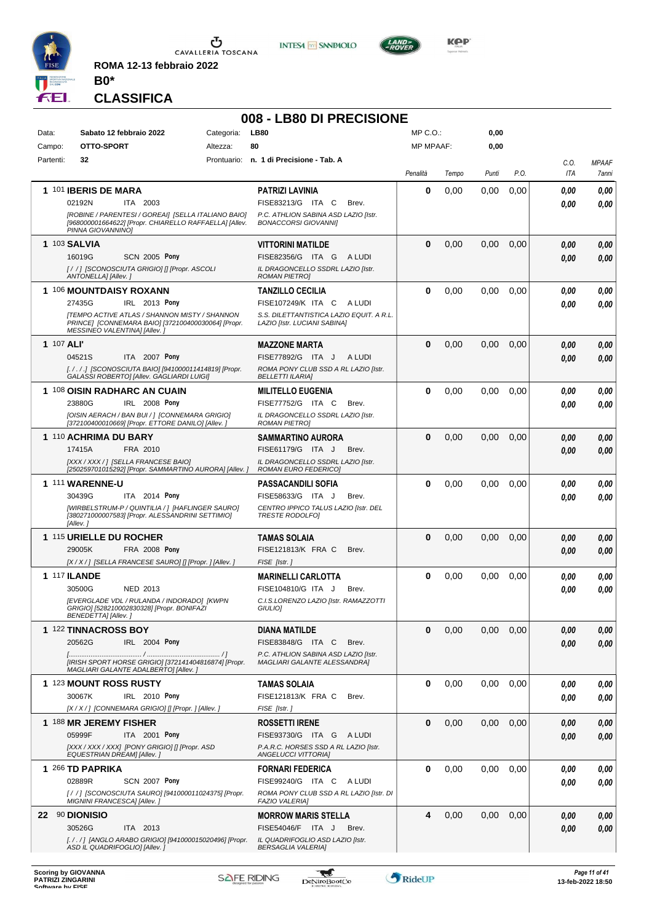

**ROMA 12-13 febbraio 2022 B0\***





# **CLASSIFICA**

|                 |                                                                                                                                                                                                  |                        | 008 - LB80 DI PRECISIONE                                                                                                            |                                  |       |              |      |              |                       |
|-----------------|--------------------------------------------------------------------------------------------------------------------------------------------------------------------------------------------------|------------------------|-------------------------------------------------------------------------------------------------------------------------------------|----------------------------------|-------|--------------|------|--------------|-----------------------|
| Data:<br>Campo: | Sabato 12 febbraio 2022<br>OTTO-SPORT                                                                                                                                                            | Categoria:<br>Altezza: | <b>LB80</b><br>80                                                                                                                   | $MP C. O.$ :<br><b>MP MPAAF:</b> |       | 0,00<br>0,00 |      |              |                       |
| Partenti:       | 32                                                                                                                                                                                               |                        | Prontuario: n. 1 di Precisione - Tab. A                                                                                             | Penalità                         | Tempo | Punti        | P.O. | C.0.<br>ITA  | <b>MPAAF</b><br>7anni |
|                 | 1 101 IBERIS DE MARA<br>02192N<br>ITA 2003<br>[ROBINE / PARENTESI / GOREAI] [SELLA ITALIANO BAIO]                                                                                                |                        | <b>PATRIZI LAVINIA</b><br>FISE83213/G ITA C<br>Brev.<br>P.C. ATHLION SABINA ASD LAZIO [Istr.                                        | 0                                | 0,00  | 0,00         | 0,00 | 0.00<br>0.00 | 0,00<br>0,00          |
|                 | [968000001664622] [Propr. CHIARELLO RAFFAELLA] [Allev.<br>PINNA GIOVANNINO]                                                                                                                      |                        | <b>BONACCORSI GIOVANNI]</b>                                                                                                         |                                  |       |              |      |              |                       |
|                 | <b>1 103 SALVIA</b><br>16019G<br><b>SCN 2005 Pony</b><br>[//] [SCONOSCIUTA GRIGIO] [] [Propr. ASCOLI<br>ANTONELLA] [Allev.]                                                                      |                        | <b>VITTORINI MATILDE</b><br>FISE82356/G ITA G ALUDI<br>IL DRAGONCELLO SSDRL LAZIO [Istr.<br><b>ROMAN PIETROI</b>                    | $\bf{0}$                         | 0,00  | 0,00         | 0,00 | 0.00<br>0.00 | 0,00<br>0,00          |
|                 | 1 106 MOUNTDAISY ROXANN<br>IRL 2013 Pony<br>27435G<br><b>ITEMPO ACTIVE ATLAS / SHANNON MISTY / SHANNON</b><br>PRINCE] [CONNEMARA BAIO] [372100400030064] [Propr.<br>MESSINEO VALENTINA] [Allev.] |                        | <b>TANZILLO CECILIA</b><br>FISE107249/K ITA C<br>A LUDI<br>S.S. DILETTANTISTICA LAZIO EQUIT. A R.L.<br>LAZIO [Istr. LUCIANI SABINA] | 0                                | 0,00  | 0,00         | 0,00 | 0.00<br>0.00 | 0,00<br>0,00          |
|                 | 1 107 ALI'<br>04521S<br>ITA 2007 Pony<br>[././.] [SCONOSCIUTA BAIO] [941000011414819] [Propr.<br>GALASSI ROBERTO] [Allev. GAGLIARDI LUIGI]                                                       |                        | <b>MAZZONE MARTA</b><br>FISE77892/G ITA J<br>A LUDI<br>ROMA PONY CLUB SSD A RL LAZIO [Istr.<br><b>BELLETTI ILARIA]</b>              | $\bf{0}$                         | 0,00  | 0,00         | 0,00 | 0.00<br>0.00 | 0,00<br>0,00          |
|                 | 1 108 OISIN RADHARC AN CUAIN<br>23880G<br>IRL 2008 Pony<br>[OISIN AERACH / BAN BUI / ] [CONNEMARA GRIGIO]<br>[372100400010669] [Propr. ETTORE DANILO] [Allev.]                                   |                        | <b>MILITELLO EUGENIA</b><br>FISE77752/G ITA C<br>Brev.<br>IL DRAGONCELLO SSDRL LAZIO [Istr.<br><b>ROMAN PIETRO]</b>                 | 0                                | 0,00  | 0,00         | 0,00 | 0.00<br>0.00 | 0,00<br>0,00          |
|                 | 1 110 ACHRIMA DU BARY<br>17415A<br>FRA 2010<br>[XXX / XXX / ] [SELLA FRANCESE BAIO]<br>[250259701015292] [Propr. SAMMARTINO AURORA] [Allev.]                                                     |                        | <b>SAMMARTINO AURORA</b><br>FISE61179/G ITA J<br>Brev.<br>IL DRAGONCELLO SSDRL LAZIO [Istr.<br>ROMAN EURO FEDERICO]                 | $\bf{0}$                         | 0,00  | 0.00         | 0,00 | 0.00<br>0.00 | 0,00<br>0,00          |
|                 | 1 111 WARENNE-U<br>30439G<br>ITA 2014 Pony<br>[WIRBELSTRUM-P / QUINTILIA / ] [HAFLINGER SAURO]<br>[380271000007583] [Propr. ALESSANDRINI SETTIMIO]<br>[Allev.]                                   |                        | <b>PASSACANDILI SOFIA</b><br>FISE58633/G ITA J<br>Brev.<br>CENTRO IPPICO TALUS LAZIO [Istr. DEL<br><b>TRESTE RODOLFOI</b>           | 0                                | 0,00  | 0,00         | 0,00 | 0.00<br>0.00 | 0,00<br>0.00          |
|                 | <b>1 115 URIELLE DU ROCHER</b><br>FRA 2008 Pony<br>29005K<br>[X / X / ] [SELLA FRANCESE SAURO] [] [Propr. ] [Allev. ]                                                                            |                        | TAMAS SOLAIA<br>FISE121813/K FRA C<br>Brev.<br>FISE [Istr.]                                                                         | $\bf{0}$                         | 0,00  | 0,00         | 0,00 | 0.00<br>0.00 | 0,00<br>0,00          |
|                 | 1 117 ILANDE<br>30500G<br><b>NED 2013</b><br>[EVERGLADE VDL / RULANDA / INDORADO] [KWPN<br>GRIGIO] [528210002830328] [Propr. BONIFAZI<br>BENEDETTA] [Allev.]                                     |                        | <b>MARINELLI CARLOTTA</b><br>FISE104810/G ITA J<br>Brev.<br>C.I.S.LORENZO LAZIO [Istr. RAMAZZOTTI<br>GIULIO]                        | 0                                | 0,00  | 0,00         | 0,00 | 0.00<br>0.00 | 0,00<br>0,00          |
|                 | 1 122 TINNACROSS BOY<br>20562G<br>IRL 2004 Pony<br>IIRISH SPORT HORSE GRIGIOI I3721414048168741 IPropr.<br>MAGLIARI GALANTE ADALBERTO] [Allev.]                                                  |                        | DIANA MATILDE<br>FISE83848/G ITA C<br>Brev.<br>P.C. ATHLION SABINA ASD LAZIO [Istr.<br>MAGLIARI GALANTE ALESSANDRA]                 | $\mathbf{0}$                     | 0,00  | 0,00         | 0,00 | 0,00<br>0,00 | 0,00<br>0,00          |
|                 | 1 123 MOUNT ROSS RUSTY<br>30067K<br>IRL 2010 Pony<br>[X / X / ] [CONNEMARA GRIGIO] [] [Propr. ] [Allev. ]                                                                                        |                        | <b>TAMAS SOLAIA</b><br>FISE121813/K FRA C<br>Brev.<br>FISE [Istr.]                                                                  | $\bf{0}$                         | 0,00  | 0,00         | 0,00 | 0,00<br>0.00 | 0,00<br>0,00          |
|                 | 1 188 MR JEREMY FISHER<br>05999F<br>ITA 2001 Pony<br>[XXX / XXX / XXX] [PONY GRIGIO] [] [Propr. ASD<br>EQUESTRIAN DREAM] [Allev.]                                                                |                        | <b>ROSSETTI IRENE</b><br>FISE93730/G ITA G ALUDI<br>P.A.R.C. HORSES SSD A RL LAZIO [Istr.<br>ANGELUCCI VITTORIAJ                    | $\mathbf 0$                      | 0,00  | 0,00         | 0,00 | 0,00<br>0,00 | 0,00<br>0,00          |
|                 | 1 266 TD PAPRIKA<br>02889R<br>SCN 2007 Pony<br>[/ /] [SCONOSCIUTA SAURO] [941000011024375] [Propr.<br>MIGNINI FRANCESCA] [Allev.]                                                                |                        | <b>FORNARI FEDERICA</b><br>FISE99240/G ITA C ALUDI<br>ROMA PONY CLUB SSD A RL LAZIO [Istr. DI<br><b>FAZIO VALERIA]</b>              | 0                                | 0,00  | 0,00         | 0,00 | 0,00<br>0,00 | 0,00<br>0,00          |
|                 | 22 90 DIONISIO<br>30526G<br>ITA 2013<br>[././] [ANGLO ARABO GRIGIO] [941000015020496] [Propr.<br>ASD IL QUADRIFOGLIO] [Allev.]                                                                   |                        | <b>MORROW MARIS STELLA</b><br>FISE54046/F ITA J<br>Brev.<br>IL QUADRIFOGLIO ASD LAZIO [Istr.<br><b>BERSAGLIA VALERIA]</b>           | 4                                | 0,00  | 0,00         | 0,00 | 0,00<br>0,00 | 0,00<br>0,00          |



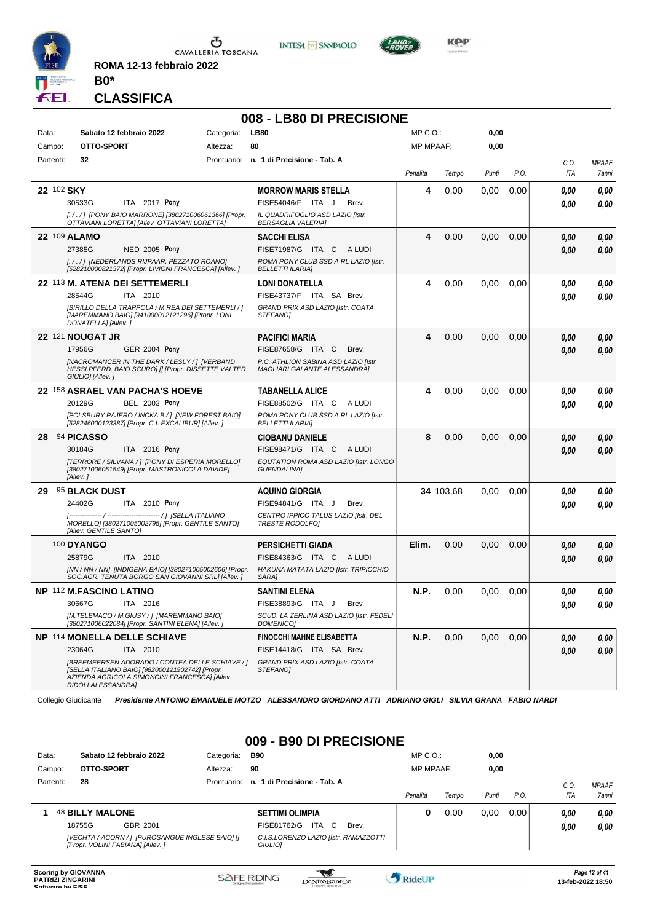

 $\sigma$  cavalleria toscana

**ROMA 12-13 febbraio 2022 B0\***

#### **CLASSIFICA**

### **008 - LB80 DI PRECISIONE**

**INTESA** M SANPAOLO

| Data:      | Sabato 12 febbraio 2022                                                                                                                                                   | Categoria: | <b>LB80</b>                                                          | MP C.O.:         |           | 0,00  |      |      |              |
|------------|---------------------------------------------------------------------------------------------------------------------------------------------------------------------------|------------|----------------------------------------------------------------------|------------------|-----------|-------|------|------|--------------|
| Campo:     | OTTO-SPORT                                                                                                                                                                | Altezza:   | 80                                                                   | <b>MP MPAAF:</b> |           | 0,00  |      |      |              |
| Partenti:  | 32                                                                                                                                                                        |            | Prontuario: n. 1 di Precisione - Tab. A                              |                  |           |       |      | C.O. | <b>MPAAF</b> |
|            |                                                                                                                                                                           |            |                                                                      | Penalità         | Tempo     | Punti | P.O. | ITA  | 7anni        |
| 22 102 SKY |                                                                                                                                                                           |            | <b>MORROW MARIS STELLA</b>                                           | 4                | 0.00      | 0.00  | 0.00 | 0.00 | 0.00         |
|            | 30533G<br>ITA 2017 Pony                                                                                                                                                   |            | FISE54046/F ITA J<br>Brev.                                           |                  |           |       |      | 0,00 | 0.00         |
|            | [././] [PONY BAIO MARRONE] [380271006061366] [Propr.<br>OTTAVIANI LORETTA] [Allev. OTTAVIANI LORETTA]                                                                     |            | IL QUADRIFOGLIO ASD LAZIO [Istr.<br><b>BERSAGLIA VALERIAI</b>        |                  |           |       |      |      |              |
|            | 22 109 ALAMO                                                                                                                                                              |            | <b>SACCHI ELISA</b>                                                  | 4                | 0,00      | 0,00  | 0,00 | 0.00 | 0.00         |
|            | 27385G<br><b>NED 2005 Pony</b>                                                                                                                                            |            | FISE71987/G ITA C ALUDI                                              |                  |           |       |      | 0.00 | 0.00         |
|            | [././] [NEDERLANDS RIJPAAR. PEZZATO ROANO]<br>[528210000821372] [Propr. LIVIGNI FRANCESCA] [Allev. ]                                                                      |            | ROMA PONY CLUB SSD A RL LAZIO [Istr.<br><b>BELLETTI ILARIA]</b>      |                  |           |       |      |      |              |
|            | 22 113 M. ATENA DEI SETTEMERLI                                                                                                                                            |            | <b>LONI DONATELLA</b>                                                | 4                | 0,00      | 0.00  | 0,00 | 0.00 | 0.00         |
|            | 28544G<br>ITA 2010                                                                                                                                                        |            | FISE43737/F ITA SA Brev.                                             |                  |           |       |      | 0.00 | 0.00         |
|            | [BIRILLO DELLA TRAPPOLA / M.REA DEI SETTEMERLI / ]<br>[MAREMMANO BAIO] [941000012121296] [Propr. LONI<br>DONATELLA] [Allev.]                                              |            | GRAND PRIX ASD LAZIO [Istr. COATA<br><b>STEFANOI</b>                 |                  |           |       |      |      |              |
|            | 22 121 NOUGAT JR                                                                                                                                                          |            | <b>PACIFICI MARIA</b>                                                | 4                | 0.00      | 0.00  | 0,00 | 0.00 | 0,00         |
|            | 17956G<br><b>GER 2004 Pony</b>                                                                                                                                            |            | FISE87658/G ITA C<br>Brev.                                           |                  |           |       |      | 0.00 | 0.00         |
|            | [NACROMANCER IN THE DARK / LESLY / ] [VERBAND<br>HESSI.PFERD. BAIO SCURO] [] [Propr. DISSETTE VALTER<br>GIULIO] [Allev.]                                                  |            | P.C. ATHLION SABINA ASD LAZIO [Istr.<br>MAGLIARI GALANTE ALESSANDRAJ |                  |           |       |      |      |              |
|            | 22 158 ASRAEL VAN PACHA'S HOEVE                                                                                                                                           |            | <b>TABANELLA ALICE</b>                                               | 4                | 0,00      | 0,00  | 0,00 | 0.00 | 0.00         |
|            | 20129G<br><b>BEL 2003 Pony</b>                                                                                                                                            |            | FISE88502/G ITA C ALUDI                                              |                  |           |       |      | 0.00 | 0.00         |
|            | [POLSBURY PAJERO / INCKA B / ] [NEW FOREST BAIO]<br>[528246000123387] [Propr. C.I. EXCALIBUR] [Allev. ]                                                                   |            | ROMA PONY CLUB SSD A RL LAZIO [Istr.<br><b>BELLETTI ILARIA]</b>      |                  |           |       |      |      |              |
| 28         | 94 PICASSO                                                                                                                                                                |            | <b>CIOBANU DANIELE</b>                                               | 8                | 0,00      | 0,00  | 0,00 | 0.00 | 0,00         |
|            | 30184G<br>ITA 2016 Pony                                                                                                                                                   |            | FISE98471/G ITA C ALUDI                                              |                  |           |       |      | 0.00 | 0.00         |
|            | [TERRORE / SILVANA / ] [PONY DI ESPERIA MORELLO]<br>[380271006051549] [Propr. MASTRONICOLA DAVIDE]<br>[Allev.]                                                            |            | EQUTATION ROMA ASD LAZIO [Istr. LONGO<br><b>GUENDALINA1</b>          |                  |           |       |      |      |              |
| 29         | <b>95 BLACK DUST</b>                                                                                                                                                      |            | <b>AQUINO GIORGIA</b>                                                |                  | 34 103,68 | 0.00  | 0,00 | 0.00 | 0.00         |
|            | 24402G<br>ITA 2010 Pony                                                                                                                                                   |            | FISE94841/G ITA J<br>Brev.                                           |                  |           |       |      | 0.00 | 0.00         |
|            | MORELLO] [380271005002795] [Propr. GENTILE SANTO]<br>[Allev. GENTILE SANTO]                                                                                               |            | CENTRO IPPICO TALUS LAZIO [Istr. DEL<br><b>TRESTE RODOLFOI</b>       |                  |           |       |      |      |              |
|            | <b>100 DYANGO</b>                                                                                                                                                         |            | <b>PERSICHETTI GIADA</b>                                             | Elim.            | 0,00      | 0,00  | 0,00 | 0.00 | 0,00         |
|            | 25879G<br>ITA 2010                                                                                                                                                        |            | FISE84363/G ITA C<br>A LUDI                                          |                  |           |       |      | 0.00 | 0.00         |
|            | [NN / NN / NN] [INDIGENA BAIO] [380271005002606] [Propr.<br>SOC.AGR. TENUTA BORGO SAN GIOVANNI SRL] [Allev. ]                                                             |            | HAKUNA MATATA LAZIO [Istr. TRIPICCHIO<br><b>SARA1</b>                |                  |           |       |      |      |              |
|            | <b>NP 112 M.FASCINO LATINO</b>                                                                                                                                            |            | <b>SANTINI ELENA</b>                                                 | N.P.             | 0.00      | 0.00  | 0,00 | 0.00 | 0,00         |
|            | 30667G<br>ITA 2016                                                                                                                                                        |            | FISE38893/G ITA J<br>Brev.                                           |                  |           |       |      | 0.00 | 0.00         |
|            | [M.TELEMACO / M.GIUSY / ] [MAREMMANO BAIO]<br>[380271006022084] [Propr. SANTINI ELENA] [Allev.]                                                                           |            | SCUD. LA ZERLINA ASD LAZIO [Istr. FEDELI<br><b>DOMENICO]</b>         |                  |           |       |      |      |              |
|            | <b>NP 114 MONELLA DELLE SCHIAVE</b>                                                                                                                                       |            | <b>FINOCCHI MAHNE ELISABETTA</b>                                     | N.P.             | 0,00      | 0.00  | 0,00 | 0.00 | 0,00         |
|            | 23064G<br>ITA 2010                                                                                                                                                        |            | FISE14418/G ITA SA Brev.                                             |                  |           |       |      | 0.00 | 0.00         |
|            | [BREEMEERSEN ADORADO / CONTEA DELLE SCHIAVE / ]<br>[SELLA ITALIANO BAIO] [982000121902742] [Propr.<br>AZIENDA AGRICOLA SIMONCINI FRANCESCAI [Allev.<br>RIDOLI ALESSANDRA] |            | GRAND PRIX ASD LAZIO [Istr. COATA<br><b>STEFANOI</b>                 |                  |           |       |      |      |              |

Collegio Giudicante *Presidente ANTONIO EMANUELE MOTZO ALESSANDRO GIORDANO ATTI ADRIANO GIGLI SILVIA GRANA FABIO NARDI*

#### **009 - B90 DI PRECISIONE**

| Data:     | Sabato 12 febbraio 2022                                                               | Categoria:  | <b>B90</b>                                       | $MP C. O.$ :     |       | 0,00  |      |      |              |
|-----------|---------------------------------------------------------------------------------------|-------------|--------------------------------------------------|------------------|-------|-------|------|------|--------------|
| Campo:    | OTTO-SPORT                                                                            | Altezza:    | 90                                               | <b>MP MPAAF:</b> |       | 0,00  |      |      |              |
| Partenti: | 28                                                                                    | Prontuario: | n. 1 di Precisione - Tab. A                      |                  |       |       |      | C.O. | <b>MPAAF</b> |
|           |                                                                                       |             |                                                  | Penalità         | Tempo | Punti | P.O. | ITA  | 7anni        |
|           | <b>48 BILLY MALONE</b>                                                                |             | <b>SETTIMI OLIMPIA</b>                           | 0                | 0.00  | 0.00  | 0.00 | 0.00 | 0,00         |
|           | 18755G<br>GBR 2001                                                                    |             | FISE81762/G<br>ITA<br>- C<br>Brev.               |                  |       |       |      | 0,00 | 0,00         |
|           | [VECHTA / ACORN / ] [PUROSANGUE INGLESE BAIO] []<br>[Propr. VOLINI FABIANA] [Allev. ] |             | C.I.S.LORENZO LAZIO [Istr. RAMAZZOTTI<br>GIULIO] |                  |       |       |      |      |              |



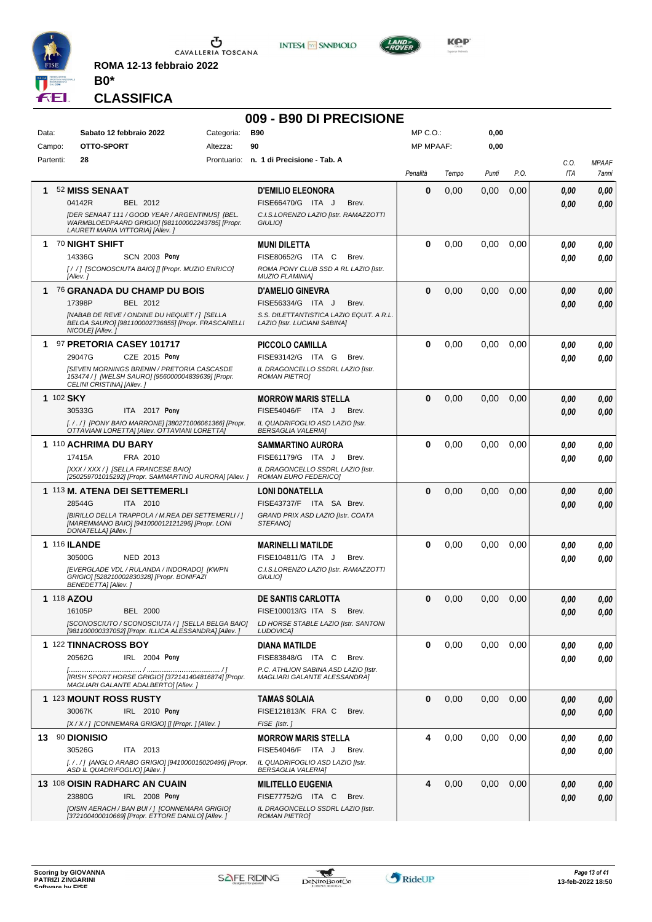

**ROMA 12-13 febbraio 2022 B0\***

### **CLASSIFICA**

#### **009 - B90 DI PRECISIONE**

**INTESA M** SANPAOLO

| Data:               | Sabato 12 febbraio 2022                                                                                                                 | Categoria: | <b>B90</b>                                                               | MP C.O.          |       | 0,00     |      |      |              |
|---------------------|-----------------------------------------------------------------------------------------------------------------------------------------|------------|--------------------------------------------------------------------------|------------------|-------|----------|------|------|--------------|
| Campo:              | OTTO-SPORT                                                                                                                              | Altezza:   | 90                                                                       | <b>MP MPAAF:</b> |       | 0,00     |      |      |              |
| Partenti:           | 28                                                                                                                                      |            | Prontuario: n. 1 di Precisione - Tab. A                                  |                  |       |          |      | C.O. | <b>MPAAF</b> |
|                     |                                                                                                                                         |            |                                                                          | Penalità         | Tempo | Punti    | P.O. | ITA  | 7anni        |
| 1                   | 52 MISS SENAAT                                                                                                                          |            | <b>D'EMILIO ELEONORA</b>                                                 | $\bf{0}$         | 0,00  | 0,00     | 0,00 | 0.00 | 0,00         |
|                     | 04142R<br>BEL 2012                                                                                                                      |            | FISE66470/G ITA J<br>Brev.                                               |                  |       |          |      | 0.00 | 0,00         |
|                     | [DER SENAAT 111 / GOOD YEAR / ARGENTINUS] [BEL.<br>WARMBLOEDPAARD GRIGIO] [981100002243785] [Propr.<br>LAURETI MARIA VITTORIA] [Allev.] |            | C.I.S.LORENZO LAZIO [Istr. RAMAZZOTTI<br>GIULIO]                         |                  |       |          |      |      |              |
| 1.                  | <b>70 NIGHT SHIFT</b>                                                                                                                   |            | <b>MUNI DILETTA</b>                                                      | $\bf{0}$         | 0,00  | 0,00     | 0,00 | 0.00 | 0,00         |
|                     | 14336G<br><b>SCN 2003 Pony</b>                                                                                                          |            | FISE80652/G ITA C<br>Brev.                                               |                  |       |          |      | 0.00 | 0.00         |
|                     | [/ /] [SCONOSCIUTA BAIO] [] [Propr. MUZIO ENRICO]<br>[Allev.]                                                                           |            | ROMA PONY CLUB SSD A RL LAZIO [Istr.<br><b>MUZIO FLAMINIA1</b>           |                  |       |          |      |      |              |
| 1.                  | 76 GRANADA DU CHAMP DU BOIS                                                                                                             |            | <b>D'AMELIO GINEVRA</b>                                                  | $\bf{0}$         | 0,00  | 0,00     | 0,00 | 0.00 | 0,00         |
|                     | 17398P<br>BEL 2012                                                                                                                      |            | FISE56334/G ITA J<br>Brev.                                               |                  |       |          |      | 0.00 | 0.00         |
|                     | [NABAB DE REVE / ONDINE DU HEQUET / ] [SELLA<br>BELGA SAURO] [981100002736855] [Propr. FRASCARELLI<br>NICOLE] [Allev. ]                 |            | S.S. DILETTANTISTICA LAZIO EQUIT. A R.L.<br>LAZIO [Istr. LUCIANI SABINA] |                  |       |          |      |      |              |
|                     | 1 97 PRETORIA CASEY 101717                                                                                                              |            | PICCOLO CAMILLA                                                          | $\bf{0}$         | 0,00  | 0,00     | 0,00 | 0.00 | 0,00         |
|                     | 29047G<br>CZE 2015 Pony                                                                                                                 |            | FISE93142/G ITA G<br>Brev.                                               |                  |       |          |      | 0.00 | 0.00         |
|                     | <b>ISEVEN MORNINGS BRENIN / PRETORIA CASCASDE</b><br>153474 / ] [WELSH SAURO] [956000004839639] [Propr.<br>CELINI CRISTINA] [Allev. ]   |            | IL DRAGONCELLO SSDRL LAZIO IIstr.<br><b>ROMAN PIETROI</b>                |                  |       |          |      |      |              |
| 1 102 SKY           |                                                                                                                                         |            | <b>MORROW MARIS STELLA</b>                                               | $\bf{0}$         | 0,00  | 0,00     | 0,00 | 0.00 | 0,00         |
|                     | 30533G<br>ITA 2017 Pony                                                                                                                 |            | FISE54046/F ITA J<br>Brev.                                               |                  |       |          |      | 0.00 | 0,00         |
|                     | [././] [PONY BAIO MARRONE] [380271006061366] [Propr.<br>OTTAVIANI LORETTA] [Allev. OTTAVIANI LORETTA]                                   |            | IL QUADRIFOGLIO ASD LAZIO [Istr.<br><b>BERSAGLIA VALERIA]</b>            |                  |       |          |      |      |              |
|                     | 1 110 ACHRIMA DU BARY                                                                                                                   |            | SAMMARTINO AURORA                                                        | $\bf{0}$         | 0,00  | 0,00     | 0,00 | 0.00 | 0,00         |
|                     | 17415A<br>FRA 2010                                                                                                                      |            | FISE61179/G ITA J<br>Brev.                                               |                  |       |          |      | 0.00 | 0.00         |
|                     | [XXX / XXX / ] [SELLA FRANCESE BAIO]<br>[250259701015292] [Propr. SAMMARTINO AURORA] [Allev.]                                           |            | IL DRAGONCELLO SSDRL LAZIO [Istr.<br>ROMAN EURO FEDERICO]                |                  |       |          |      |      |              |
|                     | 1 113 M. ATENA DEI SETTEMERLI                                                                                                           |            | <b>LONI DONATELLA</b>                                                    | $\bf{0}$         | 0,00  | 0,00     | 0,00 | 0.00 | 0,00         |
|                     | 28544G<br>ITA 2010                                                                                                                      |            | FISE43737/F ITA SA Brev.                                                 |                  |       |          |      | 0.00 | 0,00         |
|                     | [BIRILLO DELLA TRAPPOLA / M.REA DEI SETTEMERLI / ]<br>[MAREMMANO BAIO] [941000012121296] [Propr. LONI<br>DONATELLA] [Allev.]            |            | GRAND PRIX ASD LAZIO [Istr. COATA<br>STEFANO]                            |                  |       |          |      |      |              |
| <b>1 116 ILANDE</b> |                                                                                                                                         |            | <b>MARINELLI MATILDE</b>                                                 | $\bf{0}$         | 0,00  | 0,00     | 0,00 | 0.00 | 0,00         |
|                     | 30500G<br>NED 2013                                                                                                                      |            | FISE104811/G ITA J<br>Brev.                                              |                  |       |          |      | 0.00 | 0.00         |
|                     | [EVERGLADE VDL / RULANDA / INDORADO] [KWPN<br>GRIGIO] [528210002830328] [Propr. BONIFAZI                                                |            | C.I.S.LORENZO LAZIO [Istr. RAMAZZOTTI<br>GIULIO]                         |                  |       |          |      |      |              |
|                     | BENEDETTA] [Allev.]                                                                                                                     |            |                                                                          |                  |       |          |      |      |              |
| 1 118 AZOU          |                                                                                                                                         |            | <b>DE SANTIS CARLOTTA</b>                                                | $\mathbf{0}$     | 0,00  | 0,00     | 0,00 | 0.00 | 0,00         |
|                     | <b>BEL 2000</b><br>16105P                                                                                                               |            | FISE100013/G ITA S<br>Brev.                                              |                  |       |          |      | 0.00 | 0.00         |
|                     | [SCONOSCIUTO / SCONOSCIUTA / ] [SELLA BELGA BAIO]<br>[981100000337052] [Propr. ILLICA ALESSANDRA] [Allev. ]                             |            | LD HORSE STABLE LAZIO [Istr. SANTONI<br>LUDOVICA]                        |                  |       |          |      |      |              |
|                     | 1 122 TINNACROSS BOY                                                                                                                    |            | <b>DIANA MATILDE</b>                                                     | $\mathbf{0}$     | 0,00  | $0.00\,$ | 0.00 | 0.00 | 0,00         |
|                     | 20562G<br>IRL 2004 Pony                                                                                                                 |            | FISE83848/G ITA C<br>Brev.                                               |                  |       |          |      | 0.00 | 0.00         |
|                     |                                                                                                                                         |            | P.C. ATHLION SABINA ASD LAZIO [Istr.                                     |                  |       |          |      |      |              |
|                     | [IRISH SPORT HORSE GRIGIO] [372141404816874] [Propr.<br>MAGLIARI GALANTE ADALBERTO] [Allev.]                                            |            | MAGLIARI GALANTE ALESSANDRAI                                             |                  |       |          |      |      |              |
|                     | 1 123 MOUNT ROSS RUSTY                                                                                                                  |            | <b>TAMAS SOLAIA</b>                                                      | $\bf{0}$         | 0,00  | 0.00     | 0,00 | 0,00 | 0,00         |
|                     | 30067K<br>IRL 2010 Pony                                                                                                                 |            | FISE121813/K FRA C<br>Brev.                                              |                  |       |          |      | 0.00 | 0,00         |
|                     | [X / X / ] [CONNEMARA GRIGIO] [] [Propr. ] [Allev. ]                                                                                    |            | FISE [Istr.]                                                             |                  |       |          |      |      |              |
| 13 90 DIONISIO      |                                                                                                                                         |            | <b>MORROW MARIS STELLA</b>                                               | 4                | 0,00  | 0.00     | 0,00 | 0.00 | 0,00         |
|                     | 30526G<br>ITA 2013                                                                                                                      |            | FISE54046/F ITA J<br>Brev.                                               |                  |       |          |      | 0.00 | 0.00         |
|                     | [././] [ANGLO ARABO GRIGIO] [941000015020496] [Propr.<br>ASD IL QUADRIFOGLIO] [Allev. ]                                                 |            | IL QUADRIFOGLIO ASD LAZIO [Istr.<br>BERSAGLIA VALERIA]                   |                  |       |          |      |      |              |
|                     | 13 108 OISIN RADHARC AN CUAIN                                                                                                           |            | <b>MILITELLO EUGENIA</b>                                                 | 4                | 0,00  | 0,00     | 0,00 | 0,00 | 0,00         |
|                     | 23880G<br>IRL 2008 Pony                                                                                                                 |            | FISE77752/G ITA C<br>Brev.                                               |                  |       |          |      | 0.00 | 0,00         |
|                     | [OISIN AERACH / BAN BUI / ] [CONNEMARA GRIGIO]                                                                                          |            | IL DRAGONCELLO SSDRL LAZIO [Istr.                                        |                  |       |          |      |      |              |
|                     | [372100400010669] [Propr. ETTORE DANILO] [Allev. ]                                                                                      |            | <b>ROMAN PIETRO]</b>                                                     |                  |       |          |      |      |              |



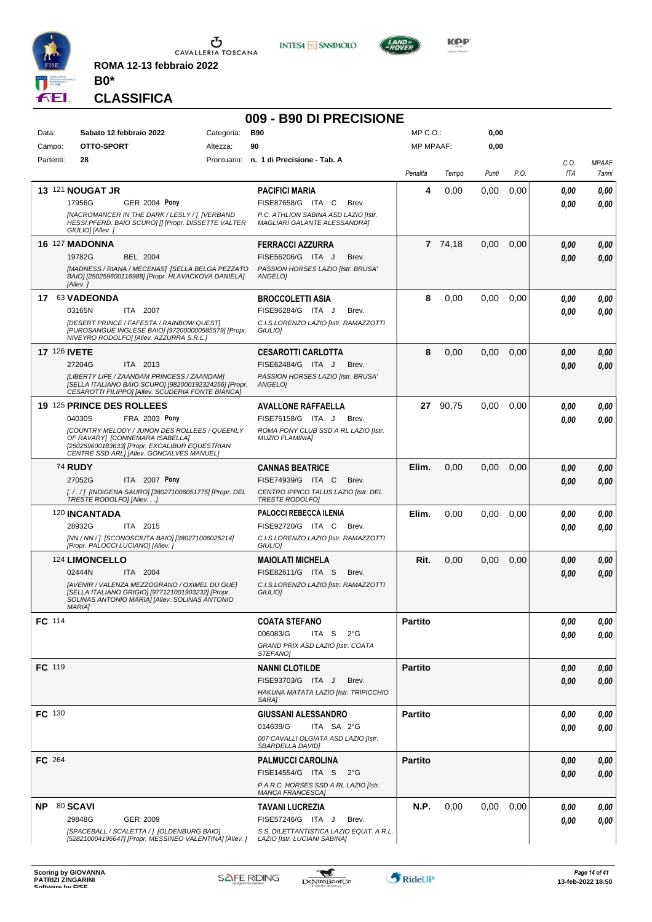

**ROMA 12-13 febbraio 2022 B0\***

### **CLASSIFICA**

#### **009 - B90 DI PRECISIONE**

**INTESA M** SANPAOLO

| Data:               | Sabato 12 febbraio 2022                                                                                                  | Categoria: | <b>B90</b>                                                           | MP C. O.         |          | 0,00  |      |          |              |
|---------------------|--------------------------------------------------------------------------------------------------------------------------|------------|----------------------------------------------------------------------|------------------|----------|-------|------|----------|--------------|
| Campo:              | OTTO-SPORT                                                                                                               | Altezza:   | 90                                                                   | <b>MP MPAAF:</b> |          | 0,00  |      |          |              |
| Partenti:           | 28                                                                                                                       |            | Prontuario: n. 1 di Precisione - Tab. A                              |                  |          |       |      | C.O.     | <b>MPAAF</b> |
|                     |                                                                                                                          |            |                                                                      | Penalità         | Tempo    | Punti | P.O. | ITA      | 7anni        |
|                     | 13 121 NOUGAT JR                                                                                                         |            |                                                                      | 4                |          |       |      |          |              |
|                     |                                                                                                                          |            | <b>PACIFICI MARIA</b>                                                |                  | 0,00     | 0.00  | 0,00 | 0,00     | 0,00         |
|                     | <b>GER 2004 Pony</b><br>17956G                                                                                           |            | FISE87658/G ITA C<br>Brev.                                           |                  |          |       |      | 0,00     | 0.00         |
|                     | [NACROMANCER IN THE DARK / LESLY / ] [VERBAND<br>HESSI.PFERD. BAIO SCURO] [] [Propr. DISSETTE VALTER<br>GIULIO] [Allev.] |            | P.C. ATHLION SABINA ASD LAZIO [Istr.<br>MAGLIARI GALANTE ALESSANDRA] |                  |          |       |      |          |              |
|                     | 16 127 MADONNA                                                                                                           |            | <b>FERRACCI AZZURRA</b>                                              |                  | 7 74,18  | 0,00  | 0,00 | 0.00     | 0,00         |
|                     | 19782G<br>BEL 2004                                                                                                       |            | FISE56206/G ITA J<br>Brev.                                           |                  |          |       |      | 0.00     | 0,00         |
|                     | [MADNESS / RIANA / MECENAS] [SELLA BELGA PEZZATO                                                                         |            | PASSION HORSES LAZIO [Istr. BRUSA'                                   |                  |          |       |      |          |              |
|                     | BAIO] [250259600116988] [Propr. HLAVACKOVA DANIELA]<br>[Allev.]                                                          |            | ANGELO]                                                              |                  |          |       |      |          |              |
| 17                  | 63 VADEONDA                                                                                                              |            | <b>BROCCOLETTI ASIA</b>                                              | 8                | 0,00     | 0,00  | 0,00 | 0.00     | 0,00         |
|                     | 03165N<br>ITA 2007                                                                                                       |            | FISE96284/G ITA J<br>Brev.                                           |                  |          |       |      | 0.00     | 0,00         |
|                     | [DESERT PRINCE / FAFESTA / RAINBOW QUEST]                                                                                |            | C.I.S.LORENZO LAZIO [Istr. RAMAZZOTTI                                |                  |          |       |      |          |              |
|                     | [PUROSANGUE INGLESE BAIO] [972000000585579] [Propr.<br>NIVEYRO RODOLFO] [Allev. AZZURRA S.R.L.]                          |            | GIULIO]                                                              |                  |          |       |      |          |              |
| <b>17 126 IVETE</b> |                                                                                                                          |            | <b>CESAROTTI CARLOTTA</b>                                            | 8                | 0,00     | 0,00  | 0,00 | 0,00     | 0,00         |
|                     | ITA 2013<br>27204G                                                                                                       |            | FISE62484/G ITA J<br>Brev.                                           |                  |          |       |      | 0.00     | 0,00         |
|                     | [LIBERTY LIFE / ZAANDAM PRINCESS / ZAANDAM]                                                                              |            | PASSION HORSES LAZIO [Istr. BRUSA'                                   |                  |          |       |      |          |              |
|                     | [SELLA ITALIANO BAIO SCURO] [982000192324256] [Propr.<br>CESAROTTI FILIPPO] [Allev. SCUDERIA FONTE BIANCA]               |            | ANGELOI                                                              |                  |          |       |      |          |              |
|                     | 19 125 PRINCE DES ROLLEES                                                                                                |            | <b>AVALLONE RAFFAELLA</b>                                            |                  | 27 90,75 | 0,00  | 0,00 | 0.00     | 0,00         |
|                     | 04030S<br>FRA 2003 Pony                                                                                                  |            | FISE75158/G ITA J<br>Brev.                                           |                  |          |       |      | 0.00     | 0.00         |
|                     | [COUNTRY MELODY / JUNON DES ROLLEES / QUEENLY                                                                            |            | ROMA PONY CLUB SSD A RL LAZIO [Istr.                                 |                  |          |       |      |          |              |
|                     | OF RAVARY] [CONNEMARA ISABELLA]<br>[250259600183633] [Propr. EXCALIBUR EQUESTRIAN                                        |            | <b>MUZIO FLAMINIA]</b>                                               |                  |          |       |      |          |              |
|                     | CENTRE SSD ARL] [Allev. GONCALVES MANUEL]                                                                                |            |                                                                      |                  |          |       |      |          |              |
|                     | <b>74 RUDY</b>                                                                                                           |            | <b>CANNAS BEATRICE</b>                                               | Elim.            | 0,00     | 0,00  | 0,00 | 0,00     | 0,00         |
|                     | 27052G<br>ITA 2007 Pony                                                                                                  |            | FISE74939/G ITA C<br>Brev.                                           |                  |          |       |      | 0.00     | 0,00         |
|                     | [. / . / ] [INDIGENA SAURO] [380271006051775] [Propr. DEL<br>TRESTE RODOLFO] [Allev]                                     |            | CENTRO IPPICO TALUS LAZIO [Istr. DEL<br><b>TRESTE RODOLFOI</b>       |                  |          |       |      |          |              |
|                     | 120 INCANTADA                                                                                                            |            | <b>PALOCCI REBECCA ILENIA</b>                                        | Elim.            | 0.00     | 0,00  | 0,00 | 0,00     | 0,00         |
|                     | 28932G<br>ITA 2015                                                                                                       |            | FISE92720/G ITA C<br>Brev.                                           |                  |          |       |      | 0,00     | 0,00         |
|                     | [NN / NN / ] [SCONOSCIUTA BAIO] [380271006025214]                                                                        |            | C.I.S.LORENZO LAZIO [Istr. RAMAZZOTTI                                |                  |          |       |      |          |              |
|                     | [Propr. PALOCCI LUCIANO] [Allev.]                                                                                        |            | GIULIO]                                                              |                  |          |       |      |          |              |
|                     | 124 LIMONCELLO                                                                                                           |            | <b>MAIOLATI MICHELA</b>                                              | Rit.             | 0,00     | 0,00  | 0,00 | 0,00     | 0,00         |
|                     | 02444N<br>ITA 2004                                                                                                       |            | FISE82611/G ITA S<br>Brev.                                           |                  |          |       |      | 0.00     | 0,00         |
|                     | [AVENIR / VALENZA MEZZOGRANO / OXIMEL DU GUE]                                                                            |            | C.I.S.LORENZO LAZIO [Istr. RAMAZZOTTI                                |                  |          |       |      |          |              |
|                     | [SELLA ITALIANO GRIGIO] [977121001903232] [Propr.<br>SOLINAS ANTONIO MARIA] [Allev. SOLINAS ANTONIO                      |            | GIULIO]                                                              |                  |          |       |      |          |              |
|                     | <b>MARIA1</b>                                                                                                            |            |                                                                      |                  |          |       |      |          |              |
| FC 114              |                                                                                                                          |            | <b>COATA STEFANO</b>                                                 | Partito          |          |       |      | $0,\!00$ | 0,00         |
|                     |                                                                                                                          |            | 006083/G<br>ITA S<br>$2^{\circ}$ G                                   |                  |          |       |      | 0,00     | 0,00         |
|                     |                                                                                                                          |            | GRAND PRIX ASD LAZIO [Istr. COATA                                    |                  |          |       |      |          |              |
|                     |                                                                                                                          |            | STEFANO]                                                             |                  |          |       |      |          |              |
| FC 119              |                                                                                                                          |            | <b>NANNI CLOTILDE</b>                                                | <b>Partito</b>   |          |       |      | 0,00     | 0,00         |
|                     |                                                                                                                          |            | FISE93703/G ITA J<br>Brev.                                           |                  |          |       |      | 0.00     | 0,00         |
|                     |                                                                                                                          |            | HAKUNA MATATA LAZIO [Istr. TRIPICCHIO<br>SARA]                       |                  |          |       |      |          |              |
|                     |                                                                                                                          |            |                                                                      |                  |          |       |      |          |              |
| <b>FC</b> 130       |                                                                                                                          |            | <b>GIUSSANI ALESSANDRO</b>                                           | <b>Partito</b>   |          |       |      | 0,00     | 0,00         |
|                     |                                                                                                                          |            | 014639/G<br>ITA SA 2°G                                               |                  |          |       |      | 0,00     | 0,00         |
|                     |                                                                                                                          |            | 007 CAVALLI OLGIATA ASD LAZIO [Istr.<br>SBARDELLA DAVIDI             |                  |          |       |      |          |              |
| <b>FC</b> 264       |                                                                                                                          |            | <b>PALMUCCI CAROLINA</b>                                             | <b>Partito</b>   |          |       |      | 0.00     | 0,00         |
|                     |                                                                                                                          |            | FISE14554/G ITA S<br>$2^{\circ}$ G                                   |                  |          |       |      | 0.00     | 0,00         |
|                     |                                                                                                                          |            | P.A.R.C. HORSES SSD A RL LAZIO [Istr.<br>MANCA FRANCESCAJ            |                  |          |       |      |          |              |
| NP .                | 80 SCAVI                                                                                                                 |            | TAVANI LUCREZIA                                                      | N.P.             | 0,00     | 0,00  | 0,00 | 0.00     | 0,00         |
|                     | 29848G<br>GER 2009                                                                                                       |            | FISE57246/G ITA J<br>Brev.                                           |                  |          |       |      | 0.00     | 0,00         |
|                     | [SPACEBALL / SCALETTA / ] [OLDENBURG BAIO]                                                                               |            | S.S. DILETTANTISTICA LAZIO EQUIT. A R.L.                             |                  |          |       |      |          |              |
|                     | [528210004196647] [Propr. MESSINEO VALENTINA] [Allev. ]                                                                  |            | LAZIO [Istr. LUCIANI SABINA]                                         |                  |          |       |      |          |              |



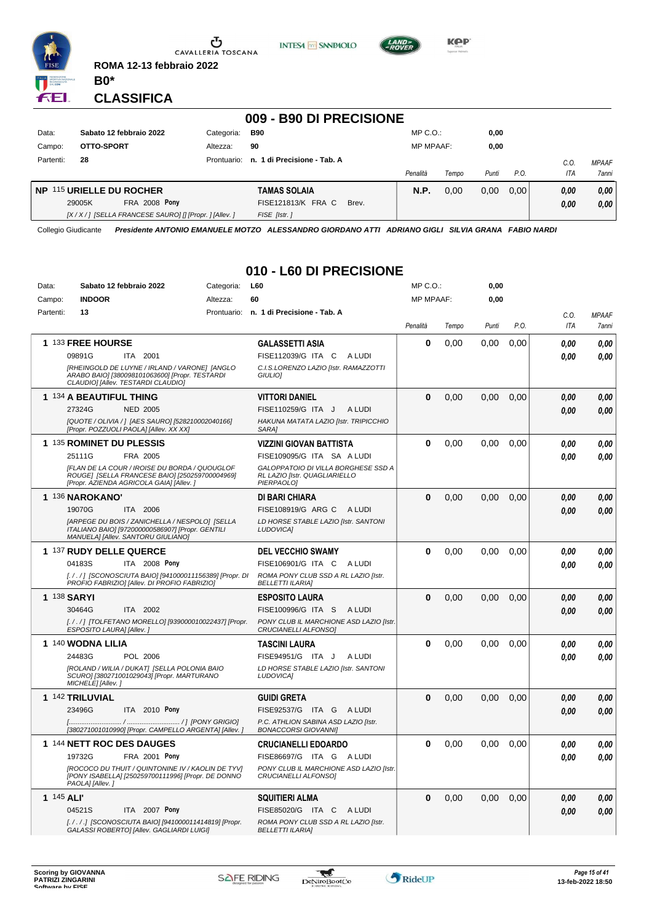

 $\sigma$  cavalleria toscana

**ROMA 12-13 febbraio 2022**

**INTESA** M SANPAOLO



**Kep** 

#### **CLASSIFICA**

**B0\***

|           | 009 - B90 DI PRECISIONE                         |                                                          |             |                             |                  |       |       |      |         |                     |  |
|-----------|-------------------------------------------------|----------------------------------------------------------|-------------|-----------------------------|------------------|-------|-------|------|---------|---------------------|--|
| Data:     |                                                 | Sabato 12 febbraio 2022                                  | Categoria:  | <b>B90</b>                  | $MP C. O.$ :     |       | 0,00  |      |         |                     |  |
| Campo:    | OTTO-SPORT                                      |                                                          | Altezza:    | 90                          | <b>MP MPAAF:</b> |       | 0,00  |      |         |                     |  |
| Partenti: | 28                                              |                                                          | Prontuario: | n. 1 di Precisione - Tab. A |                  |       |       |      | $C_{0}$ | <b>MPAAF</b>        |  |
|           |                                                 |                                                          |             |                             | Penalità         | Tempo | Punti | P.O. | ITA     | <i><b>7anni</b></i> |  |
|           | NP 115 URIELLE DU ROCHER<br><b>TAMAS SOLAIA</b> |                                                          |             | <b>N.P.</b>                 | 0.00             | 0.00  | 0.00  | 0.00 | 0.00    |                     |  |
|           | 29005K                                          | <b>FRA 2008 Pony</b>                                     |             | FISE121813/K FRA C<br>Brev. |                  |       |       |      | 0,00    | 0,00                |  |
|           |                                                 | [X / X / ] [SELLA FRANCESE SAURO] [] [Propr. ] [Allev. ] |             | FISE [Istr.]                |                  |       |       |      |         |                     |  |

Collegio Giudicante *Presidente ANTONIO EMANUELE MOTZO ALESSANDRO GIORDANO ATTI ADRIANO GIGLI SILVIA GRANA FABIO NARDI*

## **010 - L60 DI PRECISIONE**

| Data:      | Sabato 12 febbraio 2022                                                                                                                     | Categoria: | <b>L60</b>                                                                         | MP C. O.         |       | 0,00  |      |            |              |
|------------|---------------------------------------------------------------------------------------------------------------------------------------------|------------|------------------------------------------------------------------------------------|------------------|-------|-------|------|------------|--------------|
| Campo:     | <b>INDOOR</b>                                                                                                                               | Altezza:   | 60                                                                                 | <b>MP MPAAF:</b> |       | 0,00  |      |            |              |
| Partenti:  | 13                                                                                                                                          |            | Prontuario: n. 1 di Precisione - Tab. A                                            |                  |       |       |      | C.O.       | <b>MPAAF</b> |
|            |                                                                                                                                             |            |                                                                                    | Penalità         | Tempo | Punti | P.O. | <b>ITA</b> | 7anni        |
|            | 1 133 FREE HOURSE                                                                                                                           |            | <b>GALASSETTI ASIA</b>                                                             | 0                | 0,00  | 0,00  | 0,00 | 0.00       | 0,00         |
|            | 09891G<br>ITA 2001                                                                                                                          |            | FISE112039/G ITA C<br>A LUDI                                                       |                  |       |       |      | 0.00       | 0.00         |
|            | [RHEINGOLD DE LUYNE / IRLAND / VARONE] [ANGLO<br>ARABO BAIO] [380098101063600] [Propr. TESTARDI<br>CLAUDIO] [Allev. TESTARDI CLAUDIO]       |            | C.I.S.LORENZO LAZIO [Istr. RAMAZZOTTI<br>GIULIO]                                   |                  |       |       |      |            |              |
|            | 1 134 A BEAUTIFUL THING                                                                                                                     |            | <b>VITTORI DANIEL</b>                                                              | 0                | 0,00  | 0,00  | 0,00 | 0.00       | 0.00         |
|            | <b>NED 2005</b><br>27324G                                                                                                                   |            | FISE110259/G ITA J<br>A LUDI                                                       |                  |       |       |      | 0.00       | 0,00         |
|            | [QUOTE / OLIVIA / ] [AES SAURO] [528210002040166]<br>[Propr. POZZUOLI PAOLA] [Allev. XX XX]                                                 |            | HAKUNA MATATA LAZIO [Istr. TRIPICCHIO<br>SARA1                                     |                  |       |       |      |            |              |
|            | 1 135 ROMINET DU PLESSIS                                                                                                                    |            | <b>VIZZINI GIOVAN BATTISTA</b>                                                     | 0                | 0.00  | 0.00  | 0.00 | 0.00       | 0.00         |
|            | 25111G<br>FRA 2005                                                                                                                          |            | FISE109095/G ITA SA A LUDI                                                         |                  |       |       |      | 0.00       | 0.00         |
|            | [FLAN DE LA COUR / IROISE DU BORDA / QUOUGLOF<br>ROUGE] [SELLA FRANCESE BAIO] [250259700004969]<br>[Propr. AZIENDA AGRICOLA GAIA] [Allev. ] |            | GALOPPATOIO DI VILLA BORGHESE SSD A<br>RL LAZIO [Istr. QUAGLIARIELLO<br>PIERPAOLO1 |                  |       |       |      |            |              |
|            | 1 136 NAROKANO'                                                                                                                             |            | DI BARI CHIARA                                                                     | 0                | 0,00  | 0,00  | 0,00 | 0,00       | 0,00         |
|            | 19070G<br>ITA 2006                                                                                                                          |            | FISE108919/G ARG C A LUDI                                                          |                  |       |       |      | 0,00       | 0.00         |
|            | [ARPEGE DU BOIS / ZANICHELLA / NESPOLO] [SELLA<br>ITALIANO BAIO] [972000000586907] [Propr. GENTILI<br>MANUELA] [Allev. SANTORU GIULIANO]    |            | LD HORSE STABLE LAZIO [Istr. SANTONI<br><b>LUDOVICAI</b>                           |                  |       |       |      |            |              |
|            | 1 137 RUDY DELLE QUERCE                                                                                                                     |            | <b>DEL VECCHIO SWAMY</b>                                                           | 0                | 0,00  | 0.00  | 0,00 | 0.00       | 0,00         |
|            | ITA 2008 Pony<br>04183S                                                                                                                     |            | FISE106901/G ITA C A LUDI                                                          |                  |       |       |      | 0.00       | 0.00         |
|            | [././] [SCONOSCIUTA BAIO] [941000011156389] [Propr. DI<br>PROFIO FABRIZIO] [Allev. DI PROFIO FABRIZIO]                                      |            | ROMA PONY CLUB SSD A RL LAZIO [Istr.<br><b>BELLETTI ILARIA]</b>                    |                  |       |       |      |            |              |
|            | <b>1 138 SARYI</b>                                                                                                                          |            | <b>ESPOSITO LAURA</b>                                                              | $\bf{0}$         | 0.00  | 0.00  | 0.00 | 0,00       | 0.00         |
|            | 30464G<br>ITA 2002                                                                                                                          |            | FISE100996/G ITA S<br>A LUDI                                                       |                  |       |       |      | 0.00       | 0.00         |
|            | [././] [TOLFETANO MORELLO] [939000010022437] [Propr.<br>ESPOSITO LAURA] [Allev.]                                                            |            | PONY CLUB IL MARCHIONE ASD LAZIO [Istr.<br>CRUCIANELLI ALFONSO]                    |                  |       |       |      |            |              |
|            | 1 140 WODNA LILIA                                                                                                                           |            | <b>TASCINI LAURA</b>                                                               | 0                | 0,00  | 0,00  | 0,00 | 0.00       | 0,00         |
|            | 24483G<br>POL 2006                                                                                                                          |            | FISE94951/G ITA J<br>A LUDI                                                        |                  |       |       |      | 0.00       | 0.00         |
|            | [ROLAND / WILIA / DUKAT] [SELLA POLONIA BAIO<br>SCURO] [380271001029043] [Propr. MARTURANO<br>MICHELE] [Allev.]                             |            | LD HORSE STABLE LAZIO [Istr. SANTONI<br><b>LUDOVICAI</b>                           |                  |       |       |      |            |              |
|            | 1 142 TRILUVIAL                                                                                                                             |            | <b>GUIDI GRETA</b>                                                                 | 0                | 0,00  | 0,00  | 0,00 | 0.00       | 0.00         |
|            | 23496G<br>ITA 2010 Pony                                                                                                                     |            | FISE92537/G ITA G<br>A LUDI                                                        |                  |       |       |      | 0.00       | 0,00         |
|            | [380271001010990] [Propr. CAMPELLO ARGENTA] [Allev. ]                                                                                       |            | P.C. ATHLION SABINA ASD LAZIO [Istr.<br><b>BONACCORSI GIOVANNII</b>                |                  |       |       |      |            |              |
|            | 1 144 NETT ROC DES DAUGES                                                                                                                   |            | <b>CRUCIANELLI EDOARDO</b>                                                         | 0                | 0,00  | 0.00  | 0,00 | 0.00       | 0.00         |
|            | 19732G<br><b>FRA 2001 Pony</b>                                                                                                              |            | FISE86697/G ITA G ALUDI                                                            |                  |       |       |      | 0.00       | 0.00         |
|            | [ROCOCO DU THUIT / QUINTONINE IV / KAOLIN DE TYV]<br>[PONY ISABELLA] [250259700111996] [Propr. DE DONNO<br>PAOLA] [Allev.]                  |            | PONY CLUB IL MARCHIONE ASD LAZIO [Istr.<br>CRUCIANELLI ALFONSO]                    |                  |       |       |      |            |              |
| 1 145 ALI' |                                                                                                                                             |            | <b>SQUITIERI ALMA</b>                                                              | 0                | 0,00  | 0,00  | 0,00 | 0,00       | 0,00         |
|            | 04521S<br>ITA 2007 Pony                                                                                                                     |            | FISE85020/G ITA C ALUDI                                                            |                  |       |       |      | 0.00       | 0.00         |
|            | [././.] [SCONOSCIUTA BAIO] [941000011414819] [Propr.<br>GALASSI ROBERTO] [Allev. GAGLIARDI LUIGI]                                           |            | ROMA PONY CLUB SSD A RL LAZIO [Istr.<br><b>BELLETTI ILARIA]</b>                    |                  |       |       |      |            |              |

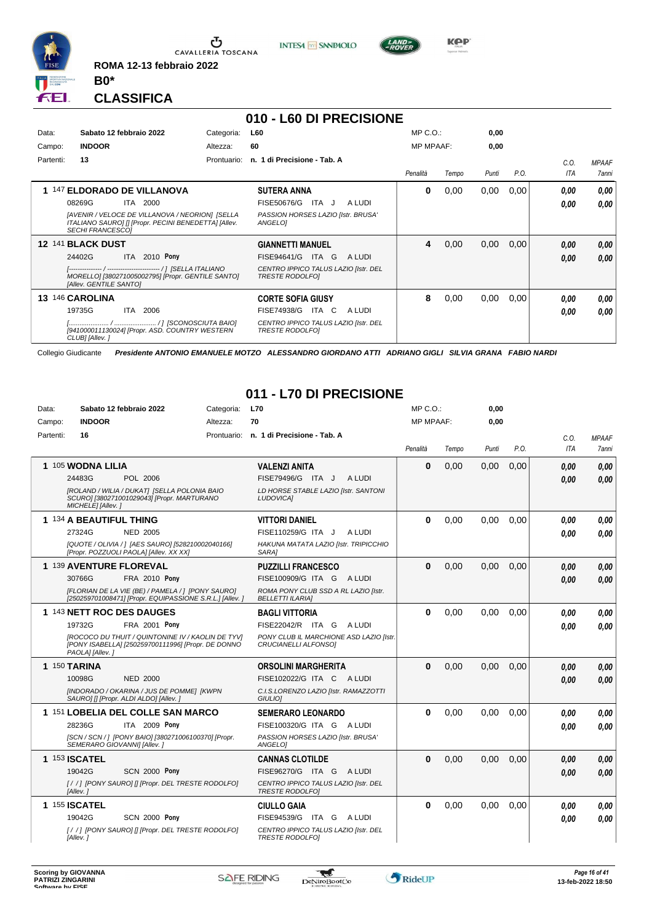

**ROMA 12-13 febbraio 2022 B0\***





**CLASSIFICA**

## **010 - L60 DI PRECISIONE**

| Data:<br>Campo: | Sabato 12 febbraio 2022<br><b>INDOOR</b>                                                                                                                                                   | Categoria:<br>Altezza: | <b>L60</b><br>60                                                                                                             | $MP C. O.$ :<br><b>MP MPAAF:</b> |       | 0,00<br>0,00 |      |                    |                                     |
|-----------------|--------------------------------------------------------------------------------------------------------------------------------------------------------------------------------------------|------------------------|------------------------------------------------------------------------------------------------------------------------------|----------------------------------|-------|--------------|------|--------------------|-------------------------------------|
| Partenti:       | 13                                                                                                                                                                                         | Prontuario:            | n. 1 di Precisione - Tab. A                                                                                                  | Penalità                         | Tempo | Punti        | P.O. | C.0.<br><b>ITA</b> | <b>MPAAF</b><br><i><b>7anni</b></i> |
|                 | 1 147 ELDORADO DE VILLANOVA<br>2000<br>08269G<br>ITA<br>[AVENIR / VELOCE DE VILLANOVA / NEORION] [SELLA<br>ITALIANO SAURO] [] [Propr. PECINI BENEDETTA] [Allev.<br><b>SECHI FRANCESCO1</b> |                        | <b>SUTERA ANNA</b><br>FISE50676/G<br>ITA J<br>A LUDI<br>PASSION HORSES LAZIO [Istr. BRUSA'<br>ANGELO]                        | 0                                | 0,00  | 0,00         | 0,00 | 0.00<br>0,00       | 0,00<br>0.00                        |
|                 | 12 141 BLACK DUST<br>2010 Pony<br>24402G<br><b>ITA</b><br>MORELLO] [380271005002795] [Propr. GENTILE SANTO]<br>[Allev. GENTILE SANTO]                                                      |                        | <b>GIANNETTI MANUEL</b><br>FISE94641/G<br>ITA G<br>A LUDI<br>CENTRO IPPICO TALUS LAZIO [Istr. DEL<br><b>TRESTE RODOLFOI</b>  | 4                                | 0,00  | 0,00         | 0,00 | 0,00<br>0.00       | 0,00<br>0,00                        |
| 13              | 146 CAROLINA<br>19735G<br>ITA<br>2006<br>[941000011130024] [Propr. ASD. COUNTRY WESTERN<br>CLUB] [Allev.]                                                                                  |                        | <b>CORTE SOFIA GIUSY</b><br>FISE74938/G<br>ITA C<br>A LUDI<br>CENTRO IPPICO TALUS LAZIO [Istr. DEL<br><b>TRESTE RODOLFOI</b> | 8                                | 0,00  | 0,00         | 0,00 | 0,00<br>0,00       | 0.00<br>0.00                        |

Collegio Giudicante *Presidente ANTONIO EMANUELE MOTZO ALESSANDRO GIORDANO ATTI ADRIANO GIGLI SILVIA GRANA FABIO NARDI*

#### **011 - L70 DI PRECISIONE**

| Data:     | Sabato 12 febbraio 2022                                                                                                                                                            | Categoria: | <b>L70</b>                                                                                                                   | MP C. O.         |       | 0,00  |      |              |                       |
|-----------|------------------------------------------------------------------------------------------------------------------------------------------------------------------------------------|------------|------------------------------------------------------------------------------------------------------------------------------|------------------|-------|-------|------|--------------|-----------------------|
| Campo:    | <b>INDOOR</b>                                                                                                                                                                      | Altezza:   | 70                                                                                                                           | <b>MP MPAAF:</b> |       | 0,00  |      |              |                       |
| Partenti: | 16                                                                                                                                                                                 |            | Prontuario: n. 1 di Precisione - Tab. A                                                                                      | Penalità         | Tempo | Punti | P.O. | C.O.<br>ITA  | <b>MPAAF</b><br>7anni |
|           | 1 105 WODNA LILIA<br>24483G<br>POL 2006<br>[ROLAND / WILIA / DUKAT] [SELLA POLONIA BAIO<br>SCURO] [380271001029043] [Propr. MARTURANO                                              |            | <b>VALENZI ANITA</b><br>FISE79496/G ITA J<br>A LUDI<br>LD HORSE STABLE LAZIO [Istr. SANTONI<br><b>LUDOVICAI</b>              | $\bf{0}$         | 0.00  | 0,00  | 0,00 | 0.00<br>0.00 | 0.00<br>0.00          |
|           | MICHELE] [Allev.]<br>1 134 A BEAUTIFUL THING<br>27324G<br><b>NED 2005</b><br>[QUOTE / OLIVIA / ] [AES SAURO] [528210002040166]<br>[Propr. POZZUOLI PAOLA] [Allev. XX XX]           |            | <b>VITTORI DANIEL</b><br>FISE110259/G ITA J<br>A LUDI<br>HAKUNA MATATA LAZIO [Istr. TRIPICCHIO<br>SARA1                      | $\bf{0}$         | 0,00  | 0.00  | 0.00 | 0.00<br>0.00 | 0.00<br>0.00          |
|           | 1 139 AVENTURE FLOREVAL<br>30766G<br><b>FRA 2010 Pony</b><br>[FLORIAN DE LA VIE (BE) / PAMELA / 1 [PONY SAURO]<br>[250259701008471] [Propr. EQUIPASSIONE S.R.L.] [Allev. ]         |            | <b>PUZZILLI FRANCESCO</b><br>FISE100909/G ITA G<br>A LUDI<br>ROMA PONY CLUB SSD A RL LAZIO [Istr.<br><b>BELLETTI ILARIAI</b> | $\bf{0}$         | 0,00  | 0,00  | 0,00 | 0.00<br>0.00 | 0.00<br>0.00          |
|           | 1 143 NETT ROC DES DAUGES<br>FRA 2001 Pony<br>19732G<br>[ROCOCO DU THUIT / QUINTONINE IV / KAOLIN DE TYV]<br>[PONY ISABELLA] [250259700111996] [Propr. DE DONNO<br>PAOLA] [Allev.] |            | <b>BAGLI VITTORIA</b><br>FISE22042/R ITA G<br>A LUDI<br>PONY CLUB IL MARCHIONE ASD LAZIO [Istr.<br>CRUCIANELLI ALFONSO1      | $\bf{0}$         | 0,00  | 0,00  | 0,00 | 0.00<br>0.00 | 0.00<br>0,00          |
|           | 1 150 TARINA<br>10098G<br><b>NED 2000</b><br>[INDORADO / OKARINA / JUS DE POMME] [KWPN<br>SAURO] [] [Propr. ALDI ALDO] [Allev.]                                                    |            | <b>ORSOLINI MARGHERITA</b><br>FISE102022/G ITA C ALUDI<br>C.I.S.LORENZO LAZIO [Istr. RAMAZZOTTI<br><b>GIULIOI</b>            | $\Omega$         | 0,00  | 0.00  | 0,00 | 0.00<br>0.00 | 0,00<br>0.00          |
|           | 1 151 LOBELIA DEL COLLE SAN MARCO<br>28236G<br><b>ITA 2009 Pony</b><br>[SCN / SCN / ] [PONY BAIO] [380271006100370] [Propr.<br>SEMERARO GIOVANNI] [Allev.]                         |            | <b>SEMERARO LEONARDO</b><br>FISE100320/G ITA G ALUDI<br>PASSION HORSES LAZIO [Istr. BRUSA'<br>ANGELOI                        | $\bf{0}$         | 0,00  | 0.00  | 0.00 | 0.00<br>0.00 | 0.00<br>0.00          |
|           | 1 153 <b>ISCATEL</b><br>19042G<br><b>SCN 2000 Pony</b><br>[//] [PONY SAURO] [] [Propr. DEL TRESTE RODOLFO]<br>[Allev.]                                                             |            | <b>CANNAS CLOTILDE</b><br>FISE96270/G ITA G ALUDI<br>CENTRO IPPICO TALUS LAZIO [Istr. DEL<br><b>TRESTE RODOLFOI</b>          | $\Omega$         | 0.00  | 0.00  | 0.00 | 0.00<br>0.00 | 0,00<br>0.00          |
|           | <b>1 155 ISCATEL</b><br><b>SCN 2000 Pony</b><br>19042G<br>[//] [PONY SAURO] [] [Propr. DEL TRESTE RODOLFO]<br>[Allev.]                                                             |            | <b>CIULLO GAIA</b><br>FISE94539/G ITA G ALUDI<br>CENTRO IPPICO TALUS LAZIO [Istr. DEL<br><b>TRESTE RODOLFOI</b>              | $\bf{0}$         | 0,00  | 0,00  | 0,00 | 0.00<br>0.00 | 0.00<br>0.00          |

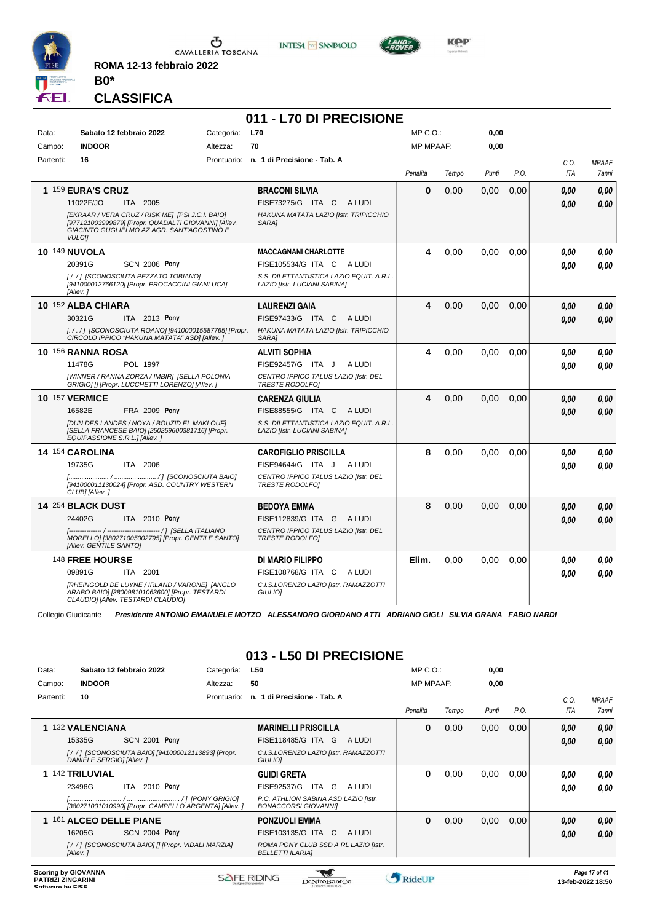

**ROMA 12-13 febbraio 2022 B0\***

#### **CLASSIFICA**

### **011 - L70 DI PRECISIONE**

**INTESA** M SANPAOLO

**Kep** 

| Data:                 | Sabato 12 febbraio 2022                                                                                                                                                 | Categoria: | <b>L70</b>                                                               | MP C.O.:         |       | 0,00  |      |      |              |
|-----------------------|-------------------------------------------------------------------------------------------------------------------------------------------------------------------------|------------|--------------------------------------------------------------------------|------------------|-------|-------|------|------|--------------|
| Campo:                | <b>INDOOR</b>                                                                                                                                                           | Altezza:   | 70                                                                       | <b>MP MPAAF:</b> |       | 0,00  |      |      |              |
| Partenti:             | 16                                                                                                                                                                      |            | Prontuario: n. 1 di Precisione - Tab. A                                  |                  |       |       |      | C.0. | <b>MPAAF</b> |
|                       |                                                                                                                                                                         |            |                                                                          | Penalità         | Tempo | Punti | P.O. | ITA  | 7anni        |
|                       | 1 159 EURA'S CRUZ                                                                                                                                                       |            | <b>BRACONI SILVIA</b>                                                    | $\bf{0}$         | 0,00  | 0,00  | 0,00 | 0.00 | 0,00         |
|                       | 11022F/JO<br>ITA 2005                                                                                                                                                   |            | FISE73275/G ITA C<br>A LUDI                                              |                  |       |       |      | 0.00 | 0.00         |
|                       | [EKRAAR / VERA CRUZ / RISK ME] [PSI J.C.I. BAIO]<br>[977121003999879] [Propr. QUADALTI GIOVANNI] [Allev.<br>GIACINTO GUGLIELMO AZ AGR. SANT'AGOSTINO E<br><b>VULCII</b> |            | HAKUNA MATATA LAZIO [Istr. TRIPICCHIO<br><b>SARAI</b>                    |                  |       |       |      |      |              |
| <b>10 149 NUVOLA</b>  |                                                                                                                                                                         |            | <b>MACCAGNANI CHARLOTTE</b>                                              | 4                | 0,00  | 0,00  | 0.00 | 0.00 | 0,00         |
|                       | 20391G<br><b>SCN 2006 Pony</b>                                                                                                                                          |            | FISE105534/G ITA C ALUDI                                                 |                  |       |       |      | 0.00 | 0.00         |
|                       | [//] [SCONOSCIUTA PEZZATO TOBIANO]<br>[941000012766120] [Propr. PROCACCINI GIANLUCA]<br>[Allev.]                                                                        |            | S.S. DILETTANTISTICA LAZIO EQUIT. A R.L.<br>LAZIO [Istr. LUCIANI SABINA] |                  |       |       |      |      |              |
|                       | 10 152 ALBA CHIARA                                                                                                                                                      |            | <b>LAURENZI GAIA</b>                                                     | 4                | 0.00  | 0.00  | 0.00 | 0.00 | 0.00         |
|                       | 30321G<br>ITA 2013 Pony                                                                                                                                                 |            | FISE97433/G ITA C<br>A LUDI                                              |                  |       |       |      | 0.00 | 0,00         |
|                       | [././] [SCONOSCIUTA ROANO] [941000015587765] [Propr.<br>CIRCOLO IPPICO "HAKUNA MATATA" ASDI [Allev. ]                                                                   |            | HAKUNA MATATA LAZIO [Istr. TRIPICCHIO<br><b>SARA1</b>                    |                  |       |       |      |      |              |
|                       | <b>10 156 RANNA ROSA</b>                                                                                                                                                |            | <b>ALVITI SOPHIA</b>                                                     | 4                | 0.00  | 0.00  | 0.00 | 0.00 | 0.00         |
|                       | 11478G<br>POL 1997                                                                                                                                                      |            | FISE92457/G ITA J<br>A LUDI                                              |                  |       |       |      | 0.00 | 0,00         |
|                       | [WINNER / RANNA ZORZA / IMBIR] [SELLA POLONIA<br>GRIGIO] [] [Propr. LUCCHETTI LORENZO] [Allev.]                                                                         |            | CENTRO IPPICO TALUS LAZIO [Istr. DEL<br><b>TRESTE RODOLFOI</b>           |                  |       |       |      |      |              |
| <b>10 157 VERMICE</b> |                                                                                                                                                                         |            | <b>CARENZA GIULIA</b>                                                    | 4                | 0,00  | 0.00  | 0.00 | 0,00 | 0.00         |
|                       | 16582E<br>FRA 2009 Pony                                                                                                                                                 |            | FISE88555/G ITA C<br>A LUDI                                              |                  |       |       |      | 0.00 | 0,00         |
|                       | [DUN DES LANDES / NOYA / BOUZID EL MAKLOUF]<br>[SELLA FRANCESE BAIO] [250259600381716] [Propr.<br>EQUIPASSIONE S.R.L.] [Allev.]                                         |            | S.S. DILETTANTISTICA LAZIO EQUIT. A R.L.<br>LAZIO [Istr. LUCIANI SABINA] |                  |       |       |      |      |              |
|                       | 14 154 CAROLINA                                                                                                                                                         |            | <b>CAROFIGLIO PRISCILLA</b>                                              | 8                | 0,00  | 0,00  | 0,00 | 0.00 | 0,00         |
|                       | 19735G<br>ITA 2006                                                                                                                                                      |            | FISE94644/G ITA J<br>A LUDI                                              |                  |       |       |      | 0.00 | 0.00         |
|                       | [941000011130024] [Propr. ASD. COUNTRY WESTERN<br>CLUB] [Allev.]                                                                                                        |            | CENTRO IPPICO TALUS LAZIO [Istr. DEL<br><b>TRESTE RODOLFOI</b>           |                  |       |       |      |      |              |
|                       | 14 254 BLACK DUST                                                                                                                                                       |            | <b>BEDOYA EMMA</b>                                                       | 8                | 0,00  | 0,00  | 0,00 | 0.00 | 0.00         |
|                       | ITA 2010 Pony<br>24402G                                                                                                                                                 |            | FISE112839/G ITA G ALUDI                                                 |                  |       |       |      | 0.00 | 0,00         |
|                       | MORELLO] [380271005002795] [Propr. GENTILE SANTO]<br>[Allev. GENTILE SANTO]                                                                                             |            | CENTRO IPPICO TALUS LAZIO [Istr. DEL<br><b>TRESTE RODOLFOI</b>           |                  |       |       |      |      |              |
|                       | 148 FREE HOURSE                                                                                                                                                         |            | <b>DI MARIO FILIPPO</b>                                                  | Elim.            | 0.00  | 0,00  | 0.00 | 0.00 | 0.00         |
|                       | 09891G<br>ITA 2001                                                                                                                                                      |            | FISE108768/G ITA C<br>A LUDI                                             |                  |       |       |      | 0.00 | 0.00         |
|                       | [RHEINGOLD DE LUYNE / IRLAND / VARONE] [ANGLO<br>ARABO BAIO] [380098101063600] [Propr. TESTARDI<br>CLAUDIO] [Allev. TESTARDI CLAUDIO]                                   |            | C.I.S.LORENZO LAZIO [Istr. RAMAZZOTTI<br>GIULIO]                         |                  |       |       |      |      |              |

Collegio Giudicante *Presidente ANTONIO EMANUELE MOTZO ALESSANDRO GIORDANO ATTI ADRIANO GIGLI SILVIA GRANA FABIO NARDI*

#### **013 - L50 DI PRECISIONE**

| Data:<br>Campo: | Sabato 12 febbraio 2022<br><b>INDOOR</b>                                       | Categoria:<br>Altezza: | L50<br>50                                                           | $MP C. O.$ :<br><b>MP MPAAF:</b> |       | 0,00<br>0,00 |      |             |                       |
|-----------------|--------------------------------------------------------------------------------|------------------------|---------------------------------------------------------------------|----------------------------------|-------|--------------|------|-------------|-----------------------|
| Partenti:       | 10                                                                             | Prontuario:            | n. 1 di Precisione - Tab. A                                         | Penalità                         | Tempo | Punti        | P.O. | C.O.<br>ITA | <b>MPAAF</b><br>7anni |
|                 | 132 VALENCIANA                                                                 |                        | <b>MARINELLI PRISCILLA</b>                                          | 0                                | 0,00  | 0,00         | 0,00 | 0,00        | 0.00                  |
|                 | <b>SCN 2001 Pony</b><br>15335G                                                 |                        | FISE118485/G ITA G<br>A LUDI                                        |                                  |       |              |      | 0,00        | 0.00                  |
|                 | [/ /] [SCONOSCIUTA BAIO] [941000012113893] [Propr.<br>DANIELE SERGIO] [Allev.] |                        | C.I.S.LORENZO LAZIO [Istr. RAMAZZOTTI<br>GIULIOI                    |                                  |       |              |      |             |                       |
|                 | 142 TRILUVIAL                                                                  |                        | <b>GUIDI GRETA</b>                                                  | 0                                | 0,00  | 0,00         | 0,00 | 0,00        | 0.00                  |
|                 | 2010 Pony<br>23496G<br>ITA I                                                   |                        | FISE92537/G<br>ITA G<br>A LUDI                                      |                                  |       |              |      | 0,00        | 0.00                  |
|                 | [380271001010990] [Propr. CAMPELLO ARGENTA] [Allev. ]                          |                        | P.C. ATHLION SABINA ASD LAZIO [Istr.<br><b>BONACCORSI GIOVANNII</b> |                                  |       |              |      |             |                       |
|                 | 161 ALCEO DELLE PIANE                                                          |                        | <b>PONZUOLI EMMA</b>                                                | 0                                | 0,00  | 0,00         | 0,00 | 0,00        | 0,00                  |
|                 | <b>SCN 2004 Pony</b><br>16205G                                                 |                        | FISE103135/G ITA C<br>A LUDI                                        |                                  |       |              |      | 0,00        | 0.00                  |
|                 | [/ /] [SCONOSCIUTA BAIO] [] [Propr. VIDALI MARZIA]<br>[Allev.]                 |                        | ROMA PONY CLUB SSD A RL LAZIO [Istr.<br><b>BELLETTI ILARIAI</b>     |                                  |       |              |      |             |                       |
|                 |                                                                                |                        |                                                                     |                                  |       |              |      |             |                       |

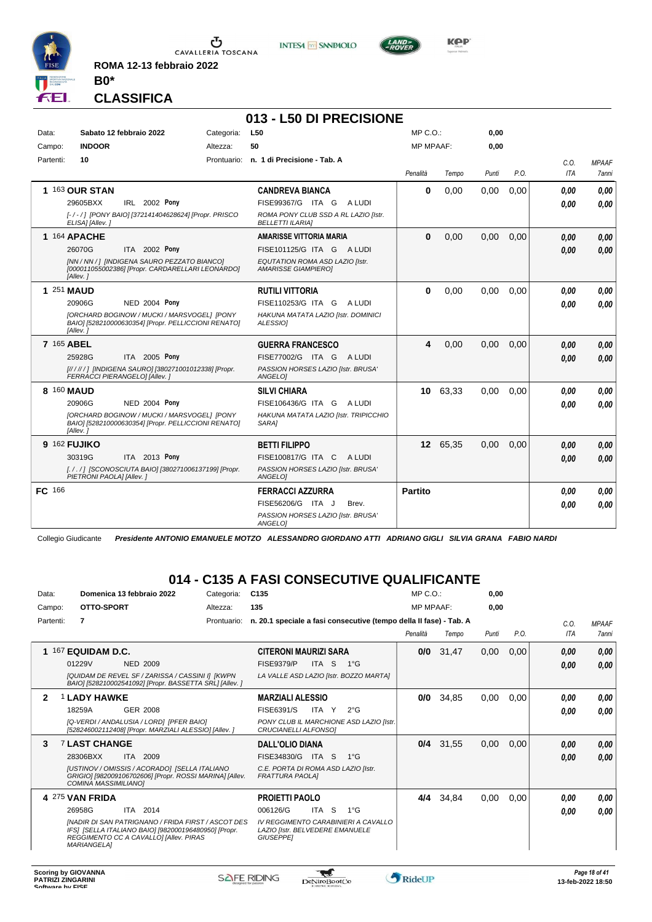

**ROMA 12-13 febbraio 2022**

**INTESA** M SANPAOLO



**Kep** 

#### **CLASSIFICA**

**B0\***

|           |                               |                                                                                                    |            | 013 - L50 DI PRECISIONE                                         |                  |          |       |      |             |                       |
|-----------|-------------------------------|----------------------------------------------------------------------------------------------------|------------|-----------------------------------------------------------------|------------------|----------|-------|------|-------------|-----------------------|
| Data:     |                               | Sabato 12 febbraio 2022                                                                            | Categoria: | L50                                                             | $MP C. O.$ :     |          | 0,00  |      |             |                       |
| Campo:    | <b>INDOOR</b>                 |                                                                                                    | Altezza:   | 50                                                              | <b>MP MPAAF:</b> |          | 0,00  |      |             |                       |
| Partenti: | 10                            |                                                                                                    |            | Prontuario: n. 1 di Precisione - Tab. A                         | Penalità         | Tempo    | Punti | P.O. | C.O.<br>ITA | <b>MPAAF</b><br>7anni |
|           | 1 163 OUR STAN                |                                                                                                    |            | <b>CANDREVA BIANCA</b>                                          | $\bf{0}$         | 0.00     | 0.00  | 0.00 | 0.00        | 0.00                  |
|           | 29605BXX                      | IRL 2002 Pony                                                                                      |            | FISE99367/G ITA G<br>A LUDI                                     |                  |          |       |      | 0.00        | 0.00                  |
|           | ELISA] [Allev.]               | [-/-/] [PONY BAIO] [372141404628624] [Propr. PRISCO                                                |            | ROMA PONY CLUB SSD A RL LAZIO [Istr.<br><b>BELLETTI ILARIA]</b> |                  |          |       |      |             |                       |
|           | 1 164 APACHE                  |                                                                                                    |            | <b>AMARISSE VITTORIA MARIA</b>                                  | $\bf{0}$         | 0,00     | 0.00  | 0.00 | 0.00        | 0.00                  |
|           | 26070G                        | ITA 2002 Pony                                                                                      |            | FISE101125/G ITA G ALUDI                                        |                  |          |       |      | 0.00        | 0.00                  |
|           | [Allev.]                      | [NN / NN / ] [INDIGENA SAURO PEZZATO BIANCO]<br>[000011055002386] [Propr. CARDARELLARI LEONARDO]   |            | EQUTATION ROMA ASD LAZIO [Istr.<br><b>AMARISSE GIAMPIEROI</b>   |                  |          |       |      |             |                       |
|           | 1 251 MAUD                    |                                                                                                    |            | <b>RUTILI VITTORIA</b>                                          | $\bf{0}$         | 0,00     | 0.00  | 0.00 | 0.00        | 0,00                  |
|           | 20906G                        | <b>NED 2004 Pony</b>                                                                               |            | FISE110253/G ITA G<br>A LUDI                                    |                  |          |       |      | 0,00        | 0.00                  |
|           | [Allev.]                      | [ORCHARD BOGINOW / MUCKI / MARSVOGEL] [PONY<br>BAIO] [528210000630354] [Propr. PELLICCIONI RENATO] |            | HAKUNA MATATA LAZIO [Istr. DOMINICI<br>ALESSIOI                 |                  |          |       |      |             |                       |
|           | 7 165 ABEL                    |                                                                                                    |            | <b>GUERRA FRANCESCO</b>                                         | 4                | 0,00     | 0,00  | 0,00 | 0,00        | 0.00                  |
|           | 25928G                        | ITA 2005 Pony                                                                                      |            | FISE77002/G ITA G ALUDI                                         |                  |          |       |      | 0,00        | 0.00                  |
|           | FERRACCI PIERANGELO] [Allev.] | [////// ] [INDIGENA SAURO] [380271001012338] [Propr.                                               |            | PASSION HORSES LAZIO [Istr. BRUSA'<br>ANGELOI                   |                  |          |       |      |             |                       |
|           | 8 160 MAUD                    |                                                                                                    |            | <b>SILVI CHIARA</b>                                             | 10 <sup>1</sup>  | 63,33    | 0,00  | 0.00 | 0,00        | 0.00                  |
|           | 20906G                        | NED 2004 Pony                                                                                      |            | FISE106436/G ITA G ALUDI                                        |                  |          |       |      | 0.00        | 0.00                  |
|           | [Allev.]                      | [ORCHARD BOGINOW / MUCKI / MARSVOGEL] [PONY<br>BAIO] [528210000630354] [Propr. PELLICCIONI RENATO] |            | HAKUNA MATATA LAZIO [Istr. TRIPICCHIO<br>SARA1                  |                  |          |       |      |             |                       |
|           | 9 162 FUJIKO                  |                                                                                                    |            | <b>BETTI FILIPPO</b>                                            |                  | 12 65.35 | 0.00  | 0.00 | 0.00        | 0,00                  |
|           | 30319G                        | ITA 2013 Pony                                                                                      |            | FISE100817/G ITA C<br>A LUDI                                    |                  |          |       |      | 0.00        | 0.00                  |
|           | PIETRONI PAOLA] [Allev.]      | [././] [SCONOSCIUTA BAIO] [380271006137199] [Propr.                                                |            | PASSION HORSES LAZIO [Istr. BRUSA'<br>ANGELOI                   |                  |          |       |      |             |                       |
| FC 166    |                               |                                                                                                    |            | <b>FERRACCI AZZURRA</b>                                         | <b>Partito</b>   |          |       |      | 0,00        | 0.00                  |
|           |                               |                                                                                                    |            | FISE56206/G ITA J<br>Brev.                                      |                  |          |       |      | 0.00        | 0.00                  |
|           |                               |                                                                                                    |            | PASSION HORSES LAZIO [Istr. BRUSA'<br>ANGELO]                   |                  |          |       |      |             |                       |

Collegio Giudicante *Presidente ANTONIO EMANUELE MOTZO ALESSANDRO GIORDANO ATTI ADRIANO GIGLI SILVIA GRANA FABIO NARDI*

#### **014 - C135 A FASI CONSECUTIVE QUALIFICANTE**

| Data:        |                     | Domenica 13 febbraio 2022 |                                                                                                                                                      | Categoria:  | C <sub>135</sub>                                              |       |                                                                    | $MP C. O.$ :     |       | 0,00  |      |            |              |
|--------------|---------------------|---------------------------|------------------------------------------------------------------------------------------------------------------------------------------------------|-------------|---------------------------------------------------------------|-------|--------------------------------------------------------------------|------------------|-------|-------|------|------------|--------------|
| Campo:       |                     | OTTO-SPORT                |                                                                                                                                                      | Altezza:    | 135                                                           |       |                                                                    | <b>MP MPAAF:</b> |       | 0.00  |      |            |              |
| Partenti:    | 7                   |                           |                                                                                                                                                      | Prontuario: |                                                               |       | n. 20.1 speciale a fasi consecutive (tempo della Il fase) - Tab. A |                  |       |       |      | C.0.       | <b>MPAAF</b> |
|              |                     |                           |                                                                                                                                                      |             |                                                               |       |                                                                    | Penalità         | Tempo | Punti | P.O. | <b>ITA</b> | <b>7anni</b> |
|              | 167 EQUIDAM D.C.    |                           |                                                                                                                                                      |             | <b>CITERONI MAURIZI SARA</b>                                  |       |                                                                    | 0/0              | 31,47 | 0,00  | 0,00 | 0.00       | 0,00         |
|              | 01229V              |                           | <b>NED 2009</b>                                                                                                                                      |             | <b>FISE9379/P</b>                                             | ITA S | $1^{\circ}G$                                                       |                  |       |       |      | 0.00       | 0,00         |
|              |                     |                           | [QUIDAM DE REVEL SF / ZARISSA / CASSINI I] [KWPN<br>BAIO] [528210002541092] [Propr. BASSETTA SRL] [Allev. ]                                          |             |                                                               |       | LA VALLE ASD LAZIO [Istr. BOZZO MARTA]                             |                  |       |       |      |            |              |
| $\mathbf{2}$ | <b>1 LADY HAWKE</b> |                           |                                                                                                                                                      |             | <b>MARZIALI ALESSIO</b>                                       |       |                                                                    | 0/0              | 34,85 | 0,00  | 0,00 | 0.00       | 0,00         |
|              | 18259A              |                           | <b>GER 2008</b>                                                                                                                                      |             | FISE6391/S                                                    | ITA Y | $2^{\circ}$ G                                                      |                  |       |       |      | 0.00       | 0.00         |
|              |                     |                           | [Q-VERDI / ANDALUSIA / LORD] [PFER BAIO]<br>[528246002112408] [Propr. MARZIALI ALESSIO] [Allev. ]                                                    |             | CRUCIANELLI ALFONSO]                                          |       | PONY CLUB IL MARCHIONE ASD LAZIO [Istr.                            |                  |       |       |      |            |              |
| 3            |                     | <b>7 LAST CHANGE</b>      |                                                                                                                                                      |             | <b>DALL'OLIO DIANA</b>                                        |       |                                                                    | 0/4              | 31,55 | 0,00  | 0,00 | 0,00       | 0,00         |
|              | 28306BXX            | ITA.                      | 2009                                                                                                                                                 |             | FISE34830/G                                                   | ITA S | $1^{\circ}G$                                                       |                  |       |       |      | 0,00       | 0,00         |
|              |                     | COMINA MASSIMILIANO]      | <b>IUSTINOV / OMISSIS / ACORADOI ISELLA ITALIANO</b><br>GRIGIO] [982009106702606] [Propr. ROSSI MARINA] [Allev.                                      |             | C.E. PORTA DI ROMA ASD LAZIO [Istr.<br><b>FRATTURA PAOLAI</b> |       |                                                                    |                  |       |       |      |            |              |
|              | 4 275 VAN FRIDA     |                           |                                                                                                                                                      |             | <b>PROJETTI PAOLO</b>                                         |       |                                                                    | 4/4              | 34,84 | 0,00  | 0,00 | 0.00       | 0.00         |
|              | 26958G              |                           | ITA 2014                                                                                                                                             |             | 006126/G                                                      | ITA S | $1^{\circ}$ G                                                      |                  |       |       |      | 0.00       | 0.00         |
|              | <b>MARIANGELA1</b>  |                           | [NADIR DI SAN PATRIGNANO / FRIDA FIRST / ASCOT DES<br>IFS] [SELLA ITALIANO BAIO] [982000196480950] [Propr.<br>REGGIMENTO CC A CAVALLO] [Allev. PIRAS |             | <b>LAZIO [Istr. BELVEDERE EMANUELE</b><br><b>GIUSEPPEI</b>    |       | IV REGGIMENTO CARABINIERI A CAVALLO                                |                  |       |       |      |            |              |

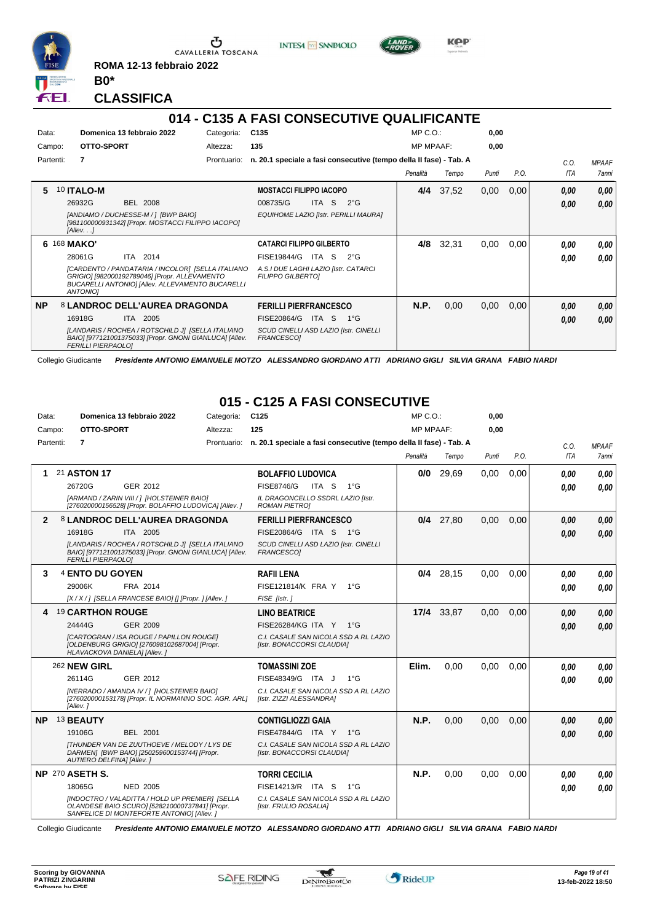

**ROMA 12-13 febbraio 2022**

**INTESA** M SANPAOLO



KOP

**CLASSIFICA**

**B0\***

#### **014 - C135 A FASI CONSECUTIVE QUALIFICANTE** Data: **Domenica 13 febbraio 2022** Categoria: C135 Prontuario: **n. 20.1 speciale a fasi consecutive (tempo della II fase) - Tab. A** Campo: **OTTO-SPORT** Partenti: **7** Altezza: **135** MP C.O.: MP MPAAF: **0,00 0,00** *Penalità Tempo Punti P.O. C.O. ITA MPAAF 7anni* **5** 10 **ITALO-M** BEL 2008 **MOSTACCI FILIPPO IACOPO** *[ANDIAMO / DUCHESSE-M / ] [BWP BAIO] [981100000931342] [Propr. MOSTACCI FILIPPO IACOPO] [Allev. . .] EQUIHOME LAZIO [Istr. PERILLI MAURA]* ITA S 2°G **4/4** 37,52 0,00 0,00 *0,00 0,00 0,00* 26932G 008735/G *0,00* **6** 168 **MAKO'** ITA 2014 **CATARCI FILIPPO GILBERTO** *[CARDENTO / PANDATARIA / INCOLOR] [SELLA ITALIANO GRIGIO] [982000192789046] [Propr. ALLEVAMENTO BUCARELLI ANTONIO] [Allev. ALLEVAMENTO BUCARELLI ANTONIO] A.S.I DUE LAGHI LAZIO [Istr. CATARCI FILIPPO GILBERTO]* 28061G ITA 2014 FISE19844/G ITA S 2°G **0,00 0,00 4/8** 32,31 0,00 0,00 *0,00 0,00 0,00* **NP** 8 **LANDROC DELL'AUREA DRAGONDA** ITA 2005 **FERILLI PIERFRANCESCO** *[LANDARIS / ROCHEA / ROTSCHILD J] [SELLA ITALIANO BAIO] [977121001375033] [Propr. GNONI GIANLUCA] [Allev. FERILLI PIERPAOLO] SCUD CINELLI ASD LAZIO [Istr. CINELLI FRANCESCO]* 16918G ITA 2005 FISE20864/G ITA S 1°G **0,00 0,00 N.P.** 0,00 0,00 0,00 *0,00 0,00 0,00*

Collegio Giudicante *Presidente ANTONIO EMANUELE MOTZO ALESSANDRO GIORDANO ATTI ADRIANO GIGLI SILVIA GRANA FABIO NARDI*

# **015 - C125 A FASI CONSECUTIVE**

| Data: |           |                              | Domenica 13 febbraio 2022                                                                                                                       | Categoria: | C <sub>125</sub>                                                               | $MP C. O.$ :     |             | 0.00  |      |      |                     |
|-------|-----------|------------------------------|-------------------------------------------------------------------------------------------------------------------------------------------------|------------|--------------------------------------------------------------------------------|------------------|-------------|-------|------|------|---------------------|
|       | Campo:    | <b>OTTO-SPORT</b>            |                                                                                                                                                 | Altezza:   | 125                                                                            | <b>MP MPAAF:</b> |             | 0.00  |      |      |                     |
|       | Partenti: | $\overline{7}$               |                                                                                                                                                 |            | Prontuario: n. 20.1 speciale a fasi consecutive (tempo della II fase) - Tab. A |                  |             |       |      | C.O. | <b>MPAAF</b>        |
|       |           |                              |                                                                                                                                                 |            |                                                                                | Penalità         | Tempo       | Punti | P.O. | ITA  | <i><b>7anni</b></i> |
|       |           | 21 ASTON 17                  |                                                                                                                                                 |            | <b>BOLAFFIO LUDOVICA</b>                                                       | 0/0              | 29,69       | 0.00  | 0.00 | 0.00 | 0.00                |
|       |           | 26720G                       | GER 2012                                                                                                                                        |            | <b>FISE8746/G</b><br>ITA S<br>$1^{\circ}G$                                     |                  |             |       |      | 0.00 | 0.00                |
|       |           |                              | [ARMAND / ZARIN VIII / 1 [HOLSTEINER BAIO]<br>[276020000156528] [Propr. BOLAFFIO LUDOVICA] [Allev.]                                             |            | IL DRAGONCELLO SSDRL LAZIO [Istr.<br><b>ROMAN PIETROI</b>                      |                  |             |       |      |      |                     |
| 2     |           |                              | 8 LANDROC DELL'AUREA DRAGONDA                                                                                                                   |            | <b>FERILLI PIERFRANCESCO</b>                                                   |                  | $0/4$ 27,80 | 0.00  | 0.00 | 0.00 | 0,00                |
|       |           | 16918G                       | ITA 2005                                                                                                                                        |            | FISE20864/G ITA S 1°G                                                          |                  |             |       |      | 0.00 | 0.00                |
|       |           | <b>FERILLI PIERPAOLOI</b>    | [LANDARIS / ROCHEA / ROTSCHILD J] [SELLA ITALIANO<br>BAIO] [977121001375033] [Propr. GNONI GIANLUCA] [Allev.                                    |            | SCUD CINELLI ASD LAZIO [Istr. CINELLI<br><b>FRANCESCO1</b>                     |                  |             |       |      |      |                     |
| 3     |           | 4 ENTO DU GOYEN              |                                                                                                                                                 |            | <b>RAFII LENA</b>                                                              |                  | $0/4$ 28,15 | 0,00  | 0.00 | 0.00 | 0.00                |
|       |           | 29006K                       | FRA 2014                                                                                                                                        |            | FISE121814/K FRA Y<br>$1^{\circ}G$                                             |                  |             |       |      | 0.00 | 0.00                |
|       |           |                              | [X / X / ] [SELLA FRANCESE BAIO] [] [Propr. ] [Allev. ]                                                                                         |            | FISE [Istr.]                                                                   |                  |             |       |      |      |                     |
|       |           | 4 19 CARTHON ROUGE           |                                                                                                                                                 |            | <b>LINO BEATRICE</b>                                                           |                  | 17/4 33,87  | 0,00  | 0.00 | 0,00 | 0.00                |
|       |           | 24444G                       | GER 2009                                                                                                                                        |            | FISE26284/KG ITA Y 1°G                                                         |                  |             |       |      | 0.00 | 0.00                |
|       |           | HLAVACKOVA DANIELA] [Allev.] | <b>ICARTOGRAN / ISA ROUGE / PAPILLON ROUGEI</b><br>[OLDENBURG GRIGIO] [276098102687004] [Propr.                                                 |            | C.I. CASALE SAN NICOLA SSD A RL LAZIO<br>[Istr. BONACCORSI CLAUDIA]            |                  |             |       |      |      |                     |
|       |           | 262 NEW GIRL                 |                                                                                                                                                 |            | <b>TOMASSINI ZOE</b>                                                           | Elim.            | 0.00        | 0,00  | 0.00 | 0.00 | 0.00                |
|       |           | 26114G                       | GER 2012                                                                                                                                        |            | FISE48349/G ITA J<br>$1^{\circ}G$                                              |                  |             |       |      | 0.00 | 0.00                |
|       |           | [Allev.]                     | [NERRADO / AMANDA IV / 1 [HOLSTEINER BAIO]<br>[276020000153178] [Propr. IL NORMANNO SOC. AGR. ARL]                                              |            | C.I. CASALE SAN NICOLA SSD A RL LAZIO<br>[Istr. ZIZZI ALESSANDRA]              |                  |             |       |      |      |                     |
| NP.   |           | 13 BEAUTY                    |                                                                                                                                                 |            | <b>CONTIGLIOZZI GAIA</b>                                                       | <b>N.P.</b>      | 0,00        | 0,00  | 0.00 | 0.00 | 0,00                |
|       |           | 19106G                       | <b>BEL 2001</b>                                                                                                                                 |            | FISE47844/G ITA Y 1°G                                                          |                  |             |       |      | 0.00 | 0.00                |
|       |           | AUTIERO DELFINA] [Allev.]    | <b>ITHUNDER VAN DE ZUUTHOEVE / MELODY / LYS DE</b><br>DARMEN] [BWP BAIO] [250259600153744] [Propr.                                              |            | C.I. CASALE SAN NICOLA SSD A RL LAZIO<br>[Istr. BONACCORSI CLAUDIA]            |                  |             |       |      |      |                     |
|       |           | NP 270 ASETH S.              |                                                                                                                                                 |            | <b>TORRI CECILIA</b>                                                           | N.P.             | 0,00        | 0,00  | 0.00 | 0.00 | 0.00                |
|       |           | 18065G                       | <b>NED 2005</b>                                                                                                                                 |            | FISE14213/R ITA S<br>$1^{\circ}G$                                              |                  |             |       |      | 0.00 | 0.00                |
|       |           |                              | [INDOCTRO / VALADITTA / HOLD UP PREMIER] [SELLA<br>OLANDESE BAIO SCURO] [528210000737841] [Propr.<br>SANFELICE DI MONTEFORTE ANTONIO] [Allev. ] |            | C.I. CASALE SAN NICOLA SSD A RL LAZIO<br>[Istr. FRULIO ROSALIA]                |                  |             |       |      |      |                     |

Collegio Giudicante *Presidente ANTONIO EMANUELE MOTZO ALESSANDRO GIORDANO ATTI ADRIANO GIGLI SILVIA GRANA FABIO NARDI*

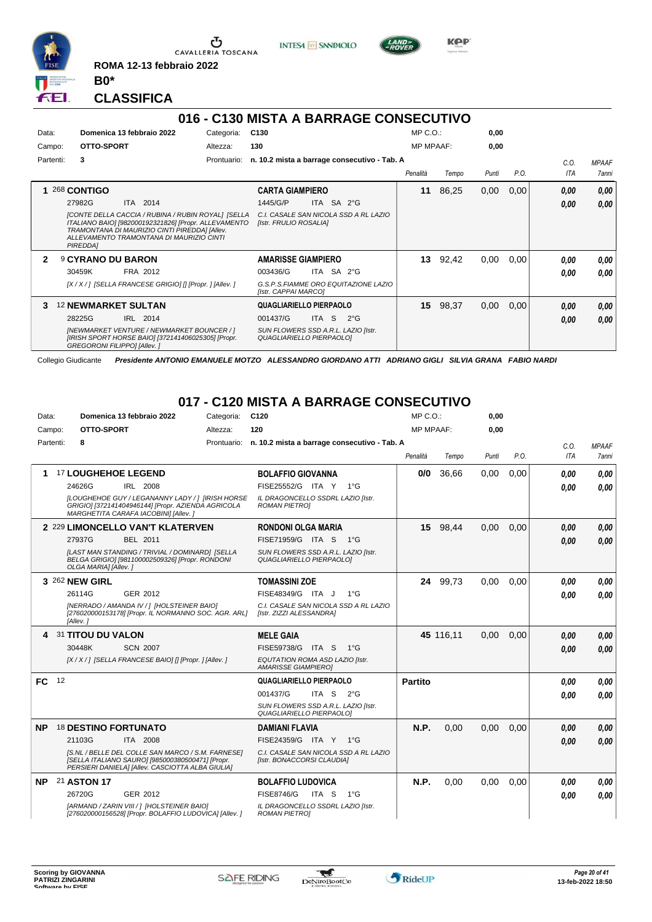

Ⴠ CAVALLERIA TOSCANA **ROMA 12-13 febbraio 2022**

**INTESA** M SANPAOLO



**Kep** 

**CLASSIFICA**

**B0\***

#### **016 - C130 MISTA A BARRAGE CONSECUTIVO**

| Data:                      | Domenica 13 febbraio 2022                                                                                                                                                                                           | Categoria:  | C <sub>130</sub>                                                |            |                                              | $MP C. O.$ :     |       | 0,00  |      |      |                     |
|----------------------------|---------------------------------------------------------------------------------------------------------------------------------------------------------------------------------------------------------------------|-------------|-----------------------------------------------------------------|------------|----------------------------------------------|------------------|-------|-------|------|------|---------------------|
| Campo:                     | OTTO-SPORT                                                                                                                                                                                                          | Altezza:    | 130                                                             |            |                                              | <b>MP MPAAF:</b> |       | 0,00  |      |      |                     |
| Partenti:                  | 3                                                                                                                                                                                                                   | Prontuario: |                                                                 |            | n. 10.2 mista a barrage consecutivo - Tab. A |                  |       |       |      | C.O. | <b>MPAAF</b>        |
|                            |                                                                                                                                                                                                                     |             |                                                                 |            |                                              | Penalità         | Tempo | Punti | P.O. | ITA  | <i><b>7anni</b></i> |
|                            | 1 268 CONTIGO                                                                                                                                                                                                       |             | <b>CARTA GIAMPIERO</b>                                          |            |                                              | 11               | 86,25 | 0,00  | 0,00 | 0.00 | 0,00                |
|                            | ITA 2014<br>27982G                                                                                                                                                                                                  |             | 1445/G/P                                                        | ITA SA 2°G |                                              |                  |       |       |      | 0,00 | 0.00                |
|                            | [CONTE DELLA CACCIA / RUBINA / RUBIN ROYAL] [SELLA<br>ITALIANO BAIO] [982000192321826] [Propr. ALLEVAMENTO<br>TRAMONTANA DI MAURIZIO CINTI PIREDDAI [Allev.<br>ALLEVAMENTO TRAMONTANA DI MAURIZIO CINTI<br>PIREDDA] |             | [Istr. FRULIO ROSALIA]                                          |            | C.I. CASALE SAN NICOLA SSD A RL LAZIO        |                  |       |       |      |      |                     |
| $\boldsymbol{\mathcal{P}}$ | <b>9 CYRANO DU BARON</b>                                                                                                                                                                                            |             | <b>AMARISSE GIAMPIERO</b>                                       |            |                                              | 13               | 92,42 | 0.00  | 0.00 | 0.00 | 0.00                |
|                            | 30459K<br>FRA 2012                                                                                                                                                                                                  |             | 003436/G                                                        | ITA SA 2°G |                                              |                  |       |       |      | 0.00 | 0.00                |
|                            | [X / X / ] [SELLA FRANCESE GRIGIO] [] [Propr. ] [Allev. ]                                                                                                                                                           |             | [Istr. CAPPAI MARCO]                                            |            | G.S.P.S.FIAMME ORO EQUITAZIONE LAZIO         |                  |       |       |      |      |                     |
| 3                          | <b>12 NEWMARKET SULTAN</b>                                                                                                                                                                                          |             | QUAGLIARIELLO PIERPAOLO                                         |            |                                              | 15               | 98,37 | 0,00  | 0,00 | 0,00 | 0,00                |
|                            | 28225G<br>IRL 2014                                                                                                                                                                                                  |             | 001437/G                                                        | ITA S      | $2^{\circ}$ G                                |                  |       |       |      | 0,00 | 0,00                |
|                            | [NEWMARKET VENTURE / NEWMARKET BOUNCER / ]<br>[IRISH SPORT HORSE BAIO] [372141406025305] [Propr.<br><b>GREGORONI FILIPPOI [Allev. ]</b>                                                                             |             | SUN FLOWERS SSD A.R.L. LAZIO [Istr.<br>QUAGLIARIELLO PIERPAOLO] |            |                                              |                  |       |       |      |      |                     |

Collegio Giudicante *Presidente ANTONIO EMANUELE MOTZO ALESSANDRO GIORDANO ATTI ADRIANO GIGLI SILVIA GRANA FABIO NARDI*

#### **017 - C120 MISTA A BARRAGE CONSECUTIVO**

| Data:     |           |                      | Domenica 13 febbraio 2022                                                                                                                                 | Categoria:  | C <sub>120</sub>                                                    |               | MP C. O.         |           | 0,00  |      |      |              |
|-----------|-----------|----------------------|-----------------------------------------------------------------------------------------------------------------------------------------------------------|-------------|---------------------------------------------------------------------|---------------|------------------|-----------|-------|------|------|--------------|
|           | Campo:    | OTTO-SPORT           |                                                                                                                                                           | Altezza:    | 120                                                                 |               | <b>MP MPAAF:</b> |           | 0.00  |      |      |              |
|           | Partenti: | 8                    |                                                                                                                                                           | Prontuario: | n. 10.2 mista a barrage consecutivo - Tab. A                        |               |                  |           |       |      | C.O. | <b>MPAAF</b> |
|           |           |                      |                                                                                                                                                           |             |                                                                     |               | Penalità         | Tempo     | Punti | P.O. | ITA  | 7anni        |
|           |           |                      | 17 LOUGHEHOE LEGEND                                                                                                                                       |             | <b>BOLAFFIO GIOVANNA</b>                                            |               | 0/0              | 36,66     | 0,00  | 0.00 | 0,00 | 0.00         |
|           |           | 24626G               | IRL 2008                                                                                                                                                  |             | FISE25552/G ITA Y 1°G                                               |               |                  |           |       |      | 0.00 | 0.00         |
|           |           |                      | [LOUGHEHOE GUY / LEGANANNY LADY / ] [IRISH HORSE<br>GRIGIO] [372141404946144] [Propr. AZIENDA AGRICOLA<br>MARGHETITA CARAFA IACOBINII [Allev. ]           |             | IL DRAGONCELLO SSDRL LAZIO [Istr.<br><b>ROMAN PIETROI</b>           |               |                  |           |       |      |      |              |
|           |           |                      | 2 229 LIMONCELLO VAN'T KLATERVEN                                                                                                                          |             | <b>RONDONI OLGA MARIA</b>                                           |               | 15 <sub>1</sub>  | 98,44     | 0,00  | 0,00 | 0.00 | 0.00         |
|           |           | 27937G               | BEL 2011                                                                                                                                                  |             | FISE71959/G ITA S 1°G                                               |               |                  |           |       |      | 0.00 | 0.00         |
|           |           | OLGA MARIA] [Allev.] | [LAST MAN STANDING / TRIVIAL / DOMINARD] [SELLA<br>BELGA GRIGIO] [981100002509326] [Propr. RONDONI                                                        |             | SUN FLOWERS SSD A.R.L. LAZIO [Istr.<br>QUAGLIARIELLO PIERPAOLO]     |               |                  |           |       |      |      |              |
|           |           | 3 262 NEW GIRL       |                                                                                                                                                           |             | <b>TOMASSINI ZOE</b>                                                |               |                  | 24 99,73  | 0,00  | 0.00 | 0,00 | 0,00         |
|           |           | 26114G               | GER 2012                                                                                                                                                  |             | FISE48349/G ITA J                                                   | $1^{\circ}G$  |                  |           |       |      | 0.00 | 0.00         |
|           |           | [Allev.]             | [NERRADO / AMANDA IV / 1 [HOLSTEINER BAIO]<br>[276020000153178] [Propr. IL NORMANNO SOC. AGR. ARL]                                                        |             | C.I. CASALE SAN NICOLA SSD A RL LAZIO<br>[Istr. ZIZZI ALESSANDRA]   |               |                  |           |       |      |      |              |
|           |           | 31 TITOU DU VALON    |                                                                                                                                                           |             | <b>MELE GAIA</b>                                                    |               |                  | 45 116.11 | 0.00  | 0.00 | 0.00 | 0,00         |
|           |           | 30448K               | <b>SCN 2007</b>                                                                                                                                           |             | FISE59738/G ITA S 1°G                                               |               |                  |           |       |      | 0,00 | 0.00         |
|           |           |                      | [X / X / ] [SELLA FRANCESE BAIO] [] [Propr. ] [Allev. ]                                                                                                   |             | EQUTATION ROMA ASD LAZIO [Istr.<br><b>AMARISSE GIAMPIEROI</b>       |               |                  |           |       |      |      |              |
| <b>FC</b> | 12        |                      |                                                                                                                                                           |             | QUAGLIARIELLO PIERPAOLO                                             |               | <b>Partito</b>   |           |       |      | 0.00 | 0.00         |
|           |           |                      |                                                                                                                                                           |             | ITA S<br>001437/G                                                   | $2^{\circ}$ G |                  |           |       |      | 0.00 | 0.00         |
|           |           |                      |                                                                                                                                                           |             | SUN FLOWERS SSD A.R.L. LAZIO [Istr.<br>QUAGLIARIELLO PIERPAOLO]     |               |                  |           |       |      |      |              |
| <b>NP</b> |           |                      | 18 DESTINO FORTUNATO                                                                                                                                      |             | <b>DAMIANI FLAVIA</b>                                               |               | N.P.             | 0.00      | 0.00  | 0.00 | 0.00 | 0.00         |
|           |           | 21103G               | ITA 2008                                                                                                                                                  |             | FISE24359/G ITA Y 1°G                                               |               |                  |           |       |      | 0,00 | 0.00         |
|           |           |                      | IS.NL / BELLE DEL COLLE SAN MARCO / S.M. FARNESEI<br>[SELLA ITALIANO SAURO] [985000380500471] [Propr.<br>PERSIERI DANIELA] [Allev. CASCIOTTA ALBA GIULIA] |             | C.I. CASALE SAN NICOLA SSD A RL LAZIO<br>[Istr. BONACCORSI CLAUDIA] |               |                  |           |       |      |      |              |
| <b>NP</b> |           | 21 ASTON 17          |                                                                                                                                                           |             | <b>BOLAFFIO LUDOVICA</b>                                            |               | N.P.             | 0,00      | 0,00  | 0,00 | 0.00 | 0.00         |
|           |           | 26720G               | GER 2012                                                                                                                                                  |             | FISE8746/G<br>ITA S                                                 | $1^{\circ}G$  |                  |           |       |      | 0.00 | 0.00         |
|           |           |                      | [ARMAND / ZARIN VIII / ] [HOLSTEINER BAIO]<br>[276020000156528] [Propr. BOLAFFIO LUDOVICA] [Allev. ]                                                      |             | IL DRAGONCELLO SSDRL LAZIO [Istr.<br><b>ROMAN PIETRO]</b>           |               |                  |           |       |      |      |              |

 $\mathcal{L}$ 

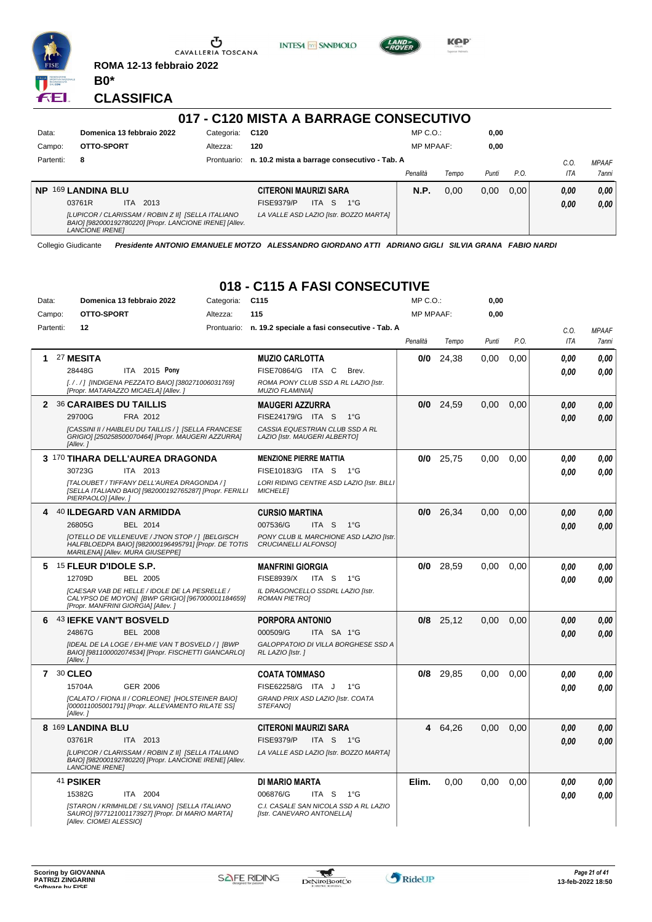

**ROMA 12-13 febbraio 2022 B0\***

**CLASSIFICA**

ÆI.

# **017 - C120 MISTA A BARRAGE CONSECUTIVO**

**INTESA** M SANPAOLO

**Kep** 

| Data:     | Domenica 13 febbraio 2022                                                                                                               | Categoria:  | C <sub>120</sub>                                       |          | $MP C. O.$ :     |       | 0,00  |      |      |              |
|-----------|-----------------------------------------------------------------------------------------------------------------------------------------|-------------|--------------------------------------------------------|----------|------------------|-------|-------|------|------|--------------|
| Campo:    | OTTO-SPORT                                                                                                                              | Altezza:    | 120                                                    |          | <b>MP MPAAF:</b> |       | 0,00  |      |      |              |
| Partenti: | 8                                                                                                                                       | Prontuario: | n. 10.2 mista a barrage consecutivo - Tab. A           |          |                  |       |       |      | C.O. | <b>MPAAF</b> |
|           |                                                                                                                                         |             |                                                        | Penalità |                  | Tempo | Punti | P.O. | ITA  | <b>7anni</b> |
| <b>NP</b> | 169 LANDINA BLU                                                                                                                         |             | <b>CITERONI MAURIZI SARA</b>                           |          | N.P.             | 0.00  | 0.00  | 0.00 | 0,00 | 0,00         |
|           | 2013<br>03761R<br>ITA.                                                                                                                  |             | <b>ITA</b><br><b>FISE9379/P</b><br>- S<br>$1^{\circ}G$ |          |                  |       |       |      | 0,00 | 0,00         |
|           | [LUPICOR / CLARISSAM / ROBIN Z II] [SELLA ITALIANO<br>BAIO] [982000192780220] [Propr. LANCIONE IRENE] [Allev.<br><b>LANCIONE IRENEI</b> |             | LA VALLE ASD LAZIO [Istr. BOZZO MARTA]                 |          |                  |       |       |      |      |              |

Collegio Giudicante *Presidente ANTONIO EMANUELE MOTZO ALESSANDRO GIORDANO ATTI ADRIANO GIGLI SILVIA GRANA FABIO NARDI*

#### **018 - C115 A FASI CONSECUTIVE**

| Data: |           | Domenica 13 febbraio 2022                                                                                                                      | Categoria: | C <sub>115</sub>                                                    | MP C.O.:         |             | 0,00  |      |            |              |
|-------|-----------|------------------------------------------------------------------------------------------------------------------------------------------------|------------|---------------------------------------------------------------------|------------------|-------------|-------|------|------------|--------------|
|       | Campo:    | OTTO-SPORT                                                                                                                                     | Altezza:   | 115                                                                 | <b>MP MPAAF:</b> |             | 0,00  |      |            |              |
|       | Partenti: | 12                                                                                                                                             |            | Prontuario: n. 19.2 speciale a fasi consecutive - Tab. A            |                  |             |       |      | C.O.       | <b>MPAAF</b> |
|       |           |                                                                                                                                                |            |                                                                     | Penalità         | Tempo       | Punti | P.O. | <b>ITA</b> | 7anni        |
| 1     |           | 27 MESITA                                                                                                                                      |            | <b>MUZIO CARLOTTA</b>                                               | 0/0              | 24,38       | 0.00  | 0.00 | 0.00       | 0.00         |
|       |           | 28448G<br>ITA 2015 Pony                                                                                                                        |            | FISE70864/G ITA C<br>Brev.                                          |                  |             |       |      | 0.00       | 0.00         |
|       |           | [././] [INDIGENA PEZZATO BAIO] [380271006031769]<br>[Propr. MATARAZZO MICAELA] [Allev.]                                                        |            | ROMA PONY CLUB SSD A RL LAZIO [Istr.<br><b>MUZIO FLAMINIA1</b>      |                  |             |       |      |            |              |
|       |           | 2 36 CARAIBES DU TAILLIS                                                                                                                       |            | <b>MAUGERI AZZURRA</b>                                              | 0/0              | 24,59       | 0.00  | 0.00 | 0.00       | 0,00         |
|       |           | 29700G<br>FRA 2012                                                                                                                             |            | FISE24179/G ITA S 1°G                                               |                  |             |       |      | 0.00       | 0.00         |
|       |           | [CASSINI II / HAIBLEU DU TAILLIS / ] [SELLA FRANCESE<br>GRIGIO] [250258500070464] [Propr. MAUGERI AZZURRA]<br>[Allev.]                         |            | CASSIA EQUESTRIAN CLUB SSD A RL<br>LAZIO [Istr. MAUGERI ALBERTO]    |                  |             |       |      |            |              |
|       |           | 3 170 TIHARA DELL'AUREA DRAGONDA                                                                                                               |            | <b>MENZIONE PIERRE MATTIA</b>                                       | 0/0              | 25,75       | 0,00  | 0,00 | 0.00       | 0,00         |
|       |           | 30723G<br>ITA 2013                                                                                                                             |            | FISE10183/G ITA S<br>1°G                                            |                  |             |       |      | 0.00       | 0.00         |
|       |           | [TALOUBET / TIFFANY DELL'AUREA DRAGONDA / ]<br>[SELLA ITALIANO BAIO] [982000192765287] [Propr. FERILLI<br>PIERPAOLO] [Allev.]                  |            | LORI RIDING CENTRE ASD LAZIO [Istr. BILLI<br><b>MICHELE]</b>        |                  |             |       |      |            |              |
| 4     |           | 40 ILDEGARD VAN ARMIDDA                                                                                                                        |            | <b>CURSIO MARTINA</b>                                               | 0/0              | 26,34       | 0,00  | 0.00 | 0.00       | 0,00         |
|       |           | 26805G<br><b>BEL 2014</b>                                                                                                                      |            | 007536/G<br>ITA <sub>S</sub><br>$1^{\circ}G$                        |                  |             |       |      | 0.00       | 0.00         |
|       |           | [OTELLO DE VILLENEUVE / J'NON STOP / ] [BELGISCH<br>HALFBLOEDPA BAIO] [982000196495791] [Propr. DE TOTIS<br>MARILENA] [Allev. MURA GIUSEPPE]   |            | PONY CLUB IL MARCHIONE ASD LAZIO [Istr.<br>CRUCIANELLI ALFONSOI     |                  |             |       |      |            |              |
| 5     |           | 15 FLEUR D'IDOLE S.P.                                                                                                                          |            | <b>MANFRINI GIORGIA</b>                                             | 0/0              | 28,59       | 0,00  | 0,00 | 0.00       | 0,00         |
|       |           | 12709D<br><b>BEL 2005</b>                                                                                                                      |            | <b>FISE8939/X</b><br>ITA S<br>$1^{\circ}G$                          |                  |             |       |      | 0.00       | 0.00         |
|       |           | <b>[CAESAR VAB DE HELLE / IDOLE DE LA PESRELLE /</b><br>CALYPSO DE MOYON] [BWP GRIGIO] [967000001184659]<br>[Propr. MANFRINI GIORGIA] [Allev.] |            | IL DRAGONCELLO SSDRL LAZIO [Istr.<br><b>ROMAN PIETRO]</b>           |                  |             |       |      |            |              |
| 6     |           | 43 IEFKE VAN'T BOSVELD                                                                                                                         |            | <b>PORPORA ANTONIO</b>                                              |                  | $0/8$ 25,12 | 0,00  | 0,00 | 0.00       | 0,00         |
|       |           | 24867G<br><b>BEL 2008</b>                                                                                                                      |            | 000509/G<br>ITA SA 1°G                                              |                  |             |       |      | 0.00       | 0.00         |
|       |           | [IDEAL DE LA LOGE / EH-MIE VAN T BOSVELD / ] [BWP<br>BAIO] [981100002074534] [Propr. FISCHETTI GIANCARLO]<br>[Allev.]                          |            | GALOPPATOIO DI VILLA BORGHESE SSD A<br>RL LAZIO [Istr. ]            |                  |             |       |      |            |              |
|       | 7 30 CLEO |                                                                                                                                                |            | <b>COATA TOMMASO</b>                                                | 0/8              | 29,85       | 0,00  | 0,00 | 0.00       | 0,00         |
|       |           | <b>GER 2006</b><br>15704A                                                                                                                      |            | FISE62258/G ITA J<br>1°G                                            |                  |             |       |      | 0.00       | 0.00         |
|       |           | [CALATO / FIONA II / CORLEONE] [HOLSTEINER BAIO]<br>[000011005001791] [Propr. ALLEVAMENTO RILATE SS]<br>[Allev.]                               |            | GRAND PRIX ASD LAZIO [Istr. COATA<br>STEFANO]                       |                  |             |       |      |            |              |
|       |           | 8 169 LANDINA BLU                                                                                                                              |            | <b>CITERONI MAURIZI SARA</b>                                        | 4                | 64,26       | 0.00  | 0.00 | 0.00       | 0,00         |
|       |           | ITA 2013<br>03761R                                                                                                                             |            | <b>FISE9379/P</b><br>ITA <sub>S</sub><br>$1^{\circ}G$               |                  |             |       |      | 0.00       | 0.00         |
|       |           | [LUPICOR / CLARISSAM / ROBIN Z II] [SELLA ITALIANO<br>BAIO] [982000192780220] [Propr. LANCIONE IRENE] [Allev.<br><b>LANCIONE IRENEI</b>        |            | LA VALLE ASD LAZIO [Istr. BOZZO MARTA]                              |                  |             |       |      |            |              |
|       |           | 41 PSIKER                                                                                                                                      |            | <b>DI MARIO MARTA</b>                                               | Elim.            | 0.00        | 0.00  | 0.00 | 0.00       | 0,00         |
|       |           | 15382G<br>ITA 2004                                                                                                                             |            | 006876/G<br>ITA S<br>1°G                                            |                  |             |       |      | 0.00       | 0.00         |
|       |           | [STARON / KRIMHILDE / SILVANO] [SELLA ITALIANO<br>SAURO] [977121001173927] [Propr. DI MARIO MARTA]<br>[Allev. CIOMEI ALESSIO]                  |            | C.I. CASALE SAN NICOLA SSD A RL LAZIO<br>[Istr. CANEVARO ANTONELLA] |                  |             |       |      |            |              |

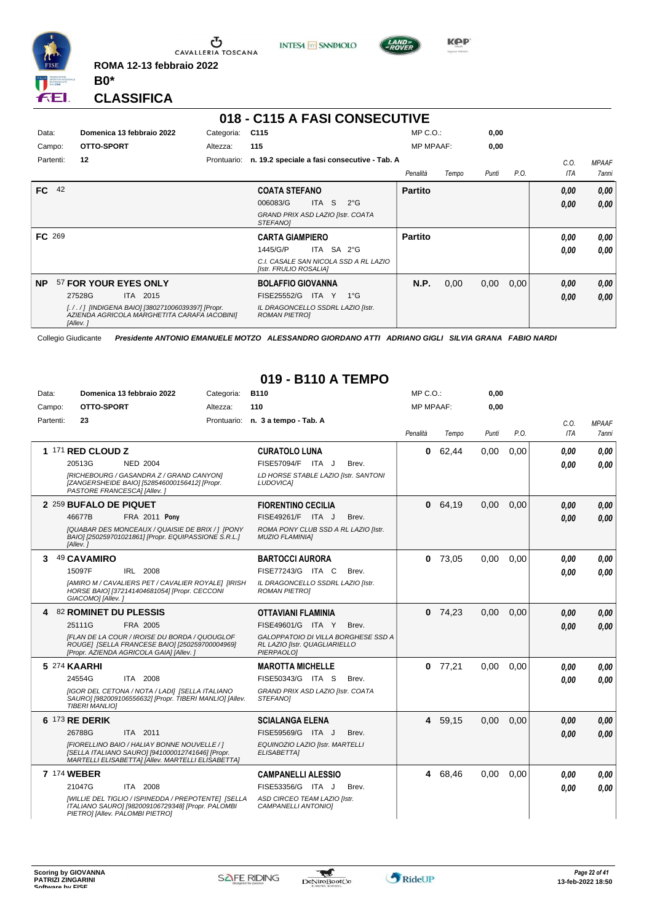

Ⴠ CAVALLERIA TOSCANA **ROMA 12-13 febbraio 2022**





**Kep** 

**CLASSIFICA**

**B0\***

# **018 - C115 A FASI CONSECUTIVE**

| Data:<br>Campo: | Domenica 13 febbraio 2022<br>OTTO-SPORT                                                                      | Categoria:<br>Altezza: | C <sub>115</sub><br>115                                         | $MP C. O.$ :<br><b>MP MPAAF:</b> |       | 0,00<br>0,00 |      |      |                     |
|-----------------|--------------------------------------------------------------------------------------------------------------|------------------------|-----------------------------------------------------------------|----------------------------------|-------|--------------|------|------|---------------------|
| Partenti:       | 12                                                                                                           | Prontuario:            | n. 19.2 speciale a fasi consecutive - Tab. A                    |                                  |       |              |      | C.O. | <b>MPAAF</b>        |
|                 |                                                                                                              |                        |                                                                 | Penalità                         | Tempo | Punti        | P.O. | ITA  | <i><b>7anni</b></i> |
| FC.             | 42                                                                                                           |                        | <b>COATA STEFANO</b>                                            | <b>Partito</b>                   |       |              |      | 0,00 | 0,00                |
|                 |                                                                                                              |                        | <b>ITA</b><br>S.<br>006083/G<br>$2^{\circ}$ G                   |                                  |       |              |      | 0,00 | 0.00                |
|                 |                                                                                                              |                        | GRAND PRIX ASD LAZIO [Istr. COATA<br>STEFANOI                   |                                  |       |              |      |      |                     |
| FC 269          |                                                                                                              |                        | <b>CARTA GIAMPIERO</b>                                          | <b>Partito</b>                   |       |              |      | 0.00 | 0,00                |
|                 |                                                                                                              |                        | ITA SA 2°G<br>1445/G/P                                          |                                  |       |              |      | 0.00 | 0.00                |
|                 |                                                                                                              |                        | C.I. CASALE SAN NICOLA SSD A RL LAZIO<br>[Istr. FRULIO ROSALIA] |                                  |       |              |      |      |                     |
| <b>NP</b>       | 57 FOR YOUR EYES ONLY                                                                                        |                        | <b>BOLAFFIO GIOVANNA</b>                                        | N.P.                             | 0,00  | 0,00         | 0,00 | 0,00 | 0,00                |
|                 | 27528G<br>ITA 2015                                                                                           |                        | FISE25552/G<br>ITA Y<br>1°G                                     |                                  |       |              |      | 0,00 | 0,00                |
|                 | [././] [INDIGENA BAIO] [380271006039397] [Propr.<br>AZIENDA AGRICOLA MARGHETITA CARAFA IACOBINI]<br>[Allev.] |                        | IL DRAGONCELLO SSDRL LAZIO [Istr.<br><b>ROMAN PIETROI</b>       |                                  |       |              |      |      |                     |

Collegio Giudicante *Presidente ANTONIO EMANUELE MOTZO ALESSANDRO GIORDANO ATTI ADRIANO GIGLI SILVIA GRANA FABIO NARDI*

#### **019 - B110 A TEMPO**

| Data:     | Domenica 13 febbraio 2022                                                                                                                             | Categoria: | <b>B110</b>                                                                        | $MP C. O.$ :     |           | 0,00  |      |            |              |
|-----------|-------------------------------------------------------------------------------------------------------------------------------------------------------|------------|------------------------------------------------------------------------------------|------------------|-----------|-------|------|------------|--------------|
| Campo:    | OTTO-SPORT                                                                                                                                            | Altezza:   | 110                                                                                | <b>MP MPAAF:</b> |           | 0.00  |      |            |              |
| Partenti: | 23                                                                                                                                                    |            | Prontuario: n. 3 a tempo - Tab. A                                                  |                  |           |       |      | C.O.       | <b>MPAAF</b> |
|           |                                                                                                                                                       |            |                                                                                    | Penalità         | Tempo     | Punti | P.O. | <b>ITA</b> | <b>7anni</b> |
|           | 1 171 RED CLOUD Z                                                                                                                                     |            | <b>CURATOLO LUNA</b>                                                               | $\mathbf{0}$     | 62,44     | 0,00  | 0,00 | 0.00       | 0,00         |
|           | 20513G<br><b>NED 2004</b>                                                                                                                             |            | FISE57094/F ITA J<br>Brev.                                                         |                  |           |       |      | 0.00       | 0.00         |
|           | [RICHEBOURG / GASANDRA Z / GRAND CANYON]<br>[ZANGERSHEIDE BAIO] [528546000156412] [Propr.<br>PASTORE FRANCESCA] [Allev.]                              |            | LD HORSE STABLE LAZIO [Istr. SANTONI<br><b>LUDOVICAI</b>                           |                  |           |       |      |            |              |
|           | 2 259 BUFALO DE PIQUET                                                                                                                                |            | <b>FIORENTINO CECILIA</b>                                                          | $\mathbf{0}$     | 64,19     | 0,00  | 0.00 | 0.00       | 0,00         |
|           | 46677B<br><b>FRA 2011 Pony</b>                                                                                                                        |            | FISE49261/F ITA J<br>Brev.                                                         |                  |           |       |      | 0.00       | 0.00         |
|           | [QUABAR DES MONCEAUX / QUAISIE DE BRIX /] [PONY<br>BAIO] [250259701021861] [Propr. EQUIPASSIONE S.R.L.]<br>[Allev.]                                   |            | ROMA PONY CLUB SSD A RL LAZIO [Istr.<br><b>MUZIO FLAMINIAI</b>                     |                  |           |       |      |            |              |
| 3         | 49 CAVAMIRO                                                                                                                                           |            | <b>BARTOCCI AURORA</b>                                                             |                  | $0$ 73,05 | 0,00  | 0.00 | 0.00       | 0.00         |
|           | 15097F<br>IRL 2008                                                                                                                                    |            | FISE77243/G ITA C<br>Brev.                                                         |                  |           |       |      | 0.00       | 0.00         |
|           | [AMIRO M / CAVALIERS PET / CAVALIER ROYALE] [IRISH<br>HORSE BAIO] [372141404681054] [Propr. CECCONI<br>GIACOMO] [Allev.]                              |            | IL DRAGONCELLO SSDRL LAZIO [Istr.<br><b>ROMAN PIETROI</b>                          |                  |           |       |      |            |              |
|           | 4 82 ROMINET DU PLESSIS                                                                                                                               |            | <b>OTTAVIANI FLAMINIA</b>                                                          |                  | $0$ 74,23 | 0,00  | 0.00 | 0,00       | 0.00         |
|           | 25111G<br>FRA 2005                                                                                                                                    |            | FISE49601/G ITA Y<br>Brev.                                                         |                  |           |       |      | 0.00       | 0.00         |
|           | IFLAN DE LA COUR / IROISE DU BORDA / QUOUGLOF<br>ROUGE] [SELLA FRANCESE BAIO] [250259700004969]<br>[Propr. AZIENDA AGRICOLA GAIA] [Allev. ]           |            | GALOPPATOIO DI VILLA BORGHESE SSD A<br>RL LAZIO [Istr. QUAGLIARIELLO<br>PIERPAOLO] |                  |           |       |      |            |              |
|           | 5 274 KAARHI                                                                                                                                          |            | <b>MAROTTA MICHELLE</b>                                                            |                  | $0$ 77,21 | 0.00  | 0.00 | 0.00       | 0.00         |
|           | 24554G<br>ITA 2008                                                                                                                                    |            | FISE50343/G ITA S<br>Brev.                                                         |                  |           |       |      | 0.00       | 0.00         |
|           | <b>IIGOR DEL CETONA / NOTA / LADI] [SELLA ITALIANO</b><br>SAURO] [982009106556632] [Propr. TIBERI MANLIO] [Allev.<br><b>TIBERI MANLIOI</b>            |            | GRAND PRIX ASD LAZIO [Istr. COATA<br>STEFANOI                                      |                  |           |       |      |            |              |
|           | 6 173 RE DERIK                                                                                                                                        |            | <b>SCIALANGA ELENA</b>                                                             |                  | 4 59,15   | 0,00  | 0,00 | 0.00       | 0,00         |
|           | 26788G<br>ITA 2011                                                                                                                                    |            | FISE59569/G ITA J<br>Brev.                                                         |                  |           |       |      | 0.00       | 0.00         |
|           | [FIORELLINO BAIO / HALIAY BONNE NOUVELLE / ]<br>[SELLA ITALIANO SAURO] [941000012741646] [Propr.<br>MARTELLI ELISABETTA] [Allev. MARTELLI ELISABETTA] |            | EQUINOZIO LAZIO [Istr. MARTELLI<br>ELISABETTA]                                     |                  |           |       |      |            |              |
|           | <b>7 174 WEBER</b>                                                                                                                                    |            | <b>CAMPANELLI ALESSIO</b>                                                          |                  | 4 68,46   | 0,00  | 0.00 | 0,00       | 0,00         |
|           | 21047G<br>ITA 2008                                                                                                                                    |            | FISE53356/G ITA J<br>Brev.                                                         |                  |           |       |      | 0.00       | 0.00         |
|           | [WILLIE DEL TIGLIO / ISPINEDDA / PREPOTENTE] [SELLA<br>ITALIANO SAURO] [982009106729348] [Propr. PALOMBI<br>PIETROI [Allev. PALOMBI PIETRO]           |            | ASD CIRCEO TEAM LAZIO [Istr.<br>CAMPANELLI ANTONIO]                                |                  |           |       |      |            |              |

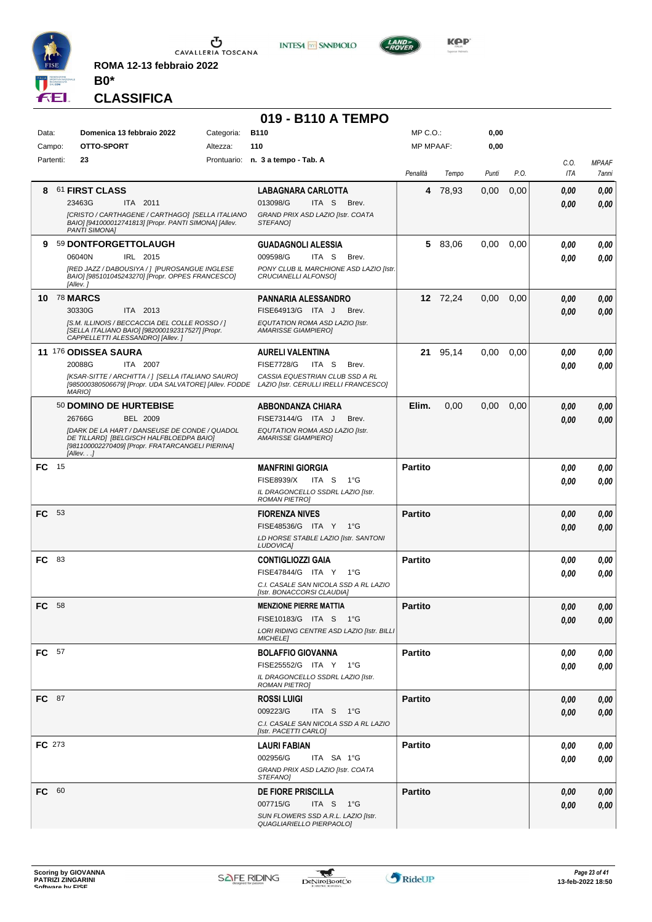

**INTESA** M SANPAOLO

**019 - B110 A TEMPO**



MP C.O.:

KOP

**0,00**

*MPAAF 7anni*

*0,00*

*0,00*

*0,00*

*0,00*

*0,00*

*0,00*

*0,00*

*0,00*

*0,00*

*0,00*

*0,00*

*0,00*

*0,00*

**CLASSIFICA**

**B0\***

Data: **Domenica 13 febbraio 2022** Categoria: B110

**ROMA 12-13 febbraio 2022**

#### Prontuario: **n. 3 a tempo - Tab. A** Campo: **OTTO-SPORT** Partenti: **23** Altezza: **110** MP MPAAF: **0,00** *Penalità Tempo Punti P.O. C.O. ITA* **8** 61 **FIRST CLASS** ITA 2011 **LABAGNARA CARLOTTA** *[CRISTO / CARTHAGENE / CARTHAGO] [SELLA ITALIANO BAIO] [941000012741813] [Propr. PANTI SIMONA] [Allev. PANTI SIMONA] GRAND PRIX ASD LAZIO [Istr. COATA STEFANO]* ITA S Brev. **4** 78,93 0,00 0,00 *0,00 0,00* 23463G 013098/G *0,00* **9** 59 **DONTFORGETTOLAUGH** IRL 2015 **GUADAGNOLI ALESSIA** *[RED JAZZ / DABOUSIYA / ] [PUROSANGUE INGLESE BAIO] [985101045243270] [Propr. OPPES FRANCESCO] [Allev. ] PONY CLUB IL MARCHIONE ASD LAZIO [Istr. CRUCIANELLI ALFONSO]* ITA S Brev. **5** 83,06 0,00 0,00 *0,00 0,00* 06040N IRL 2015 009598/G ITA S Brev. <mark> 0,00 0,00</mark> **10** 78 **MARCS** ITA 2013 **PANNARIA ALESSANDRO** *[S.M. ILLINOIS / BECCACCIA DEL COLLE ROSSO / ] [SELLA ITALIANO BAIO] [982000192317527] [Propr. CAPPELLETTI ALESSANDRO] [Allev. ] EQUTATION ROMA ASD LAZIO [Istr. AMARISSE GIAMPIERO]* 30330G ITA 2013 FISE64913/G ITA J Brev. **0,00 0,00 12** 72,24 0,00 0,00 *0,00 0,00* **11** 176 **ODISSEA SAURA** ITA 2007 **AURELI VALENTINA** *[KSAR-SITTE / ARCHITTA / ] [SELLA ITALIANO SAURO] [985000380506679] [Propr. UDA SALVATORE] [Allev. FODDE CASSIA EQUESTRIAN CLUB SSD A RL LAZIO [Istr. CERULLI IRELLI FRANCESCO] MARIO]* 20088G ITA 2007 FISE7728/G ITA S Brev. **0,00 0,00 21** 95,14 0,00 0,00 *0,00 0,00* 50 **DOMINO DE HURTEBISE** BEL 2009 **ABBONDANZA CHIARA** *[DARK DE LA HART / DANSEUSE DE CONDE / QUADOL DE TILLARD] [BELGISCH HALFBLOEDPA BAIO] [981100002270409] [Propr. FRATARCANGELI PIERINA] [Allev. . .] EQUTATION ROMA ASD LAZIO [Istr. AMARISSE GIAMPIERO]* 26766G BEL 2009 FISE73144/G ITA J Brev. *0,00 0,00* **Elim.** 0,00 0,00 0,00 *0,00 0,00* **FC** 15 **MANFRINI GIORGIA** *IL DRAGONCELLO SSDRL LAZIO [Istr. ROMAN PIETRO]* ITA S 1°G FISE8939/X *0,00* **Partito** *0,00 0,00* **FC** 53 **FIORENZA NIVES** *LD HORSE STABLE LAZIO [Istr. SANTONI LUDOVICA]* ITA Y 1°G FISE48536/G *0,00* **Partito** *0,00 0,00* **FC** 83 **CONTIGLIOZZI GAIA** *C.I. CASALE SAN NICOLA SSD A RL LAZIO [Istr. BONACCORSI CLAUDIA]* ITA Y 1°G FISE47844/G *0,00* **Partito** *0,00 0,00* **FC** 58 **MENZIONE PIERRE MATTIA** *LORI RIDING CENTRE ASD LAZIO [Istr. BILLI MICHELE]* ITA S 1°G FISE10183/G *0,00* **Partito** *0,00 0,00* **FC** 57 **BOLAFFIO GIOVANNA** *IL DRAGONCELLO SSDRL LAZIO [Istr. ROMAN PIETRO]* ITA Y 1°G FISE25552/G *0,00* **Partito** *0,00 0,00* **FC** 87 **ROSSI LUIGI** *C.I. CASALE SAN NICOLA SSD A RL LAZIO [Istr. PACETTI CARLO]* ITA S 1°G **Partito** *0,00 0,00* 009223/G *0,00* **FC** 273 **LAURI FABIAN** *GRAND PRIX ASD LAZIO [Istr. COATA STEFANO]* ITA SA 1°G **Partito** *0,00 0,00* 002956/G *0,00* **FC** 60 **DE FIORE PRISCILLA** *SUN FLOWERS SSD A.R.L. LAZIO [Istr. QUAGLIARIELLO PIERPAOLO]* ITA S 1°G 007715/G *0,00* **Partito** *0,00 0,00*

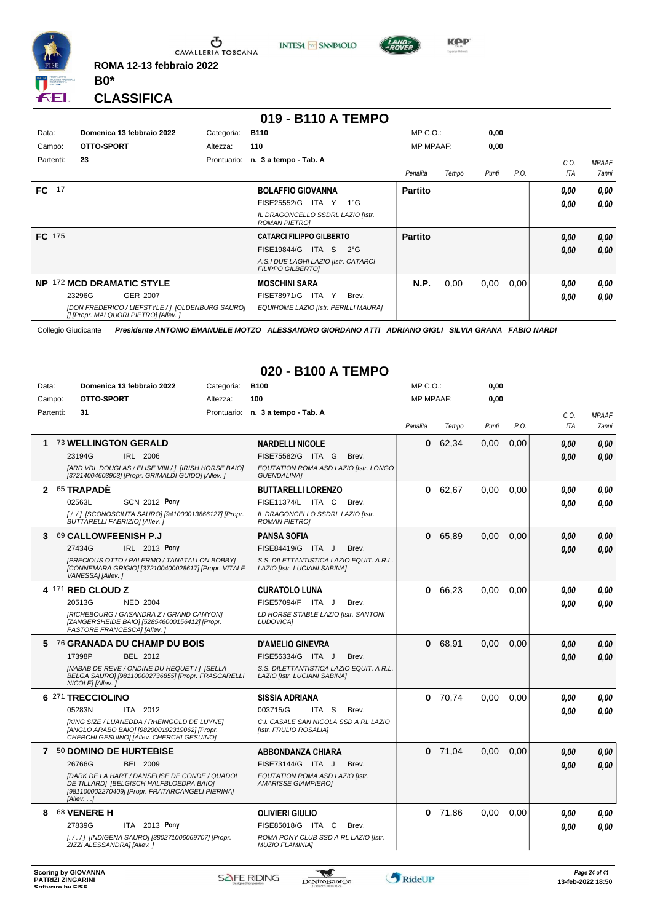

 $\sigma$  cavalleria toscana **ROMA 12-13 febbraio 2022**

**INTESA** M SANPAOLO



**Kep** 

**CLASSIFICA**

**B0\***

#### **019 - B110 A TEMPO**

| Data:         | Domenica 13 febbraio 2022                                                                 | Categoria:  | <b>B110</b>                                                      | MP C. O.         |       | 0,00  |      |      |                     |
|---------------|-------------------------------------------------------------------------------------------|-------------|------------------------------------------------------------------|------------------|-------|-------|------|------|---------------------|
| Campo:        | OTTO-SPORT                                                                                | Altezza:    | 110                                                              | <b>MP MPAAF:</b> |       | 0,00  |      |      |                     |
| Partenti:     | 23                                                                                        | Prontuario: | n. 3 a tempo - Tab. A                                            |                  |       |       |      | C.0. | <b>MPAAF</b>        |
|               |                                                                                           |             |                                                                  | Penalità         | Tempo | Punti | P.O. | ITA  | <i><b>7anni</b></i> |
| FC.<br>17     |                                                                                           |             | <b>BOLAFFIO GIOVANNA</b>                                         | <b>Partito</b>   |       |       |      | 0,00 | 0.00                |
|               |                                                                                           |             | FISE25552/G<br>ITA Y<br>$1^{\circ}G$                             |                  |       |       |      | 0,00 | 0.00                |
|               |                                                                                           |             | IL DRAGONCELLO SSDRL LAZIO [Istr.<br><b>ROMAN PIETROI</b>        |                  |       |       |      |      |                     |
| <b>FC</b> 175 |                                                                                           |             | <b>CATARCI FILIPPO GILBERTO</b>                                  | <b>Partito</b>   |       |       |      | 0,00 | 0.00                |
|               |                                                                                           |             | FISE19844/G<br>ITA S<br>$2^{\circ}G$                             |                  |       |       |      | 0,00 | 0.00                |
|               |                                                                                           |             | A.S.I DUE LAGHI LAZIO [Istr. CATARCI<br><b>FILIPPO GILBERTOI</b> |                  |       |       |      |      |                     |
| NP.           | 172 MCD DRAMATIC STYLE                                                                    |             | <b>MOSCHINI SARA</b>                                             | N.P.             | 0,00  | 0,00  | 0,00 | 0,00 | 0.00                |
|               | 23296G<br><b>GER 2007</b>                                                                 |             | FISE78971/G<br>ITA Y<br>Brev.                                    |                  |       |       |      | 0,00 | 0.00                |
|               | [DON FREDERICO / LIEFSTYLE / ] [OLDENBURG SAURO]<br>[I [Propr. MALQUORI PIETRO] [Allev. ] |             | EQUIHOME LAZIO [Istr. PERILLI MAURA]                             |                  |       |       |      |      |                     |

Collegio Giudicante *Presidente ANTONIO EMANUELE MOTZO ALESSANDRO GIORDANO ATTI ADRIANO GIGLI SILVIA GRANA FABIO NARDI*

### **020 - B100 A TEMPO**

| Data:        | Domenica 13 febbraio 2022     |                                                                                                                                                     | Categoria: | <b>B100</b>                                                              | MP C.O.:         |           | 0,00  |      |            |              |
|--------------|-------------------------------|-----------------------------------------------------------------------------------------------------------------------------------------------------|------------|--------------------------------------------------------------------------|------------------|-----------|-------|------|------------|--------------|
| Campo:       | OTTO-SPORT                    |                                                                                                                                                     | Altezza:   | 100                                                                      | <b>MP MPAAF:</b> |           | 0,00  |      |            |              |
| Partenti:    | 31                            |                                                                                                                                                     |            | Prontuario: n. 3 a tempo - Tab. A                                        |                  |           |       |      | C.O.       | <b>MPAAF</b> |
|              |                               |                                                                                                                                                     |            |                                                                          | Penalità         | Tempo     | Punti | P.O. | <b>ITA</b> | <b>7anni</b> |
| 1            | <b>73 WELLINGTON GERALD</b>   |                                                                                                                                                     |            | <b>NARDELLI NICOLE</b>                                                   | 0                | 62.34     | 0.00  | 0.00 | 0.00       | 0.00         |
|              | 23194G                        | IRL 2006                                                                                                                                            |            | FISE75582/G ITA G<br>Brev.                                               |                  |           |       |      | 0.00       | 0.00         |
|              |                               | [ARD VDL DOUGLAS / ELISE VIIII / ] [IRISH HORSE BAIO]<br>[37214004603903] [Propr. GRIMALDI GUIDO] [Allev. ]                                         |            | EQUTATION ROMA ASD LAZIO [Istr. LONGO<br><b>GUENDALINA1</b>              |                  |           |       |      |            |              |
| $\mathbf{2}$ | 65 TRAPADE                    |                                                                                                                                                     |            | <b>BUTTARELLI LORENZO</b>                                                |                  | 0 62,67   | 0,00  | 0.00 | 0.00       | 0,00         |
|              | 02563L                        | <b>SCN 2012 Pony</b>                                                                                                                                |            | FISE11374/L ITA C<br>Brev.                                               |                  |           |       |      | 0.00       | 0.00         |
|              | BUTTARELLI FABRIZIO] [Allev.] | [/ / ] [SCONOSCIUTA SAURO] [941000013866127] [Propr.                                                                                                |            | IL DRAGONCELLO SSDRL LAZIO [Istr.<br><b>ROMAN PIETRO]</b>                |                  |           |       |      |            |              |
| 3            | 69 CALLOWFEENISH P.J          |                                                                                                                                                     |            | <b>PANSA SOFIA</b>                                                       | $\mathbf{0}$     | 65.89     | 0.00  | 0.00 | 0.00       | 0.00         |
|              | 27434G                        | IRL 2013 Pony                                                                                                                                       |            | FISE84419/G ITA J<br>Brev.                                               |                  |           |       |      | 0.00       | 0.00         |
|              | VANESSA] [Allev.]             | [PRECIOUS OTTO / PALERMO / TANATALLON BOBBY]<br>[CONNEMARA GRIGIO] [372100400028617] [Propr. VITALE                                                 |            | S.S. DILETTANTISTICA LAZIO EQUIT. A R.L.<br>LAZIO [Istr. LUCIANI SABINA] |                  |           |       |      |            |              |
|              | 4 171 RED CLOUD Z             |                                                                                                                                                     |            | <b>CURATOLO LUNA</b>                                                     | $\mathbf{0}$     | 66.23     | 0.00  | 0.00 | 0.00       | 0.00         |
|              | 20513G                        | <b>NED 2004</b>                                                                                                                                     |            | FISE57094/F ITA J<br>Brev.                                               |                  |           |       |      | 0.00       | 0.00         |
|              | PASTORE FRANCESCA] [Allev.]   | [RICHEBOURG / GASANDRA Z / GRAND CANYON]<br>[ZANGERSHEIDE BAIO] [528546000156412] [Propr.                                                           |            | LD HORSE STABLE LAZIO [Istr. SANTONI<br><b>LUDOVICAI</b>                 |                  |           |       |      |            |              |
| 5            | 76 GRANADA DU CHAMP DU BOIS   |                                                                                                                                                     |            | <b>D'AMELIO GINEVRA</b>                                                  |                  | 0 68,91   | 0.00  | 0,00 | 0.00       | 0.00         |
|              | 17398P                        | BEL 2012                                                                                                                                            |            | FISE56334/G ITA J<br>Brev.                                               |                  |           |       |      | 0.00       | 0.00         |
|              | NICOLE] [Allev. ]             | [NABAB DE REVE / ONDINE DU HEQUET / 1 [SELLA<br>BELGA SAURO] [981100002736855] [Propr. FRASCARELLI                                                  |            | S.S. DILETTANTISTICA LAZIO EQUIT. A R.L.<br>LAZIO [Istr. LUCIANI SABINA] |                  |           |       |      |            |              |
|              | 6 271 TRECCIOLINO             |                                                                                                                                                     |            | SISSIA ADRIANA                                                           |                  | $0$ 70,74 | 0.00  | 0,00 | 0.00       | 0.00         |
|              | 05283N                        | ITA 2012                                                                                                                                            |            | 003715/G<br>ITA S<br>Brev.                                               |                  |           |       |      | 0.00       | 0.00         |
|              |                               | [KING SIZE / LUANEDDA / RHEINGOLD DE LUYNE]<br>[ANGLO ARABO BAIO] [982000192319062] [Propr.<br>CHERCHI GESUINO] [Allev. CHERCHI GESUINO]            |            | C.I. CASALE SAN NICOLA SSD A RL LAZIO<br>[Istr. FRULIO ROSALIA]          |                  |           |       |      |            |              |
| 7            | 50 DOMINO DE HURTEBISE        |                                                                                                                                                     |            | <b>ABBONDANZA CHIARA</b>                                                 |                  | $0$ 71,04 | 0.00  | 0,00 | 0.00       | 0.00         |
|              | 26766G                        | BEL 2009                                                                                                                                            |            | FISE73144/G ITA J<br>Brev.                                               |                  |           |       |      | 0.00       | 0.00         |
|              | [Allev. ]                     | <b>IDARK DE LA HART / DANSEUSE DE CONDE / QUADOL</b><br>DE TILLARD] [BELGISCH HALFBLOEDPA BAIO]<br>[981100002270409] [Propr. FRATARCANGELI PIERINA] |            | EQUTATION ROMA ASD LAZIO [Istr.<br><b>AMARISSE GIAMPIEROI</b>            |                  |           |       |      |            |              |
| 8            | 68 VENERE H                   |                                                                                                                                                     |            | <b>OLIVIERI GIULIO</b>                                                   |                  | $0$ 71,86 | 0,00  | 0,00 | 0.00       | 0,00         |
|              | 27839G                        | ITA 2013 Pony                                                                                                                                       |            | FISE85018/G ITA C<br>Brev.                                               |                  |           |       |      | 0.00       | 0,00         |
|              | ZIZZI ALESSANDRA] [Allev.]    | [././] [INDIGENA SAURO] [380271006069707] [Propr.                                                                                                   |            | ROMA PONY CLUB SSD A RL LAZIO [Istr.<br><b>MUZIO FLAMINIAI</b>           |                  |           |       |      |            |              |

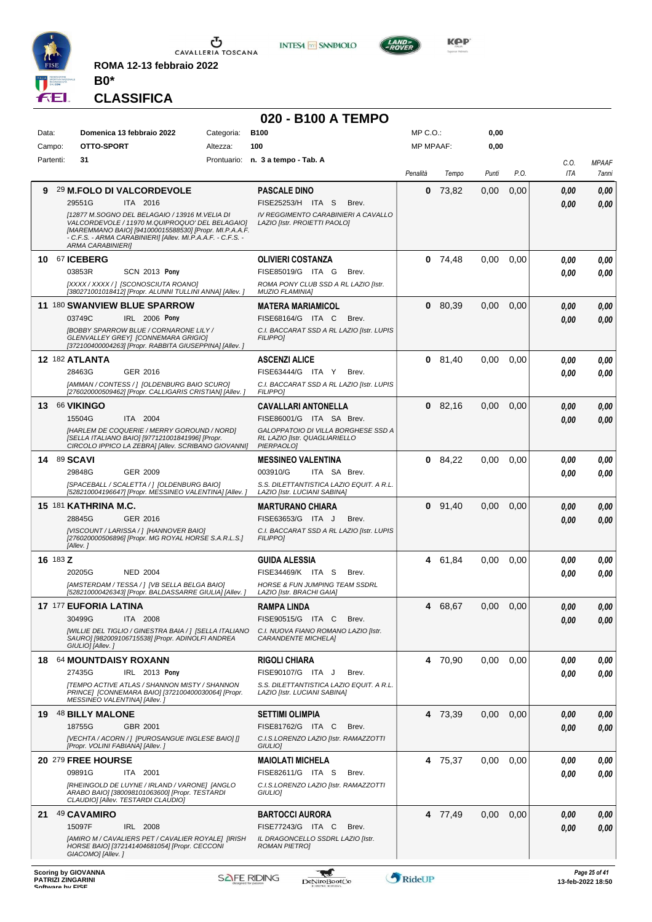

**ROMA 12-13 febbraio 2022**



# **020 - B100 A TEMPO**

**INTESA M** SANPAOLO

| Data: | Campo:    | Domenica 13 febbraio 2022<br>OTTO-SPORT                                                                                                                                                                                                                | Categoria:<br>Altezza: | <b>B100</b><br>100                                                       | MP C.O.:<br><b>MP MPAAF:</b> |           | 0,00<br>0,00 |      |             |                                    |
|-------|-----------|--------------------------------------------------------------------------------------------------------------------------------------------------------------------------------------------------------------------------------------------------------|------------------------|--------------------------------------------------------------------------|------------------------------|-----------|--------------|------|-------------|------------------------------------|
|       | Partenti: | 31                                                                                                                                                                                                                                                     |                        | Prontuario: n. 3 a tempo - Tab. A                                        |                              |           |              |      |             |                                    |
|       |           |                                                                                                                                                                                                                                                        |                        |                                                                          | Penalità                     | Tempo     | Punti        | P.O. | C.O.<br>ITA | <b>MPAAF</b><br>7anni              |
| 9     |           | 29 M.FOLO DI VALCORDEVOLE                                                                                                                                                                                                                              |                        | <b>PASCALE DINO</b>                                                      | 0                            | 73,82     | 0,00         | 0,00 | 0.00        | 0,00                               |
|       |           | ITA 2016<br>29551G                                                                                                                                                                                                                                     |                        | FISE25253/H ITA S<br>Brev.                                               |                              |           |              |      | 0.00        | 0,00                               |
|       |           | [12877 M.SOGNO DEL BELAGAIO / 13916 M.VELIA DI<br>VALCORDEVOLE / 11970 M.QUIPROQUO' DEL BELAGAIO]<br>[MAREMMANO BAIO] [941000015588530] [Propr. MI.P.A.A.F.<br>- C.F.S. - ARMA CARABINIERI] [Allev. MI.P.A.A.F. - C.F.S. -<br><b>ARMA CARABINIERII</b> |                        | IV REGGIMENTO CARABINIERI A CAVALLO<br>LAZIO [Istr. PROIETTI PAOLO]      |                              |           |              |      |             |                                    |
|       |           | 10 67 ICEBERG                                                                                                                                                                                                                                          |                        | <b>OLIVIERI COSTANZA</b>                                                 |                              | $0$ 74,48 | 0,00         | 0,00 | 0.00        | 0,00                               |
|       |           | 03853R<br><b>SCN 2013 Pony</b>                                                                                                                                                                                                                         |                        | FISE85019/G ITA G<br>Brev.                                               |                              |           |              |      | 0.00        | 0.00                               |
|       |           | [XXXX / XXXX / ] [SCONOSCIUTA ROANO]<br>[380271001018412] [Propr. ALUNNI TULLINI ANNA] [Allev. ]                                                                                                                                                       |                        | ROMA PONY CLUB SSD A RL LAZIO [Istr.<br><b>MUZIO FLAMINIA]</b>           |                              |           |              |      |             |                                    |
|       |           | 11 180 SWANVIEW BLUE SPARROW                                                                                                                                                                                                                           |                        | <b>MATERA MARIAMICOL</b>                                                 |                              | 0 80,39   | 0,00         | 0,00 | 0,00        | 0,00                               |
|       |           | 03749C<br>IRL 2006 Pony                                                                                                                                                                                                                                |                        | FISE68164/G ITA C<br>Brev.                                               |                              |           |              |      | 0.00        | 0,00                               |
|       |           | [BOBBY SPARROW BLUE / CORNARONE LILY /<br>GLENVALLEY GREY] [CONNEMARA GRIGIO]<br>[372100400004263] [Propr. RABBITA GIUSEPPINA] [Allev.]                                                                                                                |                        | C.I. BACCARAT SSD A RL LAZIO [Istr. LUPIS<br><b>FILIPPO1</b>             |                              |           |              |      |             |                                    |
|       |           | <b>12 182 ATLANTA</b>                                                                                                                                                                                                                                  |                        | <b>ASCENZI ALICE</b>                                                     |                              | $0$ 81,40 | 0,00         | 0,00 | 0.00        | 0.00                               |
|       |           | 28463G<br>GER 2016                                                                                                                                                                                                                                     |                        | FISE63444/G ITA Y<br>Brev.                                               |                              |           |              |      | 0.00        | 0.00                               |
|       |           | [AMMAN / CONTESS / 1 [OLDENBURG BAIO SCURO]<br>[276020000509462] [Propr. CALLIGARIS CRISTIAN] [Allev.]                                                                                                                                                 |                        | C.I. BACCARAT SSD A RL LAZIO [Istr. LUPIS<br><b>FILIPPO]</b>             |                              |           |              |      |             |                                    |
|       |           | 13 66 VIKINGO                                                                                                                                                                                                                                          |                        | <b>CAVALLARI ANTONELLA</b>                                               |                              | $0$ 82,16 | 0,00         | 0,00 | 0.00        | 0,00                               |
|       |           | 15504G<br>ITA 2004                                                                                                                                                                                                                                     |                        | FISE86001/G ITA SA Brev.                                                 |                              |           |              |      | 0.00        | 0,00                               |
|       |           | [HARLEM DE COQUERIE / MERRY GOROUND / NORD]<br>[SELLA ITALIANO BAIO] [977121001841996] [Propr.                                                                                                                                                         |                        | GALOPPATOIO DI VILLA BORGHESE SSD A<br>RL LAZIO [Istr. QUAGLIARIELLO     |                              |           |              |      |             |                                    |
|       |           | CIRCOLO IPPICO LA ZEBRA] [Allev. SCRIBANO GIOVANNI]                                                                                                                                                                                                    |                        | PIERPAOLO]                                                               |                              |           |              |      |             |                                    |
|       |           | 14 89 SCAVI<br>29848G<br>GER 2009                                                                                                                                                                                                                      |                        | <b>MESSINEO VALENTINA</b><br>003910/G<br>ITA SA Brev.                    |                              | 0 84,22   | 0,00         | 0,00 | 0.00        | 0,00                               |
|       |           | [SPACEBALL / SCALETTA / ] [OLDENBURG BAIO]                                                                                                                                                                                                             |                        | S.S. DILETTANTISTICA LAZIO EQUIT. A R.L.                                 |                              |           |              |      | 0.00        | 0.00                               |
|       |           | [528210004196647] [Propr. MESSINEO VALENTINA] [Allev.]                                                                                                                                                                                                 |                        | LAZIO [Istr. LUCIANI SABINA]                                             |                              |           |              |      |             |                                    |
|       |           | 15 181 KATHRINA M.C.                                                                                                                                                                                                                                   |                        | <b>MARTURANO CHIARA</b>                                                  |                              | $0$ 91,40 | 0,00         | 0,00 | 0.00        | 0,00                               |
|       |           | GER 2016<br>28845G<br>[VISCOUNT / LARISSA / ] [HANNOVER BAIO]                                                                                                                                                                                          |                        | FISE63653/G ITA J<br>Brev.<br>C.I. BACCARAT SSD A RL LAZIO [Istr. LUPIS  |                              |           |              |      | 0.00        | 0.00                               |
|       |           | [276020000506896] [Propr. MG ROYAL HORSE S.A.R.L.S.]<br>[Allev.]                                                                                                                                                                                       |                        | <b>FILIPPO1</b>                                                          |                              |           |              |      |             |                                    |
|       | 16 183 Z  |                                                                                                                                                                                                                                                        |                        | <b>GUIDA ALESSIA</b>                                                     |                              | 4 61.84   | 0,00         | 0,00 | 0.00        | 0,00                               |
|       |           | 20205G<br><b>NED 2004</b>                                                                                                                                                                                                                              |                        | FISE34469/K ITA S<br>Brev.                                               |                              |           |              |      | 0.00        | 0.00                               |
|       |           | [AMSTERDAM / TESSA / ] [VB SELLA BELGA BAIO]<br>[528210000426343] [Propr. BALDASSARRE GIULIA] [Allev. ]                                                                                                                                                |                        | <b>HORSE &amp; FUN JUMPING TEAM SSDRL</b><br>LAZIO [Istr. BRACHI GAIA]   |                              |           |              |      |             |                                    |
|       |           | 17 177 EUFORIA LATINA                                                                                                                                                                                                                                  |                        | <b>RAMPA LINDA</b>                                                       |                              | 4 68,67   | 0,00         | 0,00 | 0.00        | 0.00                               |
|       |           | 30499G<br>ITA 2008                                                                                                                                                                                                                                     |                        | FISE90515/G ITA C<br>Brev.                                               |                              |           |              |      | 0,00        | 0,00                               |
|       |           | [WILLIE DEL TIGLIO / GINESTRA BAIA / ] [SELLA ITALIANO<br>SAURO] [982009106715538] [Propr. ADINOLFI ANDREA<br>GIULIO] [Allev.]                                                                                                                         |                        | C.I. NUOVA FIANO ROMANO LAZIO [Istr.<br><b>CARANDENTE MICHELA]</b>       |                              |           |              |      |             |                                    |
|       |           | 18 64 MOUNTDAISY ROXANN                                                                                                                                                                                                                                |                        | <b>RIGOLI CHIARA</b>                                                     |                              | 4 70,90   | 0,00         | 0,00 | 0.00        | 0,00                               |
|       |           | 27435G<br>IRL 2013 Pony                                                                                                                                                                                                                                |                        | FISE90107/G ITA J<br>Brev.                                               |                              |           |              |      | 0.00        | 0,00                               |
|       |           | <b>[TEMPO ACTIVE ATLAS / SHANNON MISTY / SHANNON</b><br>PRINCE] [CONNEMARA BAIO] [372100400030064] [Propr.<br>MESSINEO VALENTINA] [Allev. ]                                                                                                            |                        | S.S. DILETTANTISTICA LAZIO EQUIT. A R.L.<br>LAZIO [Istr. LUCIANI SABINA] |                              |           |              |      |             |                                    |
|       |           | 19 48 BILLY MALONE                                                                                                                                                                                                                                     |                        | <b>SETTIMI OLIMPIA</b>                                                   |                              | 4 73,39   | 0,00         | 0,00 | 0,00        | 0,00                               |
|       |           | 18755G<br>GBR 2001                                                                                                                                                                                                                                     |                        | FISE81762/G ITA C<br>Brev.                                               |                              |           |              |      | 0.00        | 0,00                               |
|       |           | [VECHTA / ACORN / ] [PUROSANGUE INGLESE BAIO] []<br>[Propr. VOLINI FABIANA] [Allev. ]                                                                                                                                                                  |                        | C.I.S.LORENZO LAZIO [Istr. RAMAZZOTTI<br>GIULIO]                         |                              |           |              |      |             |                                    |
|       |           | 20 279 FREE HOURSE                                                                                                                                                                                                                                     |                        | <b>MAIOLATI MICHELA</b>                                                  |                              | 4 75,37   | 0.00         | 0,00 | 0.00        | 0,00                               |
|       |           | 09891G<br>ITA 2001                                                                                                                                                                                                                                     |                        | FISE82611/G ITA S<br>Brev.                                               |                              |           |              |      | 0.00        | 0.00                               |
|       |           | [RHEINGOLD DE LUYNE / IRLAND / VARONE] [ANGLO<br>ARABO BAIO] [380098101063600] [Propr. TESTARDI<br>CLAUDIO] [Allev. TESTARDI CLAUDIO]                                                                                                                  |                        | C.I.S.LORENZO LAZIO [Istr. RAMAZZOTTI<br>GIULIO]                         |                              |           |              |      |             |                                    |
| 21    |           | 49 CAVAMIRO                                                                                                                                                                                                                                            |                        | <b>BARTOCCI AURORA</b>                                                   |                              | 4 77,49   | 0,00         | 0,00 | 0.00        | 0,00                               |
|       |           | 15097F<br>IRL 2008                                                                                                                                                                                                                                     |                        | FISE77243/G ITA C<br>Brev.                                               |                              |           |              |      | 0.00        | 0,00                               |
|       |           | [AMIRO M / CAVALIERS PET / CAVALIER ROYALE] [IRISH<br>HORSE BAIO] [372141404681054] [Propr. CECCONI<br>GIACOMO] [Allev.]                                                                                                                               |                        | IL DRAGONCELLO SSDRL LAZIO [Istr.<br><b>ROMAN PIETRO]</b>                |                              |           |              |      |             |                                    |
|       |           | Scoring by GIOVANNA<br><b>PATRIZI ZINGARINI</b><br>Coffware by EICE                                                                                                                                                                                    |                        | W<br><b>SAFE RIDING</b><br><b>DeNiroBootCo</b>                           | RideUP                       |           |              |      |             | Page 25 of 41<br>13-feb-2022 18:50 |



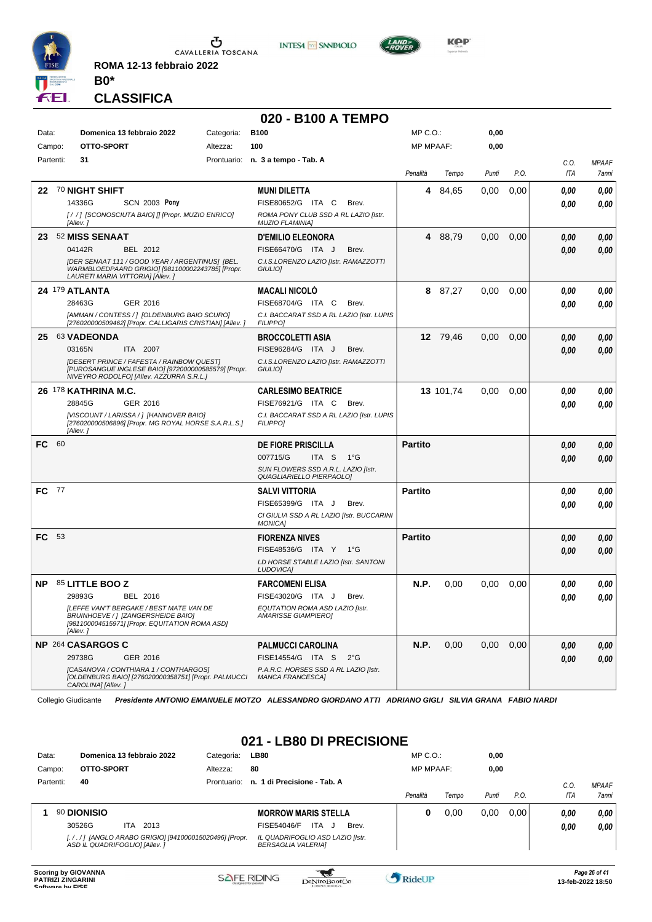

**ROMA 12-13 febbraio 2022**

**INTESA** M SANPAOLO



**Kep** 

#### **CLASSIFICA**

**B0\***

|           |      |                                                                                                                                              |            | 020 - B100 A TEMPO                                               |                  |           |       |      |      |              |
|-----------|------|----------------------------------------------------------------------------------------------------------------------------------------------|------------|------------------------------------------------------------------|------------------|-----------|-------|------|------|--------------|
| Data:     |      | Domenica 13 febbraio 2022                                                                                                                    | Categoria: | <b>B100</b>                                                      | MP C.O.:         |           | 0,00  |      |      |              |
| Campo:    |      | OTTO-SPORT                                                                                                                                   | Altezza:   | 100                                                              | <b>MP MPAAF:</b> |           | 0,00  |      |      |              |
| Partenti: |      | 31                                                                                                                                           |            | Prontuario: n. 3 a tempo - Tab. A                                |                  |           |       |      | C.O. | <b>MPAAF</b> |
|           |      |                                                                                                                                              |            |                                                                  | Penalità         | Tempo     | Punti | P.O. | ITA  | 7anni        |
| 22        |      | <b>70 NIGHT SHIFT</b>                                                                                                                        |            | <b>MUNI DILETTA</b>                                              | 4                | 84,65     | 0.00  | 0,00 | 0.00 | 0,00         |
|           |      | 14336G<br><b>SCN 2003 Pony</b>                                                                                                               |            | FISE80652/G ITA C<br>Brev.                                       |                  |           |       |      | 0.00 | 0,00         |
|           |      | [/ /] [SCONOSCIUTA BAIO] [] [Propr. MUZIO ENRICO]<br>[Allev.]                                                                                |            | ROMA PONY CLUB SSD A RL LAZIO [Istr.<br><b>MUZIO FLAMINIA1</b>   |                  |           |       |      |      |              |
| 23.       |      | <b>52 MISS SENAAT</b>                                                                                                                        |            | <b>D'EMILIO ELEONORA</b>                                         |                  | 4 88.79   | 0,00  | 0,00 | 0.00 | 0,00         |
|           |      | 04142R<br>BEL 2012                                                                                                                           |            | FISE66470/G ITA J<br>Brev.                                       |                  |           |       |      | 0.00 | 0.00         |
|           |      | [DER SENAAT 111 / GOOD YEAR / ARGENTINUS] [BEL.<br>WARMBLOEDPAARD GRIGIO] [981100002243785] [Propr.<br>LAURETI MARIA VITTORIA] [Allev.]      |            | C.I.S.LORENZO LAZIO [Istr. RAMAZZOTTI<br>GIULIO]                 |                  |           |       |      |      |              |
|           |      | <b>24 179 ATLANTA</b>                                                                                                                        |            | <b>MACALI NICOLO</b>                                             | 8                | 87,27     | 0.00  | 0,00 | 0.00 | 0,00         |
|           |      | 28463G<br>GER 2016                                                                                                                           |            | FISE68704/G ITA C<br>Brev.                                       |                  |           |       |      | 0.00 | 0.00         |
|           |      | [AMMAN / CONTESS / ] [OLDENBURG BAIO SCURO]<br>[276020000509462] [Propr. CALLIGARIS CRISTIAN] [Allev. ]                                      |            | C.I. BACCARAT SSD A RL LAZIO [Istr. LUPIS<br><b>FILIPPO]</b>     |                  |           |       |      |      |              |
|           |      | 25 63 VADEONDA                                                                                                                               |            | <b>BROCCOLETTI ASIA</b>                                          |                  | 12 79.46  | 0,00  | 0,00 | 0,00 | 0,00         |
|           |      | ITA 2007<br>03165N                                                                                                                           |            | FISE96284/G ITA J<br>Brev.                                       |                  |           |       |      | 0,00 | 0,00         |
|           |      | [DESERT PRINCE / FAFESTA / RAINBOW QUEST]<br>IPUROSANGUE INGLESE BAIOI 19720000005855791 IPropr.<br>NIVEYRO RODOLFOI [Allev. AZZURRA S.R.L.] |            | C.I.S.LORENZO LAZIO [Istr. RAMAZZOTTI<br>GIULIO]                 |                  |           |       |      |      |              |
|           |      | 26 178 KATHRINA M.C.                                                                                                                         |            | <b>CARLESIMO BEATRICE</b>                                        |                  | 13 101,74 | 0.00  | 0,00 | 0.00 | 0,00         |
|           |      | GER 2016<br>28845G                                                                                                                           |            | FISE76921/G ITA C<br>Brev.                                       |                  |           |       |      | 0.00 | 0.00         |
|           |      | [VISCOUNT / LARISSA / ] [HANNOVER BAIO]<br>[276020000506896] [Propr. MG ROYAL HORSE S.A.R.L.S.]<br>[Allev.]                                  |            | C.I. BACCARAT SSD A RL LAZIO [Istr. LUPIS<br><b>FILIPPO1</b>     |                  |           |       |      |      |              |
| FC.       | -60  |                                                                                                                                              |            | <b>DE FIORE PRISCILLA</b>                                        | <b>Partito</b>   |           |       |      | 0.00 | 0,00         |
|           |      |                                                                                                                                              |            | 007715/G<br>ITA S<br>1°G                                         |                  |           |       |      | 0.00 | 0.00         |
|           |      |                                                                                                                                              |            | SUN FLOWERS SSD A.R.L. LAZIO [Istr.<br>QUAGLIARIELLO PIERPAOLO]  |                  |           |       |      |      |              |
| FC.       | - 77 |                                                                                                                                              |            | <b>SALVI VITTORIA</b>                                            | <b>Partito</b>   |           |       |      | 0.00 | 0,00         |
|           |      |                                                                                                                                              |            | FISE65399/G ITA J<br>Brev.                                       |                  |           |       |      | 0.00 | 0.00         |
|           |      |                                                                                                                                              |            | CI GIULIA SSD A RL LAZIO [Istr. BUCCARINI<br><b>MONICA]</b>      |                  |           |       |      |      |              |
| FC 53     |      |                                                                                                                                              |            | <b>FIORENZA NIVES</b>                                            | <b>Partito</b>   |           |       |      | 0,00 | 0,00         |
|           |      |                                                                                                                                              |            | FISE48536/G ITA Y 1°G                                            |                  |           |       |      | 0,00 | 0.00         |
|           |      |                                                                                                                                              |            | LD HORSE STABLE LAZIO [Istr. SANTONI<br>LUDOVICA]                |                  |           |       |      |      |              |
| <b>NP</b> |      | 85 LITTLE BOO Z                                                                                                                              |            | <b>FARCOMENI ELISA</b>                                           | N.P.             | 0,00      | 0.00  | 0,00 | 0.00 | 0,00         |
|           |      | 29893G<br>BEL 2016                                                                                                                           |            | FISE43020/G ITA J<br>Brev.                                       |                  |           |       |      | 0,00 | 0.00         |
|           |      | [LEFFE VAN'T BERGAKE / BEST MATE VAN DE<br>BRUINHOEVE / ] [ZANGERSHEIDE BAIO]<br>[981100004515971] [Propr. EQUITATION ROMA ASD]<br>[Allev.]  |            | EQUTATION ROMA ASD LAZIO [Istr.<br><b>AMARISSE GIAMPIEROI</b>    |                  |           |       |      |      |              |
|           |      | NP 264 CASARGOS C                                                                                                                            |            | <b>PALMUCCI CAROLINA</b>                                         | N.P.             | 0,00      | 0,00  | 0,00 | 0,00 | 0,00         |
|           |      | 29738G<br>GER 2016                                                                                                                           |            | FISE14554/G ITA S 2°G                                            |                  |           |       |      | 0.00 | 0,00         |
|           |      | [CASANOVA / CONTHIARA 1 / CONTHARGOS]<br>[OLDENBURG BAIO] [276020000358751] [Propr. PALMUCCI<br>CAROLINA] [Allev.]                           |            | P.A.R.C. HORSES SSD A RL LAZIO [Istr.<br><b>MANCA FRANCESCAI</b> |                  |           |       |      |      |              |

Collegio Giudicante *Presidente ANTONIO EMANUELE MOTZO ALESSANDRO GIORDANO ATTI ADRIANO GIGLI SILVIA GRANA FABIO NARDI*

#### **021 - LB80 DI PRECISIONE**

| Data:  |           |                                |      | Domenica 13 febbraio 2022                             | Categoria:  | <b>LB80</b>                                                   | $MP C. O.$ :     |       | 0,00  |      |         |                     |
|--------|-----------|--------------------------------|------|-------------------------------------------------------|-------------|---------------------------------------------------------------|------------------|-------|-------|------|---------|---------------------|
| Campo: |           | OTTO-SPORT                     |      |                                                       | Altezza:    | 80                                                            | <b>MP MPAAF:</b> |       | 0,00  |      |         |                     |
|        | Partenti: | 40                             |      |                                                       | Prontuario: | n. 1 di Precisione - Tab. A                                   |                  |       |       |      | $C_{0}$ | <b>MPAAF</b>        |
|        |           |                                |      |                                                       |             |                                                               | Penalità         | Tempo | Punti | P.O. | ITA     | <i><b>7anni</b></i> |
|        |           | 90 DIONISIO                    |      |                                                       |             | <b>MORROW MARIS STELLA</b>                                    | 0                | 0.00  | 0.00  | 0.00 | 0.00    | 0,00                |
|        |           | 30526G                         | ITA. | 2013                                                  |             | ITA<br>Brev.<br>FISE54046/F<br>ل.                             |                  |       |       |      | 0,00    | 0,00                |
|        |           | ASD IL QUADRIFOGLIO] [Allev. ] |      | [././] [ANGLO ARABO GRIGIO] [941000015020496] [Propr. |             | IL QUADRIFOGLIO ASD LAZIO [Istr.<br><b>BERSAGLIA VALERIAI</b> |                  |       |       |      |         |                     |
|        |           |                                |      |                                                       |             |                                                               |                  |       |       |      |         |                     |



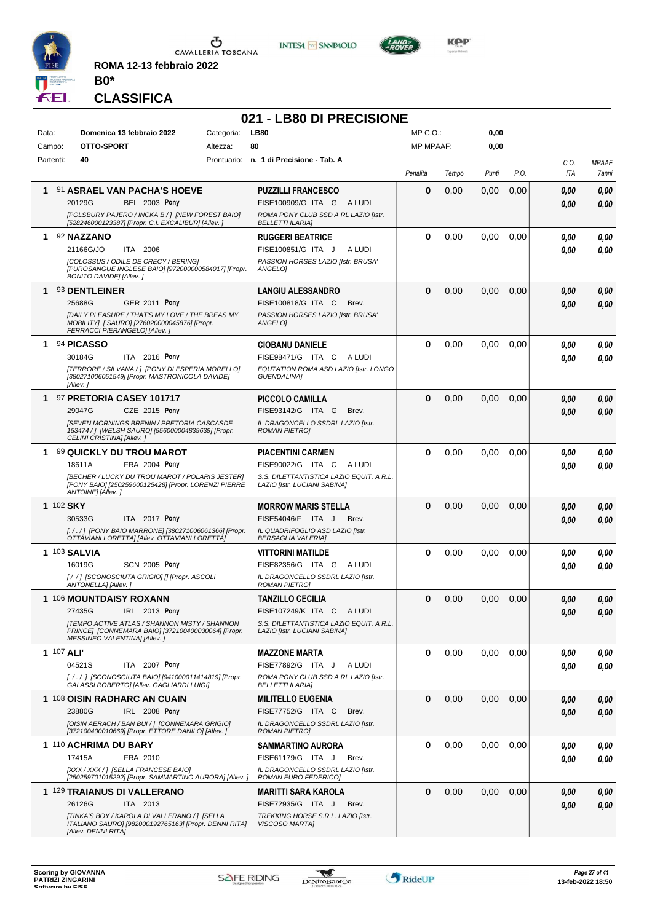

**ROMA 12-13 febbraio 2022 B0\***





**KOP** 

# **CLASSIFICA**

|            |                                                                                                                                                                                               |            | 021 - LB80 DI PRECISIONE                                                                                                            |              |       |       |               |                    |                       |
|------------|-----------------------------------------------------------------------------------------------------------------------------------------------------------------------------------------------|------------|-------------------------------------------------------------------------------------------------------------------------------------|--------------|-------|-------|---------------|--------------------|-----------------------|
| Data:      | Domenica 13 febbraio 2022                                                                                                                                                                     | Categoria: | <b>LB80</b>                                                                                                                         | MP C.O.:     |       | 0,00  |               |                    |                       |
| Campo:     | OTTO-SPORT                                                                                                                                                                                    | Altezza:   | 80                                                                                                                                  | MP MPAAF:    |       | 0,00  |               |                    |                       |
| Partenti:  | 40                                                                                                                                                                                            |            | Prontuario: n. 1 di Precisione - Tab. A                                                                                             | Penalità     | Tempo | Punti | P.O.          | C.O.<br>ITA        | <b>MPAAF</b><br>7anni |
| 1.         | 91 ASRAEL VAN PACHA'S HOEVE<br><b>BEL 2003 Pony</b><br>20129G<br>[POLSBURY PAJERO / INCKA B / ] [NEW FOREST BAIO]<br>[528246000123387] [Propr. C.I. EXCALIBUR] [Allev. ]                      |            | <b>PUZZILLI FRANCESCO</b><br>FISE100909/G ITA G ALUDI<br>ROMA PONY CLUB SSD A RL LAZIO [Istr.<br><b>BELLETTI ILARIA]</b>            | 0            | 0,00  | 0,00  | 0,00          | 0,00<br>0.00       | 0,00<br>0,00          |
| 1          | 92 NAZZANO<br>21166G/JO<br>ITA 2006<br>[COLOSSUS / ODILE DE CRECY / BERING]<br>[PUROSANGUE INGLESE BAIO] [972000000584017] [Propr.<br><b>BONITO DAVIDE] [Allev.]</b>                          |            | <b>RUGGERI BEATRICE</b><br>FISE100851/G ITA J<br>A LUDI<br>PASSION HORSES LAZIO [Istr. BRUSA'<br>ANGELO]                            | 0            | 0,00  | 0,00  | 0,00          | 0,00<br>0.00       | 0,00<br>0.00          |
|            | 1 93 DENTLEINER<br>25688G<br><b>GER 2011 Pony</b><br><b>IDAILY PLEASURE / THAT'S MY LOVE / THE BREAS MY</b><br>MOBILITY] [ SAURO] [276020000045876] [Propr.<br>FERRACCI PIERANGELO] [Allev.]  |            | <b>LANGIU ALESSANDRO</b><br>FISE100818/G ITA C<br>Brev.<br>PASSION HORSES LAZIO [Istr. BRUSA'<br>ANGELOI                            | 0            | 0,00  | 0,00  | 0,00          | 0,00<br>0,00       | 0,00<br>0,00          |
| 1          | 94 PICASSO<br>30184G<br>ITA 2016 Pony<br>[TERRORE / SILVANA / ] [PONY DI ESPERIA MORELLO]<br>[380271006051549] [Propr. MASTRONICOLA DAVIDE]<br>[Allev.]                                       |            | <b>CIOBANU DANIELE</b><br>FISE98471/G ITA C<br>A LUDI<br>EQUTATION ROMA ASD LAZIO [Istr. LONGO<br><b>GUENDALINA1</b>                | 0            | 0,00  | 0,00  | 0.00          | 0,00<br>0.00       | 0.00<br>0.00          |
|            | 1 97 PRETORIA CASEY 101717<br>CZE 2015 Pony<br>29047G<br><b>ISEVEN MORNINGS BRENIN / PRETORIA CASCASDE</b><br>153474 / ] [WELSH SAURO] [956000004839639] [Propr.<br>CELINI CRISTINA] [Allev.] |            | <b>PICCOLO CAMILLA</b><br>FISE93142/G ITA G<br>Brev.<br>IL DRAGONCELLO SSDRL LAZIO IIstr.<br><b>ROMAN PIETROI</b>                   | $\bf{0}$     | 0,00  | 0,00  | 0,00          | 0,00<br>0,00       | 0,00<br>0.00          |
| 1.         | 99 QUICKLY DU TROU MAROT<br>18611A<br>FRA 2004 Pony<br>[BECHER / LUCKY DU TROU MAROT / POLARIS JESTER]<br>[PONY BAIO] [250259600125428] [Propr. LORENZI PIERRE<br>ANTOINE] [Allev.]           |            | <b>PIACENTINI CARMEN</b><br>FISE90022/G ITA C<br>A LUDI<br>S.S. DILETTANTISTICA LAZIO EQUIT. A R.L.<br>LAZIO [Istr. LUCIANI SABINA] | $\bf{0}$     | 0,00  | 0,00  | 0,00          | 0.00<br>0.00       | 0,00<br>0.00          |
| 1 102 SKY  | 30533G<br>ITA 2017 Pony<br>[././] [PONY BAIO MARRONE] [380271006061366] [Propr.<br>OTTAVIANI LORETTA] [Allev. OTTAVIANI LORETTA]                                                              |            | <b>MORROW MARIS STELLA</b><br>FISE54046/F ITA J<br>Brev.<br>IL QUADRIFOGLIO ASD LAZIO [Istr.<br><b>BERSAGLIA VALERIA]</b>           | 0            | 0,00  | 0,00  | 0,00          | 0,00<br>0,00       | 0,00<br>0,00          |
|            | 1 103 SALVIA<br>16019G<br><b>SCN 2005 Pony</b><br>[/ /] [SCONOSCIUTA GRIGIO] [] [Propr. ASCOLI<br>ANTONELLA] [Allev.]                                                                         |            | <b>VITTORINI MATILDE</b><br>FISE82356/G ITA G ALUDI<br>IL DRAGONCELLO SSDRL LAZIO [Istr.<br><b>ROMAN PIETROI</b>                    | $\bf{0}$     | 0,00  | 0,00  | 0,00          | 0.00<br>0.00       | 0,00<br>0.00          |
|            | 1 106 MOUNTDAISY ROXANN<br>27435G<br>IRL 2013 Pony<br>[TEMPO ACTIVE ATLAS / SHANNON MISTY / SHANNON<br>PRINCE] [CONNEMARA BAIO] [372100400030064] [Propr.<br>MESSINEO VALENTINA] [Allev. ]    |            | <b>TANZILLO CECILIA</b><br>FISE107249/K ITA C ALUDI<br>S.S. DILETTANTISTICA LAZIO EQUIT. A R.L.<br>LAZIO [Istr. LUCIANI SABINA]     | <sup>n</sup> | 0,00  |       | $0,00$ $0,00$ | $\it 0,00$<br>0,00 | 0,00<br>0,00          |
| 1 107 ALI' | 04521S<br>ITA 2007 Pony<br>[././.] [SCONOSCIUTA BAIO] [941000011414819] [Propr.<br>GALASSI ROBERTO] [Allev. GAGLIARDI LUIGI]                                                                  |            | <b>MAZZONE MARTA</b><br>FISE77892/G ITA J<br>A LUDI<br>ROMA PONY CLUB SSD A RL LAZIO [Istr.<br><b>BELLETTI ILARIA]</b>              | 0            | 0,00  | 0,00  | 0.00          | 0,00<br>0.00       | 0,00<br>0.00          |
|            | 1 108 OISIN RADHARC AN CUAIN<br>23880G<br>IRL 2008 Pony<br>[OISIN AERACH / BAN BUI / ] [CONNEMARA GRIGIO]<br>[372100400010669] [Propr. ETTORE DANILO] [Allev.]                                |            | <b>MILITELLO EUGENIA</b><br>FISE77752/G ITA C<br>Brev.<br>IL DRAGONCELLO SSDRL LAZIO [Istr.<br><b>ROMAN PIETROJ</b>                 | $\bf{0}$     | 0,00  | 0,00  | 0,00          | 0,00<br>0,00       | 0,00<br>0.00          |
|            | 1 110 ACHRIMA DU BARY<br>17415A<br>FRA 2010<br>[XXX / XXX / ] [SELLA FRANCESE BAIO]<br>[250259701015292] [Propr. SAMMARTINO AURORA] [Allev. ]                                                 |            | <b>SAMMARTINO AURORA</b><br>FISE61179/G ITA J<br>Brev.<br>IL DRAGONCELLO SSDRL LAZIO [Istr.<br>ROMAN EURO FEDERICO]                 | 0            | 0,00  | 0,00  | 0,00          | 0,00<br>0,00       | 0,00<br>0,00          |
|            | 1 129 TRAIANUS DI VALLERANO<br>26126G<br>ITA 2013<br>[TINKA'S BOY / KAROLA DI VALLERANO / ] [SELLA<br>ITALIANO SAURO] [982000192765163] [Propr. DENNI RITA]<br>[Allev. DENNI RITA]            |            | <b>MARITTI SARA KAROLA</b><br>FISE72935/G ITA J<br>Brev.<br>TREKKING HORSE S.R.L. LAZIO [Istr.<br><b>VISCOSO MARTA]</b>             | $\bf{0}$     | 0,00  | 0,00  | 0,00          | 0,00<br>0,00       | 0,00<br>0.00          |

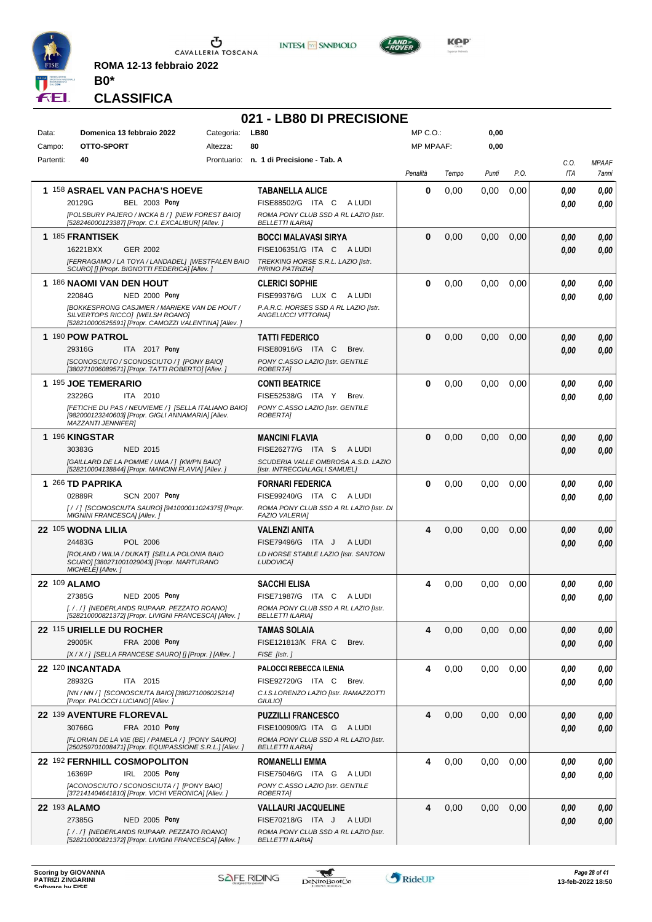

**ROMA 12-13 febbraio 2022 B0\***





**KOP** 

# **CLASSIFICA**

|           |                                                                                                                                  |            | 021 - LB80 DI PRECISIONE                                             |                  |       |       |      |                    |                       |
|-----------|----------------------------------------------------------------------------------------------------------------------------------|------------|----------------------------------------------------------------------|------------------|-------|-------|------|--------------------|-----------------------|
| Data:     | Domenica 13 febbraio 2022                                                                                                        | Categoria: | <b>LB80</b>                                                          | MP C.O.:         |       | 0,00  |      |                    |                       |
| Campo:    | OTTO-SPORT                                                                                                                       | Altezza:   | 80                                                                   | <b>MP MPAAF:</b> |       | 0,00  |      |                    |                       |
| Partenti: | 40                                                                                                                               |            | Prontuario: n. 1 di Precisione - Tab. A                              | Penalità         | Tempo | Punti | P.O. | C.O.<br><b>ITA</b> | <b>MPAAF</b><br>7anni |
|           | 1 158 ASRAEL VAN PACHA'S HOEVE                                                                                                   |            | <b>TABANELLA ALICE</b>                                               | 0                | 0,00  | 0,00  | 0,00 | 0,00               | 0,00                  |
|           | 20129G<br><b>BEL 2003 Pony</b>                                                                                                   |            | FISE88502/G ITA C ALUDI                                              |                  |       |       |      | 0.00               | 0,00                  |
|           | [POLSBURY PAJERO / INCKA B / ] [NEW FOREST BAIO]<br>[528246000123387] [Propr. C.I. EXCALIBUR] [Allev. ]                          |            | ROMA PONY CLUB SSD A RL LAZIO [Istr.<br><b>BELLETTI ILARIA]</b>      |                  |       |       |      |                    |                       |
|           | 1 185 FRANTISEK                                                                                                                  |            | BOCCI MALAVASI SIRYA                                                 | $\bf{0}$         | 0,00  | 0,00  | 0,00 | 0,00               | 0,00                  |
|           | 16221BXX<br>GER 2002<br>[FERRAGAMO / LA TOYA / LANDADEL] [WESTFALEN BAIO                                                         |            | FISE106351/G ITA C ALUDI<br>TREKKING HORSE S.R.L. LAZIO [Istr.       |                  |       |       |      | 0.00               | 0.00                  |
|           | SCURO] [] [Propr. BIGNOTTI FEDERICA] [Allev.]                                                                                    |            | PIRINO PATRIZIA]                                                     |                  |       |       |      |                    |                       |
|           | 1 186 NAOMI VAN DEN HOUT<br>22084G<br><b>NED 2000 Pony</b>                                                                       |            | <b>CLERICI SOPHIE</b><br>FISE99376/G LUX C<br>A LUDI                 | $\bf{0}$         | 0,00  | 0,00  | 0,00 | 0,00               | 0,00                  |
|           | <b>IBOKKESPRONG CASJMIER / MARIEKE VAN DE HOUT /</b>                                                                             |            | P.A.R.C. HORSES SSD A RL LAZIO [Istr.                                |                  |       |       |      | 0.00               | 0.00                  |
|           | SILVERTOPS RICCO] [WELSH ROANO]<br>[528210000525591] [Propr. CAMOZZI VALENTINA] [Allev.]                                         |            | ANGELUCCI VITTORIA]                                                  |                  |       |       |      |                    |                       |
|           | 1 190 POW PATROL                                                                                                                 |            | <b>TATTI FEDERICO</b>                                                | $\bf{0}$         | 0,00  | 0,00  | 0,00 | 0,00               | 0,00                  |
|           | 29316G<br>ITA 2017 Pony                                                                                                          |            | FISE80916/G ITA C<br>Brev.                                           |                  |       |       |      | 0.00               | 0.00                  |
|           | [SCONOSCIUTO / SCONOSCIUTO / ] [PONY BAIO]<br>[380271006089571] [Propr. TATTI ROBERTO] [Allev.]                                  |            | PONY C.ASSO LAZIO [Istr. GENTILE<br>ROBERTA]                         |                  |       |       |      |                    |                       |
|           | 1 195 JOE TEMERARIO                                                                                                              |            | <b>CONTI BEATRICE</b>                                                | 0                | 0,00  | 0,00  | 0,00 | 0,00               | 0.00                  |
|           | 23226G<br>ITA 2010                                                                                                               |            | FISE52538/G ITA Y<br>Brev.                                           |                  |       |       |      | 0.00               | 0.00                  |
|           | [FETICHE DU PAS / NEUVIEME / 1 [SELLA ITALIANO BAIO]<br>[982000123240603] [Propr. GIGLI ANNAMARIA] [Allev.<br>MAZZANTI JENNIFER] |            | PONY C.ASSO LAZIO [Istr. GENTILE<br>ROBERTA]                         |                  |       |       |      |                    |                       |
|           | 1 196 KINGSTAR                                                                                                                   |            | <b>MANCINI FLAVIA</b>                                                | $\Omega$         | 0,00  | 0,00  | 0.00 | 0,00               | 0,00                  |
|           | 30383G<br><b>NED 2015</b>                                                                                                        |            | FISE26277/G ITA S ALUDI                                              |                  |       |       |      | 0.00               | 0.00                  |
|           | [GAILLARD DE LA POMME / UMA / ] [KWPN BAIO]<br>[528210004138844] [Propr. MANCINI FLAVIA] [Allev.]                                |            | SCUDERIA VALLE OMBROSA A.S.D. LAZIO<br>[Istr. INTRECCIALAGLI SAMUEL] |                  |       |       |      |                    |                       |
|           | 1 266 TD PAPRIKA                                                                                                                 |            | <b>FORNARI FEDERICA</b>                                              | $\bf{0}$         | 0,00  | 0,00  | 0,00 | 0,00               | 0.00                  |
|           | 02889R<br><b>SCN 2007 Pony</b><br>[/ / ] [SCONOSCIUTA SAURO] [941000011024375] [Propr.                                           |            | FISE99240/G ITA C ALUDI<br>ROMA PONY CLUB SSD A RL LAZIO [Istr. DI   |                  |       |       |      | 0.00               | 0.00                  |
|           | MIGNINI FRANCESCA] [Allev. j                                                                                                     |            | <b>FAZIO VALERIA]</b>                                                |                  |       |       |      |                    |                       |
|           | 22 105 WODNA LILIA<br>POL 2006                                                                                                   |            | <b>VALENZI ANITA</b>                                                 | 4                | 0,00  | 0,00  | 0,00 | 0,00               | 0,00                  |
|           | 24483G<br>[ROLAND / WILIA / DUKAT] [SELLA POLONIA BAIO                                                                           |            | FISE79496/G ITA J<br>A LUDI<br>LD HORSE STABLE LAZIO [Istr. SANTONI  |                  |       |       |      | 0,00               | 0.00                  |
|           | SCURO] [380271001029043] [Propr. MARTURANO<br>MICHELE] [Allev.]                                                                  |            | LUDOVICA]                                                            |                  |       |       |      |                    |                       |
|           | 22 109 ALAMO                                                                                                                     |            | <b>SACCHI ELISA</b>                                                  | 4                | 0,00  | 0.00  | 0,00 | 0.00               | 0,00                  |
|           | 27385G<br><b>NED 2005 Pony</b>                                                                                                   |            | FISE71987/G ITA C<br>A LUDI                                          |                  |       |       |      | 0,00               | 0,00                  |
|           | [././] [NEDERLANDS RIJPAAR. PEZZATO ROANO]<br>[528210000821372] [Propr. LIVIGNI FRANCESCA] [Allev.]                              |            | ROMA PONY CLUB SSD A RL LAZIO [Istr.<br><b>BELLETTI ILARIA]</b>      |                  |       |       |      |                    |                       |
|           | 22 115 URIELLE DU ROCHER                                                                                                         |            | <b>TAMAS SOLAIA</b>                                                  | 4                | 0,00  | 0,00  | 0,00 | 0,00               | 0,00                  |
|           | 29005K<br><b>FRA 2008 Pony</b><br>[X / X / ] [SELLA FRANCESE SAURO] [] [Propr. ] [Allev. ]                                       |            | FISE121813/K FRA C<br>Brev.<br>FISE [Istr.]                          |                  |       |       |      | 0,00               | 0,00                  |
|           | 22 120 INCANTADA                                                                                                                 |            | <b>PALOCCI REBECCA ILENIA</b>                                        | 4                | 0,00  | 0,00  | 0,00 | 0,00               | 0,00                  |
|           | 28932G<br>ITA 2015                                                                                                               |            | FISE92720/G ITA C<br>Brev.                                           |                  |       |       |      | 0,00               | 0,00                  |
|           | [NN / NN / ] [SCONOSCIUTA BAIO] [380271006025214]<br>[Propr. PALOCCI LUCIANO] [Allev.]                                           |            | C.I.S.LORENZO LAZIO [Istr. RAMAZZOTTI<br>GIULIO]                     |                  |       |       |      |                    |                       |
|           | 22 139 AVENTURE FLOREVAL                                                                                                         |            | <b>PUZZILLI FRANCESCO</b>                                            | 4                | 0,00  | 0,00  | 0,00 | 0,00               | 0,00                  |
|           | 30766G<br>FRA 2010 Pony                                                                                                          |            | FISE100909/G ITA G ALUDI                                             |                  |       |       |      | 0,00               | 0,00                  |
|           | [FLORIAN DE LA VIE (BE) / PAMELA / ] [PONY SAURO]<br>[250259701008471] [Propr. EQUIPASSIONE S.R.L.] [Allev.]                     |            | ROMA PONY CLUB SSD A RL LAZIO [Istr.<br><b>BELLETTI ILARIA]</b>      |                  |       |       |      |                    |                       |
|           | 22 <sup>192</sup> FERNHILL COSMOPOLITON                                                                                          |            | <b>ROMANELLI EMMA</b>                                                | 4                | 0,00  | 0,00  | 0,00 | 0,00               | 0,00                  |
|           | IRL 2005 Pony<br>16369P<br>[ACONOSCIUTO / SCONOSCIUTA / ] [PONY BAIO]                                                            |            | FISE75046/G ITA G ALUDI<br>PONY C.ASSO LAZIO [Istr. GENTILE          |                  |       |       |      | 0,00               | 0,00                  |
|           | [372141404641810] [Propr. VICHI VERONICA] [Allev. ]                                                                              |            | ROBERTA]                                                             |                  |       |       |      |                    |                       |
|           | 22 193 ALAMO                                                                                                                     |            | <b>VALLAURI JACQUELINE</b>                                           | 4                | 0,00  | 0,00  | 0,00 | 0,00               | 0,00                  |
|           | 27385G<br><b>NED 2005 Pony</b><br>[././] [NEDERLANDS RIJPAAR. PEZZATO ROANO]                                                     |            | FISE70218/G ITA J ALUDI<br>ROMA PONY CLUB SSD A RL LAZIO [Istr.      |                  |       |       |      | 0,00               | 0,00                  |
|           | [528210000821372] [Propr. LIVIGNI FRANCESCA] [Allev. ]                                                                           |            | <b>BELLETTI ILARIAI</b>                                              |                  |       |       |      |                    |                       |

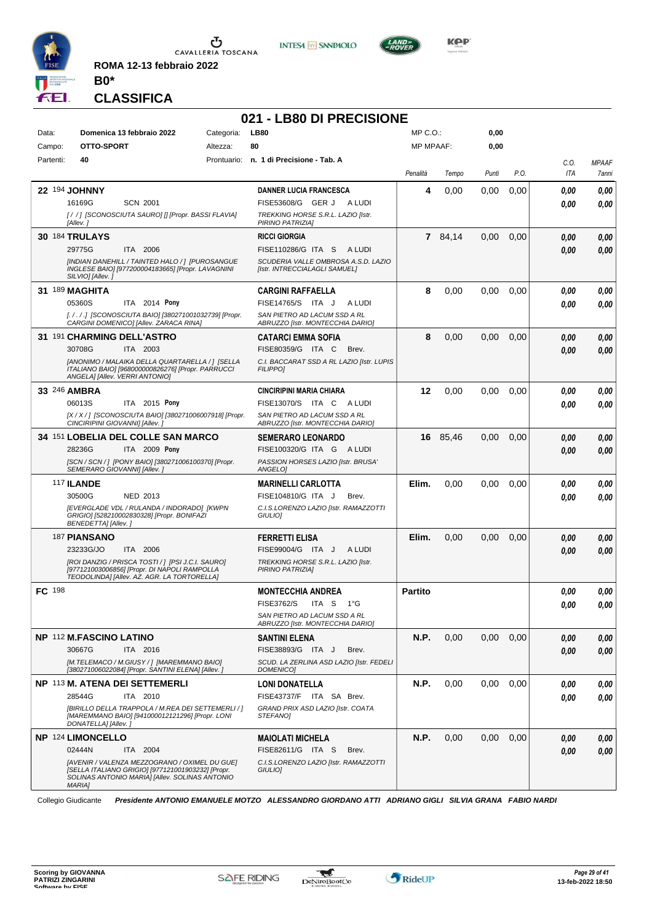

 $\sigma$  cavalleria toscana

**ROMA 12-13 febbraio 2022 B0\***





**CLASSIFICA**

# **021 - LB80 DI PRECISIONE**

| Data:         | Domenica 13 febbraio 2022                                                                                                                                                                                        | Categoria: | <b>LB80</b>                                                                                                                    | MP C. O.         |          | 0,00  |      |                    |                       |
|---------------|------------------------------------------------------------------------------------------------------------------------------------------------------------------------------------------------------------------|------------|--------------------------------------------------------------------------------------------------------------------------------|------------------|----------|-------|------|--------------------|-----------------------|
| Campo:        | OTTO-SPORT                                                                                                                                                                                                       | Altezza:   | 80                                                                                                                             | <b>MP MPAAF:</b> |          | 0,00  |      |                    |                       |
| Partenti:     | 40                                                                                                                                                                                                               |            | Prontuario: n. 1 di Precisione - Tab. A                                                                                        | Penalità         | Tempo    | Punti | P.O. | C.O.<br><b>ITA</b> | <b>MPAAF</b><br>7anni |
|               | 22 194 JOHNNY<br>16169G<br><b>SCN 2001</b><br>[//] [SCONOSCIUTA SAURO] [] [Propr. BASSI FLAVIA]<br>[Allev.]                                                                                                      |            | <b>DANNER LUCIA FRANCESCA</b><br>FISE53608/G GER J<br>A LUDI<br>TREKKING HORSE S.R.L. LAZIO [Istr.<br>PIRINO PATRIZIA]         | 4                | 0,00     | 0,00  | 0,00 | 0.00<br>0.00       | 0,00<br>0.00          |
|               | <b>30 184 TRULAYS</b><br>29775G<br>ITA 2006<br>[INDIAN DANEHILL / TAINTED HALO / ] [PUROSANGUE<br>INGLESE BAIO] [977200004183665] [Propr. LAVAGNINI<br>SILVIO] [Allev.]                                          |            | <b>RICCI GIORGIA</b><br>FISE110286/G ITA S ALUDI<br>SCUDERIA VALLE OMBROSA A.S.D. LAZIO<br>[Istr. INTRECCIALAGLI SAMUEL]       |                  | 7 84,14  | 0,00  | 0,00 | 0.00<br>0.00       | 0,00<br>0.00          |
|               | 31 189 MAGHITA<br>ITA 2014 Pony<br>05360S<br>[././.] [SCONOSCIUTA BAIO] [380271001032739] [Propr.<br>CARGINI DOMENICO] [Allev. ZARACA RINA]                                                                      |            | <b>CARGINI RAFFAELLA</b><br>FISE14765/S ITA J<br>A LUDI<br>SAN PIETRO AD LACUM SSD A RL<br>ABRUZZO [Istr. MONTECCHIA DARIO]    | 8                | 0,00     | 0,00  | 0,00 | 0.00<br>0.00       | 0,00<br>0.00          |
|               | 31 191 CHARMING DELL'ASTRO<br>30708G<br>ITA 2003<br>[ANONIMO / MALAIKA DELLA QUARTARELLA / ] [SELLA<br>ITALIANO BAIO] [968000000826276] [Propr. PARRUCCI<br>ANGELA] [Allev. VERRI ANTONIO]                       |            | <b>CATARCI EMMA SOFIA</b><br>FISE80359/G ITA C<br>Brev.<br>C.I. BACCARAT SSD A RL LAZIO [Istr. LUPIS<br><b>FILIPPO1</b>        | 8                | 0,00     | 0,00  | 0,00 | 0.00<br>0.00       | 0,00<br>0,00          |
|               | 33 246 AMBRA<br>06013S<br>ITA 2015 Pony<br>[X / X / ] [SCONOSCIUTA BAIO] [380271006007918] [Propr.<br>CINCIRIPINI GIOVANNI] [Allev.]                                                                             |            | <b>CINCIRIPINI MARIA CHIARA</b><br>FISE13070/S ITA C ALUDI<br>SAN PIETRO AD LACUM SSD A RL<br>ABRUZZO [Istr. MONTECCHIA DARIO] | 12               | 0,00     | 0,00  | 0,00 | 0.00<br>0.00       | 0,00<br>0.00          |
|               | 34 151 LOBELIA DEL COLLE SAN MARCO<br>28236G<br>ITA 2009 Pony<br>[SCN / SCN / ] [PONY BAIO] [380271006100370] [Propr.<br>SEMERARO GIOVANNI] [Allev.]                                                             |            | <b>SEMERARO LEONARDO</b><br>FISE100320/G ITA G A LUDI<br>PASSION HORSES LAZIO [Istr. BRUSA'<br>ANGELO]                         |                  | 16 85.46 | 0,00  | 0,00 | 0.00<br>0.00       | 0,00<br>0,00          |
|               | 117 ILANDE<br>30500G<br>NED 2013<br>[EVERGLADE VDL / RULANDA / INDORADO] [KWPN<br>GRIGIO] [528210002830328] [Propr. BONIFAZI<br>BENEDETTA] [Allev.]                                                              |            | <b>MARINELLI CARLOTTA</b><br>FISE104810/G ITA J<br>Brev.<br>C.I.S.LORENZO LAZIO [Istr. RAMAZZOTTI<br>GIULIO]                   | Elim.            | 0,00     | 0,00  | 0,00 | 0.00<br>0.00       | 0.00<br>0.00          |
|               | <b>187 PIANSANO</b><br>23233G/JO<br>ITA 2006<br>[ROI DANZIG / PRISCA TOSTI /   [PSI J.C.I. SAURO]<br>[977121003006856] [Propr. DI NAPOLI RAMPOLLA<br>TEODOLINDA] [Allev. AZ. AGR. LA TORTORELLA]                 |            | <b>FERRETTI ELISA</b><br>FISE99004/G ITA J<br>A LUDI<br>TREKKING HORSE S.R.L. LAZIO [Istr.<br>PIRINO PATRIZIA]                 | Elim.            | 0,00     | 0,00  | 0,00 | 0,00<br>0.00       | 0,00<br>0.00          |
| <b>FC</b> 198 |                                                                                                                                                                                                                  |            | <b>MONTECCHIA ANDREA</b><br><b>FISE3762/S</b><br>ITA S 1°G<br>SAN PIETRO AD LACUM SSD A RL<br>ABRUZZO [Istr. MONTECCHIA DARIO] | <b>Partito</b>   |          |       |      | 0,00<br>0.00       | 0,00<br>0.00          |
|               | NP 112 M.FASCINO LATINO<br>30667G<br>ITA 2016<br>[M.TELEMACO / M.GIUSY / ] [MAREMMANO BAIO]<br>[380271006022084] [Propr. SANTINI ELENA] [Allev.]                                                                 |            | <b>SANTINI ELENA</b><br>FISE38893/G ITA J<br>Brev.<br>SCUD. LA ZERLINA ASD LAZIO [Istr. FEDELI<br><b>DOMENICO1</b>             | N.P.             | 0,00     | 0,00  | 0,00 | 0,00<br>0.00       | 0,00<br>0.00          |
|               | NP 113 M. ATENA DEI SETTEMERLI<br>28544G<br>ITA 2010<br>[BIRILLO DELLA TRAPPOLA / M.REA DEI SETTEMERLI / ]<br>[MAREMMANO BAIO] [941000012121296] [Propr. LONI<br>DONATELLA] [Allev.]                             |            | <b>LONI DONATELLA</b><br>FISE43737/F ITA SA Brev.<br>GRAND PRIX ASD LAZIO [Istr. COATA<br>STEFANOI                             | N.P.             | 0,00     | 0,00  | 0,00 | 0.00<br>0.00       | 0,00<br>0.00          |
|               | <b>NP 124 LIMONCELLO</b><br>02444N<br>ITA 2004<br>[AVENIR / VALENZA MEZZOGRANO / OXIMEL DU GUE]<br>[SELLA ITALIANO GRIGIO] [977121001903232] [Propr.<br>SOLINAS ANTONIO MARIA] [Allev. SOLINAS ANTONIO<br>MARIA] |            | <b>MAIOLATI MICHELA</b><br>FISE82611/G ITA S<br>Brev.<br>C.I.S.LORENZO LAZIO [Istr. RAMAZZOTTI<br>GIULIO]                      | N.P.             | 0,00     | 0,00  | 0,00 | 0.00<br>0.00       | 0,00<br>0,00          |

Collegio Giudicante *Presidente ANTONIO EMANUELE MOTZO ALESSANDRO GIORDANO ATTI ADRIANO GIGLI SILVIA GRANA FABIO NARDI*

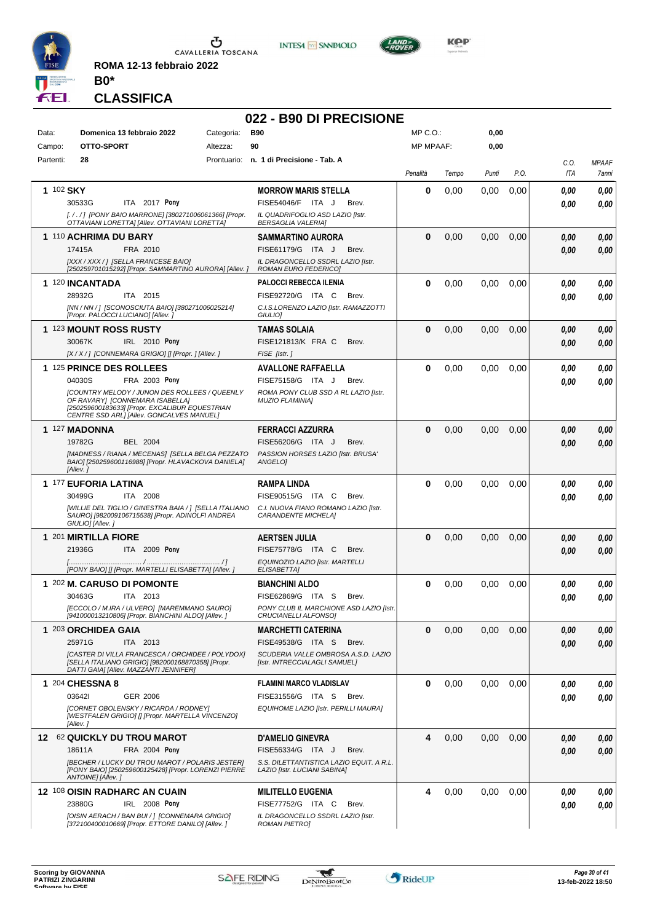

**ROMA 12-13 febbraio 2022 B0\***

# **CLASSIFICA**

#### **022 - B90 DI PRECISIONE**

**INTESA M** SANPAOLO

| Data:     | Domenica 13 febbraio 2022<br>Categoria:                                                                    | <b>B90</b>                                                               | MP C.O.:         |       | 0,00  |      |      |              |
|-----------|------------------------------------------------------------------------------------------------------------|--------------------------------------------------------------------------|------------------|-------|-------|------|------|--------------|
| Campo:    | OTTO-SPORT<br>Altezza:                                                                                     | 90                                                                       | <b>MP MPAAF:</b> |       | 0,00  |      |      |              |
| Partenti: | 28                                                                                                         | Prontuario: n. 1 di Precisione - Tab. A                                  |                  |       |       |      | C.0. | <b>MPAAF</b> |
|           |                                                                                                            |                                                                          | Penalità         | Tempo | Punti | P.O. | ITA  | 7anni        |
| 1 102 SKY |                                                                                                            | <b>MORROW MARIS STELLA</b>                                               | 0                | 0,00  | 0.00  | 0,00 | 0.00 | 0,00         |
|           | ITA 2017 Pony<br>30533G                                                                                    | FISE54046/F ITA J<br>Brev.                                               |                  |       |       |      | 0.00 | 0.00         |
|           | [. / . / ] [PONY BAIO MARRONE] [380271006061366] [Propr.                                                   | IL QUADRIFOGLIO ASD LAZIO [Istr.                                         |                  |       |       |      |      |              |
|           | OTTAVIANI LORETTA] [Allev. OTTAVIANI LORETTA]                                                              | <b>BERSAGLIA VALERIAI</b>                                                |                  |       |       |      |      |              |
|           | 1 110 ACHRIMA DU BARY                                                                                      | SAMMARTINO AURORA                                                        | $\bf{0}$         | 0,00  | 0,00  | 0,00 | 0,00 | 0,00         |
|           | 17415A<br>FRA 2010                                                                                         | FISE61179/G ITA J<br>Brev.                                               |                  |       |       |      | 0,00 | 0,00         |
|           | [XXX / XXX / ] [SELLA FRANCESE BAIO]                                                                       | IL DRAGONCELLO SSDRL LAZIO [Istr.                                        |                  |       |       |      |      |              |
|           | [250259701015292] [Propr. SAMMARTINO AURORA] [Allev.]                                                      | ROMAN EURO FEDERICO]                                                     |                  |       |       |      |      |              |
|           | 1 120 INCANTADA                                                                                            | <b>PALOCCI REBECCA ILENIA</b>                                            | 0                | 0,00  | 0,00  | 0,00 | 0.00 | 0,00         |
|           | 28932G<br>ITA 2015                                                                                         | FISE92720/G ITA C<br>Brev.                                               |                  |       |       |      | 0.00 | 0,00         |
|           | [NN / NN / ] [SCONOSCIUTA BAIO] [380271006025214]<br>[Propr. PALOCCI LUCIANO] [Allev.]                     | C.I.S.LORENZO LAZIO [Istr. RAMAZZOTTI<br>GIULIO <sub>1</sub>             |                  |       |       |      |      |              |
|           | 1 123 MOUNT ROSS RUSTY                                                                                     | <b>TAMAS SOLAIA</b>                                                      | $\bf{0}$         | 0,00  | 0,00  | 0,00 | 0,00 | 0,00         |
|           | 30067K<br><b>IRL</b> 2010 Pony                                                                             | FISE121813/K FRA C<br>Brev.                                              |                  |       |       |      |      | 0,00         |
|           | [X / X / ] [CONNEMARA GRIGIO] [] [Propr. ] [Allev. ]                                                       | FISE [Istr.]                                                             |                  |       |       |      | 0,00 |              |
|           | 1 125 PRINCE DES ROLLEES                                                                                   |                                                                          | 0                | 0,00  | 0,00  |      |      |              |
|           |                                                                                                            | <b>AVALLONE RAFFAELLA</b><br>FISE75158/G ITA J<br>Brev.                  |                  |       |       | 0,00 | 0.00 | 0,00         |
|           | FRA 2003 Pony<br>04030S<br><b>ICOUNTRY MELODY / JUNON DES ROLLEES / QUEENLY</b>                            | ROMA PONY CLUB SSD A RL LAZIO [Istr.                                     |                  |       |       |      | 0.00 | 0.00         |
|           | OF RAVARY] [CONNEMARA ISABELLA]                                                                            | <b>MUZIO FLAMINIA]</b>                                                   |                  |       |       |      |      |              |
|           | [250259600183633] [Propr. EXCALIBUR EQUESTRIAN<br>CENTRE SSD ARL] [Allev. GONCALVES MANUEL]                |                                                                          |                  |       |       |      |      |              |
|           | 1 127 MADONNA                                                                                              | <b>FERRACCI AZZURRA</b>                                                  | $\bf{0}$         | 0,00  | 0,00  | 0,00 | 0,00 | 0,00         |
|           | 19782G<br><b>BEL 2004</b>                                                                                  | FISE56206/G ITA J<br>Brev.                                               |                  |       |       |      |      |              |
|           | [MADNESS / RIANA / MECENAS] [SELLA BELGA PEZZATO                                                           | PASSION HORSES LAZIO [Istr. BRUSA'                                       |                  |       |       |      | 0.00 | 0,00         |
|           | BAIO] [250259600116988] [Propr. HLAVACKOVA DANIELA]                                                        | ANGELOI                                                                  |                  |       |       |      |      |              |
|           | [Allev.]                                                                                                   |                                                                          |                  |       |       |      |      |              |
|           | 1 177 EUFORIA LATINA                                                                                       | RAMPA LINDA                                                              | 0                | 0,00  | 0.00  | 0,00 | 0.00 | 0,00         |
|           | 30499G<br>ITA 2008                                                                                         | FISE90515/G ITA C<br>Brev.                                               |                  |       |       |      | 0.00 | 0.00         |
|           | [WILLIE DEL TIGLIO / GINESTRA BAIA / ] [SELLA ITALIANO<br>SAURO] [982009106715538] [Propr. ADINOLFI ANDREA | C.I. NUOVA FIANO ROMANO LAZIO [Istr.<br><b>CARANDENTE MICHELA]</b>       |                  |       |       |      |      |              |
|           | GIULIO] [Allev.]                                                                                           |                                                                          |                  |       |       |      |      |              |
|           | 1 201 MIRTILLA FIORE                                                                                       | AERTSEN JULIA                                                            | $\bf{0}$         | 0,00  | 0.00  | 0,00 | 0,00 | 0,00         |
|           | 21936G<br>ITA 2009 Pony                                                                                    | FISE75778/G ITA C<br>Brev.                                               |                  |       |       |      | 0.00 | 0,00         |
|           |                                                                                                            | EQUINOZIO LAZIO [Istr. MARTELLI                                          |                  |       |       |      |      |              |
|           | [PONY BAIO] [] [Propr. MARTELLI ELISABETTA] [Allev. ]                                                      | ELISABETTA]                                                              |                  |       |       |      |      |              |
|           | 1 202 M. CARUSO DI POMONTE                                                                                 | <b>BIANCHINI ALDO</b>                                                    | 0                | 0,00  | 0.00  | 0,00 | 0.00 | 0,00         |
|           | 30463G<br>ITA 2013                                                                                         | FISE62869/G ITA S<br>Brev.                                               |                  |       |       |      | 0.00 | 0,00         |
|           | [ECCOLO / M.IRA / ULVERO] [MAREMMANO SAURO]<br>[941000013210806] [Propr. BIANCHINI ALDO] [Allev.]          | PONY CLUB IL MARCHIONE ASD LAZIO [Istr.<br>CRUCIANELLI ALFONSO]          |                  |       |       |      |      |              |
|           | 1 203 ORCHIDEA GAIA                                                                                        | <b>MARCHETTI CATERINA</b>                                                | 0                | 0,00  | 0,00  | 0,00 | 0,00 | 0,00         |
|           | 25971G<br>ITA 2013                                                                                         | FISE49538/G ITA S<br>Brev.                                               |                  |       |       |      | 0.00 | 0,00         |
|           | [CASTER DI VILLA FRANCESCA / ORCHIDEE / POLYDOX]                                                           | SCUDERIA VALLE OMBROSA A.S.D. LAZIO                                      |                  |       |       |      |      |              |
|           | [SELLA ITALIANO GRIGIO] [982000168870358] [Propr.<br>DATTI GAIA] [Allev. MAZZANTI JENNIFER]                | [Istr. INTRECCIALAGLI SAMUEL]                                            |                  |       |       |      |      |              |
|           | 1 204 CHESSNA 8                                                                                            | <b>FLAMINI MARCO VLADISLAV</b>                                           | 0                | 0,00  | 0,00  | 0,00 |      |              |
|           | 036421<br>GER 2006                                                                                         | FISE31556/G ITA S<br>Brev.                                               |                  |       |       |      | 0.00 | 0,00         |
|           | [CORNET OBOLENSKY / RICARDA / RODNEY]                                                                      | EQUIHOME LAZIO [Istr. PERILLI MAURA]                                     |                  |       |       |      | 0.00 | 0,00         |
|           | [WESTFALEN GRIGIO] [] [Propr. MARTELLA VINCENZO]                                                           |                                                                          |                  |       |       |      |      |              |
|           | [Allev.]                                                                                                   |                                                                          |                  |       |       |      |      |              |
|           | 12 62 QUICKLY DU TROU MAROT                                                                                | <b>D'AMELIO GINEVRA</b>                                                  | 4                | 0,00  | 0,00  | 0,00 | 0,00 | 0,00         |
|           | FRA 2004 Pony<br>18611A                                                                                    | FISE56334/G ITA J<br>Brev.                                               |                  |       |       |      | 0,00 | 0,00         |
|           | [BECHER / LUCKY DU TROU MAROT / POLARIS JESTER]<br>[PONY BAIO] [250259600125428] [Propr. LORENZI PIERRE    | S.S. DILETTANTISTICA LAZIO EQUIT. A R.L.<br>LAZIO [Istr. LUCIANI SABINA] |                  |       |       |      |      |              |
|           | ANTOINE] [Allev.]                                                                                          |                                                                          |                  |       |       |      |      |              |
|           | <b>12 108 OISIN RADHARC AN CUAIN</b>                                                                       | <b>MILITELLO EUGENIA</b>                                                 | 4                | 0,00  | 0,00  | 0,00 | 0,00 | 0,00         |
|           | 23880G<br>IRL 2008 Pony                                                                                    | FISE77752/G ITA C<br>Brev.                                               |                  |       |       |      | 0.00 | 0,00         |
|           | [OISIN AERACH / BAN BUI / ] [CONNEMARA GRIGIO]                                                             | IL DRAGONCELLO SSDRL LAZIO [Istr.                                        |                  |       |       |      |      |              |
|           | [372100400010669] [Propr. ETTORE DANILO] [Allev. ]                                                         | <b>ROMAN PIETRO]</b>                                                     |                  |       |       |      |      |              |



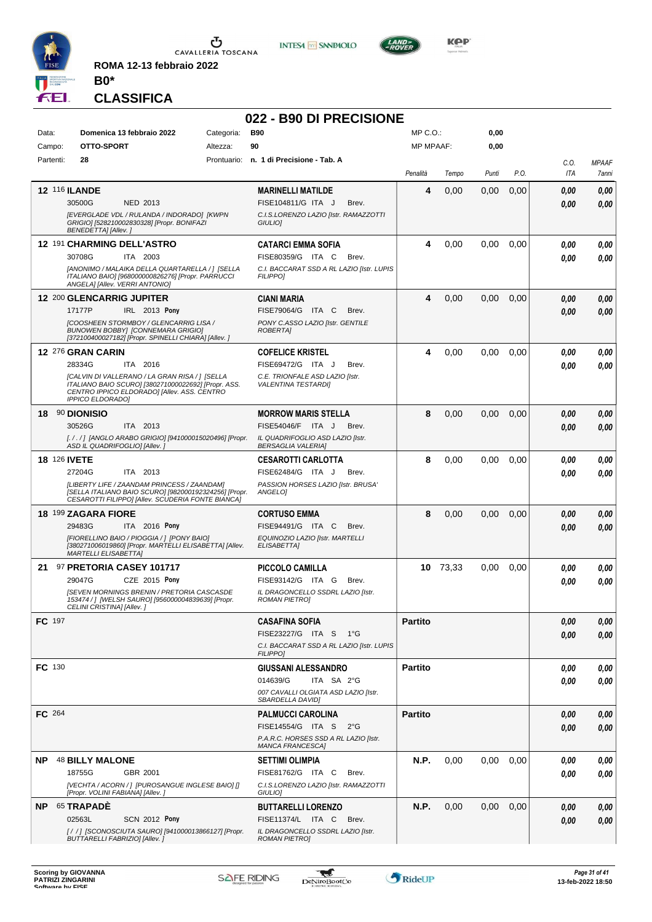

**ROMA 12-13 febbraio 2022 B0\***



# **022 - B90 DI PRECISIONE**

**INTESA M** SANPAOLO

| Prontuario: n. 1 di Precisione - Tab. A<br>Partenti:<br>28<br>C.O.<br><b>MPAAF</b><br>P.O.<br>ITA<br>Penalità<br>Punti<br>7anni<br>Tempo<br><b>12 116 ILANDE</b><br>4<br><b>MARINELLI MATILDE</b><br>0.00<br>0,00<br>0,00<br>0,00<br>0,00<br>30500G<br>NED 2013<br>FISE104811/G ITA J<br>Brev.<br>0,00<br>0,00<br>[EVERGLADE VDL / RULANDA / INDORADO] [KWPN<br>C.I.S.LORENZO LAZIO [Istr. RAMAZZOTTI<br>GRIGIO] [528210002830328] [Propr. BONIFAZI<br>GIULIO]<br>BENEDETTA] [Allev.]<br>12 191 CHARMING DELL'ASTRO<br>0,00<br>0,00<br>0,00<br><b>CATARCI EMMA SOFIA</b><br>4<br>0,00<br>0.00<br>30708G<br>ITA 2003<br>FISE80359/G ITA C<br>Brev.<br>0,00<br>0.00<br>[ANONIMO / MALAIKA DELLA QUARTARELLA /] [SELLA<br>C.I. BACCARAT SSD A RL LAZIO [Istr. LUPIS<br>ITALIANO BAIO] [968000000826276] [Propr. PARRUCCI<br><b>FILIPPO1</b><br>ANGELA] [Allev. VERRI ANTONIO]<br>12 200 GLENCARRIG JUPITER<br>4<br>CIANI MARIA<br>0.00<br>0,00<br>0,00<br>0,00<br>0,00<br>17177P<br><b>IRL</b> 2013 Pony<br>FISE79064/G<br>ITA C<br>Brev.<br>0,00<br>0.00<br>ICOOSHEEN STORMBOY / GLENCARRIG LISA /<br>PONY C.ASSO LAZIO [Istr. GENTILE<br><b>BUNOWEN BOBBY] [CONNEMARA GRIGIO]</b><br>ROBERTA]<br>[372100400027182] [Propr. SPINELLI CHIARA] [Allev. ]<br>12 276 GRAN CARIN<br><b>COFELICE KRISTEL</b><br>4<br>0,00<br>0,00<br>0,00<br>0,00<br>0.00<br>28334G<br>ITA 2016<br>FISE69472/G ITA J<br>Brev.<br>0.00<br>0.00<br>[CALVIN DI VALLERANO / LA GRAN RISA / ] [SELLA<br>C.E. TRIONFALE ASD LAZIO [Istr.<br>ITALIANO BAIO SCURO] [380271000022692] [Propr. ASS.<br><b>VALENTINA TESTARDII</b><br>CENTRO IPPICO ELDORADO] [Allev. ASS. CENTRO<br><b>IPPICO ELDORADO]</b><br>8<br>18 90 DIONISIO<br>0.00<br>0,00<br>0,00<br>0,00<br><b>MORROW MARIS STELLA</b><br>0,00<br>30526G<br>ITA 2013<br><b>FISE54046/F</b><br>ITA J<br>Brev.<br>0,00<br>0,00<br>[././] [ANGLO ARABO GRIGIO] [941000015020496] [Propr.<br>IL QUADRIFOGLIO ASD LAZIO [Istr.<br>ASD IL QUADRIFOGLIO] [Allev. ]<br><b>BERSAGLIA VALERIA]</b><br>8<br>0,00<br>0,00<br><b>18 126 IVETE</b><br>0.00<br>0,00<br><b>CESAROTTI CARLOTTA</b><br>0.00<br>27204G<br>ITA 2013<br>FISE62484/G ITA J<br>Brev.<br>0.00<br>0.00<br>[LIBERTY LIFE / ZAANDAM PRINCESS / ZAANDAM]<br>PASSION HORSES LAZIO [Istr. BRUSA'<br>[SELLA ITALIANO BAIO SCURO] [982000192324256] [Propr.<br>ANGELOI<br>CESAROTTI FILIPPO] [Allev. SCUDERIA FONTE BIANCA]<br>18 199 ZAGARA FIORE<br>8<br>0,00<br>0,00<br><b>CORTUSO EMMA</b><br>0.00<br>0,00<br>0.00<br>FISE94491/G ITA C<br>29483G<br><b>ITA</b> 2016 Pony<br>Brev.<br>0,00<br>0,00<br>[FIORELLINO BAIO / PIOGGIA / ] [PONY BAIO]<br>EQUINOZIO LAZIO [Istr. MARTELLI<br>[380271006019860] [Propr. MARTELLI ELISABETTA] [Allev.<br>ELISABETTAI<br><b>MARTELLI ELISABETTA]</b><br>97 PRETORIA CASEY 101717<br>10 73,33<br><b>PICCOLO CAMILLA</b><br>0,00<br>0,00<br>0.00<br>0,00<br>21<br>29047G<br>CZE 2015 Pony<br>FISE93142/G ITA G<br>Brev.<br>0.00<br>0,00<br><b>[SEVEN MORNINGS BRENIN / PRETORIA CASCASDE</b><br>IL DRAGONCELLO SSDRL LAZIO [Istr.<br>153474 / ] [WELSH SAURO] [956000004839639] [Propr.<br><b>ROMAN PIETROI</b><br>CELINI CRISTINA] [Allev. ]<br>FC 197<br><b>Partito</b><br><b>CASAFINA SOFIA</b><br>0,00<br>0,00<br>FISE23227/G ITA S 1°G<br>0,00<br>0,00<br>C.I. BACCARAT SSD A RL LAZIO [Istr. LUPIS<br><b>FILIPPO]</b><br>FC 130<br><b>GIUSSANI ALESSANDRO</b><br><b>Partito</b><br>0.00<br>0,00<br>014639/G<br>ITA SA 2°G<br>0,00<br>0,00<br>007 CAVALLI OLGIATA ASD LAZIO [Istr.<br><b>SBARDELLA DAVIDI</b><br>FC 264<br><b>PALMUCCI CAROLINA</b><br><b>Partito</b><br>0,00<br>0,00<br>FISE14554/G ITA S<br>$2^{\circ}G$<br>0,00<br>0,00<br>P.A.R.C. HORSES SSD A RL LAZIO [Istr.<br>MANCA FRANCESCAJ<br><b>NP 48 BILLY MALONE</b><br>N.P.<br>0,00<br>0,00<br>0,00<br><b>SETTIMI OLIMPIA</b><br>0,00<br>0,00<br>18755G<br>GBR 2001<br>FISE81762/G ITA C<br>Brev.<br>0,00<br>0,00<br>[VECHTA / ACORN / ] [PUROSANGUE INGLESE BAIO] []<br>C.I.S.LORENZO LAZIO [Istr. RAMAZZOTTI<br>[Propr. VOLINI FABIANA] [Allev.]<br>GIULIO]<br>65 TRAPADÈ<br>N.P.<br>0,00<br>0,00<br>0,00<br>NP.<br><b>BUTTARELLI LORENZO</b><br>0,00<br>0,00<br>02563L<br><b>SCN 2012 Pony</b><br>FISE11374/L ITA C<br>Brev.<br>0,00<br>0,00<br>[/ / ] [SCONOSCIUTA SAURO] [941000013866127] [Propr.<br>IL DRAGONCELLO SSDRL LAZIO [Istr.<br>BUTTARELLI FABRIZIO] [Allev.]<br><b>ROMAN PIETROJ</b> | Data: | Campo: | Domenica 13 febbraio 2022<br>OTTO-SPORT | Categoria:<br>Altezza: | <b>B90</b><br>90 | MP C. O.<br><b>MP MPAAF:</b> | 0,00<br>0,00 |  |  |
|----------------------------------------------------------------------------------------------------------------------------------------------------------------------------------------------------------------------------------------------------------------------------------------------------------------------------------------------------------------------------------------------------------------------------------------------------------------------------------------------------------------------------------------------------------------------------------------------------------------------------------------------------------------------------------------------------------------------------------------------------------------------------------------------------------------------------------------------------------------------------------------------------------------------------------------------------------------------------------------------------------------------------------------------------------------------------------------------------------------------------------------------------------------------------------------------------------------------------------------------------------------------------------------------------------------------------------------------------------------------------------------------------------------------------------------------------------------------------------------------------------------------------------------------------------------------------------------------------------------------------------------------------------------------------------------------------------------------------------------------------------------------------------------------------------------------------------------------------------------------------------------------------------------------------------------------------------------------------------------------------------------------------------------------------------------------------------------------------------------------------------------------------------------------------------------------------------------------------------------------------------------------------------------------------------------------------------------------------------------------------------------------------------------------------------------------------------------------------------------------------------------------------------------------------------------------------------------------------------------------------------------------------------------------------------------------------------------------------------------------------------------------------------------------------------------------------------------------------------------------------------------------------------------------------------------------------------------------------------------------------------------------------------------------------------------------------------------------------------------------------------------------------------------------------------------------------------------------------------------------------------------------------------------------------------------------------------------------------------------------------------------------------------------------------------------------------------------------------------------------------------------------------------------------------------------------------------------------------------------------------------------------------------------------------------------------------------------------------------------------------------------------------------------------------------------------------------------------------------------------------------------------------------------------------------------------------------------------------------------------------------------------------------------------------------------------------------------------------------------------------------------------------------------------------------------------------------------------------------------------------------------------------------------------------------------------------------------------------------------------------------------------|-------|--------|-----------------------------------------|------------------------|------------------|------------------------------|--------------|--|--|
|                                                                                                                                                                                                                                                                                                                                                                                                                                                                                                                                                                                                                                                                                                                                                                                                                                                                                                                                                                                                                                                                                                                                                                                                                                                                                                                                                                                                                                                                                                                                                                                                                                                                                                                                                                                                                                                                                                                                                                                                                                                                                                                                                                                                                                                                                                                                                                                                                                                                                                                                                                                                                                                                                                                                                                                                                                                                                                                                                                                                                                                                                                                                                                                                                                                                                                                                                                                                                                                                                                                                                                                                                                                                                                                                                                                                                                                                                                                                                                                                                                                                                                                                                                                                                                                                                                                                                                                              |       |        |                                         |                        |                  |                              |              |  |  |
|                                                                                                                                                                                                                                                                                                                                                                                                                                                                                                                                                                                                                                                                                                                                                                                                                                                                                                                                                                                                                                                                                                                                                                                                                                                                                                                                                                                                                                                                                                                                                                                                                                                                                                                                                                                                                                                                                                                                                                                                                                                                                                                                                                                                                                                                                                                                                                                                                                                                                                                                                                                                                                                                                                                                                                                                                                                                                                                                                                                                                                                                                                                                                                                                                                                                                                                                                                                                                                                                                                                                                                                                                                                                                                                                                                                                                                                                                                                                                                                                                                                                                                                                                                                                                                                                                                                                                                                              |       |        |                                         |                        |                  |                              |              |  |  |
|                                                                                                                                                                                                                                                                                                                                                                                                                                                                                                                                                                                                                                                                                                                                                                                                                                                                                                                                                                                                                                                                                                                                                                                                                                                                                                                                                                                                                                                                                                                                                                                                                                                                                                                                                                                                                                                                                                                                                                                                                                                                                                                                                                                                                                                                                                                                                                                                                                                                                                                                                                                                                                                                                                                                                                                                                                                                                                                                                                                                                                                                                                                                                                                                                                                                                                                                                                                                                                                                                                                                                                                                                                                                                                                                                                                                                                                                                                                                                                                                                                                                                                                                                                                                                                                                                                                                                                                              |       |        |                                         |                        |                  |                              |              |  |  |
|                                                                                                                                                                                                                                                                                                                                                                                                                                                                                                                                                                                                                                                                                                                                                                                                                                                                                                                                                                                                                                                                                                                                                                                                                                                                                                                                                                                                                                                                                                                                                                                                                                                                                                                                                                                                                                                                                                                                                                                                                                                                                                                                                                                                                                                                                                                                                                                                                                                                                                                                                                                                                                                                                                                                                                                                                                                                                                                                                                                                                                                                                                                                                                                                                                                                                                                                                                                                                                                                                                                                                                                                                                                                                                                                                                                                                                                                                                                                                                                                                                                                                                                                                                                                                                                                                                                                                                                              |       |        |                                         |                        |                  |                              |              |  |  |
|                                                                                                                                                                                                                                                                                                                                                                                                                                                                                                                                                                                                                                                                                                                                                                                                                                                                                                                                                                                                                                                                                                                                                                                                                                                                                                                                                                                                                                                                                                                                                                                                                                                                                                                                                                                                                                                                                                                                                                                                                                                                                                                                                                                                                                                                                                                                                                                                                                                                                                                                                                                                                                                                                                                                                                                                                                                                                                                                                                                                                                                                                                                                                                                                                                                                                                                                                                                                                                                                                                                                                                                                                                                                                                                                                                                                                                                                                                                                                                                                                                                                                                                                                                                                                                                                                                                                                                                              |       |        |                                         |                        |                  |                              |              |  |  |
|                                                                                                                                                                                                                                                                                                                                                                                                                                                                                                                                                                                                                                                                                                                                                                                                                                                                                                                                                                                                                                                                                                                                                                                                                                                                                                                                                                                                                                                                                                                                                                                                                                                                                                                                                                                                                                                                                                                                                                                                                                                                                                                                                                                                                                                                                                                                                                                                                                                                                                                                                                                                                                                                                                                                                                                                                                                                                                                                                                                                                                                                                                                                                                                                                                                                                                                                                                                                                                                                                                                                                                                                                                                                                                                                                                                                                                                                                                                                                                                                                                                                                                                                                                                                                                                                                                                                                                                              |       |        |                                         |                        |                  |                              |              |  |  |
|                                                                                                                                                                                                                                                                                                                                                                                                                                                                                                                                                                                                                                                                                                                                                                                                                                                                                                                                                                                                                                                                                                                                                                                                                                                                                                                                                                                                                                                                                                                                                                                                                                                                                                                                                                                                                                                                                                                                                                                                                                                                                                                                                                                                                                                                                                                                                                                                                                                                                                                                                                                                                                                                                                                                                                                                                                                                                                                                                                                                                                                                                                                                                                                                                                                                                                                                                                                                                                                                                                                                                                                                                                                                                                                                                                                                                                                                                                                                                                                                                                                                                                                                                                                                                                                                                                                                                                                              |       |        |                                         |                        |                  |                              |              |  |  |
|                                                                                                                                                                                                                                                                                                                                                                                                                                                                                                                                                                                                                                                                                                                                                                                                                                                                                                                                                                                                                                                                                                                                                                                                                                                                                                                                                                                                                                                                                                                                                                                                                                                                                                                                                                                                                                                                                                                                                                                                                                                                                                                                                                                                                                                                                                                                                                                                                                                                                                                                                                                                                                                                                                                                                                                                                                                                                                                                                                                                                                                                                                                                                                                                                                                                                                                                                                                                                                                                                                                                                                                                                                                                                                                                                                                                                                                                                                                                                                                                                                                                                                                                                                                                                                                                                                                                                                                              |       |        |                                         |                        |                  |                              |              |  |  |
|                                                                                                                                                                                                                                                                                                                                                                                                                                                                                                                                                                                                                                                                                                                                                                                                                                                                                                                                                                                                                                                                                                                                                                                                                                                                                                                                                                                                                                                                                                                                                                                                                                                                                                                                                                                                                                                                                                                                                                                                                                                                                                                                                                                                                                                                                                                                                                                                                                                                                                                                                                                                                                                                                                                                                                                                                                                                                                                                                                                                                                                                                                                                                                                                                                                                                                                                                                                                                                                                                                                                                                                                                                                                                                                                                                                                                                                                                                                                                                                                                                                                                                                                                                                                                                                                                                                                                                                              |       |        |                                         |                        |                  |                              |              |  |  |
|                                                                                                                                                                                                                                                                                                                                                                                                                                                                                                                                                                                                                                                                                                                                                                                                                                                                                                                                                                                                                                                                                                                                                                                                                                                                                                                                                                                                                                                                                                                                                                                                                                                                                                                                                                                                                                                                                                                                                                                                                                                                                                                                                                                                                                                                                                                                                                                                                                                                                                                                                                                                                                                                                                                                                                                                                                                                                                                                                                                                                                                                                                                                                                                                                                                                                                                                                                                                                                                                                                                                                                                                                                                                                                                                                                                                                                                                                                                                                                                                                                                                                                                                                                                                                                                                                                                                                                                              |       |        |                                         |                        |                  |                              |              |  |  |
|                                                                                                                                                                                                                                                                                                                                                                                                                                                                                                                                                                                                                                                                                                                                                                                                                                                                                                                                                                                                                                                                                                                                                                                                                                                                                                                                                                                                                                                                                                                                                                                                                                                                                                                                                                                                                                                                                                                                                                                                                                                                                                                                                                                                                                                                                                                                                                                                                                                                                                                                                                                                                                                                                                                                                                                                                                                                                                                                                                                                                                                                                                                                                                                                                                                                                                                                                                                                                                                                                                                                                                                                                                                                                                                                                                                                                                                                                                                                                                                                                                                                                                                                                                                                                                                                                                                                                                                              |       |        |                                         |                        |                  |                              |              |  |  |
|                                                                                                                                                                                                                                                                                                                                                                                                                                                                                                                                                                                                                                                                                                                                                                                                                                                                                                                                                                                                                                                                                                                                                                                                                                                                                                                                                                                                                                                                                                                                                                                                                                                                                                                                                                                                                                                                                                                                                                                                                                                                                                                                                                                                                                                                                                                                                                                                                                                                                                                                                                                                                                                                                                                                                                                                                                                                                                                                                                                                                                                                                                                                                                                                                                                                                                                                                                                                                                                                                                                                                                                                                                                                                                                                                                                                                                                                                                                                                                                                                                                                                                                                                                                                                                                                                                                                                                                              |       |        |                                         |                        |                  |                              |              |  |  |
|                                                                                                                                                                                                                                                                                                                                                                                                                                                                                                                                                                                                                                                                                                                                                                                                                                                                                                                                                                                                                                                                                                                                                                                                                                                                                                                                                                                                                                                                                                                                                                                                                                                                                                                                                                                                                                                                                                                                                                                                                                                                                                                                                                                                                                                                                                                                                                                                                                                                                                                                                                                                                                                                                                                                                                                                                                                                                                                                                                                                                                                                                                                                                                                                                                                                                                                                                                                                                                                                                                                                                                                                                                                                                                                                                                                                                                                                                                                                                                                                                                                                                                                                                                                                                                                                                                                                                                                              |       |        |                                         |                        |                  |                              |              |  |  |
|                                                                                                                                                                                                                                                                                                                                                                                                                                                                                                                                                                                                                                                                                                                                                                                                                                                                                                                                                                                                                                                                                                                                                                                                                                                                                                                                                                                                                                                                                                                                                                                                                                                                                                                                                                                                                                                                                                                                                                                                                                                                                                                                                                                                                                                                                                                                                                                                                                                                                                                                                                                                                                                                                                                                                                                                                                                                                                                                                                                                                                                                                                                                                                                                                                                                                                                                                                                                                                                                                                                                                                                                                                                                                                                                                                                                                                                                                                                                                                                                                                                                                                                                                                                                                                                                                                                                                                                              |       |        |                                         |                        |                  |                              |              |  |  |
|                                                                                                                                                                                                                                                                                                                                                                                                                                                                                                                                                                                                                                                                                                                                                                                                                                                                                                                                                                                                                                                                                                                                                                                                                                                                                                                                                                                                                                                                                                                                                                                                                                                                                                                                                                                                                                                                                                                                                                                                                                                                                                                                                                                                                                                                                                                                                                                                                                                                                                                                                                                                                                                                                                                                                                                                                                                                                                                                                                                                                                                                                                                                                                                                                                                                                                                                                                                                                                                                                                                                                                                                                                                                                                                                                                                                                                                                                                                                                                                                                                                                                                                                                                                                                                                                                                                                                                                              |       |        |                                         |                        |                  |                              |              |  |  |
|                                                                                                                                                                                                                                                                                                                                                                                                                                                                                                                                                                                                                                                                                                                                                                                                                                                                                                                                                                                                                                                                                                                                                                                                                                                                                                                                                                                                                                                                                                                                                                                                                                                                                                                                                                                                                                                                                                                                                                                                                                                                                                                                                                                                                                                                                                                                                                                                                                                                                                                                                                                                                                                                                                                                                                                                                                                                                                                                                                                                                                                                                                                                                                                                                                                                                                                                                                                                                                                                                                                                                                                                                                                                                                                                                                                                                                                                                                                                                                                                                                                                                                                                                                                                                                                                                                                                                                                              |       |        |                                         |                        |                  |                              |              |  |  |
|                                                                                                                                                                                                                                                                                                                                                                                                                                                                                                                                                                                                                                                                                                                                                                                                                                                                                                                                                                                                                                                                                                                                                                                                                                                                                                                                                                                                                                                                                                                                                                                                                                                                                                                                                                                                                                                                                                                                                                                                                                                                                                                                                                                                                                                                                                                                                                                                                                                                                                                                                                                                                                                                                                                                                                                                                                                                                                                                                                                                                                                                                                                                                                                                                                                                                                                                                                                                                                                                                                                                                                                                                                                                                                                                                                                                                                                                                                                                                                                                                                                                                                                                                                                                                                                                                                                                                                                              |       |        |                                         |                        |                  |                              |              |  |  |
|                                                                                                                                                                                                                                                                                                                                                                                                                                                                                                                                                                                                                                                                                                                                                                                                                                                                                                                                                                                                                                                                                                                                                                                                                                                                                                                                                                                                                                                                                                                                                                                                                                                                                                                                                                                                                                                                                                                                                                                                                                                                                                                                                                                                                                                                                                                                                                                                                                                                                                                                                                                                                                                                                                                                                                                                                                                                                                                                                                                                                                                                                                                                                                                                                                                                                                                                                                                                                                                                                                                                                                                                                                                                                                                                                                                                                                                                                                                                                                                                                                                                                                                                                                                                                                                                                                                                                                                              |       |        |                                         |                        |                  |                              |              |  |  |
|                                                                                                                                                                                                                                                                                                                                                                                                                                                                                                                                                                                                                                                                                                                                                                                                                                                                                                                                                                                                                                                                                                                                                                                                                                                                                                                                                                                                                                                                                                                                                                                                                                                                                                                                                                                                                                                                                                                                                                                                                                                                                                                                                                                                                                                                                                                                                                                                                                                                                                                                                                                                                                                                                                                                                                                                                                                                                                                                                                                                                                                                                                                                                                                                                                                                                                                                                                                                                                                                                                                                                                                                                                                                                                                                                                                                                                                                                                                                                                                                                                                                                                                                                                                                                                                                                                                                                                                              |       |        |                                         |                        |                  |                              |              |  |  |
|                                                                                                                                                                                                                                                                                                                                                                                                                                                                                                                                                                                                                                                                                                                                                                                                                                                                                                                                                                                                                                                                                                                                                                                                                                                                                                                                                                                                                                                                                                                                                                                                                                                                                                                                                                                                                                                                                                                                                                                                                                                                                                                                                                                                                                                                                                                                                                                                                                                                                                                                                                                                                                                                                                                                                                                                                                                                                                                                                                                                                                                                                                                                                                                                                                                                                                                                                                                                                                                                                                                                                                                                                                                                                                                                                                                                                                                                                                                                                                                                                                                                                                                                                                                                                                                                                                                                                                                              |       |        |                                         |                        |                  |                              |              |  |  |
|                                                                                                                                                                                                                                                                                                                                                                                                                                                                                                                                                                                                                                                                                                                                                                                                                                                                                                                                                                                                                                                                                                                                                                                                                                                                                                                                                                                                                                                                                                                                                                                                                                                                                                                                                                                                                                                                                                                                                                                                                                                                                                                                                                                                                                                                                                                                                                                                                                                                                                                                                                                                                                                                                                                                                                                                                                                                                                                                                                                                                                                                                                                                                                                                                                                                                                                                                                                                                                                                                                                                                                                                                                                                                                                                                                                                                                                                                                                                                                                                                                                                                                                                                                                                                                                                                                                                                                                              |       |        |                                         |                        |                  |                              |              |  |  |
|                                                                                                                                                                                                                                                                                                                                                                                                                                                                                                                                                                                                                                                                                                                                                                                                                                                                                                                                                                                                                                                                                                                                                                                                                                                                                                                                                                                                                                                                                                                                                                                                                                                                                                                                                                                                                                                                                                                                                                                                                                                                                                                                                                                                                                                                                                                                                                                                                                                                                                                                                                                                                                                                                                                                                                                                                                                                                                                                                                                                                                                                                                                                                                                                                                                                                                                                                                                                                                                                                                                                                                                                                                                                                                                                                                                                                                                                                                                                                                                                                                                                                                                                                                                                                                                                                                                                                                                              |       |        |                                         |                        |                  |                              |              |  |  |
|                                                                                                                                                                                                                                                                                                                                                                                                                                                                                                                                                                                                                                                                                                                                                                                                                                                                                                                                                                                                                                                                                                                                                                                                                                                                                                                                                                                                                                                                                                                                                                                                                                                                                                                                                                                                                                                                                                                                                                                                                                                                                                                                                                                                                                                                                                                                                                                                                                                                                                                                                                                                                                                                                                                                                                                                                                                                                                                                                                                                                                                                                                                                                                                                                                                                                                                                                                                                                                                                                                                                                                                                                                                                                                                                                                                                                                                                                                                                                                                                                                                                                                                                                                                                                                                                                                                                                                                              |       |        |                                         |                        |                  |                              |              |  |  |
|                                                                                                                                                                                                                                                                                                                                                                                                                                                                                                                                                                                                                                                                                                                                                                                                                                                                                                                                                                                                                                                                                                                                                                                                                                                                                                                                                                                                                                                                                                                                                                                                                                                                                                                                                                                                                                                                                                                                                                                                                                                                                                                                                                                                                                                                                                                                                                                                                                                                                                                                                                                                                                                                                                                                                                                                                                                                                                                                                                                                                                                                                                                                                                                                                                                                                                                                                                                                                                                                                                                                                                                                                                                                                                                                                                                                                                                                                                                                                                                                                                                                                                                                                                                                                                                                                                                                                                                              |       |        |                                         |                        |                  |                              |              |  |  |
|                                                                                                                                                                                                                                                                                                                                                                                                                                                                                                                                                                                                                                                                                                                                                                                                                                                                                                                                                                                                                                                                                                                                                                                                                                                                                                                                                                                                                                                                                                                                                                                                                                                                                                                                                                                                                                                                                                                                                                                                                                                                                                                                                                                                                                                                                                                                                                                                                                                                                                                                                                                                                                                                                                                                                                                                                                                                                                                                                                                                                                                                                                                                                                                                                                                                                                                                                                                                                                                                                                                                                                                                                                                                                                                                                                                                                                                                                                                                                                                                                                                                                                                                                                                                                                                                                                                                                                                              |       |        |                                         |                        |                  |                              |              |  |  |
|                                                                                                                                                                                                                                                                                                                                                                                                                                                                                                                                                                                                                                                                                                                                                                                                                                                                                                                                                                                                                                                                                                                                                                                                                                                                                                                                                                                                                                                                                                                                                                                                                                                                                                                                                                                                                                                                                                                                                                                                                                                                                                                                                                                                                                                                                                                                                                                                                                                                                                                                                                                                                                                                                                                                                                                                                                                                                                                                                                                                                                                                                                                                                                                                                                                                                                                                                                                                                                                                                                                                                                                                                                                                                                                                                                                                                                                                                                                                                                                                                                                                                                                                                                                                                                                                                                                                                                                              |       |        |                                         |                        |                  |                              |              |  |  |
|                                                                                                                                                                                                                                                                                                                                                                                                                                                                                                                                                                                                                                                                                                                                                                                                                                                                                                                                                                                                                                                                                                                                                                                                                                                                                                                                                                                                                                                                                                                                                                                                                                                                                                                                                                                                                                                                                                                                                                                                                                                                                                                                                                                                                                                                                                                                                                                                                                                                                                                                                                                                                                                                                                                                                                                                                                                                                                                                                                                                                                                                                                                                                                                                                                                                                                                                                                                                                                                                                                                                                                                                                                                                                                                                                                                                                                                                                                                                                                                                                                                                                                                                                                                                                                                                                                                                                                                              |       |        |                                         |                        |                  |                              |              |  |  |
|                                                                                                                                                                                                                                                                                                                                                                                                                                                                                                                                                                                                                                                                                                                                                                                                                                                                                                                                                                                                                                                                                                                                                                                                                                                                                                                                                                                                                                                                                                                                                                                                                                                                                                                                                                                                                                                                                                                                                                                                                                                                                                                                                                                                                                                                                                                                                                                                                                                                                                                                                                                                                                                                                                                                                                                                                                                                                                                                                                                                                                                                                                                                                                                                                                                                                                                                                                                                                                                                                                                                                                                                                                                                                                                                                                                                                                                                                                                                                                                                                                                                                                                                                                                                                                                                                                                                                                                              |       |        |                                         |                        |                  |                              |              |  |  |
|                                                                                                                                                                                                                                                                                                                                                                                                                                                                                                                                                                                                                                                                                                                                                                                                                                                                                                                                                                                                                                                                                                                                                                                                                                                                                                                                                                                                                                                                                                                                                                                                                                                                                                                                                                                                                                                                                                                                                                                                                                                                                                                                                                                                                                                                                                                                                                                                                                                                                                                                                                                                                                                                                                                                                                                                                                                                                                                                                                                                                                                                                                                                                                                                                                                                                                                                                                                                                                                                                                                                                                                                                                                                                                                                                                                                                                                                                                                                                                                                                                                                                                                                                                                                                                                                                                                                                                                              |       |        |                                         |                        |                  |                              |              |  |  |
|                                                                                                                                                                                                                                                                                                                                                                                                                                                                                                                                                                                                                                                                                                                                                                                                                                                                                                                                                                                                                                                                                                                                                                                                                                                                                                                                                                                                                                                                                                                                                                                                                                                                                                                                                                                                                                                                                                                                                                                                                                                                                                                                                                                                                                                                                                                                                                                                                                                                                                                                                                                                                                                                                                                                                                                                                                                                                                                                                                                                                                                                                                                                                                                                                                                                                                                                                                                                                                                                                                                                                                                                                                                                                                                                                                                                                                                                                                                                                                                                                                                                                                                                                                                                                                                                                                                                                                                              |       |        |                                         |                        |                  |                              |              |  |  |
|                                                                                                                                                                                                                                                                                                                                                                                                                                                                                                                                                                                                                                                                                                                                                                                                                                                                                                                                                                                                                                                                                                                                                                                                                                                                                                                                                                                                                                                                                                                                                                                                                                                                                                                                                                                                                                                                                                                                                                                                                                                                                                                                                                                                                                                                                                                                                                                                                                                                                                                                                                                                                                                                                                                                                                                                                                                                                                                                                                                                                                                                                                                                                                                                                                                                                                                                                                                                                                                                                                                                                                                                                                                                                                                                                                                                                                                                                                                                                                                                                                                                                                                                                                                                                                                                                                                                                                                              |       |        |                                         |                        |                  |                              |              |  |  |
|                                                                                                                                                                                                                                                                                                                                                                                                                                                                                                                                                                                                                                                                                                                                                                                                                                                                                                                                                                                                                                                                                                                                                                                                                                                                                                                                                                                                                                                                                                                                                                                                                                                                                                                                                                                                                                                                                                                                                                                                                                                                                                                                                                                                                                                                                                                                                                                                                                                                                                                                                                                                                                                                                                                                                                                                                                                                                                                                                                                                                                                                                                                                                                                                                                                                                                                                                                                                                                                                                                                                                                                                                                                                                                                                                                                                                                                                                                                                                                                                                                                                                                                                                                                                                                                                                                                                                                                              |       |        |                                         |                        |                  |                              |              |  |  |
|                                                                                                                                                                                                                                                                                                                                                                                                                                                                                                                                                                                                                                                                                                                                                                                                                                                                                                                                                                                                                                                                                                                                                                                                                                                                                                                                                                                                                                                                                                                                                                                                                                                                                                                                                                                                                                                                                                                                                                                                                                                                                                                                                                                                                                                                                                                                                                                                                                                                                                                                                                                                                                                                                                                                                                                                                                                                                                                                                                                                                                                                                                                                                                                                                                                                                                                                                                                                                                                                                                                                                                                                                                                                                                                                                                                                                                                                                                                                                                                                                                                                                                                                                                                                                                                                                                                                                                                              |       |        |                                         |                        |                  |                              |              |  |  |
|                                                                                                                                                                                                                                                                                                                                                                                                                                                                                                                                                                                                                                                                                                                                                                                                                                                                                                                                                                                                                                                                                                                                                                                                                                                                                                                                                                                                                                                                                                                                                                                                                                                                                                                                                                                                                                                                                                                                                                                                                                                                                                                                                                                                                                                                                                                                                                                                                                                                                                                                                                                                                                                                                                                                                                                                                                                                                                                                                                                                                                                                                                                                                                                                                                                                                                                                                                                                                                                                                                                                                                                                                                                                                                                                                                                                                                                                                                                                                                                                                                                                                                                                                                                                                                                                                                                                                                                              |       |        |                                         |                        |                  |                              |              |  |  |
|                                                                                                                                                                                                                                                                                                                                                                                                                                                                                                                                                                                                                                                                                                                                                                                                                                                                                                                                                                                                                                                                                                                                                                                                                                                                                                                                                                                                                                                                                                                                                                                                                                                                                                                                                                                                                                                                                                                                                                                                                                                                                                                                                                                                                                                                                                                                                                                                                                                                                                                                                                                                                                                                                                                                                                                                                                                                                                                                                                                                                                                                                                                                                                                                                                                                                                                                                                                                                                                                                                                                                                                                                                                                                                                                                                                                                                                                                                                                                                                                                                                                                                                                                                                                                                                                                                                                                                                              |       |        |                                         |                        |                  |                              |              |  |  |
|                                                                                                                                                                                                                                                                                                                                                                                                                                                                                                                                                                                                                                                                                                                                                                                                                                                                                                                                                                                                                                                                                                                                                                                                                                                                                                                                                                                                                                                                                                                                                                                                                                                                                                                                                                                                                                                                                                                                                                                                                                                                                                                                                                                                                                                                                                                                                                                                                                                                                                                                                                                                                                                                                                                                                                                                                                                                                                                                                                                                                                                                                                                                                                                                                                                                                                                                                                                                                                                                                                                                                                                                                                                                                                                                                                                                                                                                                                                                                                                                                                                                                                                                                                                                                                                                                                                                                                                              |       |        |                                         |                        |                  |                              |              |  |  |
|                                                                                                                                                                                                                                                                                                                                                                                                                                                                                                                                                                                                                                                                                                                                                                                                                                                                                                                                                                                                                                                                                                                                                                                                                                                                                                                                                                                                                                                                                                                                                                                                                                                                                                                                                                                                                                                                                                                                                                                                                                                                                                                                                                                                                                                                                                                                                                                                                                                                                                                                                                                                                                                                                                                                                                                                                                                                                                                                                                                                                                                                                                                                                                                                                                                                                                                                                                                                                                                                                                                                                                                                                                                                                                                                                                                                                                                                                                                                                                                                                                                                                                                                                                                                                                                                                                                                                                                              |       |        |                                         |                        |                  |                              |              |  |  |
|                                                                                                                                                                                                                                                                                                                                                                                                                                                                                                                                                                                                                                                                                                                                                                                                                                                                                                                                                                                                                                                                                                                                                                                                                                                                                                                                                                                                                                                                                                                                                                                                                                                                                                                                                                                                                                                                                                                                                                                                                                                                                                                                                                                                                                                                                                                                                                                                                                                                                                                                                                                                                                                                                                                                                                                                                                                                                                                                                                                                                                                                                                                                                                                                                                                                                                                                                                                                                                                                                                                                                                                                                                                                                                                                                                                                                                                                                                                                                                                                                                                                                                                                                                                                                                                                                                                                                                                              |       |        |                                         |                        |                  |                              |              |  |  |
|                                                                                                                                                                                                                                                                                                                                                                                                                                                                                                                                                                                                                                                                                                                                                                                                                                                                                                                                                                                                                                                                                                                                                                                                                                                                                                                                                                                                                                                                                                                                                                                                                                                                                                                                                                                                                                                                                                                                                                                                                                                                                                                                                                                                                                                                                                                                                                                                                                                                                                                                                                                                                                                                                                                                                                                                                                                                                                                                                                                                                                                                                                                                                                                                                                                                                                                                                                                                                                                                                                                                                                                                                                                                                                                                                                                                                                                                                                                                                                                                                                                                                                                                                                                                                                                                                                                                                                                              |       |        |                                         |                        |                  |                              |              |  |  |
|                                                                                                                                                                                                                                                                                                                                                                                                                                                                                                                                                                                                                                                                                                                                                                                                                                                                                                                                                                                                                                                                                                                                                                                                                                                                                                                                                                                                                                                                                                                                                                                                                                                                                                                                                                                                                                                                                                                                                                                                                                                                                                                                                                                                                                                                                                                                                                                                                                                                                                                                                                                                                                                                                                                                                                                                                                                                                                                                                                                                                                                                                                                                                                                                                                                                                                                                                                                                                                                                                                                                                                                                                                                                                                                                                                                                                                                                                                                                                                                                                                                                                                                                                                                                                                                                                                                                                                                              |       |        |                                         |                        |                  |                              |              |  |  |
|                                                                                                                                                                                                                                                                                                                                                                                                                                                                                                                                                                                                                                                                                                                                                                                                                                                                                                                                                                                                                                                                                                                                                                                                                                                                                                                                                                                                                                                                                                                                                                                                                                                                                                                                                                                                                                                                                                                                                                                                                                                                                                                                                                                                                                                                                                                                                                                                                                                                                                                                                                                                                                                                                                                                                                                                                                                                                                                                                                                                                                                                                                                                                                                                                                                                                                                                                                                                                                                                                                                                                                                                                                                                                                                                                                                                                                                                                                                                                                                                                                                                                                                                                                                                                                                                                                                                                                                              |       |        |                                         |                        |                  |                              |              |  |  |



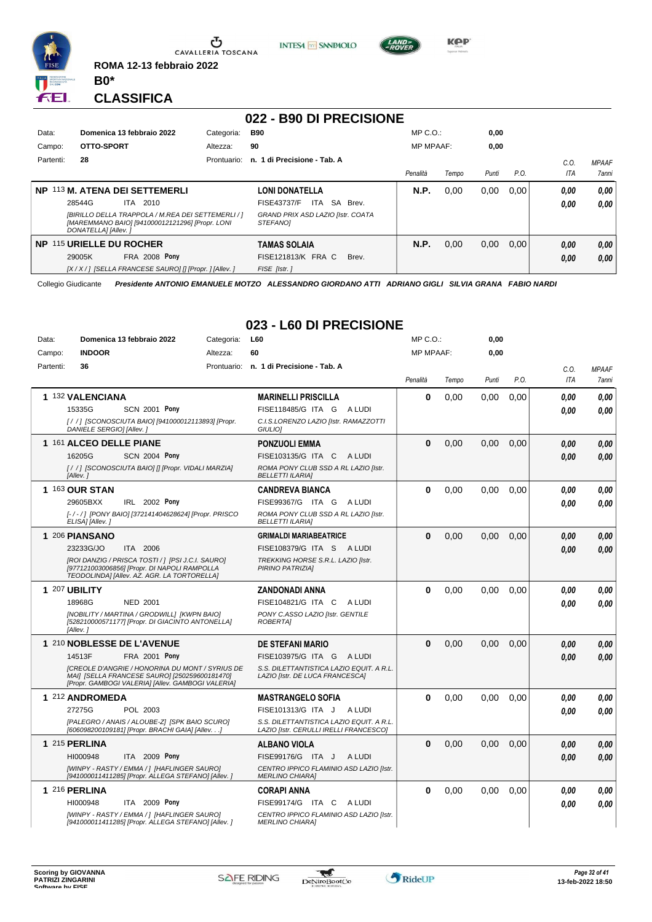

**ROMA 12-13 febbraio 2022 B0\***



#### **022 - B90 DI PRECISIONE**

**INTESA** M SANPAOLO

| Data:     | Domenica 13 febbraio 2022                                                                                                    | Categoria:  | <b>B90</b>                                                  | $MP C. O.$ :     |       | 0,00  |      |      |              |
|-----------|------------------------------------------------------------------------------------------------------------------------------|-------------|-------------------------------------------------------------|------------------|-------|-------|------|------|--------------|
| Campo:    | OTTO-SPORT                                                                                                                   | Altezza:    | 90                                                          | <b>MP MPAAF:</b> |       | 0,00  |      |      |              |
| Partenti: | 28                                                                                                                           | Prontuario: | n. 1 di Precisione - Tab. A                                 |                  |       |       |      | C.O  | <b>MPAAF</b> |
|           |                                                                                                                              |             |                                                             | Penalità         | Tempo | Punti | P.O. | ITA  | 7anni        |
| NP.       | 113 M. ATENA DEI SETTEMERLI                                                                                                  |             | <b>LONI DONATELLA</b>                                       | N.P.             | 0.00  | 0,00  | 0.00 | 0,00 | 0,00         |
|           | 28544G<br>2010<br>ITA                                                                                                        |             | <b>SA</b><br>FISE43737/F<br>ITA<br>Brev.                    |                  |       |       |      | 0.00 | 0.00         |
|           | [BIRILLO DELLA TRAPPOLA / M.REA DEI SETTEMERLI / ]<br>[MAREMMANO BAIO] [941000012121296] [Propr. LONI<br>DONATELLAI [Allev.] |             | <b>GRAND PRIX ASD LAZIO [Istr. COATA</b><br><b>STEFANOI</b> |                  |       |       |      |      |              |
| NP.       | 115 URIELLE DU ROCHER                                                                                                        |             | TAMAS SOLAIA                                                | N.P.             | 0,00  | 0,00  | 0,00 | 0,00 | 0.00         |
|           | <b>FRA 2008 Pony</b><br>29005K                                                                                               |             | FISE121813/K FRA C<br>Brev.                                 |                  |       |       |      | 0.00 | 0.00         |
|           | [X / X / ] [SELLA FRANCESE SAURO] [] [Propr. ] [Allev. ]                                                                     |             | FISE [Istr.]                                                |                  |       |       |      |      |              |

Collegio Giudicante *Presidente ANTONIO EMANUELE MOTZO ALESSANDRO GIORDANO ATTI ADRIANO GIGLI SILVIA GRANA FABIO NARDI*

# **023 - L60 DI PRECISIONE**

| Data:     | Domenica 13 febbraio 2022                                                                                                                                    | Categoria: | L60                                                                                | MP C.O.:         |       | 0,00  |      |            |              |
|-----------|--------------------------------------------------------------------------------------------------------------------------------------------------------------|------------|------------------------------------------------------------------------------------|------------------|-------|-------|------|------------|--------------|
| Campo:    | <b>INDOOR</b>                                                                                                                                                | Altezza:   | 60                                                                                 | <b>MP MPAAF:</b> |       | 0.00  |      |            |              |
| Partenti: | 36                                                                                                                                                           |            | Prontuario: n. 1 di Precisione - Tab. A                                            |                  |       |       |      | C.O.       | <b>MPAAF</b> |
|           |                                                                                                                                                              |            |                                                                                    | Penalità         | Tempo | Punti | P.O. | <b>ITA</b> | 7anni        |
|           |                                                                                                                                                              |            |                                                                                    | 0                |       |       |      |            |              |
|           | 1 132 VALENCIANA<br>15335G<br><b>SCN 2001 Pony</b>                                                                                                           |            | <b>MARINELLI PRISCILLA</b><br>FISE118485/G ITA G A LUDI                            |                  | 0,00  | 0,00  | 0,00 | 0.00       | 0,00         |
|           |                                                                                                                                                              |            |                                                                                    |                  |       |       |      | 0.00       | 0.00         |
|           | [/ /] [SCONOSCIUTA BAIO] [941000012113893] [Propr.<br>DANIELE SERGIO] [Allev.]                                                                               |            | C.I.S.LORENZO LAZIO [Istr. RAMAZZOTTI<br>GIULIO <sub>1</sub>                       |                  |       |       |      |            |              |
|           | 1 161 ALCEO DELLE PIANE                                                                                                                                      |            | <b>PONZUOLI EMMA</b>                                                               | $\Omega$         | 0,00  | 0.00  | 0.00 | 0,00       | 0.00         |
|           | 16205G<br><b>SCN 2004 Pony</b>                                                                                                                               |            | FISE103135/G ITA C ALUDI                                                           |                  |       |       |      | 0,00       | 0,00         |
|           | [/ /] [SCONOSCIUTA BAIO] [] [Propr. VIDALI MARZIA]<br>[Allev.]                                                                                               |            | ROMA PONY CLUB SSD A RL LAZIO [Istr.<br><b>BELLETTI ILARIAI</b>                    |                  |       |       |      |            |              |
|           | 1 163 OUR STAN                                                                                                                                               |            | <b>CANDREVA BIANCA</b>                                                             | $\bf{0}$         | 0,00  | 0,00  | 0,00 | 0.00       | 0.00         |
|           | 29605BXX<br>IRL 2002 Pony                                                                                                                                    |            | FISE99367/G ITA G ALUDI                                                            |                  |       |       |      | 0.00       | 0.00         |
|           | [-/-/] [PONY BAIO] [372141404628624] [Propr. PRISCO<br>ELISA] [Allev.]                                                                                       |            | ROMA PONY CLUB SSD A RL LAZIO [Istr.<br><b>BELLETTI ILARIA]</b>                    |                  |       |       |      |            |              |
|           | 1 206 PIANSANO                                                                                                                                               |            | <b>GRIMALDI MARIABEATRICE</b>                                                      | $\bf{0}$         | 0.00  | 0.00  | 0.00 | 0.00       | 0.00         |
|           | 23233G/JO<br>ITA 2006                                                                                                                                        |            | FISE108379/G ITA S<br>A LUDI                                                       |                  |       |       |      | 0,00       | 0,00         |
|           | [ROI DANZIG / PRISCA TOSTI / ] [PSI J.C.I. SAURO]<br>[977121003006856] [Propr. DI NAPOLI RAMPOLLA<br>TEODOLINDA] [Allev. AZ. AGR. LA TORTORELLA]             |            | TREKKING HORSE S.R.L. LAZIO [Istr.<br>PIRINO PATRIZIA]                             |                  |       |       |      |            |              |
|           | 1 207 UBILITY                                                                                                                                                |            | <b>ZANDONADI ANNA</b>                                                              | $\bf{0}$         | 0,00  | 0.00  | 0.00 | 0.00       | 0,00         |
|           | 18968G<br><b>NED 2001</b>                                                                                                                                    |            | FISE104821/G ITA C<br>A LUDI                                                       |                  |       |       |      | 0.00       | 0.00         |
|           | [NOBILITY / MARTINA / GRODWILL] [KWPN BAIO]<br>[528210000571177] [Propr. DI GIACINTO ANTONELLA]<br>[Allev.]                                                  |            | PONY C.ASSO LAZIO [Istr. GENTILE<br><b>ROBERTAI</b>                                |                  |       |       |      |            |              |
|           | 1 210 NOBLESSE DE L'AVENUE                                                                                                                                   |            | <b>DE STEFANI MARIO</b>                                                            | $\Omega$         | 0.00  | 0.00  | 0.00 | 0,00       | 0,00         |
|           | 14513F<br><b>FRA 2001 Pony</b>                                                                                                                               |            | FISE103975/G ITA G ALUDI                                                           |                  |       |       |      | 0,00       | 0.00         |
|           | <b>ICREOLE D'ANGRIE / HONORINA DU MONT / SYRIUS DE</b><br>MAII [SELLA FRANCESE SAURO] [250259600181470]<br>[Propr. GAMBOGI VALERIA] [Allev. GAMBOGI VALERIA] |            | S.S. DILETTANTISTICA LAZIO EQUIT. A R.L.<br>LAZIO [Istr. DE LUCA FRANCESCA]        |                  |       |       |      |            |              |
|           | 1 212 ANDROMEDA                                                                                                                                              |            | <b>MASTRANGELO SOFIA</b>                                                           | 0                | 0,00  | 0,00  | 0,00 | 0.00       | 0,00         |
|           | POL 2003<br>27275G                                                                                                                                           |            | FISE101313/G ITA J ALUDI                                                           |                  |       |       |      | 0.00       | 0.00         |
|           | [PALEGRO / ANAIS / ALOUBE-Z] [SPK BAIO SCURO]<br>[606098200109181] [Propr. BRACHI GAIA] [Allev.]                                                             |            | S.S. DILETTANTISTICA LAZIO EQUIT. A R.L.<br>LAZIO [Istr. CERULLI IRELLI FRANCESCO] |                  |       |       |      |            |              |
|           | 1 215 PERLINA                                                                                                                                                |            | <b>ALBANO VIOLA</b>                                                                | $\bf{0}$         | 0.00  | 0.00  | 0.00 | 0,00       | 0.00         |
|           | HI000948<br><b>ITA 2009 Pony</b>                                                                                                                             |            | FISE99176/G ITA J<br>A LUDI                                                        |                  |       |       |      | 0,00       | 0,00         |
|           | [WINPY - RASTY / EMMA / ] [HAFLINGER SAURO]<br>[941000011411285] [Propr. ALLEGA STEFANO] [Allev. ]                                                           |            | CENTRO IPPICO FLAMINIO ASD LAZIO [Istr.<br><b>MERLINO CHIARA1</b>                  |                  |       |       |      |            |              |
|           | 1 216 PERLINA                                                                                                                                                |            | <b>CORAPI ANNA</b>                                                                 | 0                | 0,00  | 0,00  | 0,00 | 0,00       | 0,00         |
|           | HI000948<br>ITA 2009 Pony                                                                                                                                    |            | FISE99174/G ITA C<br>A LUDI                                                        |                  |       |       |      | 0.00       | 0.00         |
|           | [WINPY - RASTY / EMMA / ] [HAFLINGER SAURO]<br>[941000011411285] [Propr. ALLEGA STEFANO] [Allev. ]                                                           |            | CENTRO IPPICO FLAMINIO ASD LAZIO [Istr.<br><b>MERLINO CHIARA]</b>                  |                  |       |       |      |            |              |





 $\cdots$ 

**0,00**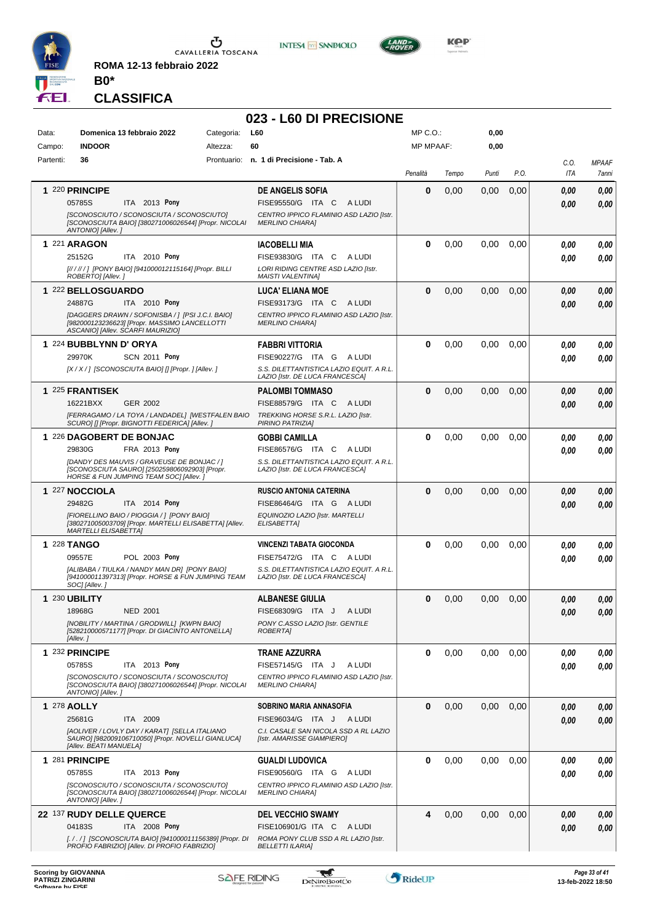

**ROMA 12-13 febbraio 2022**

**INTESA M SANPAOLO** 

**023 - L60 DI PRECISIONE**



KOP

#### **CLASSIFICA**

**B0\***

#### Data: **Domenica 13 febbraio 2022** Categoria: L60 Prontuario: **n. 1 di Precisione - Tab. A** Campo: **INDOOR** Partenti: **36** Altezza: **60** MP C.O.: MP MPAAF: **0,00 0,00** *Penalità Tempo Punti P.O. C.O. ITA MPAAF 7anni* **1** 220 **PRINCIPE ITA 2013 Pony DE ANGELIS SOFIA** *[SCONOSCIUTO / SCONOSCIUTA / SCONOSCIUTO] [SCONOSCIUTA BAIO] [380271006026544] [Propr. NICOLAI ANTONIO] [Allev. ] CENTRO IPPICO FLAMINIO ASD LAZIO [Istr. MERLINO CHIARA]* 05785S ITA 2013 Pony FISE95550/G ITA C A LUDI *0,00 0,00* **0** 0,00 0,00 0,00 *0,00 0,00 0,00* **1** 221 **ARAGON ITA** 2010 **Pony IACOBELLI MIA** *[// / // / ] [PONY BAIO] [941000012115164] [Propr. BILLI ROBERTO] [Allev. ] LORI RIDING CENTRE ASD LAZIO [Istr. MAISTI VALENTINA]* 25152G ITA 2010 Pony FISE93830/G ITA C A LUDI *0,00 0,00* **0** 0,00 0,00 0,00 *0,00 0,00 0,00* **1** 222 **BELLOSGUARDO** ITA 2010 Pony **LUCA' ELIANA MOE** *[DAGGERS DRAWN / SOFONISBA / ] [PSI J.C.I. BAIO] [982000123236623] [Propr. MASSIMO LANCELLOTTI ASCANIO] [Allev. SCARFI MAURIZIO] CENTRO IPPICO FLAMINIO ASD LAZIO [Istr. MERLINO CHIARA]* 24887G ITA 2010 Pony FISE93173/G ITA C A LUDI *0,00 0,00* **0** 0,00 0,00 0,00 *0,00 0,00 0,00* **1** 224 **BUBBLYNN D' ORYA SCN 2011 Pony FABBRI VITTORIA** *[X / X / ] [SCONOSCIUTA BAIO] [] [Propr. ] [Allev. ] S.S. DILETTANTISTICA LAZIO EQUIT. A R.L. LAZIO [Istr. DE LUCA FRANCESCA]* ITA G A LUDI 29970K FISE90227/G *0,00* **Pony 0** 0,00 0,00 0,00 *0,00 0,00 0,00* **1** 225 **FRANTISEK** GER 2002 **PALOMBI TOMMASO** *[FERRAGAMO / LA TOYA / LANDADEL] [WESTFALEN BAIO SCURO] [] [Propr. BIGNOTTI FEDERICA] [Allev. ] TREKKING HORSE S.R.L. LAZIO [Istr. PIRINO PATRIZIA]* ITA C A LUDI 16221BXX FISE88579/G *0,00* **0** 0,00 0,00 0,00 *0,00 0,00 0,00* **1** 226 **DAGOBERT DE BONJAC FRA 2013 Pony GOBBI CAMILLA** *[DANDY DES MAUVIS / GRAVEUSE DE BONJAC / ] [SCONOSCIUTA SAURO] [250259806092903] [Propr. HORSE & FUN JUMPING TEAM SOC] [Allev. ] S.S. DILETTANTISTICA LAZIO EQUIT. A R.L. LAZIO [Istr. DE LUCA FRANCESCA]* ITA C A LUDI 29830G FISE86576/G *0,00* **Pony 0** 0,00 0,00 0,00 *0,00 0,00 0,00* **1** 227 **NOCCIOLA ITA** 2014 **Pony RUSCIO ANTONIA CATERINA** *[FIORELLINO BAIO / PIOGGIA / ] [PONY BAIO] [380271005003709] [Propr. MARTELLI ELISABETTA] [Allev. MARTELLI ELISABETTA] EQUINOZIO LAZIO [Istr. MARTELLI ELISABETTA]* ITA G A LUDI 29482G FISE86464/G *0,00* **Pony 0** 0,00 0,00 0,00 *0,00 0,00 0,00* **1** 228 **TANGO POL 2003 Pony VINCENZI TABATA GIOCONDA** *[ALIBABA / TIULKA / NANDY MAN DR] [PONY BAIO] [941000011397313] [Propr. HORSE & FUN JUMPING TEAM SOC] [Allev. ] S.S. DILETTANTISTICA LAZIO EQUIT. A R.L. LAZIO [Istr. DE LUCA FRANCESCA]* ITA C A LUDI 09557E FISE75472/G *0,00* **Pony 0** 0,00 0,00 0,00 *0,00 0,00 0,00* **1** 230 **UBILITY** NED 2001 **ALBANESE GIULIA** *[NOBILITY / MARTINA / GRODWILL] [KWPN BAIO] [528210000571177] [Propr. DI GIACINTO ANTONELLA] [Allev. ] PONY C.ASSO LAZIO [Istr. GENTILE ROBERTA]* FISE68309/G ITA J ALUDI **0** 0,00 0,00 0,00 *0,00 0,00 0,00* 18968G NED 2001 FISE68309/G ITA J A LUDI *0,00 0,00* **1** 232 **PRINCIPE ITA** 2013 **Pony TRANE AZZURRA** *[SCONOSCIUTO / SCONOSCIUTA / SCONOSCIUTO] [SCONOSCIUTA BAIO] [380271006026544] [Propr. NICOLAI ANTONIO] [Allev. ] CENTRO IPPICO FLAMINIO ASD LAZIO [Istr. MERLINO CHIARA]* 05785S ITA 2013 Pony FISE57145/G ITA J ALUDI *0,00 0,00* **0** 0,00 0,00 0,00 *0,00 0,00 0,00* **1** 278 **AOLLY** ITA 2009 **SOBRINO MARIA ANNASOFIA** *[AOLIVER / LOVLY DAY / KARAT] [SELLA ITALIANO SAURO] [982009106710050] [Propr. NOVELLI GIANLUCA] [Allev. BEATI MANUELA] C.I. CASALE SAN NICOLA SSD A RL LAZIO [Istr. AMARISSE GIAMPIERO]* ITA J A LUDI 25681G FISE96034/G *0,00* **0** 0,00 0,00 0,00 *0,00 0,00 0,00* **1** 281 **PRINCIPE ITA** 2013 **Pony GUALDI LUDOVICA** *[SCONOSCIUTO / SCONOSCIUTA / SCONOSCIUTO] [SCONOSCIUTA BAIO] [380271006026544] [Propr. NICOLAI ANTONIO] [Allev. ] CENTRO IPPICO FLAMINIO ASD LAZIO [Istr. MERLINO CHIARA]* 05785S ITA 2013 Pony FISE90560/G ITA G A LUDI *0,00 0,00* **0** 0,00 0,00 0,00 *0,00 0,00 0,00* **22** 137 **RUDY DELLE QUERCE** ITA 2008 Pony **DEL VECCHIO SWAMY** *[. / . / ] [SCONOSCIUTA BAIO] [941000011156389] [Propr. DI PROFIO FABRIZIO] [Allev. DI PROFIO FABRIZIO] ROMA PONY CLUB SSD A RL LAZIO [Istr. BELLETTI ILARIA]* 04183S ITA 2008 Pony FISE106901/G ITA C A LUDI *0,00 0,00* **4** 0,00 0,00 0,00 *0,00 0,00 0,00*

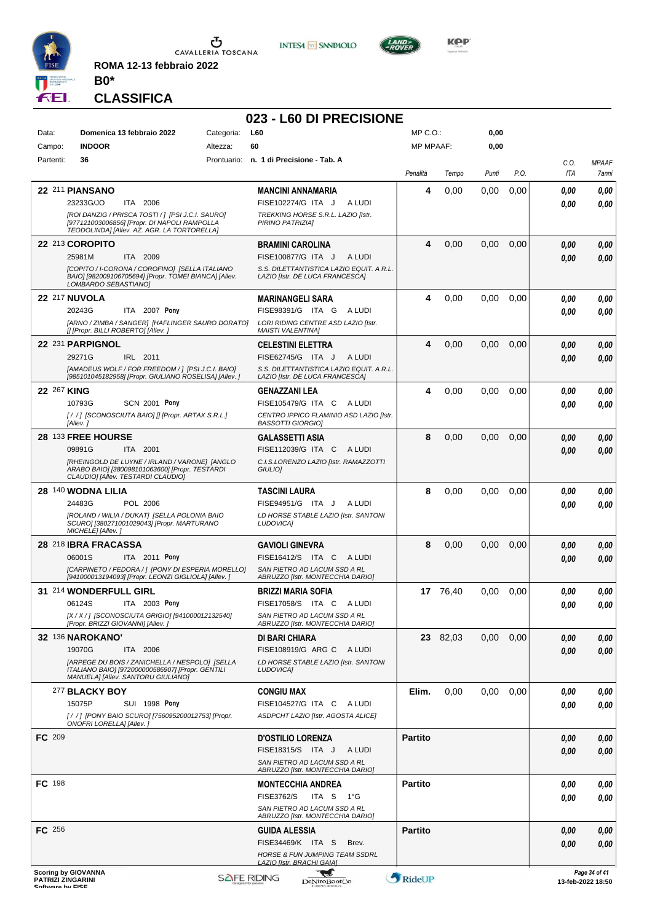

**ROMA 12-13 febbraio 2022 B0\***

# **CLASSIFICA**

# **023 - L60 DI PRECISIONE**

**INTESA** M SANPAOLO

**KOP** 

| Data:            | Domenica 13 febbraio 2022                                                                          | Categoria: | L60                                                              | MP C. O.         |                 | 0,00  |      |      |                                    |
|------------------|----------------------------------------------------------------------------------------------------|------------|------------------------------------------------------------------|------------------|-----------------|-------|------|------|------------------------------------|
| Campo:           | <b>INDOOR</b>                                                                                      | Altezza:   | 60                                                               | <b>MP MPAAF:</b> |                 | 0,00  |      |      |                                    |
| Partenti:        | 36                                                                                                 |            | Prontuario: n. 1 di Precisione - Tab. A                          |                  |                 |       |      | C.O. | <b>MPAAF</b>                       |
|                  |                                                                                                    |            |                                                                  | Penalità         | Tempo           | Punti | P.O. | ITA  | 7anni                              |
|                  |                                                                                                    |            |                                                                  |                  |                 |       |      |      |                                    |
|                  | 22 211 PIANSANO                                                                                    |            | <b>MANCINI ANNAMARIA</b>                                         | 4                | 0,00            | 0.00  | 0,00 | 0.00 | 0.00                               |
|                  | 23233G/JO<br>ITA 2006                                                                              |            | FISE102274/G ITA J<br>A LUDI                                     |                  |                 |       |      | 0.00 | 0.00                               |
|                  | [ROI DANZIG / PRISCA TOSTI / ] [PSI J.C.I. SAURO]<br>[977121003006856] [Propr. DI NAPOLI RAMPOLLA  |            | TREKKING HORSE S.R.L. LAZIO [Istr.<br>PIRINO PATRIZIA]           |                  |                 |       |      |      |                                    |
|                  | TEODOLINDA] [Allev. AZ. AGR. LA TORTORELLA]                                                        |            |                                                                  |                  |                 |       |      |      |                                    |
|                  | 22 213 COROPITO                                                                                    |            | <b>BRAMINI CAROLINA</b>                                          | 4                | 0,00            | 0,00  | 0,00 | 0.00 | 0,00                               |
|                  | 25981M<br>ITA 2009                                                                                 |            | FISE100877/G ITA J<br>A LUDI                                     |                  |                 |       |      | 0.00 | 0.00                               |
|                  | [COPITO / I-CORONA / COROFINO] [SELLA ITALIANO                                                     |            | S.S. DILETTANTISTICA LAZIO EQUIT. A R.L.                         |                  |                 |       |      |      |                                    |
|                  | BAIO] [982009106705694] [Propr. TOMEI BIANCA] [Allev.<br>LOMBARDO SEBASTIANO]                      |            | LAZIO [Istr. DE LUCA FRANCESCA]                                  |                  |                 |       |      |      |                                    |
|                  | <b>22 217 NUVOLA</b>                                                                               |            | <b>MARINANGELI SARA</b>                                          | 4                | 0,00            | 0,00  | 0,00 | 0.00 | 0,00                               |
|                  | ITA 2007 Pony<br>20243G                                                                            |            | FISE98391/G ITA G ALUDI                                          |                  |                 |       |      |      |                                    |
|                  | [ARNO / ZIMBA / SANGER] [HAFLINGER SAURO DORATO]                                                   |            | LORI RIDING CENTRE ASD LAZIO [Istr.                              |                  |                 |       |      | 0.00 | 0.00                               |
|                  | [] [Propr. BILLI ROBERTO] [Allev.]                                                                 |            | <b>MAISTI VALENTINA]</b>                                         |                  |                 |       |      |      |                                    |
|                  | 22 231 PARPIGNOL                                                                                   |            | <b>CELESTINI ELETTRA</b>                                         | 4                | 0,00            | 0,00  | 0,00 | 0.00 | 0,00                               |
|                  | 29271G<br>IRL 2011                                                                                 |            | FISE62745/G ITA J<br>A LUDI                                      |                  |                 |       |      | 0.00 | 0.00                               |
|                  | [AMADEUS WOLF / FOR FREEDOM / ] [PSI J.C.I. BAIO]                                                  |            | S.S. DILETTANTISTICA LAZIO EQUIT. A R.L.                         |                  |                 |       |      |      |                                    |
|                  | [985101045182958] [Propr. GIULIANO ROSELISA] [Allev. ]                                             |            | LAZIO [Istr. DE LUCA FRANCESCA]                                  |                  |                 |       |      |      |                                    |
|                  | 22 267 KING                                                                                        |            | <b>GENAZZANI LEA</b>                                             | 4                | 0,00            | 0,00  | 0,00 | 0.00 | 0,00                               |
|                  | 10793G<br><b>SCN 2001 Pony</b>                                                                     |            | FISE105479/G ITA C ALUDI                                         |                  |                 |       |      | 0.00 | 0.00                               |
|                  | [/ /] [SCONOSCIUTA BAIO] [] [Propr. ARTAX S.R.L.]                                                  |            | CENTRO IPPICO FLAMINIO ASD LAZIO IIstr.                          |                  |                 |       |      |      |                                    |
|                  | [Allev.]                                                                                           |            | <b>BASSOTTI GIORGIO]</b>                                         |                  |                 |       |      |      |                                    |
|                  | 28 133 FREE HOURSE                                                                                 |            | <b>GALASSETTI ASIA</b>                                           | 8                | 0,00            | 0,00  | 0,00 | 0.00 | 0,00                               |
|                  | 09891G<br>ITA 2001                                                                                 |            | FISE112039/G ITA C ALUDI                                         |                  |                 |       |      | 0.00 | 0,00                               |
|                  | [RHEINGOLD DE LUYNE / IRLAND / VARONE] [ANGLO<br>ARABO BAIO] [380098101063600] [Propr. TESTARDI    |            | C.I.S.LORENZO LAZIO [Istr. RAMAZZOTTI<br>GIULIO]                 |                  |                 |       |      |      |                                    |
|                  | CLAUDIO] [Allev. TESTARDI CLAUDIO]                                                                 |            |                                                                  |                  |                 |       |      |      |                                    |
|                  | 28 140 WODNA LILIA                                                                                 |            | <b>TASCINI LAURA</b>                                             | 8                | 0,00            | 0,00  | 0,00 | 0.00 | 0,00                               |
|                  | 24483G<br>POL 2006                                                                                 |            | FISE94951/G ITA J<br>A LUDI                                      |                  |                 |       |      | 0.00 | 0.00                               |
|                  | [ROLAND / WILIA / DUKAT] [SELLA POLONIA BAIO                                                       |            | LD HORSE STABLE LAZIO [Istr. SANTONI                             |                  |                 |       |      |      |                                    |
|                  | SCURO] [380271001029043] [Propr. MARTURANO<br>MICHELE] [Allev.]                                    |            | LUDOVICA]                                                        |                  |                 |       |      |      |                                    |
|                  | 28 218 IBRA FRACASSA                                                                               |            | <b>GAVIOLI GINEVRA</b>                                           | 8                | 0,00            | 0,00  | 0,00 | 0.00 | 0,00                               |
|                  | 06001S<br>ITA 2011 Pony                                                                            |            | FISE16412/S ITA C ALUDI                                          |                  |                 |       |      |      |                                    |
|                  | [CARPINETO / FEDORA / ] [PONY DI ESPERIA MORELLO]                                                  |            | SAN PIETRO AD LACUM SSD A RL                                     |                  |                 |       |      | 0.00 | 0.00                               |
|                  | [941000013194093] [Propr. LEONZI GIGLIOLA] [Allev. ]                                               |            | ABRUZZO [Istr. MONTECCHIA DARIO]                                 |                  |                 |       |      |      |                                    |
|                  | 31 214 WONDERFULL GIRL                                                                             |            | <b>BRIZZI MARIA SOFIA</b>                                        |                  | 17 76.40        | 0,00  | 0,00 | 0.00 | 0,00                               |
|                  | 06124S<br>ITA 2003 Pony                                                                            |            | FISE17058/S<br>ITA C<br>A LUDI                                   |                  |                 |       |      | 0.00 | 0.00                               |
|                  | [X / X / ] [SCONOSCIUTA GRIGIO] [941000012132540]                                                  |            | SAN PIETRO AD LACUM SSD A RL                                     |                  |                 |       |      |      |                                    |
|                  | [Propr. BRIZZI GIOVANNI] [Allev.]                                                                  |            | ABRUZZO [Istr. MONTECCHIA DARIO]                                 |                  |                 |       |      |      |                                    |
|                  | <b>32 136 NAROKANO'</b>                                                                            |            | DI BARI CHIARA                                                   |                  | <b>23</b> 82,03 | 0.00  | 0,00 | 0.00 | 0,00                               |
|                  | 19070G<br>ITA 2006                                                                                 |            | FISE108919/G ARG C A LUDI                                        |                  |                 |       |      | 0.00 | 0,00                               |
|                  | [ARPEGE DU BOIS / ZANICHELLA / NESPOLO] [SELLA<br>ITALIANO BAIO] [972000000586907] [Propr. GENTILI |            | LD HORSE STABLE LAZIO [Istr. SANTONI<br>LUDOVICA]                |                  |                 |       |      |      |                                    |
|                  | MANUELA] [Allev. SANTORU GIULIANO]                                                                 |            |                                                                  |                  |                 |       |      |      |                                    |
|                  | 277 BLACKY BOY                                                                                     |            | <b>CONGIU MAX</b>                                                | Elim.            | 0,00            | 0,00  | 0,00 | 0.00 | 0,00                               |
|                  | 15075P<br><b>SUI 1998 Pony</b>                                                                     |            | FISE104527/G ITA C<br>A LUDI                                     |                  |                 |       |      | 0.00 | 0,00                               |
|                  | [/ /] [PONY BAIO SCURO] [756095200012753] [Propr.                                                  |            | ASDPCHT LAZIO [Istr. AGOSTA ALICE]                               |                  |                 |       |      |      |                                    |
|                  | ONOFRI LORELLA] [Allev.]                                                                           |            |                                                                  |                  |                 |       |      |      |                                    |
| FC 209           |                                                                                                    |            | <b>D'OSTILIO LORENZA</b>                                         | <b>Partito</b>   |                 |       |      | 0.00 | 0,00                               |
|                  |                                                                                                    |            | FISE18315/S ITA J<br>A LUDI                                      |                  |                 |       |      | 0.00 | 0,00                               |
|                  |                                                                                                    |            | SAN PIETRO AD LACUM SSD A RL                                     |                  |                 |       |      |      |                                    |
|                  |                                                                                                    |            | ABRUZZO [Istr. MONTECCHIA DARIO]                                 |                  |                 |       |      |      |                                    |
| FC 198           |                                                                                                    |            | <b>MONTECCHIA ANDREA</b>                                         | <b>Partito</b>   |                 |       |      | 0.00 | 0,00                               |
|                  |                                                                                                    |            | <b>FISE3762/S</b><br>ITA S 1°G                                   |                  |                 |       |      | 0.00 | 0.00                               |
|                  |                                                                                                    |            | SAN PIETRO AD LACUM SSD A RL<br>ABRUZZO [Istr. MONTECCHIA DARIO] |                  |                 |       |      |      |                                    |
| FC 256           |                                                                                                    |            | <b>GUIDA ALESSIA</b>                                             | <b>Partito</b>   |                 |       |      | 0.00 | 0,00                               |
|                  |                                                                                                    |            | FISE34469/K ITA S<br>Brev.                                       |                  |                 |       |      | 0.00 | 0,00                               |
|                  |                                                                                                    |            | <b>HORSE &amp; FUN JUMPING TEAM SSDRL</b>                        |                  |                 |       |      |      |                                    |
|                  |                                                                                                    |            | LAZIO [Istr. BRACHI GAIA]                                        |                  |                 |       |      |      |                                    |
|                  | <b>Scoring by GIOVANNA</b><br><b>PATRIZI ZINGARINI</b>                                             |            | w<br><b>SAFE RIDING</b><br><b>DeNiroBootCo</b>                   | RideUP           |                 |       |      |      | Page 34 of 41<br>13-feb-2022 18:50 |
| Coffware by EICE |                                                                                                    |            |                                                                  |                  |                 |       |      |      |                                    |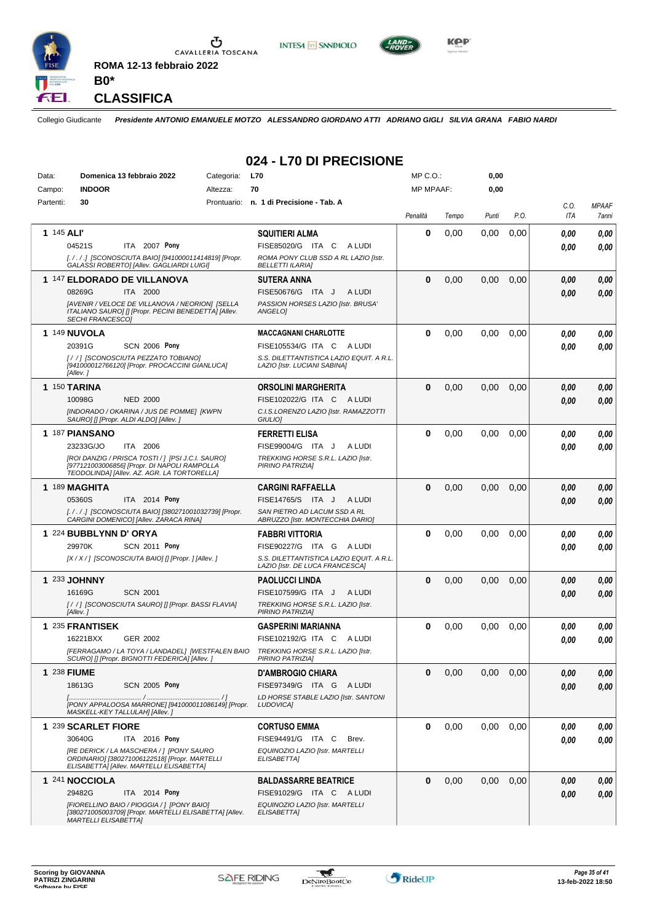

U CAVALLERIA TOSCANA **ROMA 12-13 febbraio 2022**





**CLASSIFICA**

**B0\***

Collegio Giudicante *Presidente ANTONIO EMANUELE MOTZO ALESSANDRO GIORDANO ATTI ADRIANO GIGLI SILVIA GRANA FABIO NARDI*

**024 - L70 DI PRECISIONE**

| Data:      | Domenica 13 febbraio 2022                                                                                                             | Categoria: | <b>L70</b>                                                                  | $MP C. O.$ :     |       | 0,00  |      |              |              |
|------------|---------------------------------------------------------------------------------------------------------------------------------------|------------|-----------------------------------------------------------------------------|------------------|-------|-------|------|--------------|--------------|
| Campo:     | <b>INDOOR</b>                                                                                                                         | Altezza:   | 70                                                                          | <b>MP MPAAF:</b> |       | 0,00  |      |              |              |
| Partenti:  | 30                                                                                                                                    |            | Prontuario: n. 1 di Precisione - Tab. A                                     |                  |       |       |      | C.O.         | <b>MPAAF</b> |
|            |                                                                                                                                       |            |                                                                             | Penalità         | Tempo | Punti | P.O. | ITA          | 7anni        |
| 1 145 ALI' |                                                                                                                                       |            | <b>SQUITIERI ALMA</b>                                                       | 0                | 0,00  | 0,00  | 0,00 | 0.00         | 0,00         |
|            | 04521S<br>ITA 2007 Pony                                                                                                               |            | FISE85020/G ITA C<br>A LUDI                                                 |                  |       |       |      | 0.00         | 0,00         |
|            | [././.] [SCONOSCIUTA BAIO] [941000011414819] [Propr.<br>GALASSI ROBERTO] [Allev. GAGLIARDI LUIGI]                                     |            | ROMA PONY CLUB SSD A RL LAZIO [Istr.<br><b>BELLETTI ILARIA]</b>             |                  |       |       |      |              |              |
|            | 1 147 ELDORADO DE VILLANOVA                                                                                                           |            | SUTERA ANNA                                                                 | $\bf{0}$         | 0,00  | 0,00  | 0,00 | 0,00         | 0,00         |
|            | 08269G<br>ITA 2000                                                                                                                    |            | FISE50676/G ITA J<br>A LUDI                                                 |                  |       |       |      | 0.00         | 0,00         |
|            | [AVENIR / VELOCE DE VILLANOVA / NEORION] [SELLA                                                                                       |            | PASSION HORSES LAZIO [Istr. BRUSA'                                          |                  |       |       |      |              |              |
|            | ITALIANO SAURO] [] [Propr. PECINI BENEDETTA] [Allev.<br><b>SECHI FRANCESCOI</b>                                                       |            | <b>ANGELOI</b>                                                              |                  |       |       |      |              |              |
|            | <b>1 149 NUVOLA</b>                                                                                                                   |            | <b>MACCAGNANI CHARLOTTE</b>                                                 | $\bf{0}$         | 0,00  | 0,00  | 0.00 | 0.00         | 0,00         |
|            | 20391G<br><b>SCN 2006 Pony</b>                                                                                                        |            | FISE105534/G ITA C ALUDI                                                    |                  |       |       |      | 0.00         | 0.00         |
|            | [//] [SCONOSCIUTA PEZZATO TOBIANO]<br>[941000012766120] [Propr. PROCACCINI GIANLUCA]                                                  |            | S.S. DILETTANTISTICA LAZIO EQUIT. A R.L.                                    |                  |       |       |      |              |              |
|            | [Allev.]                                                                                                                              |            | LAZIO [Istr. LUCIANI SABINA]                                                |                  |       |       |      |              |              |
|            | <b>1 150 TARINA</b>                                                                                                                   |            | <b>ORSOLINI MARGHERITA</b>                                                  | $\bf{0}$         | 0,00  | 0.00  | 0,00 | 0.00         | 0,00         |
|            | 10098G<br><b>NED 2000</b>                                                                                                             |            | FISE102022/G ITA C ALUDI                                                    |                  |       |       |      | 0.00         | 0.00         |
|            | [INDORADO / OKARINA / JUS DE POMME] [KWPN<br>SAURO] [] [Propr. ALDI ALDO] [Allev.]                                                    |            | C.I.S.LORENZO LAZIO [Istr. RAMAZZOTTI<br><b>GIULIOI</b>                     |                  |       |       |      |              |              |
|            | 1 187 PIANSANO                                                                                                                        |            | <b>FERRETTI ELISA</b>                                                       | 0                | 0,00  | 0,00  | 0,00 | 0.00         | 0,00         |
|            | 23233G/JO<br>ITA 2006                                                                                                                 |            | FISE99004/G ITA J<br>A LUDI                                                 |                  |       |       |      | 0.00         | 0.00         |
|            | [ROI DANZIG / PRISCA TOSTI / ] [PSI J.C.I. SAURO]                                                                                     |            | TREKKING HORSE S.R.L. LAZIO [Istr.                                          |                  |       |       |      |              |              |
|            | [977121003006856] [Propr. DI NAPOLI RAMPOLLA<br>TEODOLINDA] [Allev. AZ. AGR. LA TORTORELLA]                                           |            | PIRINO PATRIZIA]                                                            |                  |       |       |      |              |              |
|            | 1 189 MAGHITA                                                                                                                         |            | <b>CARGINI RAFFAELLA</b>                                                    | $\bf{0}$         | 0,00  | 0,00  | 0,00 | 0.00         | 0,00         |
|            | 05360S<br>ITA 2014 Pony                                                                                                               |            | FISE14765/S ITA J<br>A LUDI                                                 |                  |       |       |      | 0.00         | 0.00         |
|            | [././.] [SCONOSCIUTA BAIO] [380271001032739] [Propr.<br>CARGINI DOMENICO] [Allev. ZARACA RINA]                                        |            | SAN PIETRO AD LACUM SSD A RL<br>ABRUZZO [Istr. MONTECCHIA DARIO]            |                  |       |       |      |              |              |
|            | 1 224 BUBBLYNN D' ORYA                                                                                                                |            | <b>FABBRI VITTORIA</b>                                                      | 0                | 0,00  | 0,00  | 0,00 | 0.00         | 0,00         |
|            | 29970K<br><b>SCN 2011 Pony</b>                                                                                                        |            | FISE90227/G ITA G ALUDI                                                     |                  |       |       |      | 0.00         | 0.00         |
|            | [X/X/] [SCONOSCIUTA BAIO] [] [Propr. ] [Allev.]                                                                                       |            | S.S. DILETTANTISTICA LAZIO EQUIT. A R.L.<br>LAZIO [Istr. DE LUCA FRANCESCA] |                  |       |       |      |              |              |
|            | 1 233 JOHNNY                                                                                                                          |            | PAOLUCCI LINDA                                                              | $\bf{0}$         | 0,00  | 0,00  | 0,00 | 0.00         | 0,00         |
|            | 16169G<br><b>SCN 2001</b>                                                                                                             |            | FISE107599/G ITA J<br>A LUDI                                                |                  |       |       |      | 0.00         | 0.00         |
|            | [//] [SCONOSCIUTA SAURO] [] [Propr. BASSI FLAVIA]<br>[Allev.]                                                                         |            | TREKKING HORSE S.R.L. LAZIO [Istr.<br>PIRINO PATRIZIA]                      |                  |       |       |      |              |              |
|            | 1 235 FRANTISEK                                                                                                                       |            | <b>GASPERINI MARIANNA</b>                                                   | $\bf{0}$         | 0,00  | 0,00  | 0,00 |              |              |
|            | 16221BXX<br>GER 2002                                                                                                                  |            | FISE102192/G ITA C<br>A LUDI                                                |                  |       |       |      | 0.00<br>0.00 | 0,00<br>0,00 |
|            | [FERRAGAMO / LA TOYA / LANDADEL] [WESTFALEN BAIO                                                                                      |            | TREKKING HORSE S.R.L. LAZIO [Istr.                                          |                  |       |       |      |              |              |
|            | SCURO] [] [Propr. BIGNOTTI FEDERICA] [Allev. ]                                                                                        |            | PIRINO PATRIZIAI                                                            |                  |       |       |      |              |              |
|            | 1 238 FIUME<br>18613G<br><b>SCN 2005 Pony</b>                                                                                         |            | <b>D'AMBROGIO CHIARA</b>                                                    | 0                | 0,00  | 0,00  | 0,00 | 0,00         | 0,00         |
|            |                                                                                                                                       |            | FISE97349/G ITA G ALUDI<br>LD HORSE STABLE LAZIO [Istr. SANTONI             |                  |       |       |      | 0,00         | 0,00         |
|            | [PONY APPALOOSA MARRONE] [941000011086149] [Propr.<br>MASKELL-KEY TALLULAH] [Allev. ]                                                 |            | LUDOVICA]                                                                   |                  |       |       |      |              |              |
|            | 1 239 SCARLET FIORE                                                                                                                   |            | <b>CORTUSO EMMA</b>                                                         | $\bf{0}$         | 0,00  | 0.00  | 0,00 | 0.00         | 0,00         |
|            | 30640G<br>ITA 2016 Pony                                                                                                               |            | FISE94491/G ITA C<br>Brev.                                                  |                  |       |       |      | 0.00         | 0,00         |
|            | IRE DERICK / LA MASCHERA / 1 [PONY SAURO<br>ORDINARIO] [380271006122518] [Propr. MARTELLI<br>ELISABETTA] [Allev. MARTELLI ELISABETTA] |            | EQUINOZIO LAZIO [Istr. MARTELLI<br>ELISABETTA]                              |                  |       |       |      |              |              |
|            | 1 241 NOCCIOLA                                                                                                                        |            | <b>BALDASSARRE BEATRICE</b>                                                 | $\bf{0}$         | 0,00  | 0.00  | 0,00 | 0,00         | 0,00         |
|            | 29482G<br>ITA 2014 Pony                                                                                                               |            | FISE91029/G ITA C ALUDI                                                     |                  |       |       |      | 0,00         | 0,00         |
|            | [FIORELLINO BAIO / PIOGGIA / ] [PONY BAIO]<br>[380271005003709] [Propr. MARTELLI ELISABETTA] [Allev.<br><i>MARTELLI ELISABETTA]</i>   |            | EQUINOZIO LAZIO [Istr. MARTELLI<br>ELISABETTA]                              |                  |       |       |      |              |              |

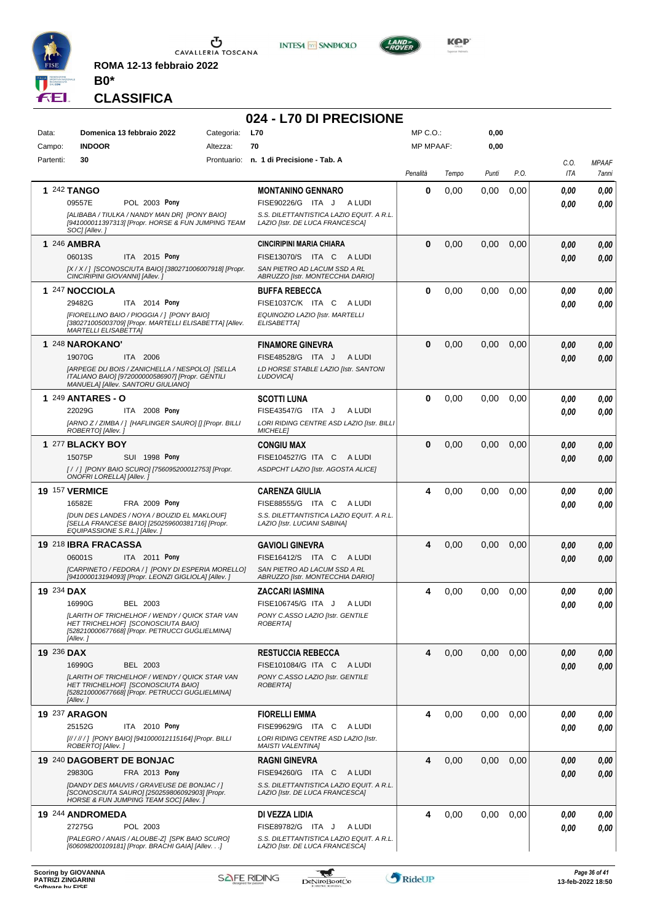

**ROMA 12-13 febbraio 2022**





KOP

#### **CLASSIFICA**

**B0\***

#### **024 - L70 DI PRECISIONE** Data: **Domenica 13 febbraio 2022** Categoria: L70 Prontuario: **n. 1 di Precisione - Tab. A** Campo: **INDOOR** Partenti: **30** Altezza: **70** MP C.O.: MP MPAAF: **0,00 0,00** *Penalità Tempo Punti P.O. C.O. ITA MPAAF 7anni* **1** 242 **TANGO POL 2003 Pony MONTANINO GENNARO** *[ALIBABA / TIULKA / NANDY MAN DR] [PONY BAIO] [941000011397313] [Propr. HORSE & FUN JUMPING TEAM SOC] [Allev. ] S.S. DILETTANTISTICA LAZIO EQUIT. A R.L. LAZIO [Istr. DE LUCA FRANCESCA]* ITA J A LUDI 09557E FISE90226/G *0,00* **Pony 0** 0,00 0,00 0,00 *0,00 0,00 0,00* **1** 246 **AMBRA ITA** 2015 Pony **CINCIRIPINI MARIA CHIARA** *[X / X / ] [SCONOSCIUTA BAIO] [380271006007918] [Propr. CINCIRIPINI GIOVANNI] [Allev. ] SAN PIETRO AD LACUM SSD A RL ABRUZZO [Istr. MONTECCHIA DARIO]* 06013S ITA 2015 Pony FISE13070/S ITA C A LUDI *0,00 0,00* **0** 0,00 0,00 0,00 *0,00 0,00 0,00* **1** 247 **NOCCIOLA ITA** 2014 **Pony BUFFA REBECCA** *[FIORELLINO BAIO / PIOGGIA / ] [PONY BAIO] [380271005003709] [Propr. MARTELLI ELISABETTA] [Allev. MARTELLI ELISABETTA] EQUINOZIO LAZIO [Istr. MARTELLI ELISABETTA]* 29482G ITA 2014 Pony FISE1037C/K ITA C A LUDI *0,00 0,00* **0** 0,00 0,00 0,00 *0,00 0,00 0,00* **1** 248 **NAROKANO'** ITA 2006 **FINAMORE GINEVRA** *[ARPEGE DU BOIS / ZANICHELLA / NESPOLO] [SELLA ITALIANO BAIO] [972000000586907] [Propr. GENTILI MANUELA] [Allev. SANTORU GIULIANO] LD HORSE STABLE LAZIO [Istr. SANTONI LUDOVICA]* ITA J A LUDI 19070G FISE48528/G *0,00* **0** 0,00 0,00 0,00 *0,00 0,00 0,00* **1** 249 **ANTARES - O** ITA 2008 Pony **SCOTTI LUNA** *[ARNO Z / ZIMBA / ] [HAFLINGER SAURO] [] [Propr. BILLI ROBERTO] [Allev. ] LORI RIDING CENTRE ASD LAZIO [Istr. BILLI MICHELE]* 22029G ITA 2008 Pony FISE43547/G ITA J ALUDI *0,00 0,00* **0** 0,00 0,00 0,00 *0,00 0,00 0,00* **1** 277 **BLACKY BOY SUI 1998 Pony CONGIU MAX** *[ / / ] [PONY BAIO SCURO] [756095200012753] [Propr. ONOFRI LORELLA] [Allev. ] ASDPCHT LAZIO [Istr. AGOSTA ALICE]* 15075P SUI 1998 Pony FISE104527/G ITA C A LUDI *0,00 0,00* **0** 0,00 0,00 0,00 *0,00 0,00 0,00* **19** 157 **VERMICE FRA 2009 Pony CARENZA GIULIA** *[DUN DES LANDES / NOYA / BOUZID EL MAKLOUF] [SELLA FRANCESE BAIO] [250259600381716] [Propr. EQUIPASSIONE S.R.L.] [Allev. ] S.S. DILETTANTISTICA LAZIO EQUIT. A R.L. LAZIO [Istr. LUCIANI SABINA]* ITA C A LUDI 16582E FISE88555/G *0,00* **Pony 4** 0,00 0,00 0,00 *0,00 0,00 0,00* **19** 218 **IBRA FRACASSA ITA** 2011 **Pony GAVIOLI GINEVRA** *[CARPINETO / FEDORA / ] [PONY DI ESPERIA MORELLO] [941000013194093] [Propr. LEONZI GIGLIOLA] [Allev. ] SAN PIETRO AD LACUM SSD A RL ABRUZZO [Istr. MONTECCHIA DARIO]* 06001S ITA 2011 Pony FISE16412/S ITA C A LUDI *0,00 0,00* **4** 0,00 0,00 0,00 *0,00 0,00 0,00* **19** 234 **DAX** BEL 2003 **ZACCARI IASMINA** *[LARITH OF TRICHELHOF / WENDY / QUICK STAR VAN HET TRICHELHOF] [SCONOSCIUTA BAIO] [528210000677668] [Propr. PETRUCCI GUGLIELMINA] [Allev. ] PONY C.ASSO LAZIO [Istr. GENTILE ROBERTA]* 16990G BEL 2003 FISE106745/G ITA J A LUDI *0,00 0,00* **4** 0,00 0,00 0,00 *0,00 0,00 0,00* **19** 236 **DAX** BEL 2003 **RESTUCCIA REBECCA** *[LARITH OF TRICHELHOF / WENDY / QUICK STAR VAN HET TRICHELHOF] [SCONOSCIUTA BAIO] [528210000677668] [Propr. PETRUCCI GUGLIELMINA] [Allev. ] PONY C.ASSO LAZIO [Istr. GENTILE ROBERTA]* 16990G BEL 2003 FISE101084/G ITA C A LUDI *0,00 0,00* **4** 0,00 0,00 0,00 *0,00 0,00 0,00* **19** 237 **ARAGON ITA** 2010 **Pony FIORELLI EMMA** *[// / // / ] [PONY BAIO] [941000012115164] [Propr. BILLI ROBERTO] [Allev. ] LORI RIDING CENTRE ASD LAZIO [Istr. MAISTI VALENTINA]* ITA C A LUDI 25152G FISE99629/G *0,00* **Pony 4** 0,00 0,00 0,00 *0,00 0,00 0,00* **19** 240 **DAGOBERT DE BONJAC FRA 2013 Pony RAGNI GINEVRA** *[DANDY DES MAUVIS / GRAVEUSE DE BONJAC / ] [SCONOSCIUTA SAURO] [250259806092903] [Propr. HORSE & FUN JUMPING TEAM SOC] [Allev. ] S.S. DILETTANTISTICA LAZIO EQUIT. A R.L. LAZIO [Istr. DE LUCA FRANCESCA]* ITA C A LUDI 29830G FISE94260/G *0,00* **Pony 4** 0,00 0,00 0,00 *0,00 0,00 0,00* **19** 244 **ANDROMEDA** POL 2003 **DI VEZZA LIDIA** *[PALEGRO / ANAIS / ALOUBE-Z] [SPK BAIO SCURO] [606098200109181] [Propr. BRACHI GAIA] [Allev. . .] S.S. DILETTANTISTICA LAZIO EQUIT. A R.L. LAZIO [Istr. DE LUCA FRANCESCA]* ITA J A LUDI 27275G FISE89782/G *0,00* **4** 0,00 0,00 0,00 *0,00 0,00 0,00*

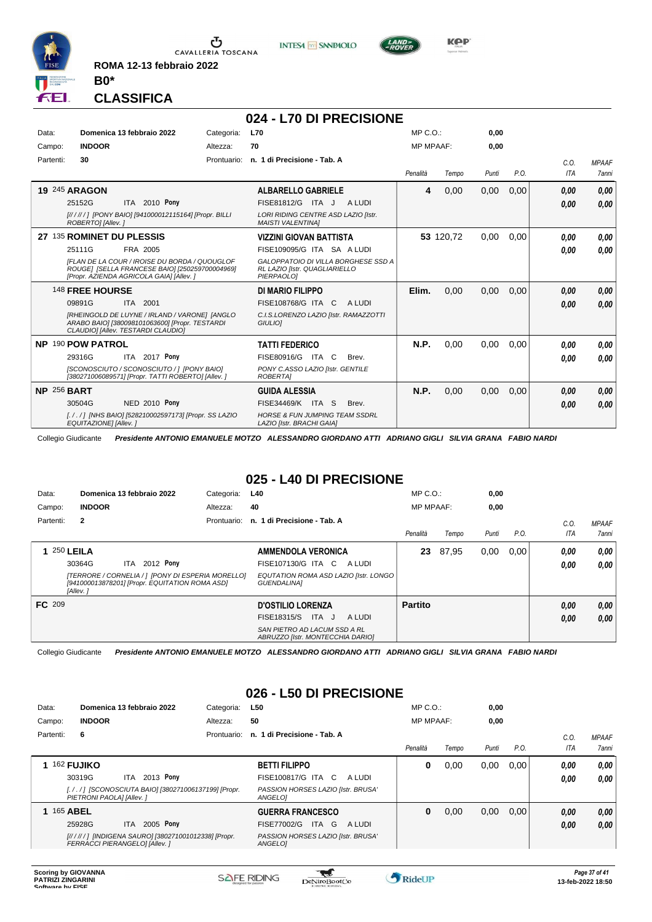

**ROMA 12-13 febbraio 2022**

**INTESA** M SANPAOLO



KOP

#### **CLASSIFICA**

**B0\***

#### **024 - L70 DI PRECISIONE** Data: **Domenica 13 febbraio 2022** Categoria: L70 Prontuario: **n. 1 di Precisione - Tab. A** Campo: **INDOOR** Partenti: **30** Altezza: **70** MP C.O.: MP MPAAF: **0,00 0,00** *Penalità Tempo Punti P.O. C.O. ITA MPAAF 7anni* **19** 245 **ARAGON ITA** 2010 Pony **ALBARELLO GABRIELE** *[// / // / ] [PONY BAIO] [941000012115164] [Propr. BILLI ROBERTO] [Allev. ] LORI RIDING CENTRE ASD LAZIO [Istr. MAISTI VALENTINA]* 25152G ITA 2010 Pony FISE81812/G ITA J ALUDI *0,00 0,00* **4** 0,00 0,00 0,00 *0,00 0,00 0,00* **27** 135 **ROMINET DU PLESSIS** FRA 2005 **VIZZINI GIOVAN BATTISTA** *[FLAN DE LA COUR / IROISE DU BORDA / QUOUGLOF ROUGE] [SELLA FRANCESE BAIO] [250259700004969] [Propr. AZIENDA AGRICOLA GAIA] [Allev. ] GALOPPATOIO DI VILLA BORGHESE SSD A RL LAZIO [Istr. QUAGLIARIELLO PIERPAOLO]* 25111G FRA 2005 FISE109095/G ITA SA A LUDI *0,00 0,00* **53** 120,72 0,00 0,00 *0,00 0,00 0,00* 148 **FREE HOURSE** ITA 2001 **DI MARIO FILIPPO** *[RHEINGOLD DE LUYNE / IRLAND / VARONE] [ANGLO ARABO BAIO] [380098101063600] [Propr. TESTARDI CLAUDIO] [Allev. TESTARDI CLAUDIO] C.I.S.LORENZO LAZIO [Istr. RAMAZZOTTI GIULIO]* ITA C A LUDI 09891G FISE108768/G *0,00* **Elim.** 0,00 0,00 0,00 *0,00 0,00 0,00* **NP** 190 **POW PATROL** ITA 2017 Pony **TATTI FEDERICO** *[SCONOSCIUTO / SCONOSCIUTO / ] [PONY BAIO] [380271006089571] [Propr. TATTI ROBERTO] [Allev. ] PONY C.ASSO LAZIO [Istr. GENTILE ROBERTA]* 29316G ITA 2017 Pony FISE80916/G ITA C Brev. *0,00 0,00* **N.P.** 0,00 0,00 0,00 *0,00 0,00 0,00* **NP** 256 **BART NED 2010 Pony GUIDA ALESSIA** *[. / . / ] [NHS BAIO] [528210002597173] [Propr. SS LAZIO EQUITAZIONE] [Allev. ] HORSE & FUN JUMPING TEAM SSDRL LAZIO [Istr. BRACHI GAIA]* ITA S Brev. 30504G FISE34469/K *0,00* **Pony N.P.** 0,00 0,00 0,00 *0,00 0,00 0,00*

Collegio Giudicante *Presidente ANTONIO EMANUELE MOTZO ALESSANDRO GIORDANO ATTI ADRIANO GIGLI SILVIA GRANA FABIO NARDI*

# **025 - L40 DI PRECISIONE**

| Data:              | Domenica 13 febbraio 2022                                                                                       | Categoria:  | <b>L40</b>                                                       | $MP C. O.$ :     |       | 0,00  |      |      |              |
|--------------------|-----------------------------------------------------------------------------------------------------------------|-------------|------------------------------------------------------------------|------------------|-------|-------|------|------|--------------|
| Campo:             | <b>INDOOR</b>                                                                                                   | Altezza:    | 40                                                               | <b>MP MPAAF:</b> |       | 0,00  |      |      |              |
| Partenti:          | $\overline{2}$                                                                                                  | Prontuario: | n. 1 di Precisione - Tab. A                                      |                  |       |       |      | C.0  | <b>MPAAF</b> |
|                    |                                                                                                                 |             |                                                                  | Penalità         | Tempo | Punti | P.O. | ITA  | <b>7anni</b> |
| <b>1 250 LEILA</b> |                                                                                                                 |             | <b>AMMENDOLA VERONICA</b>                                        | 23               | 87,95 | 0,00  | 0,00 | 0.00 | 0,00         |
|                    | 2012 <b>Pony</b><br>30364G<br>ITA.                                                                              |             | FISE107130/G ITA C<br>A LUDI                                     |                  |       |       |      | 0.00 | 0.00         |
|                    | [TERRORE / CORNELIA / 1 [PONY DI ESPERIA MORELLO]<br>[941000013878201] [Propr. EQUITATION ROMA ASD]<br>[Allev.] |             | EQUTATION ROMA ASD LAZIO [Istr. LONGO<br>GUENDALINA]             |                  |       |       |      |      |              |
| FC 209             |                                                                                                                 |             | <b>D'OSTILIO LORENZA</b>                                         | <b>Partito</b>   |       |       |      | 0,00 | 0,00         |
|                    |                                                                                                                 |             | FISE18315/S ITA J<br>A LUDI                                      |                  |       |       |      | 0.00 | 0,00         |
|                    |                                                                                                                 |             | SAN PIETRO AD LACUM SSD A RL<br>ABRUZZO [Istr. MONTECCHIA DARIO] |                  |       |       |      |      |              |

Collegio Giudicante *Presidente ANTONIO EMANUELE MOTZO ALESSANDRO GIORDANO ATTI ADRIANO GIGLI SILVIA GRANA FABIO NARDI*

#### **026 - L50 DI PRECISIONE**

| Data:     | Domenica 13 febbraio 2022                                                                |           | Categoria:  | L50                                           | $MP C. O.$ :     |       | 0,00  |      |      |              |
|-----------|------------------------------------------------------------------------------------------|-----------|-------------|-----------------------------------------------|------------------|-------|-------|------|------|--------------|
| Campo:    | <b>INDOOR</b>                                                                            |           | Altezza:    | 50                                            | <b>MP MPAAF:</b> |       | 0,00  |      |      |              |
| Partenti: | 6                                                                                        |           | Prontuario: | n. 1 di Precisione - Tab. A                   |                  |       |       |      | C.0  | <b>MPAAF</b> |
|           |                                                                                          |           |             |                                               | Penalità         | Tempo | Punti | P.O. | ITA  | 7anni        |
|           | 162 FUJIKO                                                                               |           |             | <b>BETTI FILIPPO</b>                          | 0                | 0,00  | 0,00  | 0,00 | 0.00 | 0,00         |
|           | 30319G<br><b>ITA</b>                                                                     | 2013 Pony |             | FISE100817/G ITA C<br>A LUDI                  |                  |       |       |      | 0,00 | 0,00         |
|           | [././] [SCONOSCIUTA BAIO] [380271006137199] [Propr.<br>PIETRONI PAOLA] [Allev. ]         |           |             | PASSION HORSES LAZIO [Istr. BRUSA'<br>ANGELO1 |                  |       |       |      |      |              |
|           | 165 ABEL                                                                                 |           |             | <b>GUERRA FRANCESCO</b>                       | 0                | 0,00  | 0,00  | 0.00 | 0,00 | 0,00         |
|           | 25928G<br>ITA.                                                                           | 2005 Pony |             | FISE77002/G<br>ITA G<br>A LUDI                |                  |       |       |      | 0,00 | 0.00         |
|           | [// / // / ] [INDIGENA SAURO] [380271001012338] [Propr.<br>FERRACCI PIERANGELO] [Allev.] |           |             | PASSION HORSES LAZIO [Istr. BRUSA'<br>ANGELO] |                  |       |       |      |      |              |
|           |                                                                                          |           |             |                                               |                  |       |       |      |      |              |

\*

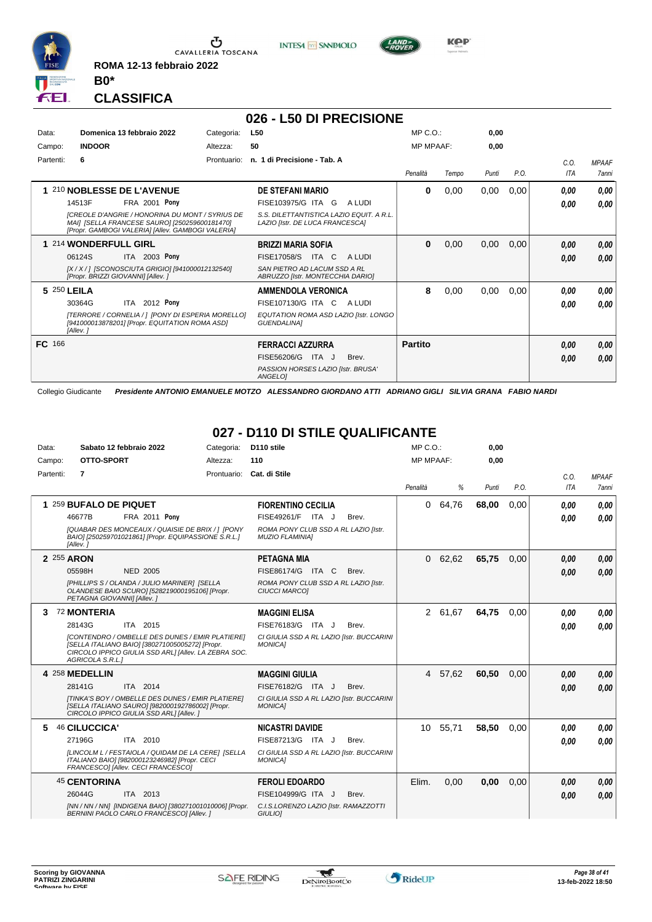

 $\sigma$  cavalleria toscana

**ROMA 12-13 febbraio 2022**



**B0\***

#### **026 - L50 DI PRECISIONE**

**INTESA** M SANPAOLO

| Data:     | Domenica 13 febbraio 2022                                                                                                                                    | Categoria:  | L50                                                                         | MP C. O.         |       | 0.00  |      |            |              |
|-----------|--------------------------------------------------------------------------------------------------------------------------------------------------------------|-------------|-----------------------------------------------------------------------------|------------------|-------|-------|------|------------|--------------|
| Campo:    | <b>INDOOR</b>                                                                                                                                                | Altezza:    | 50                                                                          | <b>MP MPAAF:</b> |       | 0,00  |      |            |              |
| Partenti: | 6                                                                                                                                                            | Prontuario: | n. 1 di Precisione - Tab. A                                                 |                  |       |       |      | C.0.       | <b>MPAAF</b> |
|           |                                                                                                                                                              |             |                                                                             | Penalità         | Tempo | Punti | P.O. | <b>ITA</b> | 7anni        |
|           | 1 210 NOBLESSE DE L'AVENUE                                                                                                                                   |             | <b>DE STEFANI MARIO</b>                                                     | 0                | 0,00  | 0,00  | 0,00 | 0.00       | 0,00         |
|           | 14513F<br><b>FRA 2001 Pony</b>                                                                                                                               |             | FISE103975/G ITA G<br>A LUDI                                                |                  |       |       |      | 0,00       | 0,00         |
|           | <b>ICREOLE D'ANGRIE / HONORINA DU MONT / SYRIUS DE</b><br>MAI] [SELLA FRANCESE SAURO] [250259600181470]<br>[Propr. GAMBOGI VALERIA] [Allev. GAMBOGI VALERIA] |             | S.S. DILETTANTISTICA LAZIO EQUIT. A R.L.<br>LAZIO [Istr. DE LUCA FRANCESCA] |                  |       |       |      |            |              |
|           | 1 214 WONDERFULL GIRL                                                                                                                                        |             | <b>BRIZZI MARIA SOFIA</b>                                                   | 0                | 0,00  | 0,00  | 0,00 | 0,00       | 0,00         |
|           | ITA 2003 Pony<br>06124S                                                                                                                                      |             | <b>FISE17058/S</b><br>ITA C<br>A LUDI                                       |                  |       |       |      | 0.00       | 0,00         |
|           | [X / X / ] [SCONOSCIUTA GRIGIO] [941000012132540]<br>[Propr. BRIZZI GIOVANNI] [Allev. ]                                                                      |             | SAN PIETRO AD LACUM SSD A RL<br>ABRUZZO [Istr. MONTECCHIA DARIO]            |                  |       |       |      |            |              |
|           | 5 250 LEILA                                                                                                                                                  |             | <b>AMMENDOLA VERONICA</b>                                                   | 8                | 0,00  | 0,00  | 0,00 | 0.00       | 0,00         |
|           | ITA 2012 Pony<br>30364G                                                                                                                                      |             | FISE107130/G ITA C ALUDI                                                    |                  |       |       |      | 0.00       | 0.00         |
|           | [TERRORE / CORNELIA / 1 [PONY DI ESPERIA MORELLO]<br>[941000013878201] [Propr. EQUITATION ROMA ASD]<br>[Allev.]                                              |             | EQUTATION ROMA ASD LAZIO [Istr. LONGO<br><b>GUENDALINAI</b>                 |                  |       |       |      |            |              |
| FC 166    |                                                                                                                                                              |             | <b>FERRACCI AZZURRA</b>                                                     | <b>Partito</b>   |       |       |      | 0,00       | 0,00         |
|           |                                                                                                                                                              |             | FISE56206/G<br>ITA J<br>Brev.                                               |                  |       |       |      | 0,00       | 0,00         |
|           |                                                                                                                                                              |             | PASSION HORSES LAZIO [Istr. BRUSA'<br>ANGELOI                               |                  |       |       |      |            |              |

Collegio Giudicante *Presidente ANTONIO EMANUELE MOTZO ALESSANDRO GIORDANO ATTI ADRIANO GIGLI SILVIA GRANA FABIO NARDI*

#### **027 - D110 DI STILE QUALIFICANTE**

| Data:      | Sabato 12 febbraio 2022                                                                                                                                                               | Categoria:  | D110 stile                                                     | $MP C. O.$ :     |         | 0,00  |      |            |              |
|------------|---------------------------------------------------------------------------------------------------------------------------------------------------------------------------------------|-------------|----------------------------------------------------------------|------------------|---------|-------|------|------------|--------------|
| Campo:     | OTTO-SPORT                                                                                                                                                                            | Altezza:    | 110                                                            | <b>MP MPAAF:</b> |         | 0.00  |      |            |              |
| Partenti:  | $\overline{7}$                                                                                                                                                                        | Prontuario: | Cat. di Stile                                                  |                  |         |       |      | C.0.       | <b>MPAAF</b> |
|            |                                                                                                                                                                                       |             |                                                                | Penalità         | %       | Punti | P.O. | <b>ITA</b> | 7anni        |
|            | 1 259 BUFALO DE PIQUET                                                                                                                                                                |             | <b>FIORENTINO CECILIA</b>                                      |                  | 0 64,76 | 68,00 | 0.00 | 0.00       | 0.00         |
|            | <b>FRA 2011 Pony</b><br>46677B                                                                                                                                                        |             | FISE49261/F<br>ITA J<br>Brev.                                  |                  |         |       |      | 0.00       | 0.00         |
|            | [QUABAR DES MONCEAUX / QUAISIE DE BRIX /] [PONY<br>BAIO] [250259701021861] [Propr. EQUIPASSIONE S.R.L.]<br>[Allev.]                                                                   |             | ROMA PONY CLUB SSD A RL LAZIO [Istr.<br><b>MUZIO FLAMINIAI</b> |                  |         |       |      |            |              |
| 2 255 ARON |                                                                                                                                                                                       |             | <b>PETAGNA MIA</b>                                             | 0                | 62,62   | 65,75 | 0,00 | 0,00       | 0,00         |
|            | 05598H<br><b>NED 2005</b>                                                                                                                                                             |             | FISE86174/G ITA C<br>Brev.                                     |                  |         |       |      | 0.00       | 0.00         |
|            | [PHILLIPS S / OLANDA / JULIO MARINER] [SELLA<br>OLANDESE BAIO SCURO] [528219000195106] [Propr.<br>PETAGNA GIOVANNI] [Allev.]                                                          |             | ROMA PONY CLUB SSD A RL LAZIO [Istr.<br>CIUCCI MARCOI          |                  |         |       |      |            |              |
| 3          | <b>72 MONTERIA</b>                                                                                                                                                                    |             | <b>MAGGINI ELISA</b>                                           |                  | 2 61,67 | 64,75 | 0.00 | 0.00       | 0.00         |
|            | 28143G<br>ITA 2015                                                                                                                                                                    |             | FISE76183/G ITA J<br>Brev.                                     |                  |         |       |      | 0.00       | 0.00         |
|            | <b>ICONTENDRO / OMBELLE DES DUNES / EMIR PLATIEREI</b><br>[SELLA ITALIANO BAIO] [380271005005272] [Propr.<br>CIRCOLO IPPICO GIULIA SSD ARL] [Allev. LA ZEBRA SOC.<br>AGRICOLA S.R.L.1 |             | CI GIULIA SSD A RL LAZIO [Istr. BUCCARINI<br><b>MONICA1</b>    |                  |         |       |      |            |              |
|            | 4 258 MEDELLIN                                                                                                                                                                        |             | <b>MAGGINI GIULIA</b>                                          |                  | 4 57,62 | 60,50 | 0.00 | 0,00       | 0,00         |
|            | ITA 2014<br>28141G                                                                                                                                                                    |             | FISE76182/G ITA J<br>Brev.                                     |                  |         |       |      | 0.00       | 0.00         |
|            | <b>ITINKA'S BOY / OMBELLE DES DUNES / EMIR PLATIEREI</b><br>[SELLA ITALIANO SAURO] [982000192786002] [Propr.<br>CIRCOLO IPPICO GIULIA SSD ARL] [Allev.]                               |             | CI GIULIA SSD A RL LAZIO [Istr. BUCCARINI<br><b>MONICAI</b>    |                  |         |       |      |            |              |
| 5          | 46 CILUCCICA'                                                                                                                                                                         |             | NICASTRI DAVIDE                                                | 10               | 55,71   | 58,50 | 0,00 | 0.00       | 0.00         |
|            | ITA 2010<br>27196G                                                                                                                                                                    |             | FISE87213/G ITA J<br>Brev.                                     |                  |         |       |      | 0.00       | 0.00         |
|            | [LINCOLM L / FESTAIOLA / QUIDAM DE LA CERE] [SELLA<br>ITALIANO BAIO] [982000123246982] [Propr. CECI<br>FRANCESCO] [Allev. CECI FRANCESCO]                                             |             | CI GIULIA SSD A RL LAZIO [Istr. BUCCARINI<br><b>MONICAI</b>    |                  |         |       |      |            |              |
|            | <b>45 CENTORINA</b>                                                                                                                                                                   |             | <b>FEROLI EDOARDO</b>                                          | Elim.            | 0.00    | 0,00  | 0,00 | 0,00       | 0,00         |
|            | ITA 2013<br>26044G                                                                                                                                                                    |             | FISE104999/G ITA J<br>Brev.                                    |                  |         |       |      | 0.00       | 0.00         |
|            | [NN / NN / NN] [INDIGENA BAIO] [380271001010006] [Propr.<br>BERNINI PAOLO CARLO FRANCESCO] [Allev. ]                                                                                  |             | C.I.S.LORENZO LAZIO [Istr. RAMAZZOTTI<br>GIULIO]               |                  |         |       |      |            |              |



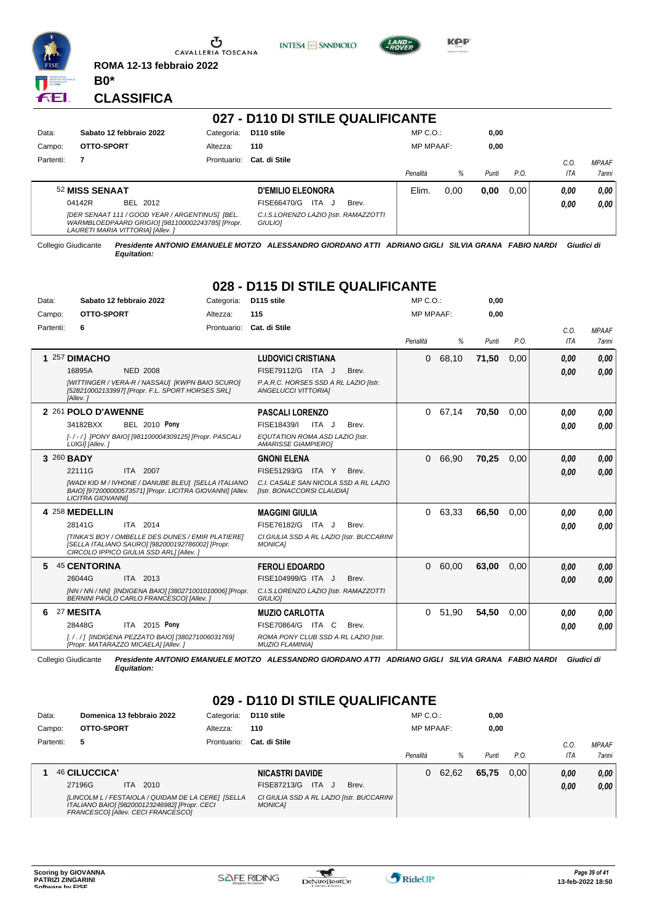



**INTESA** M SANPAOLO



**Kep** 

#### **CLASSIFICA**

**B0\***

| 027 - D110 DI STILE QUALIFICANTE |                                                                                                                                         |             |                                                  |                  |      |       |      |      |              |  |  |
|----------------------------------|-----------------------------------------------------------------------------------------------------------------------------------------|-------------|--------------------------------------------------|------------------|------|-------|------|------|--------------|--|--|
| Data:                            | Sabato 12 febbraio 2022                                                                                                                 | Categoria:  | D <sub>110</sub> stile                           | $MP C. O.$ :     |      | 0,00  |      |      |              |  |  |
| Campo:                           | OTTO-SPORT                                                                                                                              | Altezza:    | 110                                              | <b>MP MPAAF:</b> |      | 0,00  |      |      |              |  |  |
| Partenti:                        | 7                                                                                                                                       | Prontuario: | Cat. di Stile                                    |                  |      |       |      | C.0  | <b>MPAAF</b> |  |  |
|                                  |                                                                                                                                         |             |                                                  | Penalità         | %    | Punti | P.O. | ITA  | <b>7anni</b> |  |  |
|                                  | 52 MISS SENAAT                                                                                                                          |             | <b>D'EMILIO ELEONORA</b>                         | Elim.            | 0.00 | 0,00  | 0.00 | 0.00 | 0.00         |  |  |
|                                  | 04142R<br>BEL 2012                                                                                                                      |             | ITA J<br>FISE66470/G<br>Brev.                    |                  |      |       |      | 0.00 | 0.00         |  |  |
|                                  | [DER SENAAT 111 / GOOD YEAR / ARGENTINUS] [BEL.<br>WARMBLOEDPAARD GRIGIO] [981100002243785] [Propr.<br>LAURETI MARIA VITTORIA] [Allev.] |             | C.I.S.LORENZO LAZIO [Istr. RAMAZZOTTI<br>GIULIO] |                  |      |       |      |      |              |  |  |

ÆL.

Collegio Giudicante *Presidente ANTONIO EMANUELE MOTZO ALESSANDRO GIORDANO ATTI ADRIANO GIGLI SILVIA GRANA FABIO NARDI Giudici di Equitation:*

## **028 - D115 DI STILE QUALIFICANTE**

| Data:     | Sabato 12 febbraio 2022                                                                                                                                  | Categoria:  | D115 stile                                                          | $MP C. O.$ :     |       | 0,00  |      |            |              |
|-----------|----------------------------------------------------------------------------------------------------------------------------------------------------------|-------------|---------------------------------------------------------------------|------------------|-------|-------|------|------------|--------------|
| Campo:    | OTTO-SPORT                                                                                                                                               | Altezza:    | 115                                                                 | <b>MP MPAAF:</b> |       | 0.00  |      |            |              |
| Partenti: | 6                                                                                                                                                        | Prontuario: | Cat. di Stile                                                       |                  |       |       |      | C.O.       | <b>MPAAF</b> |
|           |                                                                                                                                                          |             |                                                                     | Penalità         | %     | Punti | P.O. | <b>ITA</b> | 7anni        |
|           | 1 257 DIMACHO                                                                                                                                            |             | <b>LUDOVICI CRISTIANA</b>                                           | $\Omega$         | 68,10 | 71,50 | 0.00 | 0,00       | 0,00         |
|           | 16895A<br><b>NED 2008</b>                                                                                                                                |             | FISE79112/G ITA J<br>Brev.                                          |                  |       |       |      | 0.00       | 0.00         |
|           | [WITTINGER / VERA-R / NASSAU] [KWPN BAIO SCURO]<br>[528210002133997] [Propr. F.L. SPORT HORSES SRL]<br>[Allev.]                                          |             | P.A.R.C. HORSES SSD A RL LAZIO [Istr.<br><b>ANGELUCCI VITTORIAI</b> |                  |       |       |      |            |              |
|           | 2 261 POLO D'AWENNE                                                                                                                                      |             | <b>PASCALI LORENZO</b>                                              | 0                | 67,14 | 70,50 | 0.00 | 0,00       | 0.00         |
|           | <b>BEL 2010 Pony</b><br>34182BXX                                                                                                                         |             | FISE18439/I<br>ITA J<br>Brev.                                       |                  |       |       |      | 0.00       | 0.00         |
|           | [-/-/] [PONY BAIO] [981100004309125] [Propr. PASCALI<br>LUIGII [Allev.]                                                                                  |             | EQUTATION ROMA ASD LAZIO [Istr.<br><b>AMARISSE GIAMPIEROI</b>       |                  |       |       |      |            |              |
|           | 3 260 BADY                                                                                                                                               |             | <b>GNONI ELENA</b>                                                  | $\Omega$         | 66,90 | 70,25 | 0.00 | 0,00       | 0,00         |
|           | 22111G<br>ITA 2007                                                                                                                                       |             | FISE51293/G ITA Y<br>Brev.                                          |                  |       |       |      | 0.00       | 0.00         |
|           | [WADI KID M / IVHONE / DANUBE BLEU] [SELLA ITALIANO<br>BAIO] [972000000573571] [Propr. LICITRA GIOVANNI] [Allev.<br><b>LICITRA GIOVANNII</b>             |             | C.I. CASALE SAN NICOLA SSD A RL LAZIO<br>[Istr. BONACCORSI CLAUDIA] |                  |       |       |      |            |              |
|           | 4 258 MEDELLIN                                                                                                                                           |             | <b>MAGGINI GIULIA</b>                                               | 0                | 63,33 | 66,50 | 0.00 | 0.00       | 0.00         |
|           | 28141G<br>ITA 2014                                                                                                                                       |             | FISE76182/G ITA J<br>Brev.                                          |                  |       |       |      | 0.00       | 0.00         |
|           | <b>ITINKA'S BOY / OMBELLE DES DUNES / EMIR PLATIEREI</b><br>[SELLA ITALIANO SAURO] [982000192786002] [Propr.<br>CIRCOLO IPPICO GIULIA SSD ARLI [Allev. ] |             | CI GIULIA SSD A RL LAZIO [Istr. BUCCARINI<br><b>MONICAI</b>         |                  |       |       |      |            |              |
| 5         | <b>45 CENTORINA</b>                                                                                                                                      |             | <b>FEROLI EDOARDO</b>                                               | $\Omega$         | 60,00 | 63,00 | 0.00 | 0,00       | 0,00         |
|           | 26044G<br>ITA 2013                                                                                                                                       |             | FISE104999/G ITA J<br>Brev.                                         |                  |       |       |      | 0,00       | 0,00         |
|           | [NN / NN / NN] [INDIGENA BAIO] [380271001010006] [Propr.<br>BERNINI PAOLO CARLO FRANCESCO] [Allev.]                                                      |             | C.I.S.LORENZO LAZIO [Istr. RAMAZZOTTI<br><b>GIULIOI</b>             |                  |       |       |      |            |              |
| 6         | 27 MESITA                                                                                                                                                |             | <b>MUZIO CARLOTTA</b>                                               | 0                | 51,90 | 54.50 | 0.00 | 0,00       | 0.00         |
|           | 28448G<br>ITA 2015 Pony                                                                                                                                  |             | FISE70864/G ITA C<br>Brev.                                          |                  |       |       |      | 0.00       | 0.00         |
|           | [././] [INDIGENA PEZZATO BAIO] [380271006031769]<br>[Propr. MATARAZZO MICAELA] [Allev.]                                                                  |             | ROMA PONY CLUB SSD A RL LAZIO [Istr.<br><b>MUZIO FLAMINIA1</b>      |                  |       |       |      |            |              |

Collegio Giudicante *Presidente ANTONIO EMANUELE MOTZO ALESSANDRO GIORDANO ATTI ADRIANO GIGLI SILVIA GRANA FABIO NARDI Giudici di Equitation:*

# **029 - D110 DI STILE QUALIFICANTE**

| Data:     | Domenica 13 febbraio 2022                                                                                                                 | Categoria:  | D <sub>110</sub> stile                                      | $MP C. O.$ :     |         | 0,00  |      |      |              |
|-----------|-------------------------------------------------------------------------------------------------------------------------------------------|-------------|-------------------------------------------------------------|------------------|---------|-------|------|------|--------------|
| Campo:    | OTTO-SPORT                                                                                                                                | Altezza:    | 110                                                         | <b>MP MPAAF:</b> |         | 0,00  |      |      |              |
| Partenti: | 5                                                                                                                                         | Prontuario: | Cat. di Stile                                               |                  |         |       |      | C.0  | <b>MPAAF</b> |
|           |                                                                                                                                           |             |                                                             | Penalità         | ℅       | Punti | P.O. | ITA  | <b>7anni</b> |
|           | 46 CILUCCICA'                                                                                                                             |             | <b>NICASTRI DAVIDE</b>                                      |                  | 0 62,62 | 65,75 | 0.00 | 0.00 | 0.00         |
|           | 27196G<br>2010<br>ITA.                                                                                                                    |             | <b>ITA</b><br>FISE87213/G<br>Brev.<br>- 11                  |                  |         |       |      | 0.00 | 0.00         |
|           | [LINCOLM L / FESTAIOLA / QUIDAM DE LA CERE] [SELLA<br>ITALIANO BAIO] [982000123246982] [Propr. CECI<br>FRANCESCOI [Allev. CECI FRANCESCO] |             | CI GIULIA SSD A RL LAZIO [Istr. BUCCARINI<br><b>MONICA1</b> |                  |         |       |      |      |              |

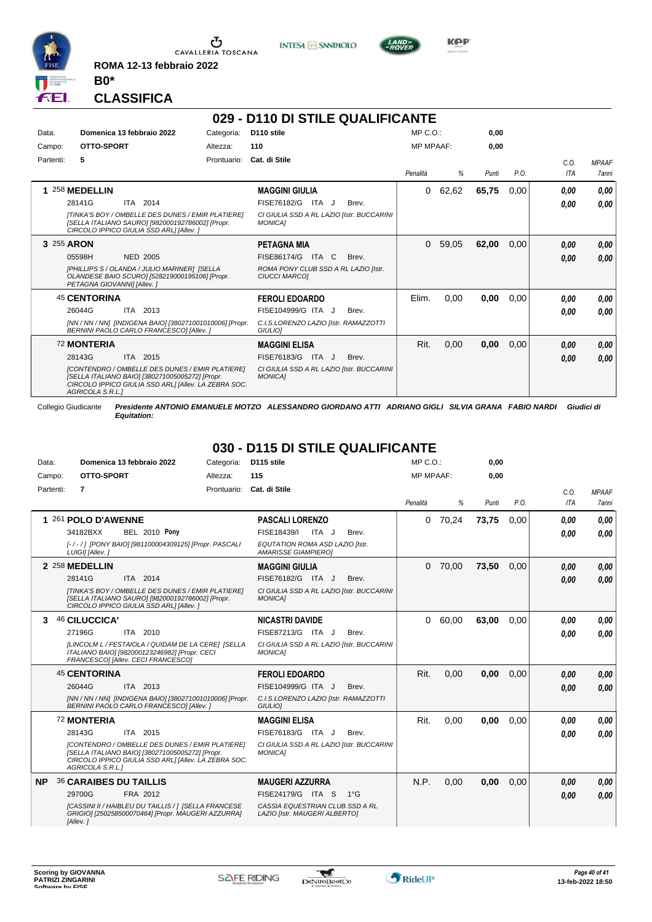

 $\sigma$  cavalleria toscana

**ROMA 12-13 febbraio 2022 B0\***

**INTESA** M SANPAOLO



**Kep** 

#### **CLASSIFICA**

|            |                                                                                                                                                                                                                            |             | 029 - D110 DI STILE QUALIFICANTE                                                                                      |                  |       |       |      |                    |                       |
|------------|----------------------------------------------------------------------------------------------------------------------------------------------------------------------------------------------------------------------------|-------------|-----------------------------------------------------------------------------------------------------------------------|------------------|-------|-------|------|--------------------|-----------------------|
| Data:      | Domenica 13 febbraio 2022                                                                                                                                                                                                  | Categoria:  | D <sub>110</sub> stile                                                                                                | $MP C. O.$ :     |       | 0,00  |      |                    |                       |
| Campo:     | OTTO-SPORT                                                                                                                                                                                                                 | Altezza:    | 110                                                                                                                   | <b>MP MPAAF:</b> |       | 0,00  |      |                    |                       |
| Partenti:  | 5                                                                                                                                                                                                                          | Prontuario: | Cat. di Stile                                                                                                         | Penalità         | %     | Punti | P.O. | C.O.<br><b>ITA</b> | <b>MPAAF</b><br>7anni |
|            | 1 258 MEDELLIN<br>2014<br>28141G<br><b>ITA</b><br>ITINKA'S BOY / OMBELLE DES DUNES / EMIR PLATIEREI<br>[SELLA ITALIANO SAURO] [982000192786002] [Propr.<br>CIRCOLO IPPICO GIULIA SSD ARLI [Allev. ]                        |             | <b>MAGGINI GIULIA</b><br>FISE76182/G<br>ITA J<br>Brev.<br>CI GIULIA SSD A RL LAZIO [Istr. BUCCARINI<br><b>MONICAI</b> | 0                | 62,62 | 65,75 | 0,00 | 0.00<br>0.00       | 0.00<br>0.00          |
| 3 255 ARON | 05598H<br><b>NED 2005</b><br>[PHILLIPS S / OLANDA / JULIO MARINER] [SELLA<br>OLANDESE BAIO SCURO] [528219000195106] [Propr.<br>PETAGNA GIOVANNII [Allev.]                                                                  |             | <b>PETAGNA MIA</b><br>FISE86174/G ITA C<br>Brev.<br>ROMA PONY CLUB SSD A RL LAZIO [Istr.<br><b>CIUCCI MARCOI</b>      | $\Omega$         | 59,05 | 62,00 | 0,00 | 0.00<br>0,00       | 0,00<br>0.00          |
|            | <b>45 CENTORINA</b><br>26044G<br>ITA 2013<br>[NN / NN / NN] [INDIGENA BAIO] [380271001010006] [Propr.<br>BERNINI PAOLO CARLO FRANCESCO] [Allev. ]                                                                          |             | <b>FEROLI EDOARDO</b><br>FISE104999/G ITA J<br>Brev.<br>C.I.S.LORENZO LAZIO [Istr. RAMAZZOTTI<br>GIULIO]              | Elim.            | 0,00  | 0,00  | 0,00 | 0.00<br>0,00       | 0.00<br>0.00          |
|            | <b>72 MONTERIA</b><br>28143G<br>ITA 2015<br>[CONTENDRO / OMBELLE DES DUNES / EMIR PLATIERE]<br>[SELLA ITALIANO BAIO] [380271005005272] [Propr.<br>CIRCOLO IPPICO GIULIA SSD ARL] [Allev. LA ZEBRA SOC.<br>AGRICOLA S.R.L.1 |             | <b>MAGGINI ELISA</b><br>FISE76183/G ITA J<br>Brev.<br>CI GIULIA SSD A RL LAZIO [Istr. BUCCARINI<br><b>MONICAI</b>     | Rit.             | 0,00  | 0,00  | 0,00 | 0.00<br>0,00       | 0.00<br>0.00          |

Collegio Giudicante *Presidente ANTONIO EMANUELE MOTZO ALESSANDRO GIORDANO ATTI ADRIANO GIGLI SILVIA GRANA FABIO NARDI Giudici di Equitation:*

### **030 - D115 DI STILE QUALIFICANTE**

| Data:     | Domenica 13 febbraio 2022                                                                                                                                                      | Categoria: | D <sub>115</sub> stile                                           | $MP C. O.$ :     |       | 0,00  |      |            |              |
|-----------|--------------------------------------------------------------------------------------------------------------------------------------------------------------------------------|------------|------------------------------------------------------------------|------------------|-------|-------|------|------------|--------------|
| Campo:    | OTTO-SPORT                                                                                                                                                                     | Altezza:   | 115                                                              | <b>MP MPAAF:</b> |       | 0.00  |      |            |              |
| Partenti: | 7                                                                                                                                                                              |            | Prontuario: Cat. di Stile                                        |                  |       |       |      | C.O.       | <b>MPAAF</b> |
|           |                                                                                                                                                                                |            |                                                                  | Penalità         | %     | Punti | P.O. | <b>ITA</b> | <b>7anni</b> |
|           | 1 261 POLO D'AWENNE                                                                                                                                                            |            | <b>PASCALI LORENZO</b>                                           | $\Omega$         | 70,24 | 73,75 | 0.00 | 0,00       | 0.00         |
|           | <b>BEL 2010 Pony</b><br>34182BXX                                                                                                                                               |            | FISE18439/I<br>ITA J<br>Brev.                                    |                  |       |       |      | 0.00       | 0.00         |
|           | [-/-/] [PONY BAIO] [981100004309125] [Propr. PASCALI<br>LUIGI] [Allev.]                                                                                                        |            | EQUTATION ROMA ASD LAZIO [Istr.<br><b>AMARISSE GIAMPIEROI</b>    |                  |       |       |      |            |              |
|           | 2 258 MEDELLIN                                                                                                                                                                 |            | <b>MAGGINI GIULIA</b>                                            | 0                | 70,00 | 73,50 | 0.00 | 0,00       | 0,00         |
|           | 28141G<br>ITA 2014                                                                                                                                                             |            | FISE76182/G ITA J<br>Brev.                                       |                  |       |       |      | 0,00       | 0.00         |
|           | [TINKA'S BOY / OMBELLE DES DUNES / EMIR PLATIERE]<br>[SELLA ITALIANO SAURO] [982000192786002] [Propr.<br>CIRCOLO IPPICO GIULIA SSD ARL] [Allev.]                               |            | CI GIULIA SSD A RL LAZIO [Istr. BUCCARINI<br><b>MONICA1</b>      |                  |       |       |      |            |              |
| 3.        | 46 CILUCCICA'                                                                                                                                                                  |            | <b>NICASTRI DAVIDE</b>                                           | 0                | 60,00 | 63,00 | 0.00 | 0,00       | 0.00         |
|           | 27196G<br>ITA 2010                                                                                                                                                             |            | FISE87213/G ITA J<br>Brev.                                       |                  |       |       |      | 0.00       | 0.00         |
|           | ILINCOLM L / FESTAIOLA / QUIDAM DE LA CERE] [SELLA<br>ITALIANO BAIO] [982000123246982] [Propr. CECI<br>FRANCESCO] [Allev. CECI FRANCESCO]                                      |            | CI GIULIA SSD A RL LAZIO [Istr. BUCCARINI<br><b>MONICAI</b>      |                  |       |       |      |            |              |
|           | <b>45 CENTORINA</b>                                                                                                                                                            |            | <b>FEROLI EDOARDO</b>                                            | Rit.             | 0,00  | 0,00  | 0.00 | 0,00       | 0,00         |
|           | 26044G<br>ITA 2013                                                                                                                                                             |            | FISE104999/G ITA J<br>Brev.                                      |                  |       |       |      | 0,00       | 0.00         |
|           | [NN / NN / NN] [INDIGENA BAIO] [380271001010006] [Propr.<br>BERNINI PAOLO CARLO FRANCESCO] [Allev. ]                                                                           |            | C.I.S.LORENZO LAZIO [Istr. RAMAZZOTTI<br>GIULIO]                 |                  |       |       |      |            |              |
|           | <b>72 MONTERIA</b>                                                                                                                                                             |            | <b>MAGGINI ELISA</b>                                             | Rit.             | 0,00  | 0,00  | 0.00 | 0,00       | 0.00         |
|           | ITA 2015<br>28143G                                                                                                                                                             |            | FISE76183/G ITA J<br>Brev.                                       |                  |       |       |      | 0,00       | 0.00         |
|           | [CONTENDRO / OMBELLE DES DUNES / EMIR PLATIERE]<br>[SELLA ITALIANO BAIO] [380271005005272] [Propr.<br>CIRCOLO IPPICO GIULIA SSD ARLI [Allev. LA ZEBRA SOC.<br>AGRICOLA S.R.L.] |            | CI GIULIA SSD A RL LAZIO [Istr. BUCCARINI<br><b>MONICA1</b>      |                  |       |       |      |            |              |
| NP.       | <b>36 CARAIBES DU TAILLIS</b>                                                                                                                                                  |            | <b>MAUGERI AZZURRA</b>                                           | N.P.             | 0,00  | 0,00  | 0,00 | 0.00       | 0,00         |
|           | 29700G<br>FRA 2012                                                                                                                                                             |            | FISE24179/G ITA S<br>$1^{\circ}G$                                |                  |       |       |      | 0,00       | 0.00         |
|           | [CASSINI II / HAIBLEU DU TAILLIS / 1 [SELLA FRANCESE<br>GRIGIO] [250258500070464] [Propr. MAUGERI AZZURRA]<br>[Allev.]                                                         |            | CASSIA EQUESTRIAN CLUB SSD A RL<br>LAZIO [Istr. MAUGERI ALBERTO] |                  |       |       |      |            |              |